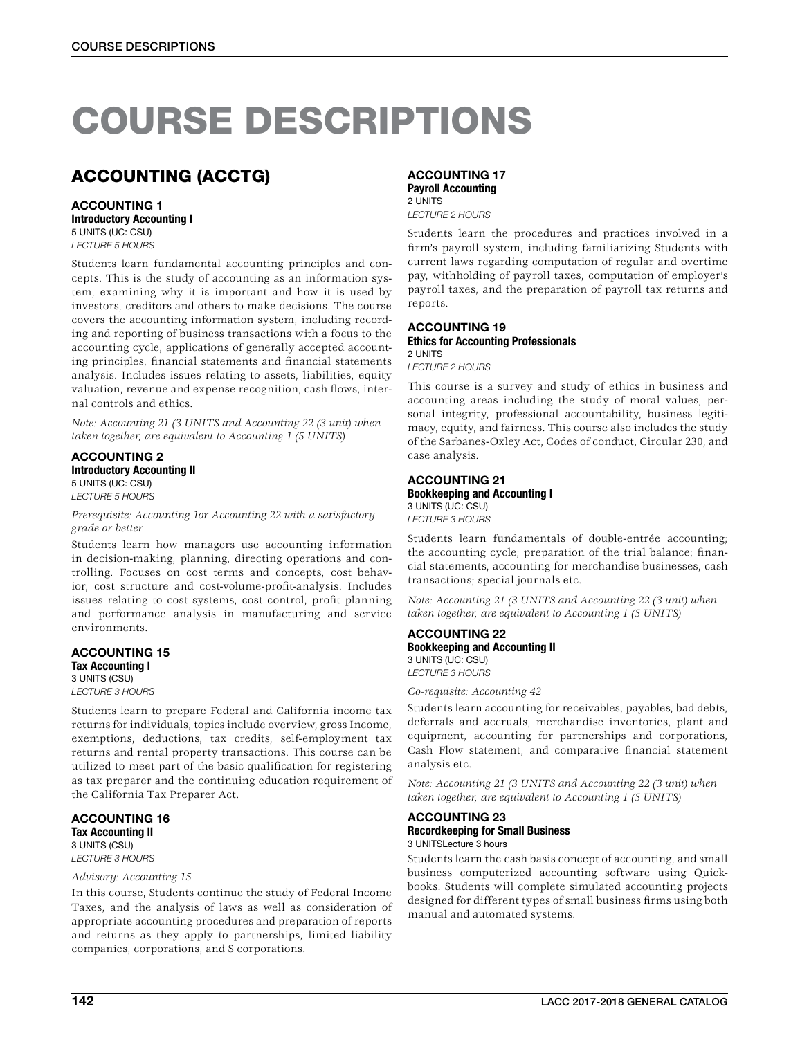# COURSE DESCRIPTIONS

## ACCOUNTING (ACCTG)

### ACCOUNTING 1 Introductory Accounting I

5 UNITS (UC: CSU)

*LECTURE 5 HOURS*

Students learn fundamental accounting principles and concepts. This is the study of accounting as an information system, examining why it is important and how it is used by investors, creditors and others to make decisions. The course covers the accounting information system, including recording and reporting of business transactions with a focus to the accounting cycle, applications of generally accepted accounting principles, financial statements and financial statements analysis. Includes issues relating to assets, liabilities, equity valuation, revenue and expense recognition, cash flows, internal controls and ethics.

*Note: Accounting 21 (3 UNITS and Accounting 22 (3 unit) when taken together, are equivalent to Accounting 1 (5 UNITS)*

ACCOUNTING 2 Introductory Accounting II 5 UNITS (UC: CSU) *LECTURE 5 HOURS*

*Prerequisite: Accounting 1or Accounting 22 with a satisfactory grade or better*

Students learn how managers use accounting information in decision-making, planning, directing operations and controlling. Focuses on cost terms and concepts, cost behavior, cost structure and cost-volume-profit-analysis. Includes issues relating to cost systems, cost control, profit planning and performance analysis in manufacturing and service environments.

### ACCOUNTING 15 Tax Accounting I 3 UNITS (CSU)

*LECTURE 3 HOURS*

Students learn to prepare Federal and California income tax returns for individuals, topics include overview, gross Income, exemptions, deductions, tax credits, self-employment tax returns and rental property transactions. This course can be utilized to meet part of the basic qualification for registering as tax preparer and the continuing education requirement of the California Tax Preparer Act.

### ACCOUNTING 16 Tax Accounting II 3 UNITS (CSU)

*LECTURE 3 HOURS Advisory: Accounting 15*

In this course, Students continue the study of Federal Income Taxes, and the analysis of laws as well as consideration of appropriate accounting procedures and preparation of reports and returns as they apply to partnerships, limited liability companies, corporations, and S corporations.

## ACCOUNTING 17

Payroll Accounting 2 UNITS *LECTURE 2 HOURS*

Students learn the procedures and practices involved in a firm's payroll system, including familiarizing Students with current laws regarding computation of regular and overtime pay, withholding of payroll taxes, computation of employer's payroll taxes, and the preparation of payroll tax returns and reports.

### ACCOUNTING 19

### Ethics for Accounting Professionals 2 UNITS

*LECTURE 2 HOURS*

This course is a survey and study of ethics in business and accounting areas including the study of moral values, personal integrity, professional accountability, business legitimacy, equity, and fairness. This course also includes the study of the Sarbanes-Oxley Act, Codes of conduct, Circular 230, and case analysis.

### ACCOUNTING 21 Bookkeeping and Accounting I 3 UNITS (UC: CSU)

*LECTURE 3 HOURS*

Students learn fundamentals of double-entrée accounting; the accounting cycle; preparation of the trial balance; financial statements, accounting for merchandise businesses, cash transactions; special journals etc.

*Note: Accounting 21 (3 UNITS and Accounting 22 (3 unit) when taken together, are equivalent to Accounting 1 (5 UNITS)*

### ACCOUNTING 22 Bookkeeping and Accounting II 3 UNITS (UC: CSU) *LECTURE 3 HOURS*

*Co-requisite: Accounting 42*

Students learn accounting for receivables, payables, bad debts, deferrals and accruals, merchandise inventories, plant and equipment, accounting for partnerships and corporations, Cash Flow statement, and comparative financial statement analysis etc.

*Note: Accounting 21 (3 UNITS and Accounting 22 (3 unit) when taken together, are equivalent to Accounting 1 (5 UNITS)*

### ACCOUNTING 23 Recordkeeping for Small Business

3 UNITSLecture 3 hours

Students learn the cash basis concept of accounting, and small business computerized accounting software using Quickbooks. Students will complete simulated accounting projects designed for different types of small business firms using both manual and automated systems.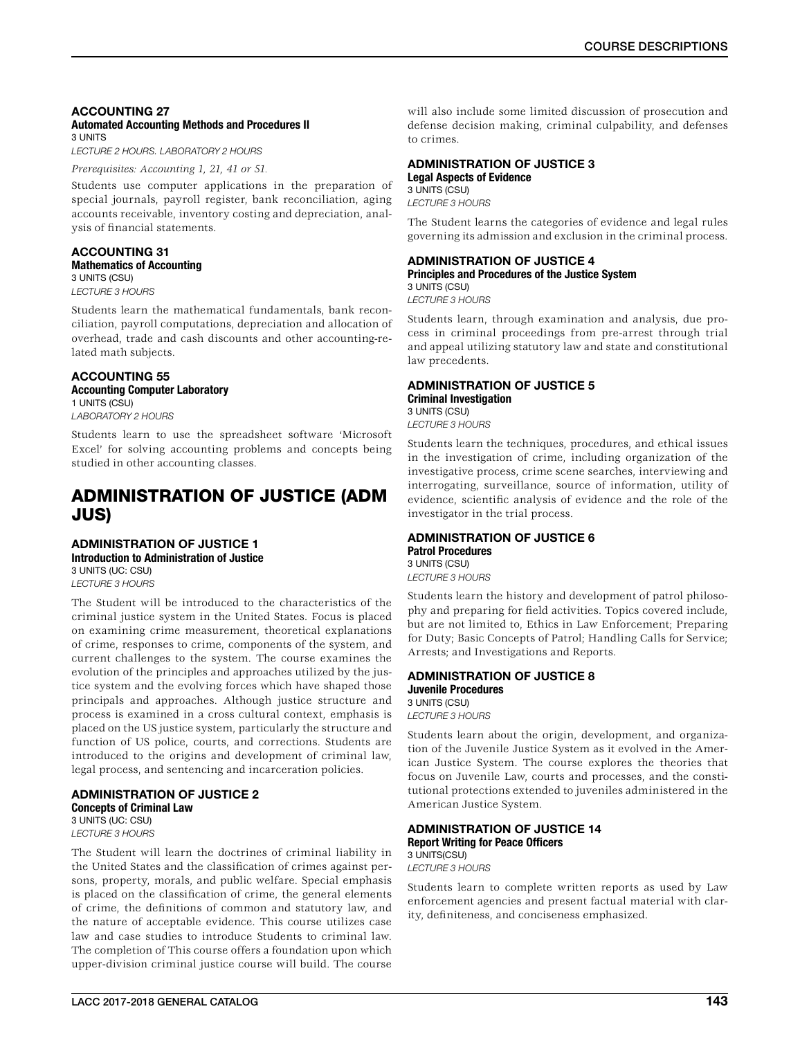#### ACCOUNTING 27 Automated Accounting Methods and Procedures II 3 UNITS

*LECTURE 2 HOURS. LABORATORY 2 HOURS*

*Prerequisites: Accounting 1, 21, 41 or 51.*

Students use computer applications in the preparation of special journals, payroll register, bank reconciliation, aging accounts receivable, inventory costing and depreciation, analysis of financial statements.

#### ACCOUNTING 31 Mathematics of Accounting 3 UNITS (CSU)

*LECTURE 3 HOURS*

Students learn the mathematical fundamentals, bank reconciliation, payroll computations, depreciation and allocation of overhead, trade and cash discounts and other accounting-related math subjects.

### ACCOUNTING 55

### Accounting Computer Laboratory

1 UNITS (CSU) *LABORATORY 2 HOURS*

Students learn to use the spreadsheet software 'Microsoft Excel' for solving accounting problems and concepts being studied in other accounting classes.

## ADMINISTRATION OF JUSTICE (ADM JUS)

#### ADMINISTRATION OF JUSTICE 1 Introduction to Administration of Justice

3 UNITS (UC: CSU) *LECTURE 3 HOURS*

The Student will be introduced to the characteristics of the criminal justice system in the United States. Focus is placed on examining crime measurement, theoretical explanations of crime, responses to crime, components of the system, and current challenges to the system. The course examines the evolution of the principles and approaches utilized by the justice system and the evolving forces which have shaped those principals and approaches. Although justice structure and process is examined in a cross cultural context, emphasis is placed on the US justice system, particularly the structure and function of US police, courts, and corrections. Students are introduced to the origins and development of criminal law, legal process, and sentencing and incarceration policies.

### ADMINISTRATION OF JUSTICE 2 Concepts of Criminal Law 3 UNITS (UC: CSU)

*LECTURE 3 HOURS*

The Student will learn the doctrines of criminal liability in the United States and the classification of crimes against persons, property, morals, and public welfare. Special emphasis is placed on the classification of crime, the general elements of crime, the definitions of common and statutory law, and the nature of acceptable evidence. This course utilizes case law and case studies to introduce Students to criminal law. The completion of This course offers a foundation upon which upper-division criminal justice course will build. The course

will also include some limited discussion of prosecution and defense decision making, criminal culpability, and defenses to crimes.

### ADMINISTRATION OF JUSTICE 3

Legal Aspects of Evidence 3 UNITS (CSU) *LECTURE 3 HOURS*

The Student learns the categories of evidence and legal rules governing its admission and exclusion in the criminal process.

## ADMINISTRATION OF JUSTICE 4

Principles and Procedures of the Justice System 3 UNITS (CSU)

*LECTURE 3 HOURS*

Students learn, through examination and analysis, due process in criminal proceedings from pre-arrest through trial and appeal utilizing statutory law and state and constitutional law precedents.

#### ADMINISTRATION OF JUSTICE 5 Criminal Investigation 3 UNITS (CSU)

*LECTURE 3 HOURS*

Students learn the techniques, procedures, and ethical issues in the investigation of crime, including organization of the investigative process, crime scene searches, interviewing and interrogating, surveillance, source of information, utility of evidence, scientific analysis of evidence and the role of the investigator in the trial process.

#### ADMINISTRATION OF JUSTICE 6 Patrol Procedures 3 UNITS (CSU)

*LECTURE 3 HOURS*

Students learn the history and development of patrol philosophy and preparing for field activities. Topics covered include, but are not limited to, Ethics in Law Enforcement; Preparing for Duty; Basic Concepts of Patrol; Handling Calls for Service; Arrests; and Investigations and Reports.

#### ADMINISTRATION OF JUSTICE 8 Juvenile Procedures 3 UNITS (CSU) *LECTURE 3 HOURS*

Students learn about the origin, development, and organization of the Juvenile Justice System as it evolved in the American Justice System. The course explores the theories that focus on Juvenile Law, courts and processes, and the constitutional protections extended to juveniles administered in the American Justice System.

### ADMINISTRATION OF JUSTICE 14 Report Writing for Peace Officers 3 UNITS(CSU)

*LECTURE 3 HOURS*

Students learn to complete written reports as used by Law enforcement agencies and present factual material with clarity, definiteness, and conciseness emphasized.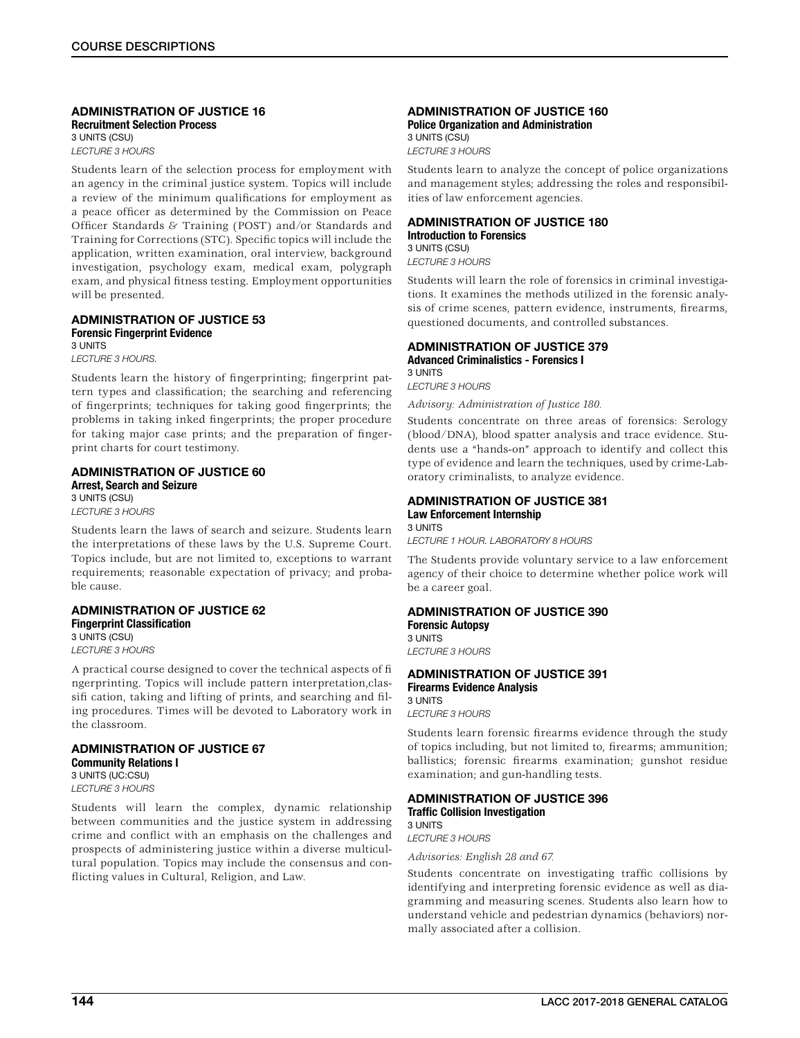#### ADMINISTRATION OF JUSTICE 16 Recruitment Selection Process 3 UNITS (CSU) *LECTURE 3 HOURS*

Students learn of the selection process for employment with an agency in the criminal justice system. Topics will include a review of the minimum qualifications for employment as a peace officer as determined by the Commission on Peace Officer Standards & Training (POST) and/or Standards and Training for Corrections (STC). Specific topics will include the application, written examination, oral interview, background investigation, psychology exam, medical exam, polygraph exam, and physical fitness testing. Employment opportunities will be presented.

#### ADMINISTRATION OF JUSTICE 53 Forensic Fingerprint Evidence 3 UNITS

*LECTURE 3 HOURS.*

Students learn the history of fingerprinting; fingerprint pattern types and classification; the searching and referencing of fingerprints; techniques for taking good fingerprints; the problems in taking inked fingerprints; the proper procedure for taking major case prints; and the preparation of fingerprint charts for court testimony.

### ADMINISTRATION OF JUSTICE 60 Arrest, Search and Seizure 3 UNITS (CSU)

*LECTURE 3 HOURS*

Students learn the laws of search and seizure. Students learn the interpretations of these laws by the U.S. Supreme Court. Topics include, but are not limited to, exceptions to warrant requirements; reasonable expectation of privacy; and probable cause.

### ADMINISTRATION OF JUSTICE 62 Fingerprint Classification 3 UNITS (CSU)

*LECTURE 3 HOURS*

A practical course designed to cover the technical aspects of fi ngerprinting. Topics will include pattern interpretation,classifi cation, taking and lifting of prints, and searching and filing procedures. Times will be devoted to Laboratory work in the classroom.

#### ADMINISTRATION OF JUSTICE 67 Community Relations I

3 UNITS (UC:CSU) *LECTURE 3 HOURS*

Students will learn the complex, dynamic relationship between communities and the justice system in addressing crime and conflict with an emphasis on the challenges and prospects of administering justice within a diverse multicultural population. Topics may include the consensus and conflicting values in Cultural, Religion, and Law.

### ADMINISTRATION OF JUSTICE 160 Police Organization and Administration

3 UNITS (CSU) *LECTURE 3 HOURS*

Students learn to analyze the concept of police organizations and management styles; addressing the roles and responsibilities of law enforcement agencies.

#### ADMINISTRATION OF JUSTICE 180 Introduction to Forensics

3 UNITS (CSU)

*LECTURE 3 HOURS*

Students will learn the role of forensics in criminal investigations. It examines the methods utilized in the forensic analysis of crime scenes, pattern evidence, instruments, firearms, questioned documents, and controlled substances.

## ADMINISTRATION OF JUSTICE 379

Advanced Criminalistics - Forensics I 3 UNITS

*LECTURE 3 HOURS*

*Advisory: Administration of Justice 180.*

Students concentrate on three areas of forensics: Serology (blood/DNA), blood spatter analysis and trace evidence. Students use a "hands-on" approach to identify and collect this type of evidence and learn the techniques, used by crime-Laboratory criminalists, to analyze evidence.

### ADMINISTRATION OF JUSTICE 381 Law Enforcement Internship

3 UNITS *LECTURE 1 HOUR. LABORATORY 8 HOURS*

The Students provide voluntary service to a law enforcement agency of their choice to determine whether police work will be a career goal.

## ADMINISTRATION OF JUSTICE 390

Forensic Autopsy 3 UNITS *LECTURE 3 HOURS*

### ADMINISTRATION OF JUSTICE 391 Firearms Evidence Analysis 3 UNITS *LECTURE 3 HOURS*

Students learn forensic firearms evidence through the study of topics including, but not limited to, firearms; ammunition; ballistics; forensic firearms examination; gunshot residue examination; and gun-handling tests.

#### ADMINISTRATION OF JUSTICE 396 Traffic Collision Investigation 3 UNITS

*LECTURE 3 HOURS*

*Advisories: English 28 and 67.*

Students concentrate on investigating traffic collisions by identifying and interpreting forensic evidence as well as diagramming and measuring scenes. Students also learn how to understand vehicle and pedestrian dynamics (behaviors) normally associated after a collision.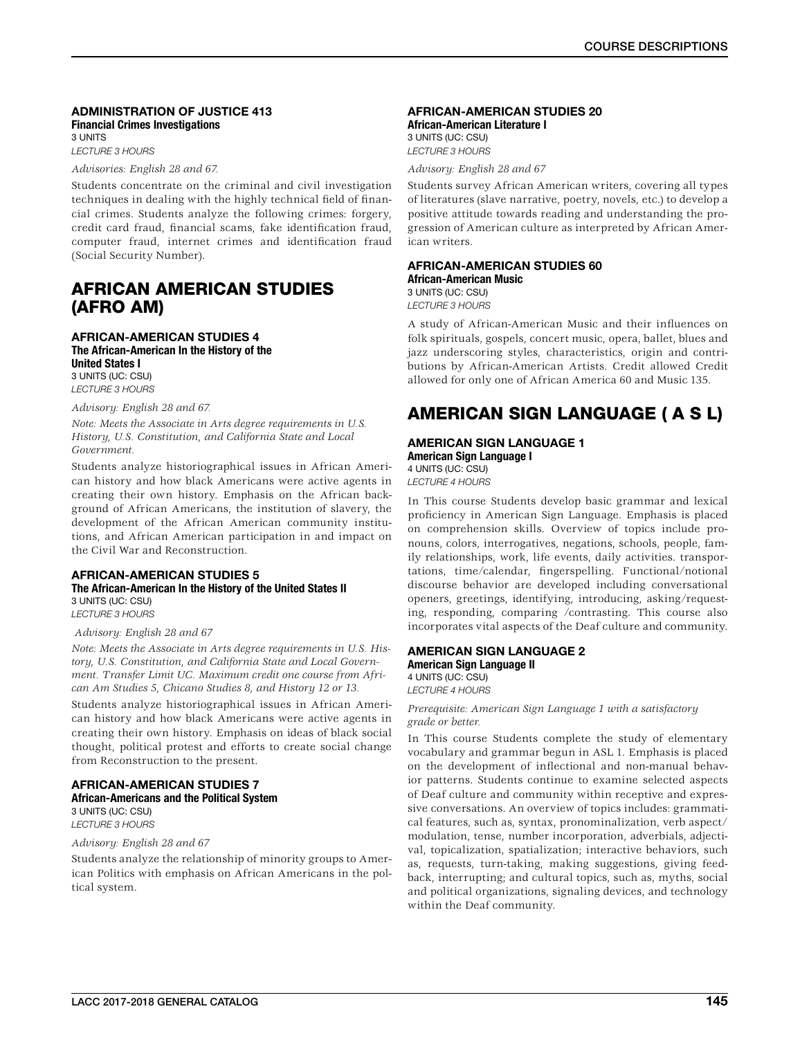### ADMINISTRATION OF JUSTICE 413 Financial Crimes Investigations 3 UNITS

*LECTURE 3 HOURS*

*Advisories: English 28 and 67.*

Students concentrate on the criminal and civil investigation techniques in dealing with the highly technical field of financial crimes. Students analyze the following crimes: forgery, credit card fraud, financial scams, fake identification fraud, computer fraud, internet crimes and identification fraud (Social Security Number).

## AFRICAN AMERICAN STUDIES (AFRO AM)

### AFRICAN-AMERICAN STUDIES 4 The African-American In the History of the United States I 3 UNITS (UC: CSU)

*LECTURE 3 HOURS*

### *Advisory: English 28 and 67.*

*Note: Meets the Associate in Arts degree requirements in U.S. History, U.S. Constitution, and California State and Local Government.*

Students analyze historiographical issues in African American history and how black Americans were active agents in creating their own history. Emphasis on the African background of African Americans, the institution of slavery, the development of the African American community institutions, and African American participation in and impact on the Civil War and Reconstruction.

### AFRICAN-AMERICAN STUDIES 5 The African-American In the History of the United States II 3 UNITS (UC: CSU)

*LECTURE 3 HOURS*

### *Advisory: English 28 and 67*

*Note: Meets the Associate in Arts degree requirements in U.S. History, U.S. Constitution, and California State and Local Government. Transfer Limit UC. Maximum credit one course from African Am Studies 5, Chicano Studies 8, and History 12 or 13.*

Students analyze historiographical issues in African American history and how black Americans were active agents in creating their own history. Emphasis on ideas of black social thought, political protest and efforts to create social change from Reconstruction to the present.

#### AFRICAN-AMERICAN STUDIES 7 African-Americans and the Political System 3 UNITS (UC: CSU)

*LECTURE 3 HOURS*

*Advisory: English 28 and 67*

Students analyze the relationship of minority groups to American Politics with emphasis on African Americans in the poltical system.

#### AFRICAN-AMERICAN STUDIES 20 African-American Literature I

3 UNITS (UC: CSU) *LECTURE 3 HOURS*

*Advisory: English 28 and 67*

Students survey African American writers, covering all types of literatures (slave narrative, poetry, novels, etc.) to develop a positive attitude towards reading and understanding the progression of American culture as interpreted by African American writers.

### AFRICAN-AMERICAN STUDIES 60

African-American Music 3 UNITS (UC: CSU) *LECTURE 3 HOURS*

A study of African-American Music and their influences on folk spirituals, gospels, concert music, opera, ballet, blues and jazz underscoring styles, characteristics, origin and contributions by African-American Artists. Credit allowed Credit allowed for only one of African America 60 and Music 135.

## AMERICAN SIGN LANGUAGE ( A S L)

### AMERICAN SIGN LANGUAGE 1 American Sign Language I

4 UNITS (UC: CSU)

*LECTURE 4 HOURS*

In This course Students develop basic grammar and lexical proficiency in American Sign Language. Emphasis is placed on comprehension skills. Overview of topics include pronouns, colors, interrogatives, negations, schools, people, family relationships, work, life events, daily activities. transportations, time/calendar, fingerspelling. Functional/notional discourse behavior are developed including conversational openers, greetings, identifying, introducing, asking/requesting, responding, comparing /contrasting. This course also incorporates vital aspects of the Deaf culture and community.

### AMERICAN SIGN LANGUAGE 2

American Sign Language II 4 UNITS (UC: CSU) *LECTURE 4 HOURS*

*Prerequisite: American Sign Language 1 with a satisfactory grade or better.*

In This course Students complete the study of elementary vocabulary and grammar begun in ASL 1. Emphasis is placed on the development of inflectional and non-manual behavior patterns. Students continue to examine selected aspects of Deaf culture and community within receptive and expressive conversations. An overview of topics includes: grammatical features, such as, syntax, pronominalization, verb aspect/ modulation, tense, number incorporation, adverbials, adjectival, topicalization, spatialization; interactive behaviors, such as, requests, turn-taking, making suggestions, giving feedback, interrupting; and cultural topics, such as, myths, social and political organizations, signaling devices, and technology within the Deaf community.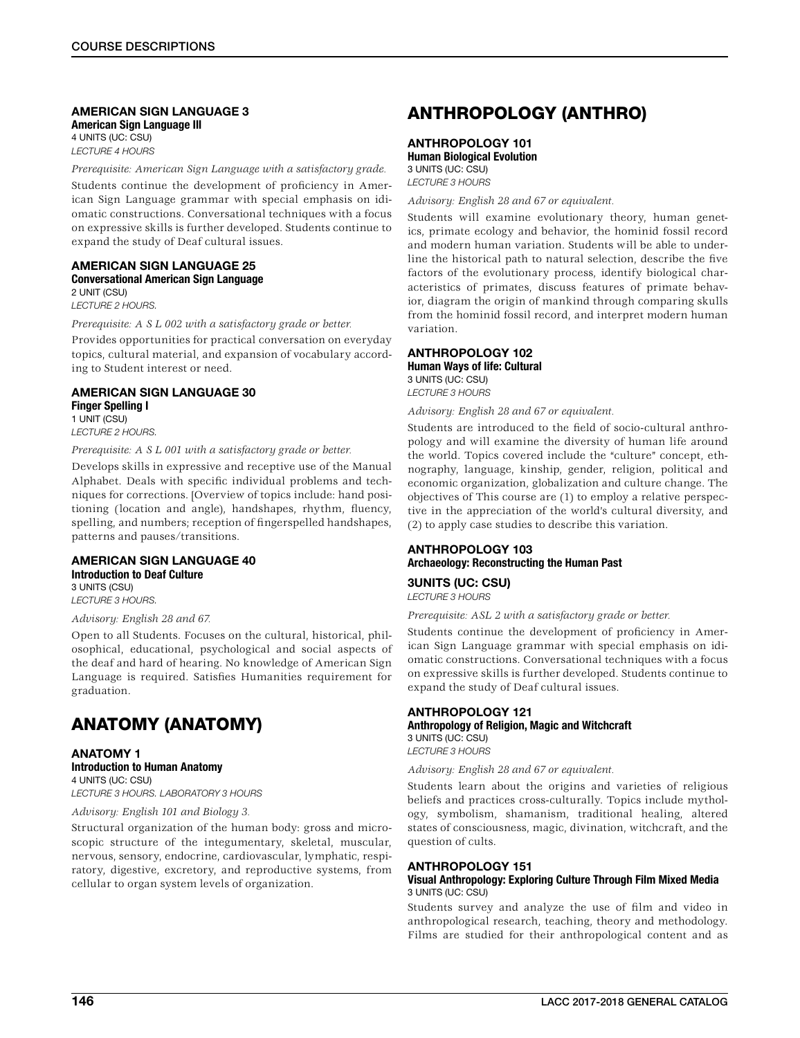### AMERICAN SIGN LANGUAGE 3

American Sign Language Ill 4 UNITS (UC: CSU) *LECTURE 4 HOURS*

*Prerequisite: American Sign Language with a satisfactory grade.*

Students continue the development of proficiency in American Sign Language grammar with special emphasis on idiomatic constructions. Conversational techniques with a focus on expressive skills is further developed. Students continue to expand the study of Deaf cultural issues.

### AMERICAN SIGN LANGUAGE 25 Conversational American Sign Language

2 UNIT (CSU) *LECTURE 2 HOURS.*

*Prerequisite: A S L 002 with a satisfactory grade or better.*

Provides opportunities for practical conversation on everyday topics, cultural material, and expansion of vocabulary according to Student interest or need.

### AMERICAN SIGN LANGUAGE 30 Finger Spelling I

1 UNIT (CSU) *LECTURE 2 HOURS.*

*Prerequisite: A S L 001 with a satisfactory grade or better.*

Develops skills in expressive and receptive use of the Manual Alphabet. Deals with specific individual problems and techniques for corrections. [Overview of topics include: hand positioning (location and angle), handshapes, rhythm, fluency, spelling, and numbers; reception of fingerspelled handshapes, patterns and pauses/transitions.

### AMERICAN SIGN LANGUAGE 40 Introduction to Deaf Culture

3 UNITS (CSU) *LECTURE 3 HOURS.*

### *Advisory: English 28 and 67.*

Open to all Students. Focuses on the cultural, historical, philosophical, educational, psychological and social aspects of the deaf and hard of hearing. No knowledge of American Sign Language is required. Satisfies Humanities requirement for graduation.

## ANATOMY (ANATOMY)

ANATOMY 1 Introduction to Human Anatomy 4 UNITS (UC: CSU) *LECTURE 3 HOURS. LABORATORY 3 HOURS*

### *Advisory: English 101 and Biology 3.*

Structural organization of the human body: gross and microscopic structure of the integumentary, skeletal, muscular, nervous, sensory, endocrine, cardiovascular, lymphatic, respiratory, digestive, excretory, and reproductive systems, from cellular to organ system levels of organization.

## ANTHROPOLOGY (ANTHRO)

### ANTHROPOLOGY 101 Human Biological Evolution 3 UNITS (UC: CSU)

*LECTURE 3 HOURS*

*Advisory: English 28 and 67 or equivalent.*

Students will examine evolutionary theory, human genetics, primate ecology and behavior, the hominid fossil record and modern human variation. Students will be able to underline the historical path to natural selection, describe the five factors of the evolutionary process, identify biological characteristics of primates, discuss features of primate behavior, diagram the origin of mankind through comparing skulls from the hominid fossil record, and interpret modern human variation.

### ANTHROPOLOGY 102

Human Ways of life: Cultural 3 UNITS (UC: CSU) *LECTURE 3 HOURS*

*Advisory: English 28 and 67 or equivalent.*

Students are introduced to the field of socio-cultural anthropology and will examine the diversity of human life around the world. Topics covered include the "culture" concept, ethnography, language, kinship, gender, religion, political and economic organization, globalization and culture change. The objectives of This course are (1) to employ a relative perspective in the appreciation of the world's cultural diversity, and (2) to apply case studies to describe this variation.

### ANTHROPOLOGY 103 Archaeology: Reconstructing the Human Past

3UNITS (UC: CSU)

*LECTURE 3 HOURS*

*Prerequisite: ASL 2 with a satisfactory grade or better.*

Students continue the development of proficiency in American Sign Language grammar with special emphasis on idiomatic constructions. Conversational techniques with a focus on expressive skills is further developed. Students continue to expand the study of Deaf cultural issues.

### ANTHROPOLOGY 121 Anthropology of Religion, Magic and Witchcraft 3 UNITS (UC: CSU)

*LECTURE 3 HOURS*

*Advisory: English 28 and 67 or equivalent.*

Students learn about the origins and varieties of religious beliefs and practices cross-culturally. Topics include mythology, symbolism, shamanism, traditional healing, altered states of consciousness, magic, divination, witchcraft, and the question of cults.

### ANTHROPOLOGY 151

### Visual Anthropology: Exploring Culture Through Film Mixed Media 3 UNITS (UC: CSU)

Students survey and analyze the use of film and video in anthropological research, teaching, theory and methodology. Films are studied for their anthropological content and as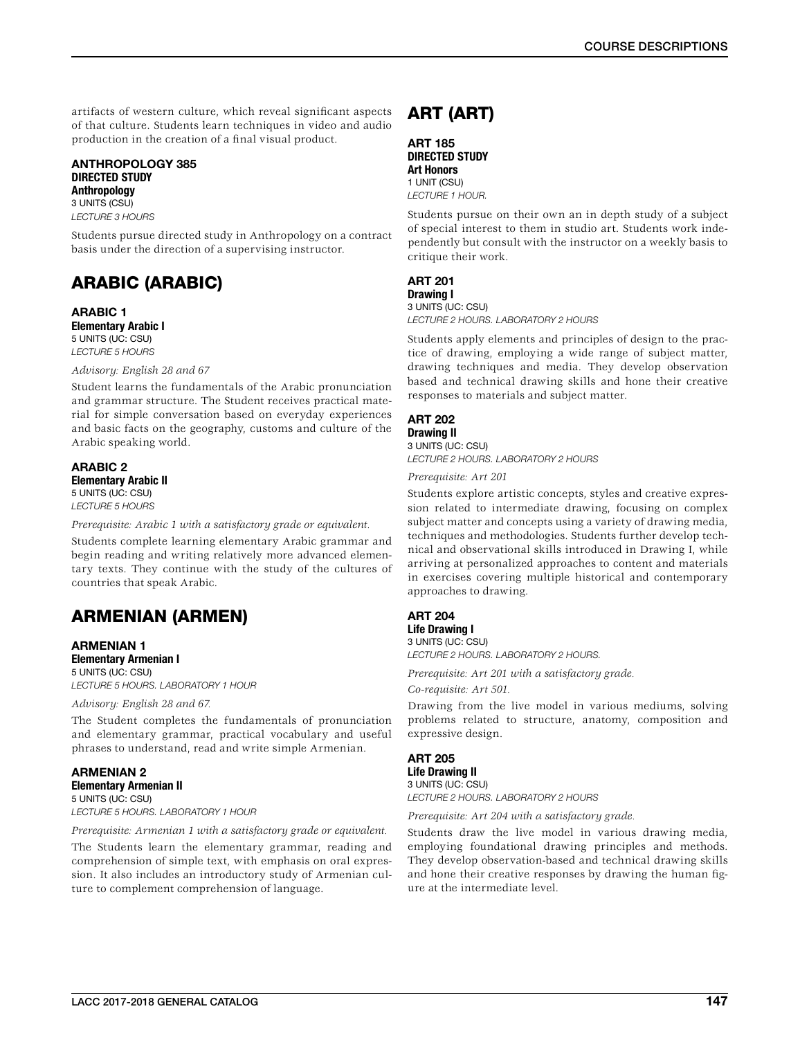artifacts of western culture, which reveal significant aspects of that culture. Students learn techniques in video and audio production in the creation of a final visual product.

ANTHROPOLOGY 385 DIRECTED STUDY **Anthropology** 3 UNITS (CSU) *LECTURE 3 HOURS*

Students pursue directed study in Anthropology on a contract basis under the direction of a supervising instructor.

## ARABIC (ARABIC)

ARABIC 1 Elementary Arabic I 5 UNITS (UC: CSU) *LECTURE 5 HOURS*

### *Advisory: English 28 and 67*

Student learns the fundamentals of the Arabic pronunciation and grammar structure. The Student receives practical material for simple conversation based on everyday experiences and basic facts on the geography, customs and culture of the Arabic speaking world.

#### ARABIC 2 Elementary Arabic II 5 UNITS (UC: CSU) *LECTURE 5 HOURS*

*Prerequisite: Arabic 1 with a satisfactory grade or equivalent.*

Students complete learning elementary Arabic grammar and begin reading and writing relatively more advanced elementary texts. They continue with the study of the cultures of countries that speak Arabic.

## ARMENIAN (ARMEN)

#### ARMENIAN 1 Elementary Armenian I 5 UNITS (UC: CSU)

*LECTURE 5 HOURS. LABORATORY 1 HOUR*

*Advisory: English 28 and 67.*

The Student completes the fundamentals of pronunciation and elementary grammar, practical vocabulary and useful phrases to understand, read and write simple Armenian.

ARMENIAN 2 Elementary Armenian II 5 UNITS (UC: CSU) *LECTURE 5 HOURS. LABORATORY 1 HOUR*

*Prerequisite: Armenian 1 with a satisfactory grade or equivalent.*

The Students learn the elementary grammar, reading and comprehension of simple text, with emphasis on oral expression. It also includes an introductory study of Armenian culture to complement comprehension of language.

## ART (ART)

ART 185 DIRECTED STUDY Art Honors 1 UNIT (CSU) *LECTURE 1 HOUR.*

Students pursue on their own an in depth study of a subject of special interest to them in studio art. Students work independently but consult with the instructor on a weekly basis to critique their work.

## ART 201

Drawing I 3 UNITS (UC: CSU) *LECTURE 2 HOURS. LABORATORY 2 HOURS*

Students apply elements and principles of design to the practice of drawing, employing a wide range of subject matter, drawing techniques and media. They develop observation based and technical drawing skills and hone their creative responses to materials and subject matter.

### ART 202

Drawing II 3 UNITS (UC: CSU)

*LECTURE 2 HOURS. LABORATORY 2 HOURS*

*Prerequisite: Art 201*

Students explore artistic concepts, styles and creative expression related to intermediate drawing, focusing on complex subject matter and concepts using a variety of drawing media, techniques and methodologies. Students further develop technical and observational skills introduced in Drawing I, while arriving at personalized approaches to content and materials in exercises covering multiple historical and contemporary approaches to drawing.

### ART 204

Life Drawing I 3 UNITS (UC: CSU)

*LECTURE 2 HOURS. LABORATORY 2 HOURS.*

*Prerequisite: Art 201 with a satisfactory grade.*

*Co-requisite: Art 501.*

Drawing from the live model in various mediums, solving problems related to structure, anatomy, composition and expressive design.

### ART 205 Life Drawing II

3 UNITS (UC: CSU) *LECTURE 2 HOURS. LABORATORY 2 HOURS*

*Prerequisite: Art 204 with a satisfactory grade.*

Students draw the live model in various drawing media, employing foundational drawing principles and methods. They develop observation-based and technical drawing skills and hone their creative responses by drawing the human figure at the intermediate level.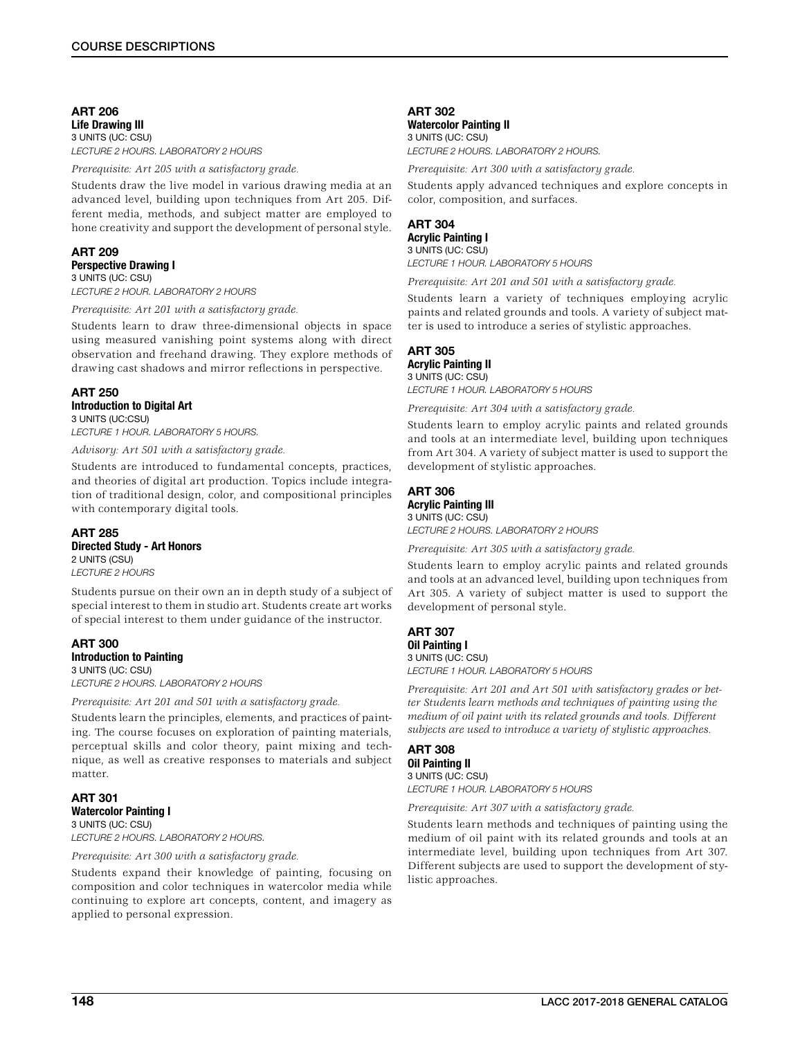ART 206 Life Drawing III 3 UNITS (UC: CSU) *LECTURE 2 HOURS. LABORATORY 2 HOURS*

*Prerequisite: Art 205 with a satisfactory grade.*

Students draw the live model in various drawing media at an advanced level, building upon techniques from Art 205. Different media, methods, and subject matter are employed to hone creativity and support the development of personal style.

### ART 209 Perspective Drawing I

3 UNITS (UC: CSU) *LECTURE 2 HOUR. LABORATORY 2 HOURS*

*Prerequisite: Art 201 with a satisfactory grade.*

Students learn to draw three-dimensional objects in space using measured vanishing point systems along with direct observation and freehand drawing. They explore methods of drawing cast shadows and mirror reflections in perspective.

### ART 250 Introduction to Digital Art 3 UNITS (UC:CSU)

*LECTURE 1 HOUR. LABORATORY 5 HOURS.*

*Advisory: Art 501 with a satisfactory grade.*

Students are introduced to fundamental concepts, practices, and theories of digital art production. Topics include integration of traditional design, color, and compositional principles with contemporary digital tools.

### ART 285

Directed Study - Art Honors

2 UNITS (CSU) *LECTURE 2 HOURS*

Students pursue on their own an in depth study of a subject of special interest to them in studio art. Students create art works of special interest to them under guidance of the instructor.

### ART 300 Introduction to Painting

3 UNITS (UC: CSU) *LECTURE 2 HOURS. LABORATORY 2 HOURS*

*Prerequisite: Art 201 and 501 with a satisfactory grade.*

Students learn the principles, elements, and practices of painting. The course focuses on exploration of painting materials, perceptual skills and color theory, paint mixing and technique, as well as creative responses to materials and subject matter.

#### ART 301 Watercolor Painting I 3 UNITS (UC: CSU)

*LECTURE 2 HOURS. LABORATORY 2 HOURS.*

### *Prerequisite: Art 300 with a satisfactory grade.*

Students expand their knowledge of painting, focusing on composition and color techniques in watercolor media while continuing to explore art concepts, content, and imagery as applied to personal expression.

### ART 302

Watercolor Painting II 3 UNITS (UC: CSU) *LECTURE 2 HOURS. LABORATORY 2 HOURS.*

*Prerequisite: Art 300 with a satisfactory grade.*

Students apply advanced techniques and explore concepts in color, composition, and surfaces.

### ART 304

Acrylic Painting I 3 UNITS (UC: CSU) *LECTURE 1 HOUR. LABORATORY 5 HOURS*

*Prerequisite: Art 201 and 501 with a satisfactory grade.*

Students learn a variety of techniques employing acrylic paints and related grounds and tools. A variety of subject matter is used to introduce a series of stylistic approaches.

## ART 305

#### Acrylic Painting II 3 UNITS (UC: CSU)

*LECTURE 1 HOUR. LABORATORY 5 HOURS*

*Prerequisite: Art 304 with a satisfactory grade.*

Students learn to employ acrylic paints and related grounds and tools at an intermediate level, building upon techniques from Art 304. A variety of subject matter is used to support the development of stylistic approaches.

### ART 306 Acrylic Painting Ill

3 UNITS (UC: CSU) *LECTURE 2 HOURS. LABORATORY 2 HOURS*

*Prerequisite: Art 305 with a satisfactory grade.*

Students learn to employ acrylic paints and related grounds and tools at an advanced level, building upon techniques from Art 305. A variety of subject matter is used to support the development of personal style.

### ART 307 Oil Painting I 3 UNITS (UC: CSU) *LECTURE 1 HOUR. LABORATORY 5 HOURS*

*Prerequisite: Art 201 and Art 501 with satisfactory grades or better Students learn methods and techniques of painting using the medium of oil paint with its related grounds and tools. Different subjects are used to introduce a variety of stylistic approaches.*

### ART 308 Oil Painting II 3 UNITS (UC: CSU) *LECTURE 1 HOUR. LABORATORY 5 HOURS*

*Prerequisite: Art 307 with a satisfactory grade.*

Students learn methods and techniques of painting using the medium of oil paint with its related grounds and tools at an intermediate level, building upon techniques from Art 307. Different subjects are used to support the development of stylistic approaches.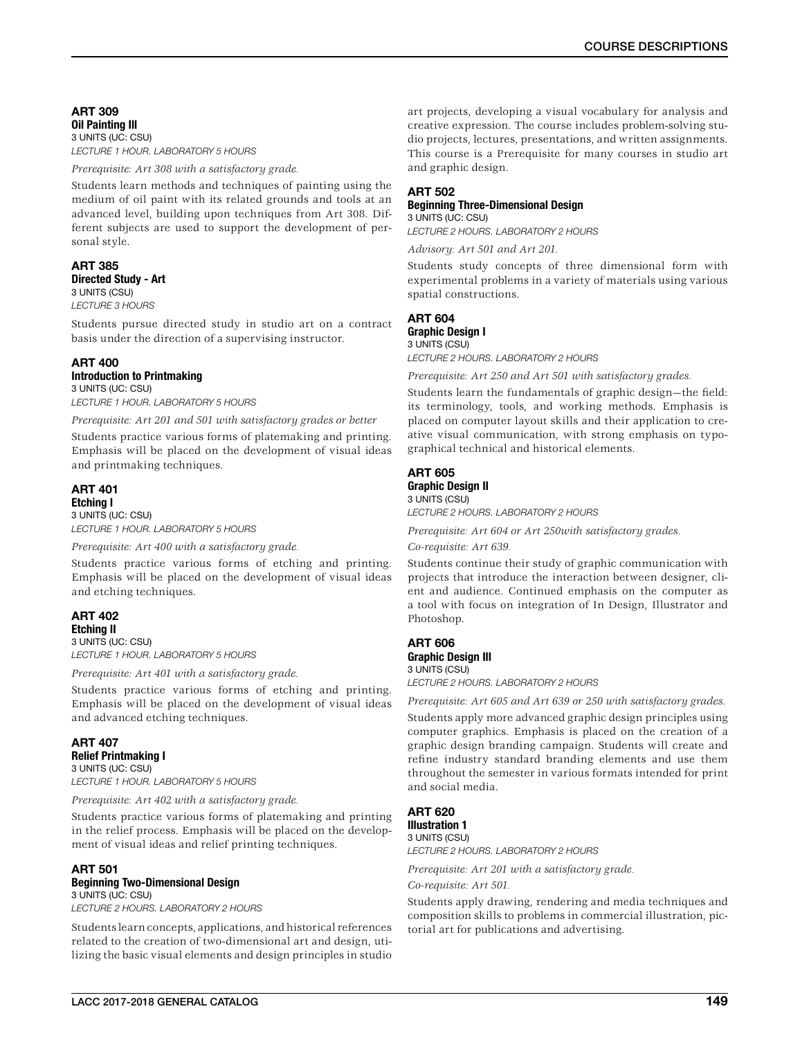### ART 309 Oil Painting Ill 3 UNITS (UC: CSU) *LECTURE 1 HOUR. LABORATORY 5 HOURS*

*Prerequisite: Art 308 with a satisfactory grade.*

Students learn methods and techniques of painting using the medium of oil paint with its related grounds and tools at an advanced level, building upon techniques from Art 308. Different subjects are used to support the development of personal style.

### ART 385 Directed Study - Art 3 UNITS (CSU) *LECTURE 3 HOURS*

Students pursue directed study in studio art on a contract basis under the direction of a supervising instructor.

### ART 400 Introduction to Printmaking

3 UNITS (UC: CSU) *LECTURE 1 HOUR. LABORATORY 5 HOURS*

*Prerequisite: Art 201 and 501 with satisfactory grades or better*

Students practice various forms of platemaking and printing. Emphasis will be placed on the development of visual ideas and printmaking techniques.

### ART 401 Etching I

3 UNITS (UC: CSU) *LECTURE 1 HOUR. LABORATORY 5 HOURS*

*Prerequisite: Art 400 with a satisfactory grade.*

Students practice various forms of etching and printing. Emphasis will be placed on the development of visual ideas and etching techniques.

### ART 402 Etching II

3 UNITS (UC: CSU) *LECTURE 1 HOUR. LABORATORY 5 HOURS*

*Prerequisite: Art 401 with a satisfactory grade.*

Students practice various forms of etching and printing. Emphasis will be placed on the development of visual ideas and advanced etching techniques.

### ART 407

Relief Printmaking I 3 UNITS (UC: CSU) *LECTURE 1 HOUR. LABORATORY 5 HOURS*

*Prerequisite: Art 402 with a satisfactory grade.*

Students practice various forms of platemaking and printing in the relief process. Emphasis will be placed on the development of visual ideas and relief printing techniques.

### ART 501 Beginning Two-Dimensional Design 3 UNITS (UC: CSU)

*LECTURE 2 HOURS. LABORATORY 2 HOURS*

Students learn concepts, applications, and historical references related to the creation of two-dimensional art and design, utilizing the basic visual elements and design principles in studio

art projects, developing a visual vocabulary for analysis and creative expression. The course includes problem-solving studio projects, lectures, presentations, and written assignments. This course is a Prerequisite for many courses in studio art and graphic design.

### ART 502

#### Beginning Three-Dimensional Design 3 UNITS (UC: CSU)

*LECTURE 2 HOURS. LABORATORY 2 HOURS*

*Advisory: Art 501 and Art 201.*

Students study concepts of three dimensional form with experimental problems in a variety of materials using various spatial constructions.

### ART 604 Graphic Design I 3 UNITS (CSU)

*LECTURE 2 HOURS. LABORATORY 2 HOURS*

*Prerequisite: Art 250 and Art 501 with satisfactory grades.*

Students learn the fundamentals of graphic design—the field: its terminology, tools, and working methods. Emphasis is placed on computer layout skills and their application to creative visual communication, with strong emphasis on typographical technical and historical elements.

#### ART 605 Graphic Design II 3 UNITS (CSU)

*LECTURE 2 HOURS. LABORATORY 2 HOURS*

*Prerequisite: Art 604 or Art 250with satisfactory grades.*

*Co-requisite: Art 639.*

Students continue their study of graphic communication with projects that introduce the interaction between designer, client and audience. Continued emphasis on the computer as a tool with focus on integration of In Design, Illustrator and Photoshop.

#### ART 606 Graphic Design Ill 3 UNITS (CSU)

*LECTURE 2 HOURS. LABORATORY 2 HOURS*

*Prerequisite: Art 605 and Art 639 or 250 with satisfactory grades.* Students apply more advanced graphic design principles using computer graphics. Emphasis is placed on the creation of a graphic design branding campaign. Students will create and refine industry standard branding elements and use them throughout the semester in various formats intended for print and social media.

## ART 620

#### Illustration 1 3 UNITS (CSU)

*LECTURE 2 HOURS. LABORATORY 2 HOURS*

*Prerequisite: Art 201 with a satisfactory grade.*

*Co-requisite: Art 501.*

Students apply drawing, rendering and media techniques and composition skills to problems in commercial illustration, pictorial art for publications and advertising.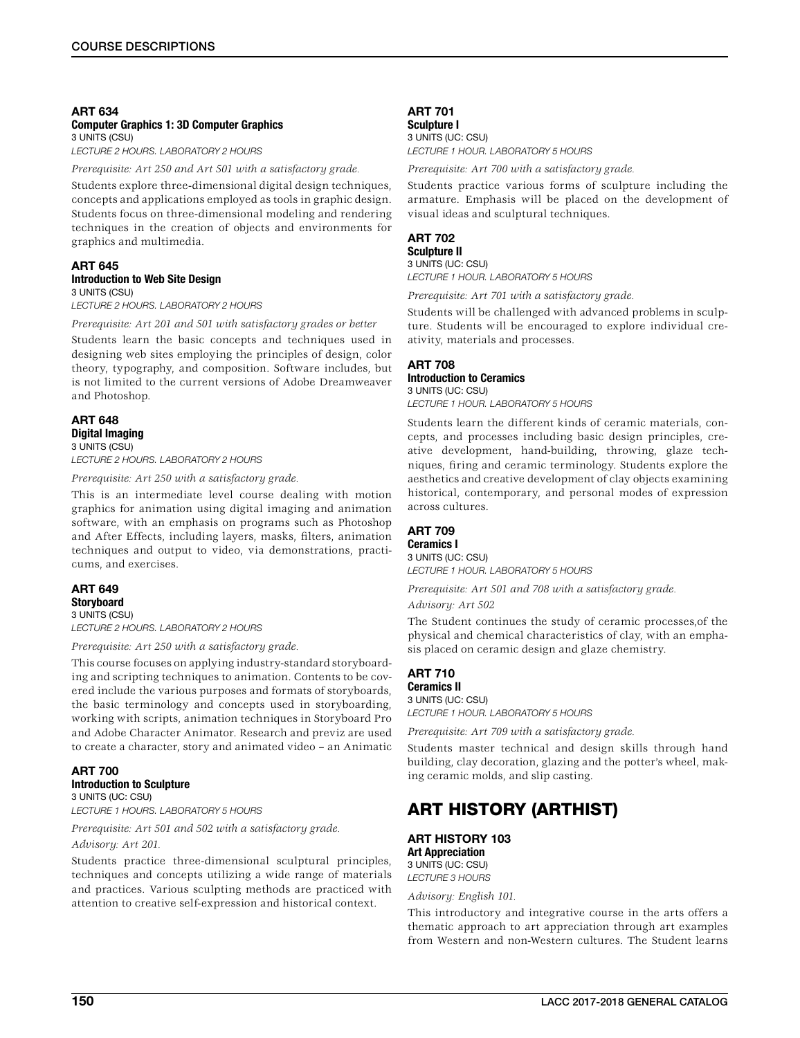#### ART 634 Computer Graphics 1: 3D Computer Graphics 3 UNITS (CSU)

*LECTURE 2 HOURS. LABORATORY 2 HOURS*

*Prerequisite: Art 250 and Art 501 with a satisfactory grade.*

Students explore three-dimensional digital design techniques, concepts and applications employed as tools in graphic design. Students focus on three-dimensional modeling and rendering techniques in the creation of objects and environments for graphics and multimedia.

#### ART 645 Introduction to Web Site Design 3 UNITS (CSU)

*LECTURE 2 HOURS. LABORATORY 2 HOURS*

*Prerequisite: Art 201 and 501 with satisfactory grades or better*

Students learn the basic concepts and techniques used in designing web sites employing the principles of design, color theory, typography, and composition. Software includes, but is not limited to the current versions of Adobe Dreamweaver and Photoshop.

### ART 648 Digital Imaging 3 UNITS (CSU) *LECTURE 2 HOURS. LABORATORY 2 HOURS*

*Prerequisite: Art 250 with a satisfactory grade.*

This is an intermediate level course dealing with motion graphics for animation using digital imaging and animation software, with an emphasis on programs such as Photoshop and After Effects, including layers, masks, filters, animation techniques and output to video, via demonstrations, practicums, and exercises.

### ART 649 **Storyboard**

3 UNITS (CSU) *LECTURE 2 HOURS. LABORATORY 2 HOURS*

*Prerequisite: Art 250 with a satisfactory grade.*

This course focuses on applying industry-standard storyboarding and scripting techniques to animation. Contents to be covered include the various purposes and formats of storyboards, the basic terminology and concepts used in storyboarding, working with scripts, animation techniques in Storyboard Pro and Adobe Character Animator. Research and previz are used to create a character, story and animated video – an Animatic

#### ART 700 Introduction to Sculpture 3 UNITS (UC: CSU)

*LECTURE 1 HOURS. LABORATORY 5 HOURS*

*Prerequisite: Art 501 and 502 with a satisfactory grade.*

*Advisory: Art 201.*

Students practice three-dimensional sculptural principles, techniques and concepts utilizing a wide range of materials and practices. Various sculpting methods are practiced with attention to creative self-expression and historical context.

### ART 701

Sculpture I 3 UNITS (UC: CSU) *LECTURE 1 HOUR. LABORATORY 5 HOURS*

*Prerequisite: Art 700 with a satisfactory grade.*

Students practice various forms of sculpture including the armature. Emphasis will be placed on the development of visual ideas and sculptural techniques.

### ART 702 Sculpture II

3 UNITS (UC: CSU) *LECTURE 1 HOUR. LABORATORY 5 HOURS*

*Prerequisite: Art 701 with a satisfactory grade.*

Students will be challenged with advanced problems in sculpture. Students will be encouraged to explore individual creativity, materials and processes.

### ART 708 Introduction to Ceramics 3 UNITS (UC: CSU)

*LECTURE 1 HOUR. LABORATORY 5 HOURS*

Students learn the different kinds of ceramic materials, concepts, and processes including basic design principles, creative development, hand-building, throwing, glaze techniques, firing and ceramic terminology. Students explore the aesthetics and creative development of clay objects examining historical, contemporary, and personal modes of expression across cultures.

### ART 709

Ceramics I 3 UNITS (UC: CSU) *LECTURE 1 HOUR. LABORATORY 5 HOURS*

*Prerequisite: Art 501 and 708 with a satisfactory grade.*

*Advisory: Art 502*

The Student continues the study of ceramic processes,of the physical and chemical characteristics of clay, with an emphasis placed on ceramic design and glaze chemistry.

### ART 710 Ceramics II

### 3 UNITS (UC: CSU)

*LECTURE 1 HOUR. LABORATORY 5 HOURS*

*Prerequisite: Art 709 with a satisfactory grade.*

Students master technical and design skills through hand building, clay decoration, glazing and the potter's wheel, making ceramic molds, and slip casting.

## ART HISTORY (ARTHIST)

ART HISTORY 103 Art Appreciation 3 UNITS (UC: CSU) *LECTURE 3 HOURS*

*Advisory: English 101.*

This introductory and integrative course in the arts offers a thematic approach to art appreciation through art examples from Western and non-Western cultures. The Student learns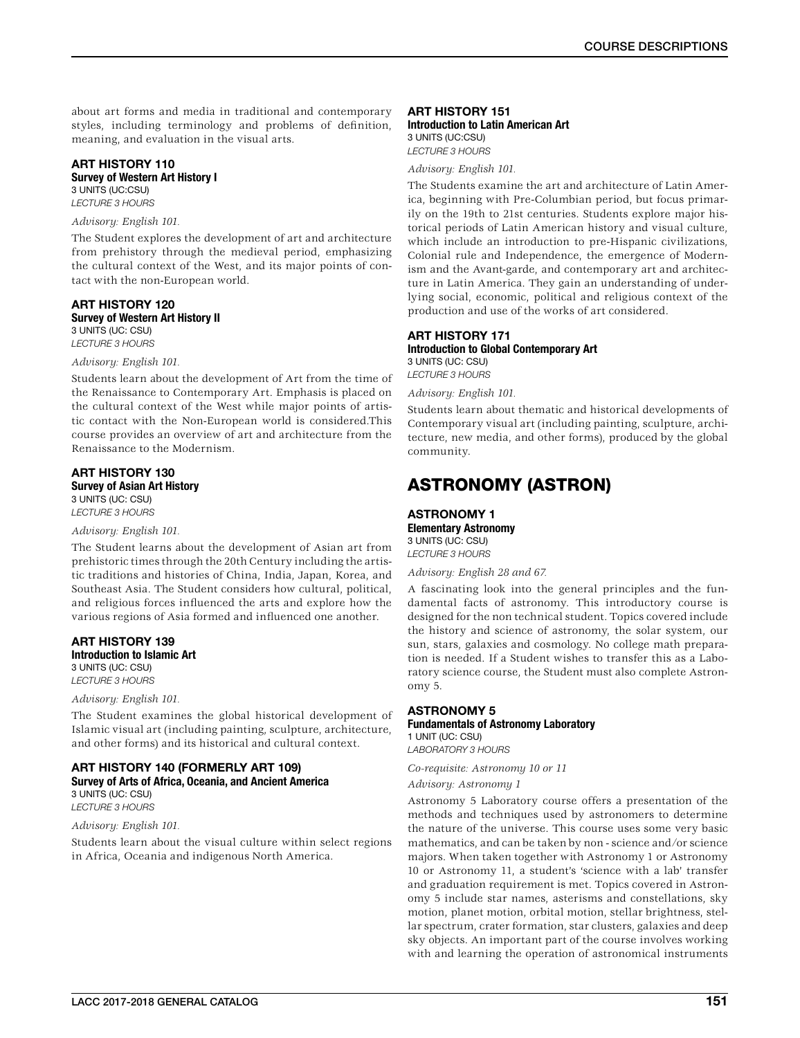about art forms and media in traditional and contemporary styles, including terminology and problems of definition, meaning, and evaluation in the visual arts.

### ART HISTORY 110 Survey of Western Art History I

3 UNITS (UC:CSU)

*LECTURE 3 HOURS*

### *Advisory: English 101.*

The Student explores the development of art and architecture from prehistory through the medieval period, emphasizing the cultural context of the West, and its major points of contact with the non-European world.

### ART HISTORY 120 Survey of Western Art History II

3 UNITS (UC: CSU)

*LECTURE 3 HOURS*

### *Advisory: English 101.*

Students learn about the development of Art from the time of the Renaissance to Contemporary Art. Emphasis is placed on the cultural context of the West while major points of artistic contact with the Non-European world is considered.This course provides an overview of art and architecture from the Renaissance to the Modernism.

#### ART HISTORY 130 Survey of Asian Art History 3 UNITS (UC: CSU)

*LECTURE 3 HOURS*

#### *Advisory: English 101.*

The Student learns about the development of Asian art from prehistoric times through the 20th Century including the artistic traditions and histories of China, India, Japan, Korea, and Southeast Asia. The Student considers how cultural, political, and religious forces influenced the arts and explore how the various regions of Asia formed and influenced one another.

#### ART HISTORY 139 Introduction to Islamic Art 3 UNITS (UC: CSU)

*LECTURE 3 HOURS*

### *Advisory: English 101.*

The Student examines the global historical development of Islamic visual art (including painting, sculpture, architecture, and other forms) and its historical and cultural context.

#### ART HISTORY 140 (FORMERLY ART 109) Survey of Arts of Africa, Oceania, and Ancient America 3 UNITS (UC: CSU) *LECTURE 3 HOURS*

### *Advisory: English 101.*

Students learn about the visual culture within select regions in Africa, Oceania and indigenous North America.

### ART HISTORY 151

Introduction to Latin American Art 3 UNITS (UC:CSU)

*LECTURE 3 HOURS*

*Advisory: English 101.*

The Students examine the art and architecture of Latin America, beginning with Pre-Columbian period, but focus primarily on the 19th to 21st centuries. Students explore major historical periods of Latin American history and visual culture, which include an introduction to pre-Hispanic civilizations, Colonial rule and Independence, the emergence of Modernism and the Avant-garde, and contemporary art and architecture in Latin America. They gain an understanding of underlying social, economic, political and religious context of the production and use of the works of art considered.

#### ART HISTORY 171 Introduction to Global Contemporary Art 3 UNITS (UC: CSU)

*LECTURE 3 HOURS*

*Advisory: English 101.*

Students learn about thematic and historical developments of Contemporary visual art (including painting, sculpture, architecture, new media, and other forms), produced by the global community.

## ASTRONOMY (ASTRON)

### ASTRONOMY 1 Elementary Astronomy 3 UNITS (UC: CSU)

*LECTURE 3 HOURS*

*Advisory: English 28 and 67.*

A fascinating look into the general principles and the fundamental facts of astronomy. This introductory course is designed for the non technical student. Topics covered include the history and science of astronomy, the solar system, our sun, stars, galaxies and cosmology. No college math preparation is needed. If a Student wishes to transfer this as a Laboratory science course, the Student must also complete Astronomy 5.

### ASTRONOMY 5 Fundamentals of Astronomy Laboratory 1 UNIT (UC: CSU)

*LABORATORY 3 HOURS*

*Co-requisite: Astronomy 10 or 11*

*Advisory: Astronomy 1*

Astronomy 5 Laboratory course offers a presentation of the methods and techniques used by astronomers to determine the nature of the universe. This course uses some very basic mathematics, and can be taken by non - science and/or science majors. When taken together with Astronomy 1 or Astronomy 10 or Astronomy 11, a student's 'science with a lab' transfer and graduation requirement is met. Topics covered in Astronomy 5 include star names, asterisms and constellations, sky motion, planet motion, orbital motion, stellar brightness, stellar spectrum, crater formation, star clusters, galaxies and deep sky objects. An important part of the course involves working with and learning the operation of astronomical instruments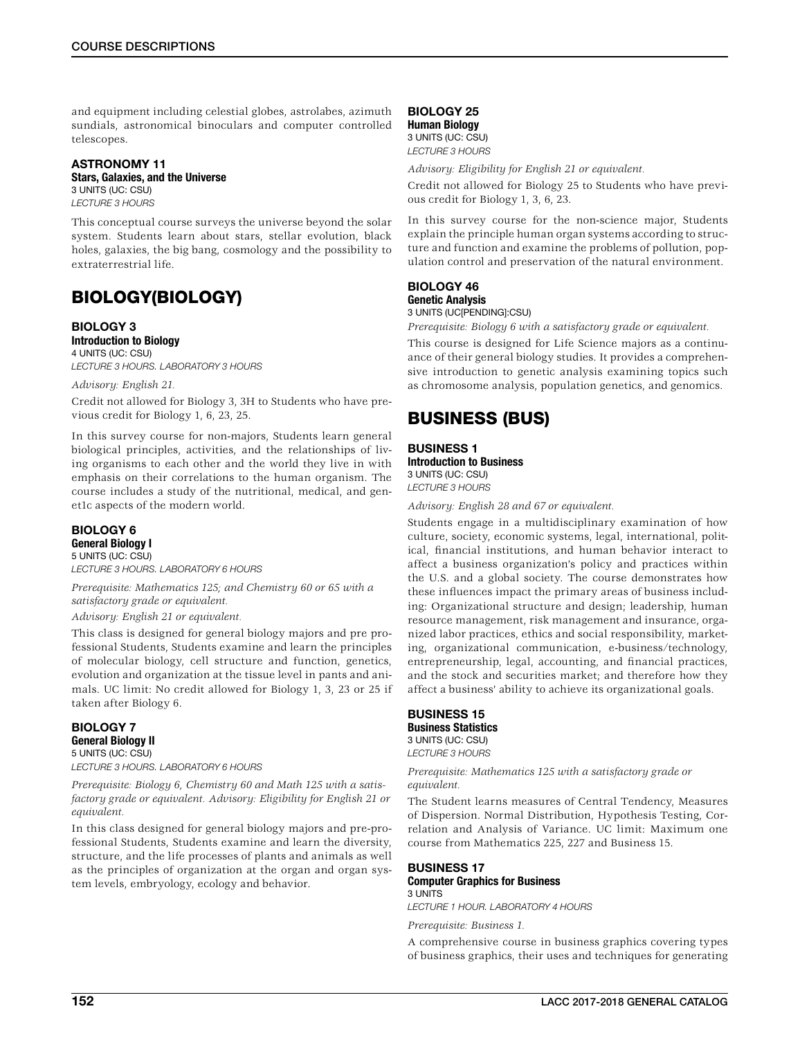and equipment including celestial globes, astrolabes, azimuth sundials, astronomical binoculars and computer controlled telescopes.

#### ASTRONOMY 11 Stars, Galaxies, and the Universe 3 UNITS (UC: CSU)

*LECTURE 3 HOURS*

This conceptual course surveys the universe beyond the solar system. Students learn about stars, stellar evolution, black holes, galaxies, the big bang, cosmology and the possibility to extraterrestrial life.

## BIOLOGY(BIOLOGY)

#### BIOLOGY 3 Introduction to Biology 4 UNITS (UC: CSU) *LECTURE 3 HOURS. LABORATORY 3 HOURS*

### *Advisory: English 21.*

Credit not allowed for Biology 3, 3H to Students who have previous credit for Biology 1, 6, 23, 25.

In this survey course for non-majors, Students learn general biological principles, activities, and the relationships of living organisms to each other and the world they live in with emphasis on their correlations to the human organism. The course includes a study of the nutritional, medical, and genet1c aspects of the modern world.

### BIOLOGY 6 General Biology I

5 UNITS (UC: CSU) *LECTURE 3 HOURS. LABORATORY 6 HOURS*

*Prerequisite: Mathematics 125; and Chemistry 60 or 65 with a satisfactory grade or equivalent.*

*Advisory: English 21 or equivalent.*

This class is designed for general biology majors and pre professional Students, Students examine and learn the principles of molecular biology, cell structure and function, genetics, evolution and organization at the tissue level in pants and animals. UC limit: No credit allowed for Biology 1, 3, 23 or 25 if taken after Biology 6.

### BIOLOGY 7 General Biology II 5 UNITS (UC: CSU) *LECTURE 3 HOURS. LABORATORY 6 HOURS*

*Prerequisite: Biology 6, Chemistry 60 and Math 125 with a satisfactory grade or equivalent. Advisory: Eligibility for English 21 or equivalent.*

In this class designed for general biology majors and pre-professional Students, Students examine and learn the diversity, structure, and the life processes of plants and animals as well as the principles of organization at the organ and organ system levels, embryology, ecology and behavior.

BIOLOGY 25 Human Biology 3 UNITS (UC: CSU) *LECTURE 3 HOURS*

*Advisory: Eligibility for English 21 or equivalent.*

Credit not allowed for Biology 25 to Students who have previous credit for Biology 1, 3, 6, 23.

In this survey course for the non-science major, Students explain the principle human organ systems according to structure and function and examine the problems of pollution, population control and preservation of the natural environment.

#### BIOLOGY 46 Genetic Analysis 3 UNITS (UC[PENDING]:CSU)

*Prerequisite: Biology 6 with a satisfactory grade or equivalent.*

This course is designed for Life Science majors as a continuance of their general biology studies. It provides a comprehensive introduction to genetic analysis examining topics such as chromosome analysis, population genetics, and genomics.

## BUSINESS (BUS)

BUSINESS 1 Introduction to Business 3 UNITS (UC: CSU) *LECTURE 3 HOURS*

*Advisory: English 28 and 67 or equivalent.*

Students engage in a multidisciplinary examination of how culture, society, economic systems, legal, international, political, financial institutions, and human behavior interact to affect a business organization's policy and practices within the U.S. and a global society. The course demonstrates how these influences impact the primary areas of business including: Organizational structure and design; leadership, human resource management, risk management and insurance, organized labor practices, ethics and social responsibility, marketing, organizational communication, e-business/technology, entrepreneurship, legal, accounting, and financial practices, and the stock and securities market; and therefore how they affect a business' ability to achieve its organizational goals.

### BUSINESS 15 Business Statistics

3 UNITS (UC: CSU) *LECTURE 3 HOURS*

*Prerequisite: Mathematics 125 with a satisfactory grade or equivalent.*

The Student learns measures of Central Tendency, Measures of Dispersion. Normal Distribution, Hypothesis Testing, Correlation and Analysis of Variance. UC limit: Maximum one course from Mathematics 225, 227 and Business 15.

### BUSINESS 17

#### Computer Graphics for Business 3 UNITS

*LECTURE 1 HOUR. LABORATORY 4 HOURS*

*Prerequisite: Business 1.*

A comprehensive course in business graphics covering types of business graphics, their uses and techniques for generating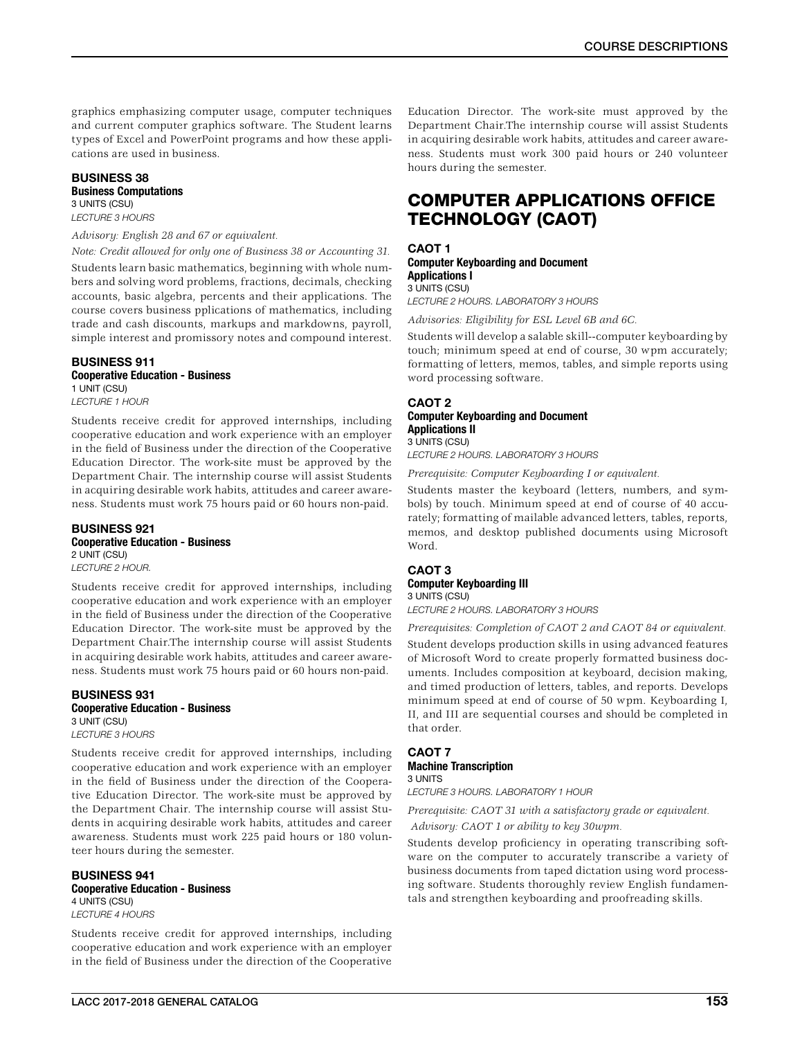graphics emphasizing computer usage, computer techniques and current computer graphics software. The Student learns types of Excel and PowerPoint programs and how these applications are used in business.

### BUSINESS 38 Business Computations 3 UNITS (CSU)

*LECTURE 3 HOURS*

### *Advisory: English 28 and 67 or equivalent.*

*Note: Credit allowed for only one of Business 38 or Accounting 31.* Students learn basic mathematics, beginning with whole numbers and solving word problems, fractions, decimals, checking accounts, basic algebra, percents and their applications. The course covers business pplications of mathematics, including trade and cash discounts, markups and markdowns, payroll, simple interest and promissory notes and compound interest.

### BUSINESS 911 Cooperative Education - Business 1 UNIT (CSU)

*LECTURE 1 HOUR*

Students receive credit for approved internships, including cooperative education and work experience with an employer in the field of Business under the direction of the Cooperative Education Director. The work-site must be approved by the Department Chair. The internship course will assist Students in acquiring desirable work habits, attitudes and career awareness. Students must work 75 hours paid or 60 hours non-paid.

#### BUSINESS 921 Cooperative Education - Business 2 UNIT (CSU) *LECTURE 2 HOUR.*

Students receive credit for approved internships, including cooperative education and work experience with an employer in the field of Business under the direction of the Cooperative Education Director. The work-site must be approved by the Department Chair.The internship course will assist Students in acquiring desirable work habits, attitudes and career aware-

ness. Students must work 75 hours paid or 60 hours non-paid.

### BUSINESS 931 Cooperative Education - Business 3 UNIT (CSU)

*LECTURE 3 HOURS*

Students receive credit for approved internships, including cooperative education and work experience with an employer in the field of Business under the direction of the Cooperative Education Director. The work-site must be approved by the Department Chair. The internship course will assist Students in acquiring desirable work habits, attitudes and career awareness. Students must work 225 paid hours or 180 volunteer hours during the semester.

#### BUSINESS 941 Cooperative Education - Business 4 UNITS (CSU)

*LECTURE 4 HOURS*

Students receive credit for approved internships, including cooperative education and work experience with an employer in the field of Business under the direction of the Cooperative

Education Director. The work-site must approved by the Department Chair.The internship course will assist Students in acquiring desirable work habits, attitudes and career awareness. Students must work 300 paid hours or 240 volunteer hours during the semester.

## COMPUTER APPLICATIONS OFFICE TECHNOLOGY (CAOT)

#### CAOT 1 Computer Keyboarding and Document Applications I 3 UNITS (CSU)

*LECTURE 2 HOURS. LABORATORY 3 HOURS*

*Advisories: Eligibility for ESL Level 6B and 6C.*

Students will develop a salable skill--computer keyboarding by touch; minimum speed at end of course, 30 wpm accurately; formatting of letters, memos, tables, and simple reports using word processing software.

### CAOT 2 Computer Keyboarding and Document Applications II 3 UNITS (CSU)

*LECTURE 2 HOURS. LABORATORY 3 HOURS*

*Prerequisite: Computer Keyboarding I or equivalent.*

Students master the keyboard (letters, numbers, and symbols) by touch. Minimum speed at end of course of 40 accurately; formatting of mailable advanced letters, tables, reports, memos, and desktop published documents using Microsoft Word.

### CAOT 3 Computer Keyboarding III 3 UNITS (CSU)

*LECTURE 2 HOURS. LABORATORY 3 HOURS*

*Prerequisites: Completion of CAOT 2 and CAOT 84 or equivalent.*

Student develops production skills in using advanced features of Microsoft Word to create properly formatted business documents. Includes composition at keyboard, decision making, and timed production of letters, tables, and reports. Develops minimum speed at end of course of 50 wpm. Keyboarding I, II, and III are sequential courses and should be completed in that order.

#### CAOT 7 Machine Transcription 3 UNITS

*LECTURE 3 HOURS. LABORATORY 1 HOUR*

*Prerequisite: CAOT 31 with a satisfactory grade or equivalent.*

 *Advisory: CAOT 1 or ability to key 30wpm.*

Students develop proficiency in operating transcribing software on the computer to accurately transcribe a variety of business documents from taped dictation using word processing software. Students thoroughly review English fundamentals and strengthen keyboarding and proofreading skills.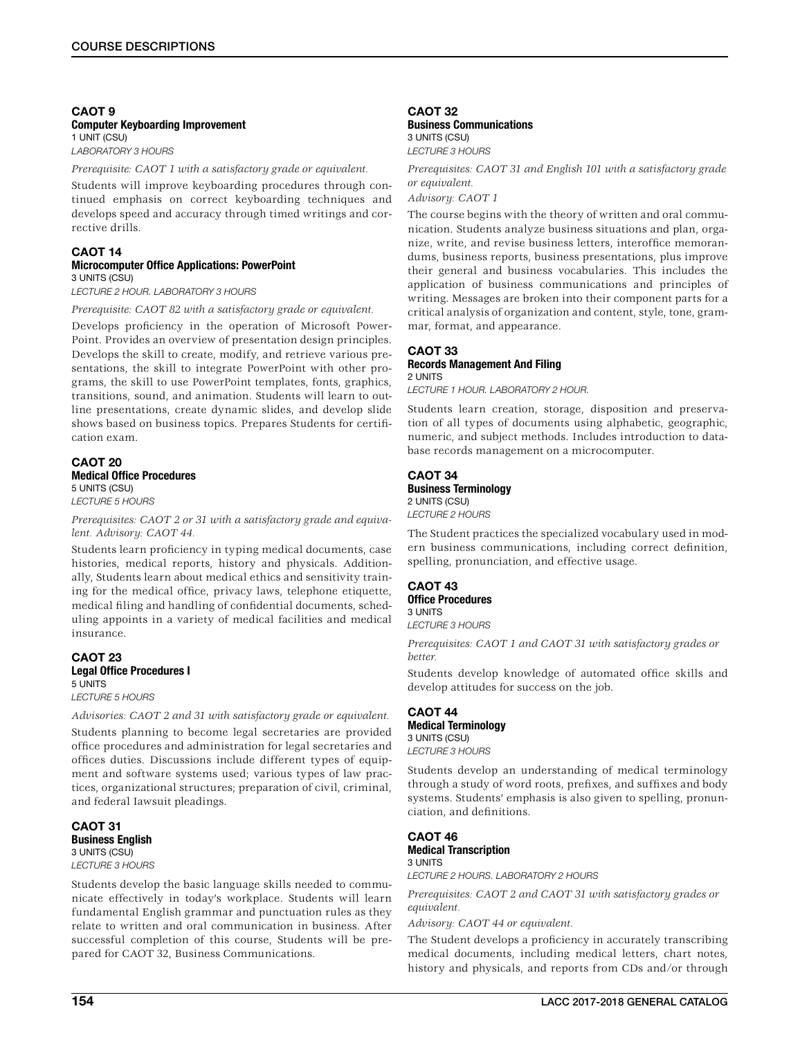#### CAOT 9 Computer Keyboarding Improvement 1 UNIT (CSU) *LABORATORY 3 HOURS*

*Prerequisite: CAOT 1 with a satisfactory grade or equivalent.*

Students will improve keyboarding procedures through continued emphasis on correct keyboarding techniques and develops speed and accuracy through timed writings and corrective drills.

#### CAOT 14 Microcomputer Office Applications: PowerPoint 3 UNITS (CSU)

*LECTURE 2 HOUR. LABORATORY 3 HOURS*

*Prerequisite: CAOT 82 with a satisfactory grade or equivalent.*

Develops proficiency in the operation of Microsoft Power-Point. Provides an overview of presentation design principles. Develops the skill to create, modify, and retrieve various presentations, the skill to integrate PowerPoint with other programs, the skill to use PowerPoint templates, fonts, graphics, transitions, sound, and animation. Students will learn to outline presentations, create dynamic slides, and develop slide shows based on business topics. Prepares Students for certification exam.

### CAOT 20 Medical Office Procedures 5 UNITS (CSU)

*LECTURE 5 HOURS*

*Prerequisites: CAOT 2 or 31 with a satisfactory grade and equivalent. Advisory: CAOT 44.*

Students learn proficiency in typing medical documents, case histories, medical reports, history and physicals. Additionally, Students learn about medical ethics and sensitivity training for the medical office, privacy laws, telephone etiquette, medical filing and handling of confidential documents, scheduling appoints in a variety of medical facilities and medical insurance.

#### CAOT 23 Legal Office Procedures I 5 UNITS *LECTURE 5 HOURS*

*Advisories: CAOT 2 and 31 with satisfactory grade or equivalent.*

Students planning to become legal secretaries are provided office procedures and administration for legal secretaries and offices duties. Discussions include different types of equipment and software systems used; various types of law practices, organizational structures; preparation of civil, criminal, and federal Iawsuit pleadings.

CAOT 31 Business English 3 UNITS (CSU) *LECTURE 3 HOURS*

Students develop the basic language skills needed to communicate effectively in today's workplace. Students will learn fundamental English grammar and punctuation rules as they relate to written and oral communication in business. After successful completion of this course, Students will be prepared for CAOT 32, Business Communications.

#### CAOT 32 Business Communications 3 UNITS (CSU) *LECTURE 3 HOURS*

*Prerequisites: CAOT 31 and English 101 with a satisfactory grade or equivalent.*

*Advisory: CAOT 1*

The course begins with the theory of written and oral communication. Students analyze business situations and plan, organize, write, and revise business letters, interoffice memorandums, business reports, business presentations, plus improve their general and business vocabularies. This includes the application of business communications and principles of writing. Messages are broken into their component parts for a critical analysis of organization and content, style, tone, grammar, format, and appearance.

### CAOT 33

#### Records Management And Filing 2 UNITS

*LECTURE 1 HOUR. LABORATORY 2 HOUR.*

Students learn creation, storage, disposition and preservation of all types of documents using alphabetic, geographic, numeric, and subject methods. Includes introduction to database records management on a microcomputer.

### CAOT 34 Business Terminology 2 UNITS (CSU) *LECTURE 2 HOURS*

The Student practices the specialized vocabulary used in modern business communications, including correct definition, spelling, pronunciation, and effective usage.

#### CAOT 43 Office Procedures 3 UNITS

*LECTURE 3 HOURS*

*Prerequisites: CAOT 1 and CAOT 31 with satisfactory grades or better.*

Students develop knowledge of automated office skills and develop attitudes for success on the job.

### CAOT 44 Medical Terminology 3 UNITS (CSU) *LECTURE 3 HOURS*

Students develop an understanding of medical terminology through a study of word roots, prefixes, and suffixes and body systems. Students' emphasis is also given to spelling, pronunciation, and definitions.

CAOT 46 Medical Transcription 3 UNITS *LECTURE 2 HOURS. LABORATORY 2 HOURS*

*Prerequisites: CAOT 2 and CAOT 31 with satisfactory grades or equivalent.*

*Advisory: CAOT 44 or equivalent.*

The Student develops a proficiency in accurately transcribing medical documents, including medical letters, chart notes, history and physicals, and reports from CDs and/or through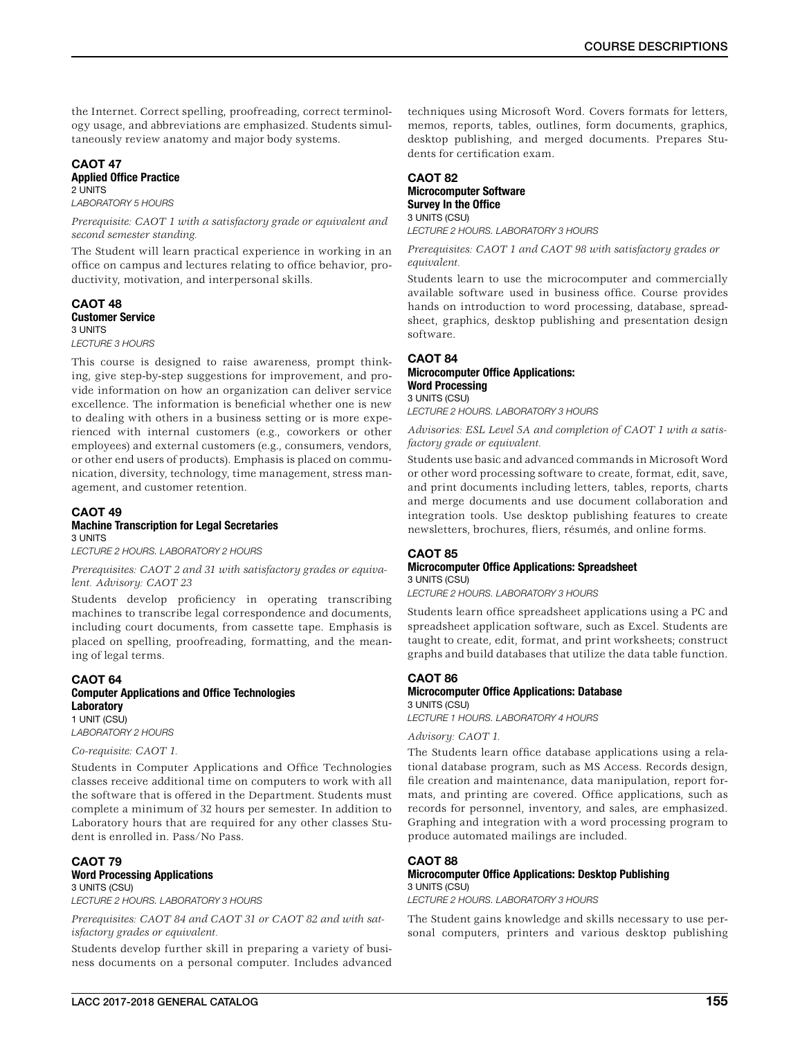the Internet. Correct spelling, proofreading, correct terminology usage, and abbreviations are emphasized. Students simultaneously review anatomy and major body systems.

## CAOT 47

#### Applied Office Practice 2 UNITS

*LABORATORY 5 HOURS*

*Prerequisite: CAOT 1 with a satisfactory grade or equivalent and second semester standing.*

The Student will learn practical experience in working in an office on campus and lectures relating to office behavior, productivity, motivation, and interpersonal skills.

#### CAOT 48 Customer Service 3 UNITS

*LECTURE 3 HOURS*

This course is designed to raise awareness, prompt thinking, give step-by-step suggestions for improvement, and provide information on how an organization can deliver service excellence. The information is beneficial whether one is new to dealing with others in a business setting or is more experienced with internal customers (e.g., coworkers or other employees) and external customers (e.g., consumers, vendors, or other end users of products). Emphasis is placed on communication, diversity, technology, time management, stress management, and customer retention.

#### CAOT 49 Machine Transcription for Legal Secretaries 3 UNITS

*LECTURE 2 HOURS. LABORATORY 2 HOURS*

*Prerequisites: CAOT 2 and 31 with satisfactory grades or equivalent. Advisory: CAOT 23*

Students develop proficiency in operating transcribing machines to transcribe legal correspondence and documents, including court documents, from cassette tape. Emphasis is placed on spelling, proofreading, formatting, and the meaning of legal terms.

### CAOT 64 Computer Applications and Office Technologies **Laboratory** 1 UNIT (CSU)

*LABORATORY 2 HOURS*

### *Co-requisite: CAOT 1.*

Students in Computer Applications and Office Technologies classes receive additional time on computers to work with all the software that is offered in the Department. Students must complete a minimum of 32 hours per semester. In addition to Laboratory hours that are required for any other classes Student is enrolled in. Pass/No Pass.

### CAOT 79 Word Processing Applications 3 UNITS (CSU)

*LECTURE 2 HOURS. LABORATORY 3 HOURS*

*Prerequisites: CAOT 84 and CAOT 31 or CAOT 82 and with satisfactory grades or equivalent.*

Students develop further skill in preparing a variety of business documents on a personal computer. Includes advanced techniques using Microsoft Word. Covers formats for letters, memos, reports, tables, outlines, form documents, graphics, desktop publishing, and merged documents. Prepares Students for certification exam.

### CAOT 82 Microcomputer Software Survey In the Office 3 UNITS (CSU) *LECTURE 2 HOURS. LABORATORY 3 HOURS*

*Prerequisites: CAOT 1 and CAOT 98 with satisfactory grades or equivalent.*

Students learn to use the microcomputer and commercially available software used in business office. Course provides hands on introduction to word processing, database, spreadsheet, graphics, desktop publishing and presentation design software.

#### CAOT 84 Microcomputer Office Applications: Word Processing 3 UNITS (CSU)

*LECTURE 2 HOURS. LABORATORY 3 HOURS*

*Advisories: ESL Level 5A and completion of CAOT 1 with a satisfactory grade or equivalent.*

Students use basic and advanced commands in Microsoft Word or other word processing software to create, format, edit, save, and print documents including letters, tables, reports, charts and merge documents and use document collaboration and integration tools. Use desktop publishing features to create newsletters, brochures, fliers, résumés, and online forms.

### CAOT 85

### Microcomputer Office Applications: Spreadsheet 3 UNITS (CSU)

*LECTURE 2 HOURS. LABORATORY 3 HOURS*

Students learn office spreadsheet applications using a PC and spreadsheet application software, such as Excel. Students are taught to create, edit, format, and print worksheets; construct graphs and build databases that utilize the data table function.

#### CAOT 86 Microcomputer Office Applications: Database 3 UNITS (CSU)

*LECTURE 1 HOURS. LABORATORY 4 HOURS*

### *Advisory: CAOT 1.*

The Students learn office database applications using a relational database program, such as MS Access. Records design, file creation and maintenance, data manipulation, report formats, and printing are covered. Office applications, such as records for personnel, inventory, and sales, are emphasized. Graphing and integration with a word processing program to produce automated mailings are included.

#### CAOT 88 Microcomputer Office Applications: Desktop Publishing 3 UNITS (CSU)

*LECTURE 2 HOURS. LABORATORY 3 HOURS*

The Student gains knowledge and skills necessary to use personal computers, printers and various desktop publishing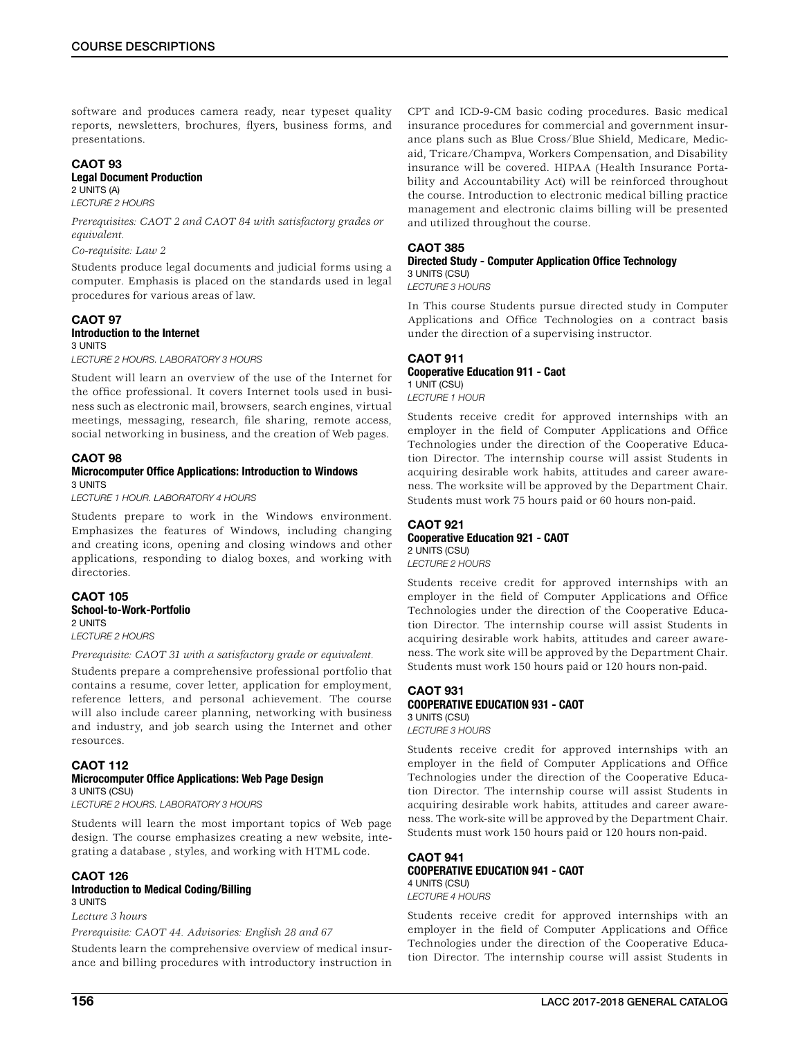software and produces camera ready, near typeset quality reports, newsletters, brochures, flyers, business forms, and presentations.

## CAOT 93

#### Legal Document Production 2 UNITS (A)

*LECTURE 2 HOURS*

*Prerequisites: CAOT 2 and CAOT 84 with satisfactory grades or equivalent.*

### *Co-requisite: Law 2*

Students produce legal documents and judicial forms using a computer. Emphasis is placed on the standards used in legal procedures for various areas of law.

### CAOT 97 Introduction to the Internet 3 UNITS

*LECTURE 2 HOURS. LABORATORY 3 HOURS*

Student will learn an overview of the use of the Internet for the office professional. It covers Internet tools used in business such as electronic mail, browsers, search engines, virtual meetings, messaging, research, file sharing, remote access, social networking in business, and the creation of Web pages.

#### CAOT 98 Microcomputer Office Applications: Introduction to Windows 3 UNITS

*LECTURE 1 HOUR. LABORATORY 4 HOURS*

Students prepare to work in the Windows environment. Emphasizes the features of Windows, including changing and creating icons, opening and closing windows and other applications, responding to dialog boxes, and working with directories.

#### CAOT 105 School-to-Work-Portfolio 2 UNITS *LECTURE 2 HOURS*

*Prerequisite: CAOT 31 with a satisfactory grade or equivalent.*

Students prepare a comprehensive professional portfolio that contains a resume, cover letter, application for employment, reference letters, and personal achievement. The course will also include career planning, networking with business and industry, and job search using the Internet and other resources.

### CAOT 112

### Microcomputer Office Applications: Web Page Design 3 UNITS (CSU)

*LECTURE 2 HOURS. LABORATORY 3 HOURS*

Students will learn the most important topics of Web page design. The course emphasizes creating a new website, integrating a database , styles, and working with HTML code.

## CAOT 126

### Introduction to Medical Coding/Billing 3 UNITS

*Lecture 3 hours*

*Prerequisite: CAOT 44. Advisories: English 28 and 67*

Students learn the comprehensive overview of medical insurance and billing procedures with introductory instruction in

CPT and ICD-9-CM basic coding procedures. Basic medical insurance procedures for commercial and government insurance plans such as Blue Cross/Blue Shield, Medicare, Medicaid, Tricare/Champva, Workers Compensation, and Disability insurance will be covered. HIPAA (Health Insurance Portability and Accountability Act) will be reinforced throughout the course. Introduction to electronic medical billing practice management and electronic claims billing will be presented and utilized throughout the course.

### CAOT 385

### Directed Study - Computer Application Office Technology 3 UNITS (CSU)

*LECTURE 3 HOURS*

In This course Students pursue directed study in Computer Applications and Office Technologies on a contract basis under the direction of a supervising instructor.

### CAOT 911 Cooperative Education 911 - Caot 1 UNIT (CSU) *LECTURE 1 HOUR*

Students receive credit for approved internships with an employer in the field of Computer Applications and Office Technologies under the direction of the Cooperative Education Director. The internship course will assist Students in acquiring desirable work habits, attitudes and career awareness. The worksite will be approved by the Department Chair. Students must work 75 hours paid or 60 hours non-paid.

### CAOT 921 Cooperative Education 921 - CAOT 2 UNITS (CSU)

*LECTURE 2 HOURS*

Students receive credit for approved internships with an employer in the field of Computer Applications and Office Technologies under the direction of the Cooperative Education Director. The internship course will assist Students in acquiring desirable work habits, attitudes and career awareness. The work site will be approved by the Department Chair. Students must work 150 hours paid or 120 hours non-paid.

### CAOT 931 COOPERATIVE EDUCATION 931 - CAOT 3 UNITS (CSU)

*LECTURE 3 HOURS*

Students receive credit for approved internships with an employer in the field of Computer Applications and Office Technologies under the direction of the Cooperative Education Director. The internship course will assist Students in acquiring desirable work habits, attitudes and career awareness. The work-site will be approved by the Department Chair. Students must work 150 hours paid or 120 hours non-paid.

#### CAOT 941 COOPERATIVE EDUCATION 941 - CAOT 4 UNITS (CSU)

*LECTURE 4 HOURS*

Students receive credit for approved internships with an employer in the field of Computer Applications and Office Technologies under the direction of the Cooperative Education Director. The internship course will assist Students in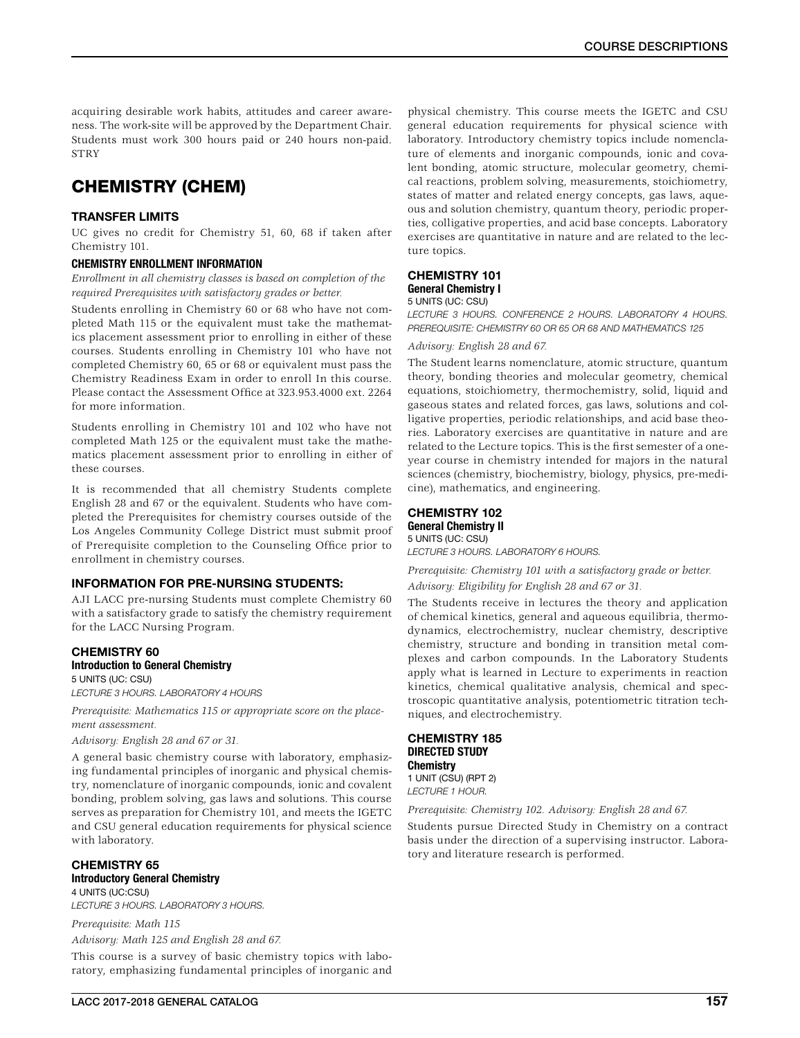acquiring desirable work habits, attitudes and career awareness. The work-site will be approved by the Department Chair. Students must work 300 hours paid or 240 hours non-paid. **STRY** 

## CHEMISTRY (CHEM)

### TRANSFER LIMITS

UC gives no credit for Chemistry 51, 60, 68 if taken after Chemistry 101.

#### CHEMISTRY ENROLLMENT INFORMATION

*Enrollment in all chemistry classes is based on completion of the required Prerequisites with satisfactory grades or better.*

Students enrolling in Chemistry 60 or 68 who have not completed Math 115 or the equivalent must take the mathematics placement assessment prior to enrolling in either of these courses. Students enrolling in Chemistry 101 who have not completed Chemistry 60, 65 or 68 or equivalent must pass the Chemistry Readiness Exam in order to enroll In this course. Please contact the Assessment Office at 323.953.4000 ext. 2264 for more information.

Students enrolling in Chemistry 101 and 102 who have not completed Math 125 or the equivalent must take the mathematics placement assessment prior to enrolling in either of these courses.

It is recommended that all chemistry Students complete English 28 and 67 or the equivalent. Students who have completed the Prerequisites for chemistry courses outside of the Los Angeles Community College District must submit proof of Prerequisite completion to the Counseling Office prior to enrollment in chemistry courses.

### INFORMATION FOR PRE-NURSING STUDENTS:

AJI LACC pre-nursing Students must complete Chemistry 60 with a satisfactory grade to satisfy the chemistry requirement for the LACC Nursing Program.

### CHEMISTRY 60 Introduction to General Chemistry

5 UNITS (UC: CSU) *LECTURE 3 HOURS. LABORATORY 4 HOURS*

*Prerequisite: Mathematics 115 or appropriate score on the placement assessment.*

#### *Advisory: English 28 and 67 or 31.*

A general basic chemistry course with laboratory, emphasizing fundamental principles of inorganic and physical chemistry, nomenclature of inorganic compounds, ionic and covalent bonding, problem solving, gas laws and solutions. This course serves as preparation for Chemistry 101, and meets the IGETC and CSU general education requirements for physical science with laboratory.

### CHEMISTRY 65 Introductory General Chemistry 4 UNITS (UC:CSU)

*LECTURE 3 HOURS. LABORATORY 3 HOURS.*

*Prerequisite: Math 115 Advisory: Math 125 and English 28 and 67.*

This course is a survey of basic chemistry topics with laboratory, emphasizing fundamental principles of inorganic and physical chemistry. This course meets the IGETC and CSU general education requirements for physical science with laboratory. Introductory chemistry topics include nomenclature of elements and inorganic compounds, ionic and covalent bonding, atomic structure, molecular geometry, chemical reactions, problem solving, measurements, stoichiometry, states of matter and related energy concepts, gas laws, aqueous and solution chemistry, quantum theory, periodic properties, colligative properties, and acid base concepts. Laboratory exercises are quantitative in nature and are related to the lecture topics.

### CHEMISTRY 101 General Chemistry I

#### 5 UNITS (UC: CSU)

*LECTURE 3 HOURS. CONFERENCE 2 HOURS. LABORATORY 4 HOURS. PREREQUISITE: CHEMISTRY 60 OR 65 OR 68 AND MATHEMATICS 125*

### *Advisory: English 28 and 67.*

The Student learns nomenclature, atomic structure, quantum theory, bonding theories and molecular geometry, chemical equations, stoichiometry, thermochemistry, solid, liquid and gaseous states and related forces, gas laws, solutions and colligative properties, periodic relationships, and acid base theories. Laboratory exercises are quantitative in nature and are related to the Lecture topics. This is the first semester of a oneyear course in chemistry intended for majors in the natural sciences (chemistry, biochemistry, biology, physics, pre-medicine), mathematics, and engineering.

#### CHEMISTRY 102 General Chemistry II 5 UNITS (UC: CSU)

*LECTURE 3 HOURS. LABORATORY 6 HOURS.*

*Prerequisite: Chemistry 101 with a satisfactory grade or better. Advisory: Eligibility for English 28 and 67 or 31.*

The Students receive in lectures the theory and application of chemical kinetics, general and aqueous equilibria, thermodynamics, electrochemistry, nuclear chemistry, descriptive chemistry, structure and bonding in transition metal complexes and carbon compounds. In the Laboratory Students apply what is learned in Lecture to experiments in reaction kinetics, chemical qualitative analysis, chemical and spectroscopic quantitative analysis, potentiometric titration techniques, and electrochemistry.

### CHEMISTRY 185 DIRECTED STUDY **Chemistry**

1 UNIT (CSU) (RPT 2) *LECTURE 1 HOUR.*

*Prerequisite: Chemistry 102. Advisory: English 28 and 67.*

Students pursue Directed Study in Chemistry on a contract basis under the direction of a supervising instructor. Laboratory and literature research is performed.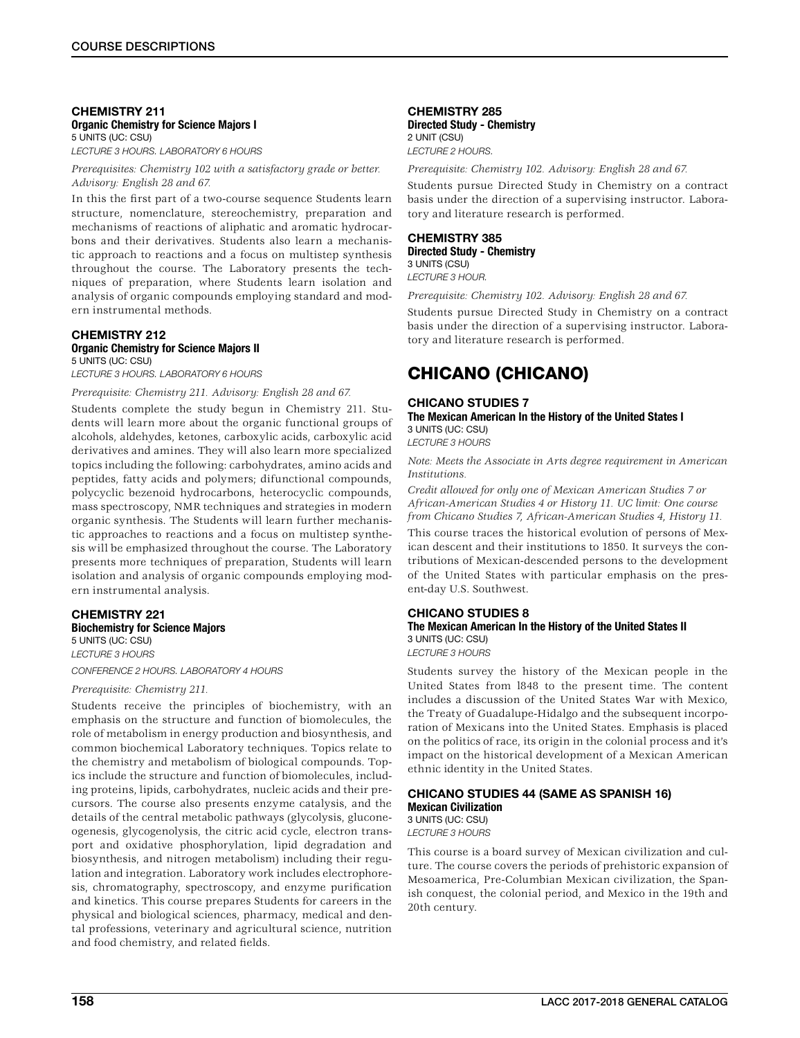### CHEMISTRY 211 Organic Chemistry for Science Majors I 5 UNITS (UC: CSU)

*LECTURE 3 HOURS. LABORATORY 6 HOURS*

*Prerequisites: Chemistry 102 with a satisfactory grade or better. Advisory: English 28 and 67.*

In this the first part of a two-course sequence Students learn structure, nomenclature, stereochemistry, preparation and mechanisms of reactions of aliphatic and aromatic hydrocarbons and their derivatives. Students also learn a mechanistic approach to reactions and a focus on multistep synthesis throughout the course. The Laboratory presents the techniques of preparation, where Students learn isolation and analysis of organic compounds employing standard and modern instrumental methods.

### CHEMISTRY 212

#### Organic Chemistry for Science Majors II 5 UNITS (UC: CSU)

*LECTURE 3 HOURS. LABORATORY 6 HOURS*

*Prerequisite: Chemistry 211. Advisory: English 28 and 67.*

Students complete the study begun in Chemistry 211. Students will learn more about the organic functional groups of alcohols, aldehydes, ketones, carboxylic acids, carboxylic acid derivatives and amines. They will also learn more specialized topics including the following: carbohydrates, amino acids and peptides, fatty acids and polymers; difunctional compounds, polycyclic bezenoid hydrocarbons, heterocyclic compounds, mass spectroscopy, NMR techniques and strategies in modern organic synthesis. The Students will learn further mechanistic approaches to reactions and a focus on multistep synthesis will be emphasized throughout the course. The Laboratory presents more techniques of preparation, Students will learn isolation and analysis of organic compounds employing modern instrumental analysis.

### CHEMISTRY 221 Biochemistry for Science Majors 5 UNITS (UC: CSU)

*LECTURE 3 HOURS*

### *CONFERENCE 2 HOURS. LABORATORY 4 HOURS*

### *Prerequisite: Chemistry 211.*

Students receive the principles of biochemistry, with an emphasis on the structure and function of biomolecules, the role of metabolism in energy production and biosynthesis, and common biochemical Laboratory techniques. Topics relate to the chemistry and metabolism of biological compounds. Topics include the structure and function of biomolecules, including proteins, lipids, carbohydrates, nucleic acids and their precursors. The course also presents enzyme catalysis, and the details of the central metabolic pathways (glycolysis, gluconeogenesis, glycogenolysis, the citric acid cycle, electron transport and oxidative phosphorylation, lipid degradation and biosynthesis, and nitrogen metabolism) including their regulation and integration. Laboratory work includes electrophoresis, chromatography, spectroscopy, and enzyme purification and kinetics. This course prepares Students for careers in the physical and biological sciences, pharmacy, medical and dental professions, veterinary and agricultural science, nutrition and food chemistry, and related fields.

#### CHEMISTRY 285 Directed Study - Chemistry 2 UNIT (CSU) *LECTURE 2 HOURS.*

*Prerequisite: Chemistry 102. Advisory: English 28 and 67.*

Students pursue Directed Study in Chemistry on a contract basis under the direction of a supervising instructor. Laboratory and literature research is performed.

### CHEMISTRY 385 Directed Study - Chemistry 3 UNITS (CSU)

*LECTURE 3 HOUR.*

*Prerequisite: Chemistry 102. Advisory: English 28 and 67.*

Students pursue Directed Study in Chemistry on a contract basis under the direction of a supervising instructor. Laboratory and literature research is performed.

## CHICANO (CHICANO)

### CHICANO STUDIES 7

The Mexican American In the History of the United States I 3 UNITS (UC: CSU)

*LECTURE 3 HOURS*

*Note: Meets the Associate in Arts degree requirement in American Institutions.*

*Credit allowed for only one of Mexican American Studies 7 or African-American Studies 4 or History 11. UC limit: One course from Chicano Studies 7, African-American Studies 4, History 11.*

This course traces the historical evolution of persons of Mexican descent and their institutions to 1850. It surveys the contributions of Mexican-descended persons to the development of the United States with particular emphasis on the present-day U.S. Southwest.

### CHICANO STUDIES 8

### The Mexican American In the History of the United States II 3 UNITS (UC: CSU)

*LECTURE 3 HOURS*

Students survey the history of the Mexican people in the United States from l848 to the present time. The content includes a discussion of the United States War with Mexico, the Treaty of Guadalupe-Hidalgo and the subsequent incorporation of Mexicans into the United States. Emphasis is placed on the politics of race, its origin in the colonial process and it's impact on the historical development of a Mexican American ethnic identity in the United States.

### CHICANO STUDIES 44 (SAME AS SPANISH 16) Mexican Civilization

3 UNITS (UC: CSU) *LECTURE 3 HOURS*

This course is a board survey of Mexican civilization and culture. The course covers the periods of prehistoric expansion of Mesoamerica, Pre-Columbian Mexican civilization, the Spanish conquest, the colonial period, and Mexico in the 19th and 20th century.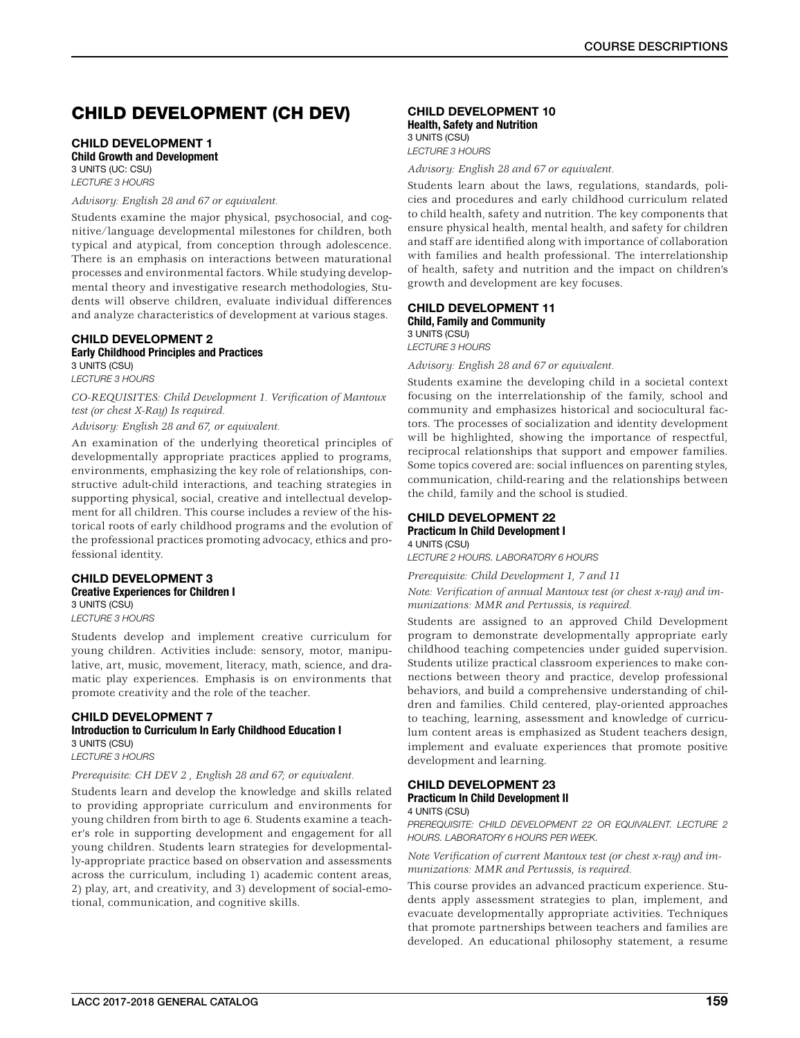## CHILD DEVELOPMENT (CH DEV)

### CHILD DEVELOPMENT 1 Child Growth and Development

3 UNITS (UC: CSU) *LECTURE 3 HOURS*

### *Advisory: English 28 and 67 or equivalent.*

Students examine the major physical, psychosocial, and cognitive/language developmental milestones for children, both typical and atypical, from conception through adolescence. There is an emphasis on interactions between maturational processes and environmental factors. While studying developmental theory and investigative research methodologies, Students will observe children, evaluate individual differences and analyze characteristics of development at various stages.

### CHILD DEVELOPMENT 2 Early Childhood Principles and Practices

3 UNITS (CSU) *LECTURE 3 HOURS*

*CO-REQUISITES: Child Development 1. Verification of Mantoux test (or chest X-Ray) Is required.*

*Advisory: English 28 and 67, or equivalent.*

An examination of the underlying theoretical principles of developmentally appropriate practices applied to programs, environments, emphasizing the key role of relationships, constructive adult-child interactions, and teaching strategies in supporting physical, social, creative and intellectual development for all children. This course includes a review of the historical roots of early childhood programs and the evolution of the professional practices promoting advocacy, ethics and professional identity.

### CHILD DEVELOPMENT 3 Creative Experiences for Children I 3 UNITS (CSU)

*LECTURE 3 HOURS*

Students develop and implement creative curriculum for young children. Activities include: sensory, motor, manipulative, art, music, movement, literacy, math, science, and dramatic play experiences. Emphasis is on environments that promote creativity and the role of the teacher.

#### CHILD DEVELOPMENT 7 Introduction to Curriculum In Early Childhood Education I 3 UNITS (CSU)

*LECTURE 3 HOURS*

### *Prerequisite: CH DEV 2 , English 28 and 67; or equivalent.*

Students learn and develop the knowledge and skills related to providing appropriate curriculum and environments for young children from birth to age 6. Students examine a teacher's role in supporting development and engagement for all young children. Students learn strategies for developmentally-appropriate practice based on observation and assessments across the curriculum, including 1) academic content areas, 2) play, art, and creativity, and 3) development of social-emotional, communication, and cognitive skills.

#### CHILD DEVELOPMENT 10 Health, Safety and Nutrition

3 UNITS (CSU) *LECTURE 3 HOURS*

*Advisory: English 28 and 67 or equivalent.*

Students learn about the laws, regulations, standards, policies and procedures and early childhood curriculum related to child health, safety and nutrition. The key components that ensure physical health, mental health, and safety for children and staff are identified along with importance of collaboration with families and health professional. The interrelationship of health, safety and nutrition and the impact on children's growth and development are key focuses.

### CHILD DEVELOPMENT 11

Child, Family and Community 3 UNITS (CSU)

*LECTURE 3 HOURS*

*Advisory: English 28 and 67 or equivalent.*

Students examine the developing child in a societal context focusing on the interrelationship of the family, school and community and emphasizes historical and sociocultural factors. The processes of socialization and identity development will be highlighted, showing the importance of respectful, reciprocal relationships that support and empower families. Some topics covered are: social influences on parenting styles, communication, child-rearing and the relationships between the child, family and the school is studied.

#### CHILD DEVELOPMENT 22 Practicum In Child Development I 4 UNITS (CSU)

*LECTURE 2 HOURS. LABORATORY 6 HOURS*

*Prerequisite: Child Development 1, 7 and 11*

*Note: Verification of annual Mantoux test (or chest x-ray) and immunizations: MMR and Pertussis, is required.*

Students are assigned to an approved Child Development program to demonstrate developmentally appropriate early childhood teaching competencies under guided supervision. Students utilize practical classroom experiences to make connections between theory and practice, develop professional behaviors, and build a comprehensive understanding of children and families. Child centered, play-oriented approaches to teaching, learning, assessment and knowledge of curriculum content areas is emphasized as Student teachers design, implement and evaluate experiences that promote positive development and learning.

#### CHILD DEVELOPMENT 23 Practicum In Child Development II

### 4 UNITS (CSU)

*PREREQUISITE: CHILD DEVELOPMENT 22 OR EQUIVALENT. LECTURE 2 HOURS. LABORATORY 6 HOURS PER WEEK.*

*Note Verification of current Mantoux test (or chest x-ray) and immunizations: MMR and Pertussis, is required.*

This course provides an advanced practicum experience. Students apply assessment strategies to plan, implement, and evacuate developmentally appropriate activities. Techniques that promote partnerships between teachers and families are developed. An educational philosophy statement, a resume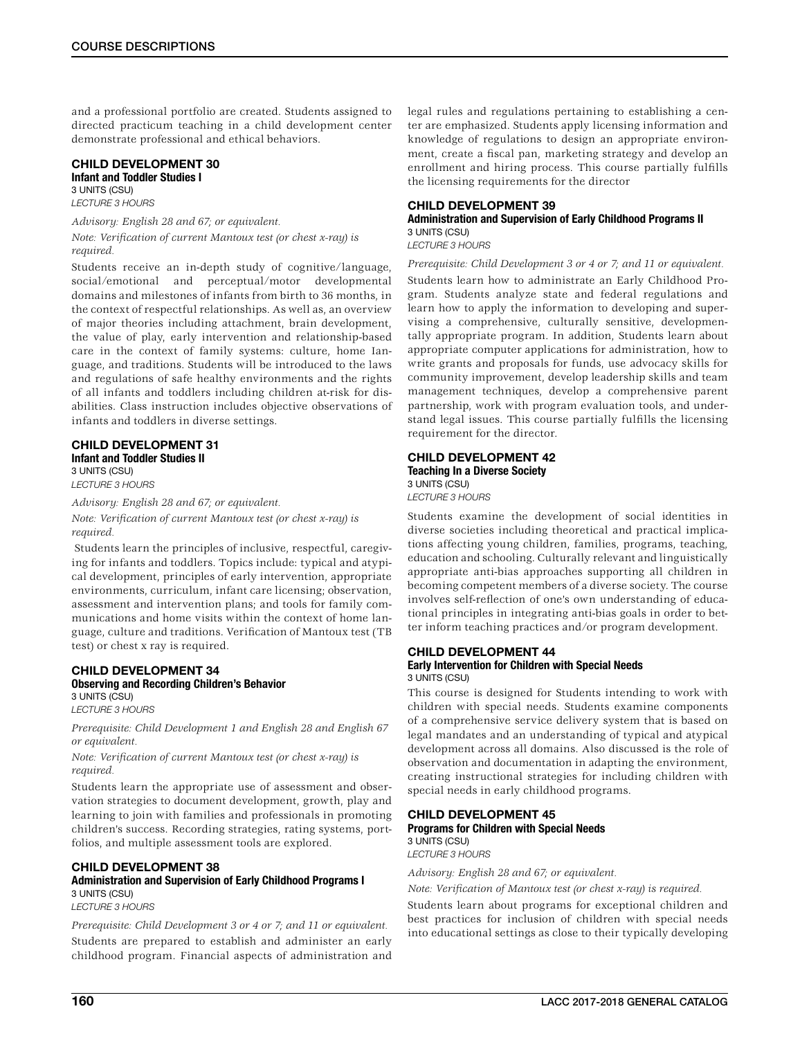and a professional portfolio are created. Students assigned to directed practicum teaching in a child development center demonstrate professional and ethical behaviors.

#### CHILD DEVELOPMENT 30 Infant and Toddler Studies I 3 UNITS (CSU)

*LECTURE 3 HOURS*

*Advisory: English 28 and 67; or equivalent. Note: Verification of current Mantoux test (or chest x-ray) is required.*

Students receive an in-depth study of cognitive/language, social/emotional and perceptual/motor developmental domains and milestones of infants from birth to 36 months, in the context of respectful relationships. As well as, an overview of major theories including attachment, brain development, the value of play, early intervention and relationship-based care in the context of family systems: culture, home Ianguage, and traditions. Students will be introduced to the laws and regulations of safe healthy environments and the rights of all infants and toddlers including children at-risk for disabilities. Class instruction includes objective observations of infants and toddlers in diverse settings.

### CHILD DEVELOPMENT 31 Infant and Toddler Studies II

3 UNITS (CSU) *LECTURE 3 HOURS*

*Advisory: English 28 and 67; or equivalent.*

*Note: Verification of current Mantoux test (or chest x-ray) is required.*

 Students learn the principles of inclusive, respectful, caregiving for infants and toddlers. Topics include: typical and atypical development, principles of early intervention, appropriate environments, curriculum, infant care licensing; observation, assessment and intervention plans; and tools for family communications and home visits within the context of home language, culture and traditions. Verification of Mantoux test (TB test) or chest x ray is required.

#### CHILD DEVELOPMENT 34 Observing and Recording Children's Behavior 3 UNITS (CSU)

*LECTURE 3 HOURS*

*Prerequisite: Child Development 1 and English 28 and English 67 or equivalent.*

*Note: Verification of current Mantoux test (or chest x-ray) is required.*

Students learn the appropriate use of assessment and observation strategies to document development, growth, play and learning to join with families and professionals in promoting children's success. Recording strategies, rating systems, portfolios, and multiple assessment tools are explored.

### CHILD DEVELOPMENT 38

### Administration and Supervision of Early Childhood Programs I 3 UNITS (CSU)

*LECTURE 3 HOURS*

*Prerequisite: Child Development 3 or 4 or 7; and 11 or equivalent.* Students are prepared to establish and administer an early childhood program. Financial aspects of administration and legal rules and regulations pertaining to establishing a center are emphasized. Students apply licensing information and knowledge of regulations to design an appropriate environment, create a fiscal pan, marketing strategy and develop an enrollment and hiring process. This course partially fulfills the licensing requirements for the director

### CHILD DEVELOPMENT 39

### Administration and Supervision of Early Childhood Programs II 3 UNITS (CSU)

*LECTURE 3 HOURS*

*Prerequisite: Child Development 3 or 4 or 7; and 11 or equivalent.* Students learn how to administrate an Early Childhood Program. Students analyze state and federal regulations and learn how to apply the information to developing and supervising a comprehensive, culturally sensitive, developmentally appropriate program. In addition, Students learn about appropriate computer applications for administration, how to write grants and proposals for funds, use advocacy skills for community improvement, develop leadership skills and team management techniques, develop a comprehensive parent partnership, work with program evaluation tools, and understand legal issues. This course partially fulfills the licensing requirement for the director.

#### CHILD DEVELOPMENT 42 Teaching In a Diverse Society

3 UNITS (CSU) *LECTURE 3 HOURS*

Students examine the development of social identities in diverse societies including theoretical and practical implications affecting young children, families, programs, teaching, education and schooling. Culturally relevant and linguistically appropriate anti-bias approaches supporting all children in becoming competent members of a diverse society. The course involves self-reflection of one's own understanding of educational principles in integrating anti-bias goals in order to better inform teaching practices and/or program development.

#### CHILD DEVELOPMENT 44 Early Intervention for Children with Special Needs 3 UNITS (CSU)

This course is designed for Students intending to work with children with special needs. Students examine components of a comprehensive service delivery system that is based on legal mandates and an understanding of typical and atypical development across all domains. Also discussed is the role of observation and documentation in adapting the environment, creating instructional strategies for including children with special needs in early childhood programs.

#### CHILD DEVELOPMENT 45 Programs for Children with Special Needs 3 UNITS (CSU)

*LECTURE 3 HOURS*

*Advisory: English 28 and 67; or equivalent.*

*Note: Verification of Mantoux test (or chest x-ray) is required.*

Students learn about programs for exceptional children and best practices for inclusion of children with special needs into educational settings as close to their typically developing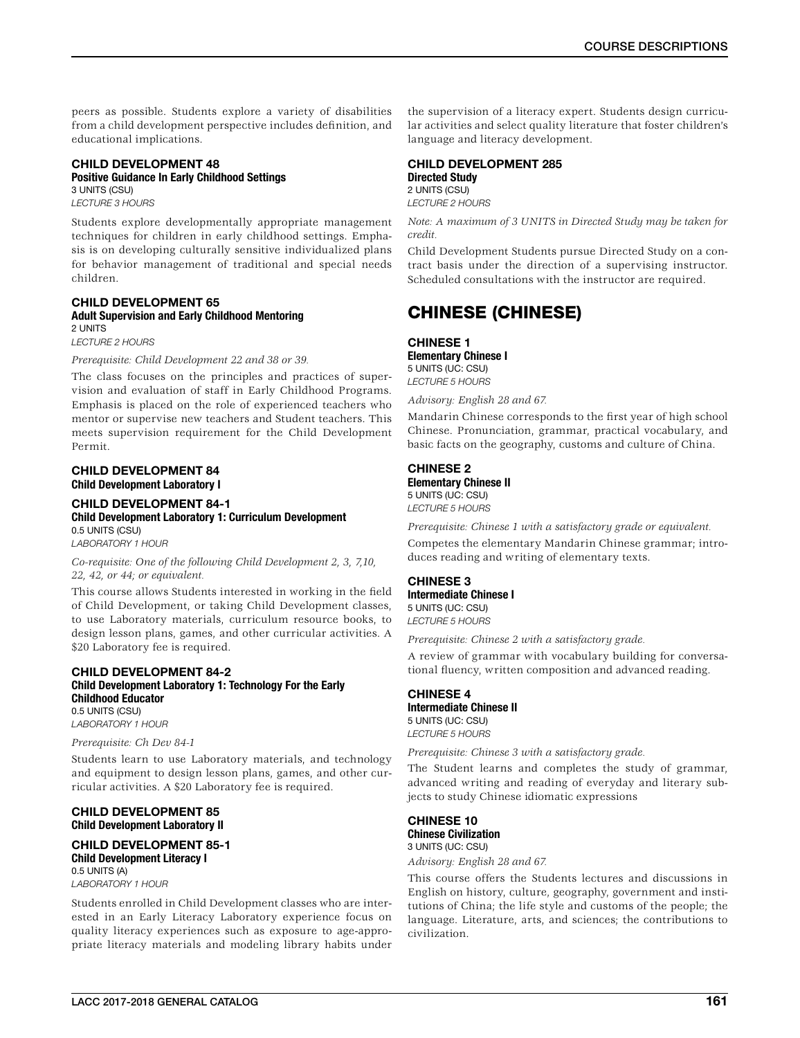peers as possible. Students explore a variety of disabilities from a child development perspective includes definition, and educational implications.

### CHILD DEVELOPMENT 48 Positive Guidance In Early Childhood Settings

3 UNITS (CSU) *LECTURE 3 HOURS*

Students explore developmentally appropriate management techniques for children in early childhood settings. Emphasis is on developing culturally sensitive individualized plans for behavior management of traditional and special needs children.

#### CHILD DEVELOPMENT 65 Adult Supervision and Early Childhood Mentoring 2 UNITS

*LECTURE 2 HOURS*

*Prerequisite: Child Development 22 and 38 or 39.*

The class focuses on the principles and practices of supervision and evaluation of staff in Early Childhood Programs. Emphasis is placed on the role of experienced teachers who mentor or supervise new teachers and Student teachers. This meets supervision requirement for the Child Development Permit.

### CHILD DEVELOPMENT 84 Child Development Laboratory I

CHILD DEVELOPMENT 84-1 Child Development Laboratory 1: Curriculum Development 0.5 UNITS (CSU) *LABORATORY 1 HOUR*

*Co-requisite: One of the following Child Development 2, 3, 7,10, 22, 42, or 44; or equivalent.*

This course allows Students interested in working in the field of Child Development, or taking Child Development classes, to use Laboratory materials, curriculum resource books, to design lesson plans, games, and other curricular activities. A \$20 Laboratory fee is required.

### CHILD DEVELOPMENT 84-2 Child Development Laboratory 1: Technology For the Early Childhood Educator

0.5 UNITS (CSU) *LABORATORY 1 HOUR*

### *Prerequisite: Ch Dev 84-1*

Students learn to use Laboratory materials, and technology and equipment to design lesson plans, games, and other curricular activities. A \$20 Laboratory fee is required.

### CHILD DEVELOPMENT 85 Child Development Laboratory II

### CHILD DEVELOPMENT 85-1 Child Development Literacy I 0.5 UNITS (A)

*LABORATORY 1 HOUR*

Students enrolled in Child Development classes who are interested in an Early Literacy Laboratory experience focus on quality literacy experiences such as exposure to age-appropriate literacy materials and modeling library habits under

the supervision of a literacy expert. Students design curricular activities and select quality literature that foster children's language and literacy development.

### CHILD DEVELOPMENT 285 Directed Study 2 UNITS (CSU)

*LECTURE 2 HOURS*

*Note: A maximum of 3 UNITS in Directed Study may be taken for credit.*

Child Development Students pursue Directed Study on a contract basis under the direction of a supervising instructor. Scheduled consultations with the instructor are required.

## CHINESE (CHINESE)

### CHINESE 1 Elementary Chinese I 5 UNITS (UC: CSU) *LECTURE 5 HOURS*

*Advisory: English 28 and 67.*

Mandarin Chinese corresponds to the first year of high school Chinese. Pronunciation, grammar, practical vocabulary, and basic facts on the geography, customs and culture of China.

### CHINESE 2 Elementary Chinese II

5 UNITS (UC: CSU) *LECTURE 5 HOURS*

*Prerequisite: Chinese 1 with a satisfactory grade or equivalent.*

Competes the elementary Mandarin Chinese grammar; introduces reading and writing of elementary texts.

CHINESE 3 Intermediate Chinese I 5 UNITS (UC: CSU) *LECTURE 5 HOURS*

*Prerequisite: Chinese 2 with a satisfactory grade.*

A review of grammar with vocabulary building for conversational fluency, written composition and advanced reading.

### CHINESE 4

Intermediate Chinese II 5 UNITS (UC: CSU) *LECTURE 5 HOURS*

*Prerequisite: Chinese 3 with a satisfactory grade.*

The Student learns and completes the study of grammar, advanced writing and reading of everyday and literary subjects to study Chinese idiomatic expressions

### CHINESE 10 Chinese Civilization 3 UNITS (UC: CSU)

*Advisory: English 28 and 67.*

This course offers the Students lectures and discussions in English on history, culture, geography, government and institutions of China; the life style and customs of the people; the language. Literature, arts, and sciences; the contributions to civilization.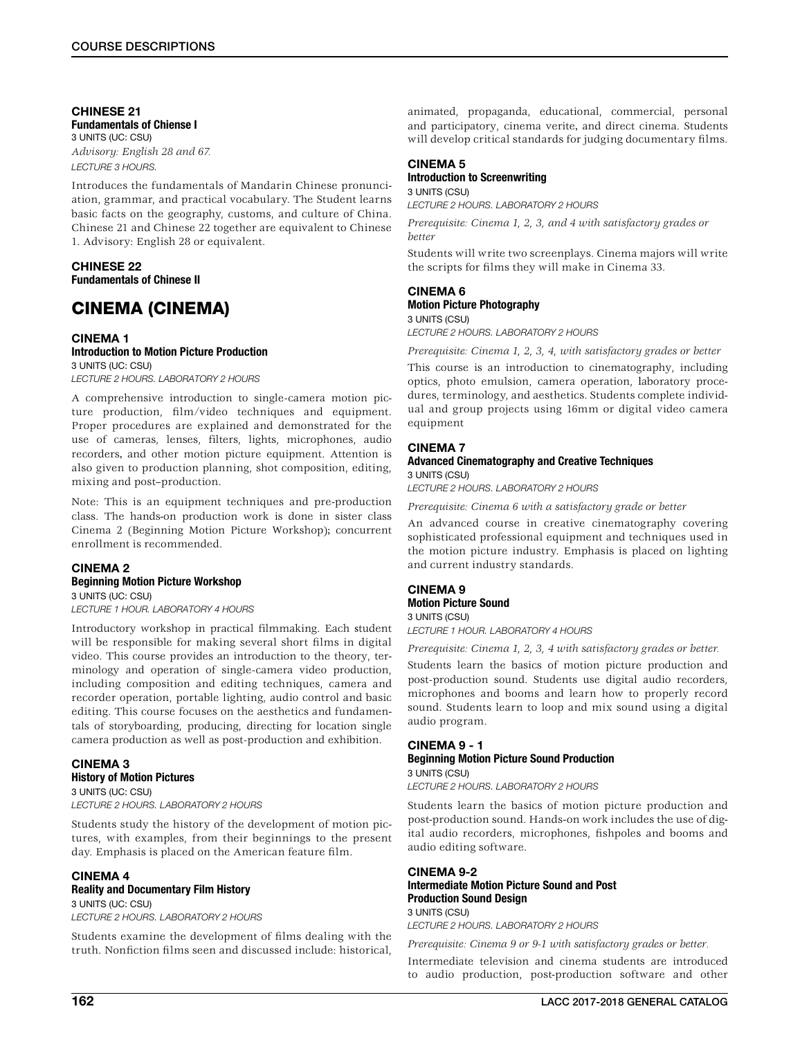#### CHINESE 21 Fundamentals of Chiense I 3 UNITS (UC: CSU)

*Advisory: English 28 and 67. LECTURE 3 HOURS.*

Introduces the fundamentals of Mandarin Chinese pronunciation, grammar, and practical vocabulary. The Student learns basic facts on the geography, customs, and culture of China. Chinese 21 and Chinese 22 together are equivalent to Chinese 1. Advisory: English 28 or equivalent.

### CHINESE 22 Fundamentals of Chinese II

## CINEMA (CINEMA)

### CINEMA 1 Introduction to Motion Picture Production 3 UNITS (UC: CSU)

*LECTURE 2 HOURS. LABORATORY 2 HOURS*

A comprehensive introduction to single-camera motion picture production, film/video techniques and equipment. Proper procedures are explained and demonstrated for the use of cameras, lenses, filters, lights, microphones, audio recorders, and other motion picture equipment. Attention is also given to production planning, shot composition, editing, mixing and post–production.

Note: This is an equipment techniques and pre-production class. The hands-on production work is done in sister class Cinema 2 (Beginning Motion Picture Workshop); concurrent enrollment is recommended.

#### CINEMA 2 Beginning Motion Picture Workshop 3 UNITS (UC: CSU)

*LECTURE 1 HOUR. LABORATORY 4 HOURS*

Introductory workshop in practical filmmaking. Each student will be responsible for making several short films in digital video. This course provides an introduction to the theory, terminology and operation of single-camera video production, including composition and editing techniques, camera and recorder operation, portable lighting, audio control and basic editing. This course focuses on the aesthetics and fundamentals of storyboarding, producing, directing for location single camera production as well as post-production and exhibition.

### CINEMA 3 History of Motion Pictures 3 UNITS (UC: CSU)

*LECTURE 2 HOURS. LABORATORY 2 HOURS*

Students study the history of the development of motion pictures, with examples, from their beginnings to the present day. Emphasis is placed on the American feature film.

### CINEMA 4

### Reality and Documentary Film History

3 UNITS (UC: CSU) *LECTURE 2 HOURS. LABORATORY 2 HOURS*

Students examine the development of films dealing with the truth. Nonfiction films seen and discussed include: historical,

animated, propaganda, educational, commercial, personal and participatory, cinema verite, and direct cinema. Students will develop critical standards for judging documentary films.

### CINEMA<sub>5</sub>

#### Introduction to Screenwriting 3 UNITS (CSU)

*LECTURE 2 HOURS. LABORATORY 2 HOURS*

*Prerequisite: Cinema 1, 2, 3, and 4 with satisfactory grades or better*

Students will write two screenplays. Cinema majors will write the scripts for films they will make in Cinema 33.

### CINEMA 6 Motion Picture Photography 3 UNITS (CSU)

*LECTURE 2 HOURS. LABORATORY 2 HOURS*

*Prerequisite: Cinema 1, 2, 3, 4, with satisfactory grades or better* This course is an introduction to cinematography, including optics, photo emulsion, camera operation, laboratory procedures, terminology, and aesthetics. Students complete individual and group projects using 16mm or digital video camera equipment

### CINEMA 7

### Advanced Cinematography and Creative Techniques 3 UNITS (CSU)

*LECTURE 2 HOURS. LABORATORY 2 HOURS*

*Prerequisite: Cinema 6 with a satisfactory grade or better*

An advanced course in creative cinematography covering sophisticated professional equipment and techniques used in the motion picture industry. Emphasis is placed on lighting and current industry standards.

### CINEMA 9 Motion Picture Sound 3 UNITS (CSU)

*LECTURE 1 HOUR. LABORATORY 4 HOURS*

*Prerequisite: Cinema 1, 2, 3, 4 with satisfactory grades or better.*

Students learn the basics of motion picture production and post-production sound. Students use digital audio recorders, microphones and booms and learn how to properly record sound. Students learn to loop and mix sound using a digital audio program.

### CINEMA 9 - 1

#### Beginning Motion Picture Sound Production 3 UNITS (CSU)

*LECTURE 2 HOURS. LABORATORY 2 HOURS*

Students learn the basics of motion picture production and post-production sound. Hands-on work includes the use of digital audio recorders, microphones, fishpoles and booms and audio editing software.

### CINEMA 9-2 Intermediate Motion Picture Sound and Post Production Sound Design 3 UNITS (CSU)

*LECTURE 2 HOURS. LABORATORY 2 HOURS Prerequisite: Cinema 9 or 9-1 with satisfactory grades or better.*

Intermediate television and cinema students are introduced to audio production, post-production software and other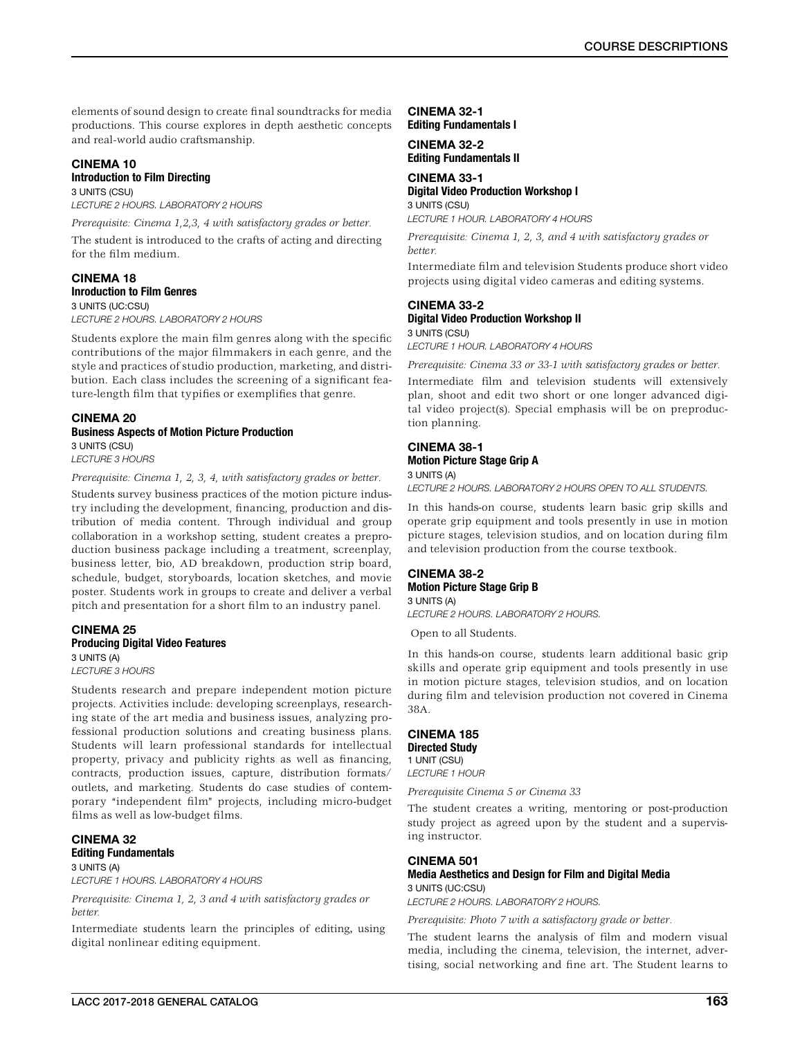elements of sound design to create final soundtracks for media productions. This course explores in depth aesthetic concepts and real-world audio craftsmanship.

## CINEMA 10

#### Introduction to Film Directing 3 UNITS (CSU)

*LECTURE 2 HOURS. LABORATORY 2 HOURS*

*Prerequisite: Cinema 1,2,3, 4 with satisfactory grades or better.*

The student is introduced to the crafts of acting and directing for the film medium.

#### CINEMA 18 Inroduction to Film Genres 3 UNITS (UC:CSU)

*LECTURE 2 HOURS. LABORATORY 2 HOURS*

Students explore the main film genres along with the specific contributions of the major filmmakers in each genre, and the style and practices of studio production, marketing, and distribution. Each class includes the screening of a significant feature-length film that typifies or exemplifies that genre.

### CINEMA 20 Business Aspects of Motion Picture Production 3 UNITS (CSU) *LECTURE 3 HOURS*

*Prerequisite: Cinema 1, 2, 3, 4, with satisfactory grades or better.*

Students survey business practices of the motion picture industry including the development, financing, production and distribution of media content. Through individual and group collaboration in a workshop setting, student creates a preproduction business package including a treatment, screenplay, business letter, bio, AD breakdown, production strip board, schedule, budget, storyboards, location sketches, and movie poster. Students work in groups to create and deliver a verbal pitch and presentation for a short film to an industry panel.

#### CINEMA 25 Producing Digital Video Features 3 UNITS (A)

*LECTURE 3 HOURS*

Students research and prepare independent motion picture projects. Activities include: developing screenplays, researching state of the art media and business issues, analyzing professional production solutions and creating business plans. Students will learn professional standards for intellectual property, privacy and publicity rights as well as financing, contracts, production issues, capture, distribution formats/ outlets, and marketing. Students do case studies of contemporary "independent film" projects, including micro-budget films as well as low-budget films.

### CINEMA 32 Editing Fundamentals

3 UNITS (A) *LECTURE 1 HOURS. LABORATORY 4 HOURS*

*Prerequisite: Cinema 1, 2, 3 and 4 with satisfactory grades or better.*

Intermediate students learn the principles of editing, using digital nonlinear editing equipment.

### CINEMA 32-1 Editing Fundamentals I

### CINEMA 32-2 Editing Fundamentals II

CINEMA 33-1 Digital Video Production Workshop I

3 UNITS (CSU) *LECTURE 1 HOUR. LABORATORY 4 HOURS*

*Prerequisite: Cinema 1, 2, 3, and 4 with satisfactory grades or better.*

Intermediate film and television Students produce short video projects using digital video cameras and editing systems.

### CINEMA 33-2

Digital Video Production Workshop II

3 UNITS (CSU) *LECTURE 1 HOUR. LABORATORY 4 HOURS*

*Prerequisite: Cinema 33 or 33-1 with satisfactory grades or better.*

Intermediate film and television students will extensively plan, shoot and edit two short or one longer advanced digital video project(s). Special emphasis will be on preproduction planning.

### CINEMA 38-1 Motion Picture Stage Grip A 3 UNITS (A)

*LECTURE 2 HOURS. LABORATORY 2 HOURS OPEN TO ALL STUDENTS.*

In this hands-on course, students learn basic grip skills and operate grip equipment and tools presently in use in motion picture stages, television studios, and on location during film and television production from the course textbook.

#### CINEMA 38-2 Motion Picture Stage Grip B 3 UNITS (A)

*LECTURE 2 HOURS. LABORATORY 2 HOURS.*

Open to all Students.

In this hands-on course, students learn additional basic grip skills and operate grip equipment and tools presently in use in motion picture stages, television studios, and on location during film and television production not covered in Cinema 38A.

#### CINEMA 185 Directed Study 1 UNIT (CSU)

*LECTURE 1 HOUR*

*Prerequisite Cinema 5 or Cinema 33*

The student creates a writing, mentoring or post-production study project as agreed upon by the student and a supervising instructor.

### CINEMA 501

#### Media Aesthetics and Design for Film and Digital Media 3 UNITS (UC:CSU)

*LECTURE 2 HOURS. LABORATORY 2 HOURS.*

*Prerequisite: Photo 7 with a satisfactory grade or better.*

The student learns the analysis of film and modern visual media, including the cinema, television, the internet, advertising, social networking and fine art. The Student learns to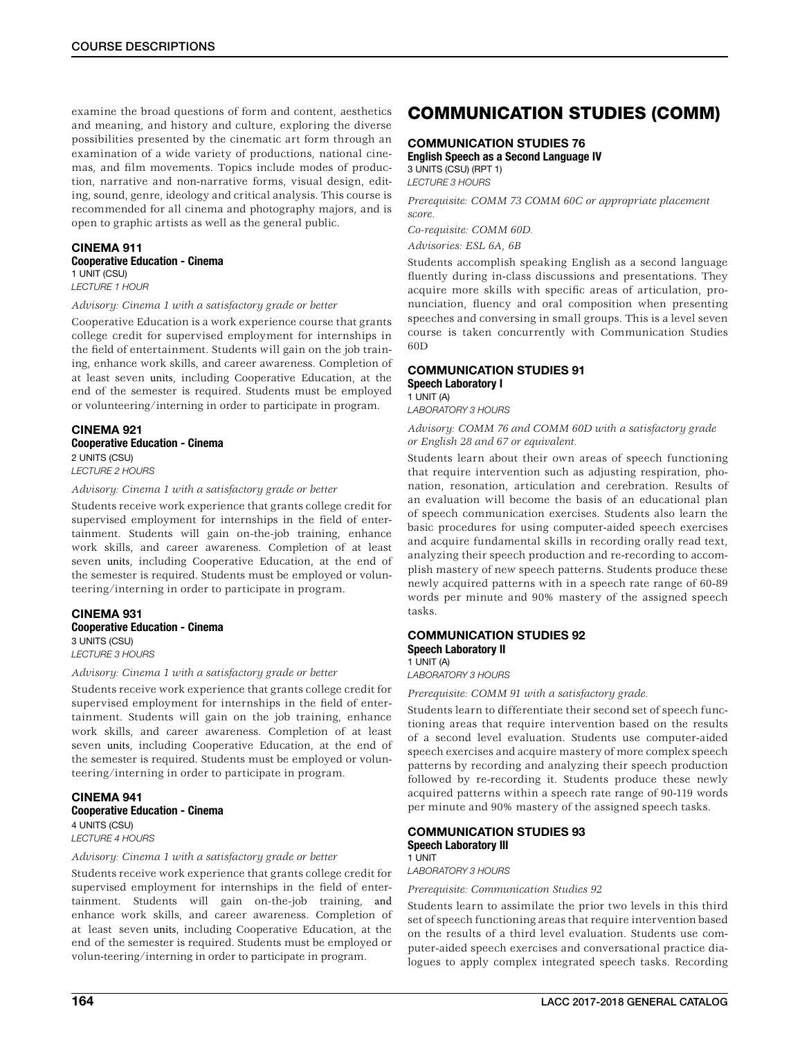examine the broad questions of form and content, aesthetics and meaning, and history and culture, exploring the diverse possibilities presented by the cinematic art form through an examination of a wide variety of productions, national cinemas, and film movements. Topics include modes of production, narrative and non-narrative forms, visual design, editing, sound, genre, ideology and critical analysis. This course is recommended for all cinema and photography majors, and is open to graphic artists as well as the general public.

### CINEMA 911

Cooperative Education - Cinema 1 UNIT (CSU) *LECTURE 1 HOUR*

*Advisory: Cinema 1 with a satisfactory grade or better*

Cooperative Education is a work experience course that grants college credit for supervised employment for internships in the field of entertainment. Students will gain on the job training, enhance work skills, and career awareness. Completion of at least seven units, including Cooperative Education, at the end of the semester is required. Students must be employed or volunteering/interning in order to participate in program.

#### CINEMA 921 Cooperative Education - Cinema 2 UNITS (CSU) *LECTURE 2 HOURS*

*Advisory: Cinema 1 with a satisfactory grade or better*

Students receive work experience that grants college credit for supervised employment for internships in the field of entertainment. Students will gain on-the-job training, enhance work skills, and career awareness. Completion of at least seven units, including Cooperative Education, at the end of the semester is required. Students must be employed or volunteering/interning in order to participate in program.

#### CINEMA 931 Cooperative Education - Cinema 3 UNITS (CSU) *LECTURE 3 HOURS*

*Advisory: Cinema 1 with a satisfactory grade or better*

Students receive work experience that grants college credit for supervised employment for internships in the field of entertainment. Students will gain on the job training, enhance work skills, and career awareness. Completion of at least seven units, including Cooperative Education, at the end of the semester is required. Students must be employed or volunteering/interning in order to participate in program.

CINEMA 941 Cooperative Education - Cinema 4 UNITS (CSU) *LECTURE 4 HOURS*

### *Advisory: Cinema 1 with a satisfactory grade or better*

Students receive work experience that grants college credit for supervised employment for internships in the field of entertainment. Students will gain on-the-job training, and enhance work skills, and career awareness. Completion of at least seven units, including Cooperative Education, at the end of the semester is required. Students must be employed or volun-teering/interning in order to participate in program.

## COMMUNICATION STUDIES (COMM)

### COMMUNICATION STUDIES 76

English Speech as a Second Language IV 3 UNITS (CSU) (RPT 1) *LECTURE 3 HOURS*

*Prerequisite: COMM 73 COMM 60C or appropriate placement score.*

*Co-requisite: COMM 60D.*

*Advisories: ESL 6A, 6B*

Students accomplish speaking English as a second language fluently during in-class discussions and presentations. They acquire more skills with specific areas of articulation, pronunciation, fluency and oral composition when presenting speeches and conversing in small groups. This is a level seven course is taken concurrently with Communication Studies 60D

### COMMUNICATION STUDIES 91 Speech Laboratory I

1 UNIT (A) *LABORATORY 3 HOURS*

*Advisory: COMM 76 and COMM 60D with a satisfactory grade or English 28 and 67 or equivalent.*

Students learn about their own areas of speech functioning that require intervention such as adjusting respiration, phonation, resonation, articulation and cerebration. Results of an evaluation will become the basis of an educational plan of speech communication exercises. Students also learn the basic procedures for using computer-aided speech exercises and acquire fundamental skills in recording orally read text, analyzing their speech production and re-recording to accomplish mastery of new speech patterns. Students produce these newly acquired patterns with in a speech rate range of 60-89 words per minute and 90% mastery of the assigned speech tasks.

#### COMMUNICATION STUDIES 92 Speech Laboratory II 1 UNIT (A)

*LABORATORY 3 HOURS*

*Prerequisite: COMM 91 with a satisfactory grade.*

Students learn to differentiate their second set of speech functioning areas that require intervention based on the results of a second level evaluation. Students use computer-aided speech exercises and acquire mastery of more complex speech patterns by recording and analyzing their speech production followed by re-recording it. Students produce these newly acquired patterns within a speech rate range of 90-119 words per minute and 90% mastery of the assigned speech tasks.

#### COMMUNICATION STUDIES 93 Speech Laboratory Ill 1 UNIT

*LABORATORY 3 HOURS*

*Prerequisite: Communication Studies 92*

Students learn to assimilate the prior two levels in this third set of speech functioning areas that require intervention based on the results of a third level evaluation. Students use computer-aided speech exercises and conversational practice dialogues to apply complex integrated speech tasks. Recording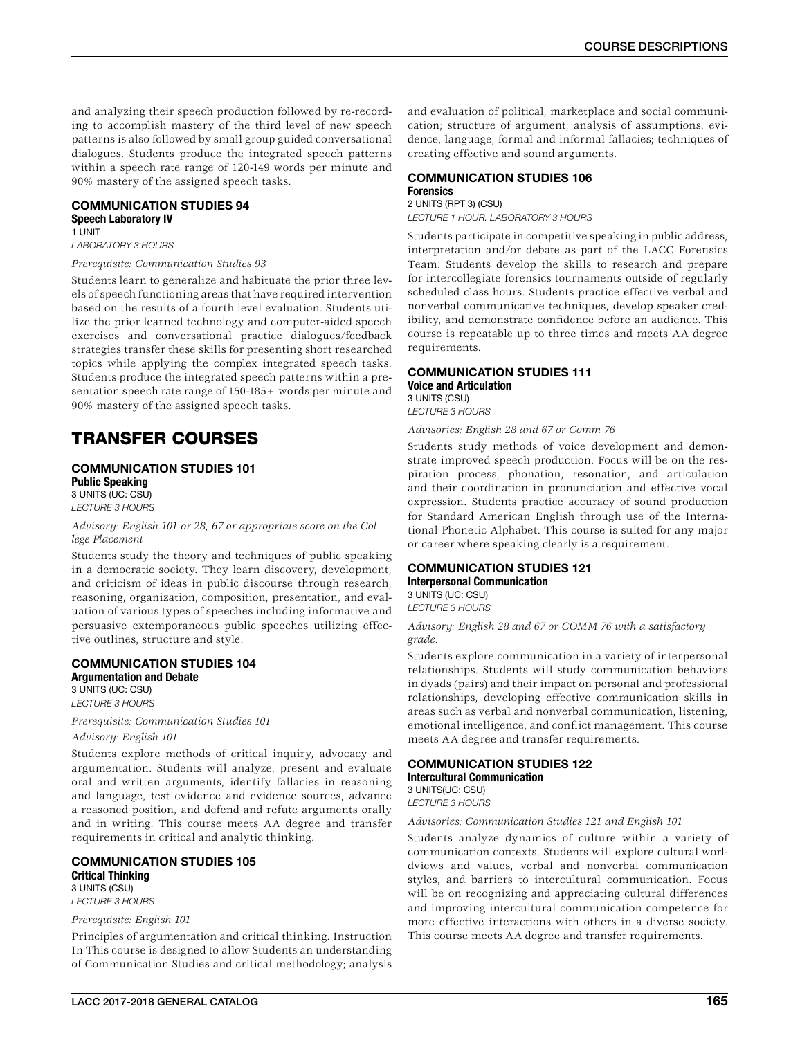and analyzing their speech production followed by re-recording to accomplish mastery of the third level of new speech patterns is also followed by small group guided conversational dialogues. Students produce the integrated speech patterns within a speech rate range of 120-149 words per minute and 90% mastery of the assigned speech tasks.

### COMMUNICATION STUDIES 94 Speech Laboratory IV 1 UNIT

*LABORATORY 3 HOURS*

#### *Prerequisite: Communication Studies 93*

Students learn to generalize and habituate the prior three levels of speech functioning areas that have required intervention based on the results of a fourth level evaluation. Students utilize the prior learned technology and computer-aided speech exercises and conversational practice dialogues/feedback strategies transfer these skills for presenting short researched topics while applying the complex integrated speech tasks. Students produce the integrated speech patterns within a presentation speech rate range of 150-185+ words per minute and 90% mastery of the assigned speech tasks.

## TRANSFER COURSES

#### COMMUNICATION STUDIES 101 Public Speaking 3 UNITS (UC: CSU)

*LECTURE 3 HOURS*

#### *Advisory: English 101 or 28, 67 or appropriate score on the College Placement*

Students study the theory and techniques of public speaking in a democratic society. They learn discovery, development, and criticism of ideas in public discourse through research, reasoning, organization, composition, presentation, and evaluation of various types of speeches including informative and persuasive extemporaneous public speeches utilizing effective outlines, structure and style.

#### COMMUNICATION STUDIES 104 Argumentation and Debate

3 UNITS (UC: CSU) *LECTURE 3 HOURS*

*Prerequisite: Communication Studies 101 Advisory: English 101.*

Students explore methods of critical inquiry, advocacy and argumentation. Students will analyze, present and evaluate oral and written arguments, identify fallacies in reasoning and language, test evidence and evidence sources, advance a reasoned position, and defend and refute arguments orally and in writing. This course meets AA degree and transfer requirements in critical and analytic thinking.

#### COMMUNICATION STUDIES 105 Critical Thinking 3 UNITS (CSU)

*LECTURE 3 HOURS*

### *Prerequisite: English 101*

Principles of argumentation and critical thinking. Instruction In This course is designed to allow Students an understanding of Communication Studies and critical methodology; analysis and evaluation of political, marketplace and social communication; structure of argument; analysis of assumptions, evidence, language, formal and informal fallacies; techniques of creating effective and sound arguments.

#### COMMUNICATION STUDIES 106 Forensics 2 UNITS (RPT 3) (CSU)

*LECTURE 1 HOUR. LABORATORY 3 HOURS*

Students participate in competitive speaking in public address, interpretation and/or debate as part of the LACC Forensics Team. Students develop the skills to research and prepare for intercollegiate forensics tournaments outside of regularly scheduled class hours. Students practice effective verbal and nonverbal communicative techniques, develop speaker credibility, and demonstrate confidence before an audience. This course is repeatable up to three times and meets AA degree requirements.

### COMMUNICATION STUDIES 111 Voice and Articulation

3 UNITS (CSU) *LECTURE 3 HOURS*

*Advisories: English 28 and 67 or Comm 76*

Students study methods of voice development and demonstrate improved speech production. Focus will be on the respiration process, phonation, resonation, and articulation and their coordination in pronunciation and effective vocal expression. Students practice accuracy of sound production for Standard American English through use of the International Phonetic Alphabet. This course is suited for any major or career where speaking clearly is a requirement.

### COMMUNICATION STUDIES 121 Interpersonal Communication

3 UNITS (UC: CSU)

*LECTURE 3 HOURS*

*Advisory: English 28 and 67 or COMM 76 with a satisfactory grade.*

Students explore communication in a variety of interpersonal relationships. Students will study communication behaviors in dyads (pairs) and their impact on personal and professional relationships, developing effective communication skills in areas such as verbal and nonverbal communication, listening, emotional intelligence, and conflict management. This course meets AA degree and transfer requirements.

### COMMUNICATION STUDIES 122 Intercultural Communication 3 UNITS(UC: CSU)

*LECTURE 3 HOURS*

*Advisories: Communication Studies 121 and English 101*

Students analyze dynamics of culture within a variety of communication contexts. Students will explore cultural worldviews and values, verbal and nonverbal communication styles, and barriers to intercultural communication. Focus will be on recognizing and appreciating cultural differences and improving intercultural communication competence for more effective interactions with others in a diverse society. This course meets AA degree and transfer requirements.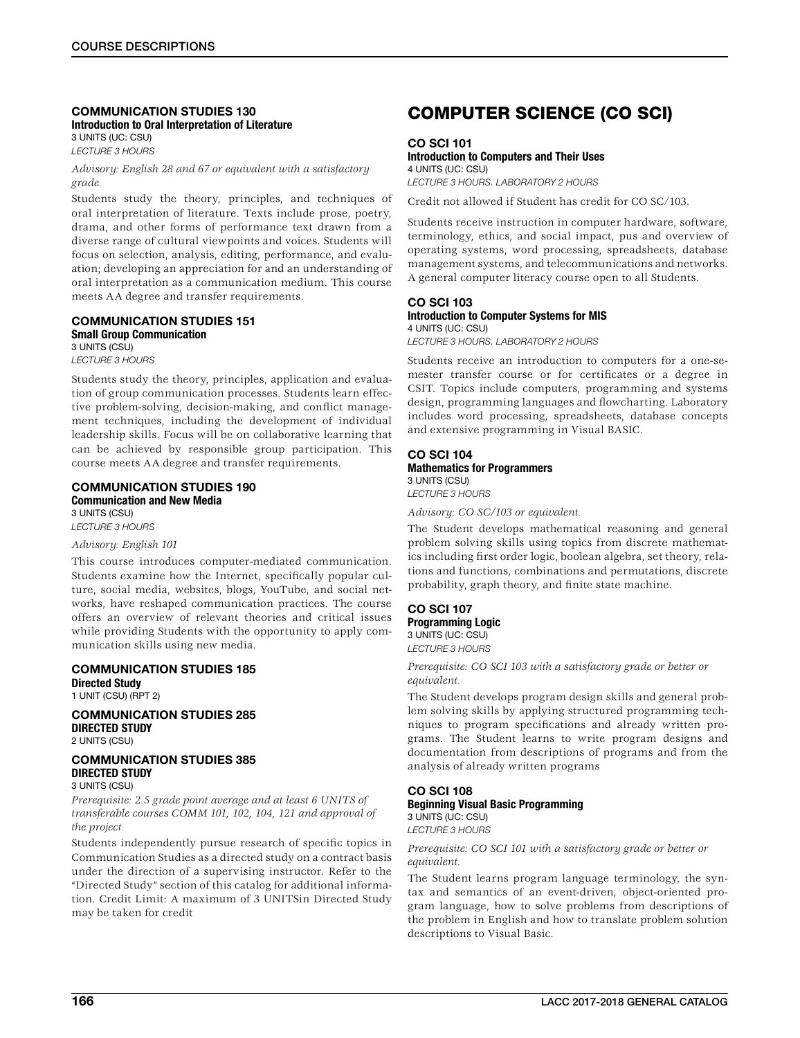### COMMUNICATION STUDIES 130 Introduction to Oral Interpretation of Literature

3 UNITS (UC: CSU) *LECTURE 3 HOURS*

*Advisory: English 28 and 67 or equivalent with a satisfactory grade.*

Students study the theory, principles, and techniques of oral interpretation of literature. Texts include prose, poetry, drama, and other forms of performance text drawn from a diverse range of cultural viewpoints and voices. Students will focus on selection, analysis, editing, performance, and evaluation; developing an appreciation for and an understanding of oral interpretation as a communication medium. This course meets AA degree and transfer requirements.

#### COMMUNICATION STUDIES 151 Small Group Communication 3 UNITS (CSU)

*LECTURE 3 HOURS*

Students study the theory, principles, application and evaluation of group communication processes. Students learn effective problem-solving, decision-making, and conflict management techniques, including the development of individual leadership skills. Focus will be on collaborative learning that can be achieved by responsible group participation. This course meets AA degree and transfer requirements.

### COMMUNICATION STUDIES 190 Communication and New Media

3 UNITS (CSU) *LECTURE 3 HOURS*

### *Advisory: English 101*

This course introduces computer-mediated communication. Students examine how the Internet, specifically popular culture, social media, websites, blogs, YouTube, and social networks, have reshaped communication practices. The course offers an overview of relevant theories and critical issues while providing Students with the opportunity to apply communication skills using new media.

### COMMUNICATION STUDIES 185 Directed Study

1 UNIT (CSU) (RPT 2)

### COMMUNICATION STUDIES 285 DIRECTED STUDY 2 UNITS (CSU)

#### COMMUNICATION STUDIES 385 DIRECTED STUDY 3 UNITS (CSU)

*Prerequisite: 2.5 grade point average and at least 6 UNITS of transferable courses COMM 101, 102, 104, 121 and approval of the project.*

Students independently pursue research of specific topics in Communication Studies as a directed study on a contract basis under the direction of a supervising instructor. Refer to the "Directed Study" section of this catalog for additional information. Credit Limit: A maximum of 3 UNITSin Directed Study may be taken for credit

## COMPUTER SCIENCE (CO SCI)

CO SCI 101

### Introduction to Computers and Their Uses

4 UNITS (UC: CSU) *LECTURE 3 HOURS. LABORATORY 2 HOURS*

Credit not allowed if Student has credit for CO SC/103.

Students receive instruction in computer hardware, software, terminology, ethics, and social impact, pus and overview of operating systems, word processing, spreadsheets, database management systems, and telecommunications and networks. A general computer literacy course open to all Students.

#### CO SCI 103 Introduction to Computer Systems for MIS 4 UNITS (UC: CSU)

*LECTURE 3 HOURS. LABORATORY 2 HOURS*

Students receive an introduction to computers for a one-semester transfer course or for certificates or a degree in CSIT. Topics include computers, programming and systems design, programming languages and flowcharting. Laboratory includes word processing, spreadsheets, database concepts and extensive programming in Visual BASIC.

### CO SCI 104 Mathematics for Programmers 3 UNITS (CSU)

*LECTURE 3 HOURS*

*Advisory: CO SC/103 or equivalent.*

The Student develops mathematical reasoning and general problem solving skills using topics from discrete mathematics including first order logic, boolean algebra, set theory, relations and functions, combinations and permutations, discrete probability, graph theory, and finite state machine.

### CO SCI 107 Programming Logic

3 UNITS (UC: CSU) *LECTURE 3 HOURS*

*Prerequisite: CO SCI 103 with a satisfactory grade or better or equivalent.*

The Student develops program design skills and general problem solving skills by applying structured programming techniques to program specifications and already written programs. The Student learns to write program designs and documentation from descriptions of programs and from the analysis of already written programs

### CO SCI 108 Beginning Visual Basic Programming

3 UNITS (UC: CSU) *LECTURE 3 HOURS*

*Prerequisite: CO SCI 101 with a satisfactory grade or better or equivalent.*

The Student learns program language terminology, the syntax and semantics of an event-driven, object-oriented program language, how to solve problems from descriptions of the problem in English and how to translate problem solution descriptions to Visual Basic.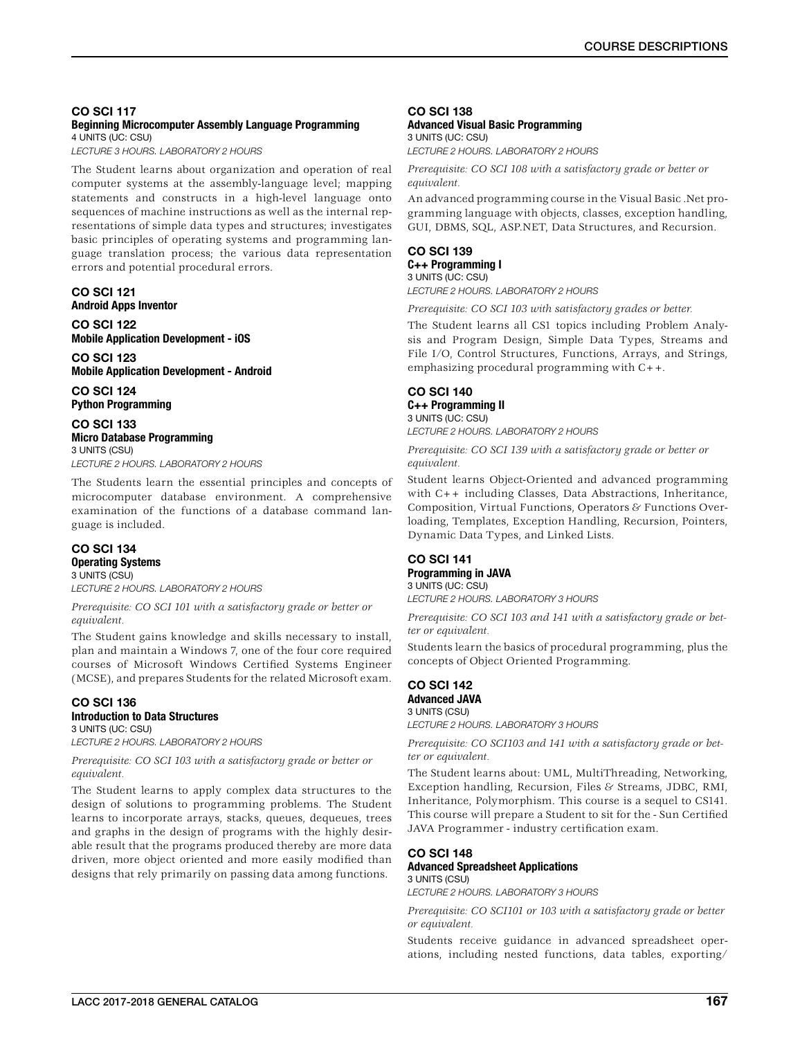### CO SCI 117 Beginning Microcomputer Assembly Language Programming

4 UNITS (UC: CSU) *LECTURE 3 HOURS. LABORATORY 2 HOURS*

The Student learns about organization and operation of real computer systems at the assembly-language level; mapping statements and constructs in a high-level language onto sequences of machine instructions as well as the internal representations of simple data types and structures; investigates basic principles of operating systems and programming language translation process; the various data representation errors and potential procedural errors.

### CO SCI 121 Android Apps Inventor

CO SCI 122 Mobile Application Development - iOS

CO SCI 123 Mobile Application Development - Android

CO SCI 124 Python Programming

#### CO SCI 133 Micro Database Programming 3 UNITS (CSU)

*LECTURE 2 HOURS. LABORATORY 2 HOURS*

The Students learn the essential principles and concepts of microcomputer database environment. A comprehensive examination of the functions of a database command language is included.

### CO SCI 134 Operating Systems 3 UNITS (CSU)

*LECTURE 2 HOURS. LABORATORY 2 HOURS*

*Prerequisite: CO SCI 101 with a satisfactory grade or better or equivalent.*

The Student gains knowledge and skills necessary to install, plan and maintain a Windows 7, one of the four core required courses of Microsoft Windows Certified Systems Engineer (MCSE), and prepares Students for the related Microsoft exam.

### CO SCI 136 Introduction to Data Structures

3 UNITS (UC: CSU) *LECTURE 2 HOURS. LABORATORY 2 HOURS*

*Prerequisite: CO SCI 103 with a satisfactory grade or better or equivalent.*

The Student learns to apply complex data structures to the design of solutions to programming problems. The Student learns to incorporate arrays, stacks, queues, dequeues, trees and graphs in the design of programs with the highly desirable result that the programs produced thereby are more data driven, more object oriented and more easily modified than designs that rely primarily on passing data among functions.

## CO SCI 138

### Advanced Visual Basic Programming 3 UNITS (UC: CSU)

*LECTURE 2 HOURS. LABORATORY 2 HOURS*

*Prerequisite: CO SCI 108 with a satisfactory grade or better or equivalent.*

An advanced programming course in the Visual Basic .Net programming language with objects, classes, exception handling, GUI, DBMS, SQL, ASP.NET, Data Structures, and Recursion.

### CO SCI 139 C++ Programming I

3 UNITS (UC: CSU) *LECTURE 2 HOURS. LABORATORY 2 HOURS*

*Prerequisite: CO SCI 103 with satisfactory grades or better.*

The Student learns all CS1 topics including Problem Analysis and Program Design, Simple Data Types, Streams and File I/O, Control Structures, Functions, Arrays, and Strings, emphasizing procedural programming with C++.

### CO SCI 140 C++ Programming II 3 UNITS (UC: CSU)

*LECTURE 2 HOURS. LABORATORY 2 HOURS*

*Prerequisite: CO SCI 139 with a satisfactory grade or better or equivalent.*

Student learns Object-Oriented and advanced programming with C++ including Classes, Data Abstractions, Inheritance, Composition, Virtual Functions, Operators & Functions Overloading, Templates, Exception Handling, Recursion, Pointers, Dynamic Data Types, and Linked Lists.

### CO SCI 141 Programming in JAVA 3 UNITS (UC: CSU)

*LECTURE 2 HOURS. LABORATORY 3 HOURS*

*Prerequisite: CO SCI 103 and 141 with a satisfactory grade or better or equivalent.*

Students learn the basics of procedural programming, plus the concepts of Object Oriented Programming.

#### CO SCI 142 Advanced JAVA 3 UNITS (CSU)

*LECTURE 2 HOURS. LABORATORY 3 HOURS*

*Prerequisite: CO SCI103 and 141 with a satisfactory grade or better or equivalent.*

The Student learns about: UML, MultiThreading, Networking, Exception handling, Recursion, Files & Streams, JDBC, RMI, Inheritance, Polymorphism. This course is a sequel to CS141. This course will prepare a Student to sit for the - Sun Certified JAVA Programmer - industry certification exam.

### CO SCI 148 Advanced Spreadsheet Applications 3 UNITS (CSU)

*LECTURE 2 HOURS. LABORATORY 3 HOURS*

*Prerequisite: CO SCI101 or 103 with a satisfactory grade or better or equivalent.*

Students receive guidance in advanced spreadsheet operations, including nested functions, data tables, exporting/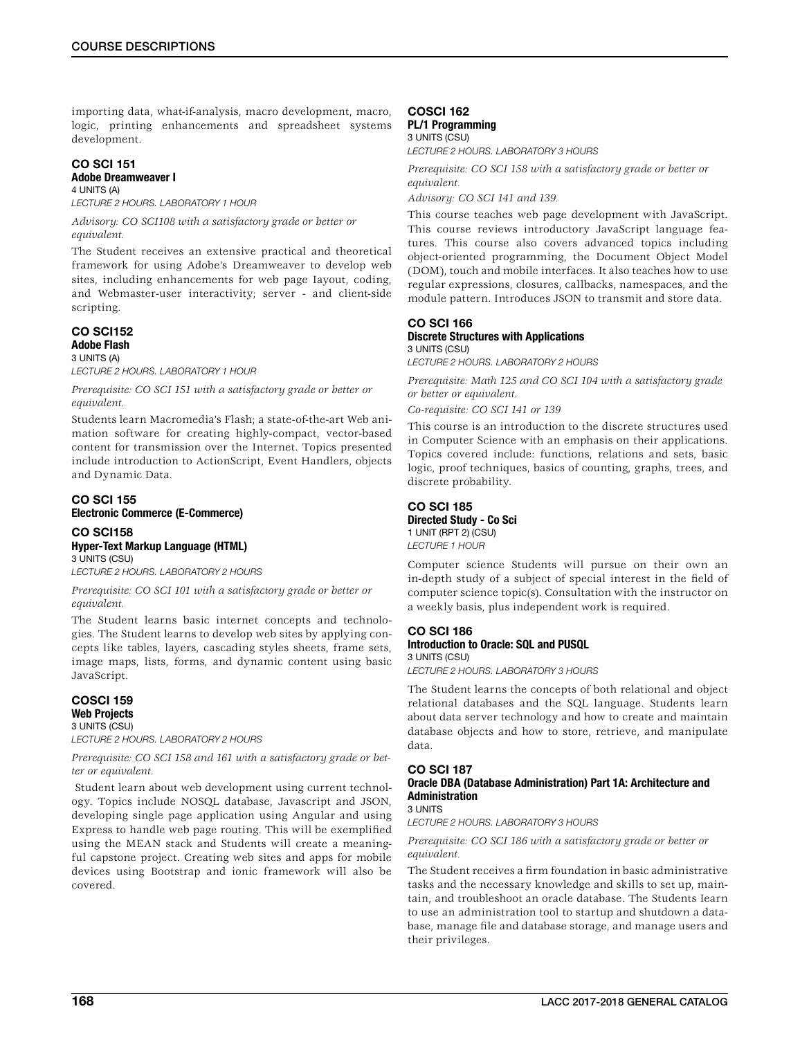importing data, what-if-analysis, macro development, macro, logic, printing enhancements and spreadsheet systems development.

#### CO SCI 151 Adobe Dreamweaver I

4 UNITS (A)

*LECTURE 2 HOURS. LABORATORY 1 HOUR Advisory: CO SCI108 with a satisfactory grade or better or* 

*equivalent.*

The Student receives an extensive practical and theoretical framework for using Adobe's Dreamweaver to develop web sites, including enhancements for web page Iayout, coding, and Webmaster-user interactivity; server - and client-side scripting.

### CO SCI152 Adobe Flash

3 UNITS (A)

*LECTURE 2 HOURS. LABORATORY 1 HOUR*

*Prerequisite: CO SCI 151 with a satisfactory grade or better or equivalent.*

Students learn Macromedia's Flash; a state-of-the-art Web animation software for creating highly-compact, vector-based content for transmission over the Internet. Topics presented include introduction to ActionScript, Event Handlers, objects and Dynamic Data.

### CO SCI 155 Electronic Commerce (E-Commerce)

### CO SCI158 Hyper-Text Markup Language (HTML) 3 UNITS (CSU)

*LECTURE 2 HOURS. LABORATORY 2 HOURS*

*Prerequisite: CO SCI 101 with a satisfactory grade or better or equivalent.*

The Student learns basic internet concepts and technologies. The Student learns to develop web sites by applying concepts like tables, layers, cascading styles sheets, frame sets, image maps, lists, forms, and dynamic content using basic JavaScript.

COSCI 159 Web Projects 3 UNITS (CSU) *LECTURE 2 HOURS. LABORATORY 2 HOURS*

*Prerequisite: CO SCI 158 and 161 with a satisfactory grade or better or equivalent.*

 Student learn about web development using current technology. Topics include NOSQL database, Javascript and JSON, developing single page application using Angular and using Express to handle web page routing. This will be exemplified using the MEAN stack and Students will create a meaningful capstone project. Creating web sites and apps for mobile devices using Bootstrap and ionic framework will also be covered.

### COSCI 162 PL/1 Programming 3 UNITS (CSU)

*LECTURE 2 HOURS. LABORATORY 3 HOURS*

*Prerequisite: CO SCI 158 with a satisfactory grade or better or equivalent.*

*Advisory: CO SCI 141 and 139.*

This course teaches web page development with JavaScript. This course reviews introductory JavaScript language features. This course also covers advanced topics including object-oriented programming, the Document Object Model (DOM), touch and mobile interfaces. It also teaches how to use regular expressions, closures, callbacks, namespaces, and the module pattern. Introduces JSON to transmit and store data.

### CO SCI 166 Discrete Structures with Applications 3 UNITS (CSU)

*LECTURE 2 HOURS. LABORATORY 2 HOURS*

*Prerequisite: Math 125 and CO SCI 104 with a satisfactory grade or better or equivalent.*

*Co-requisite: CO SCI 141 or 139*

This course is an introduction to the discrete structures used in Computer Science with an emphasis on their applications. Topics covered include: functions, relations and sets, basic logic, proof techniques, basics of counting, graphs, trees, and discrete probability.

### CO SCI 185 Directed Study - Co Sci

1 UNIT (RPT 2) (CSU) *LECTURE 1 HOUR*

Computer science Students will pursue on their own an in-depth study of a subject of special interest in the field of computer science topic(s). Consultation with the instructor on a weekly basis, plus independent work is required.

### CO SCI 186

### Introduction to Oracle: SQL and PUSQL

3 UNITS (CSU)

*LECTURE 2 HOURS. LABORATORY 3 HOURS*

The Student learns the concepts of both relational and object relational databases and the SQL language. Students learn about data server technology and how to create and maintain database objects and how to store, retrieve, and manipulate data.

### CO SCI 187

#### Oracle DBA (Database Administration) Part 1A: Architecture and Administration 3 UNITS

*LECTURE 2 HOURS. LABORATORY 3 HOURS*

### *Prerequisite: CO SCI 186 with a satisfactory grade or better or equivalent.*

The Student receives a firm foundation in basic administrative tasks and the necessary knowledge and skills to set up, maintain, and troubleshoot an oracle database. The Students Iearn to use an administration tool to startup and shutdown a database, manage file and database storage, and manage users and their privileges.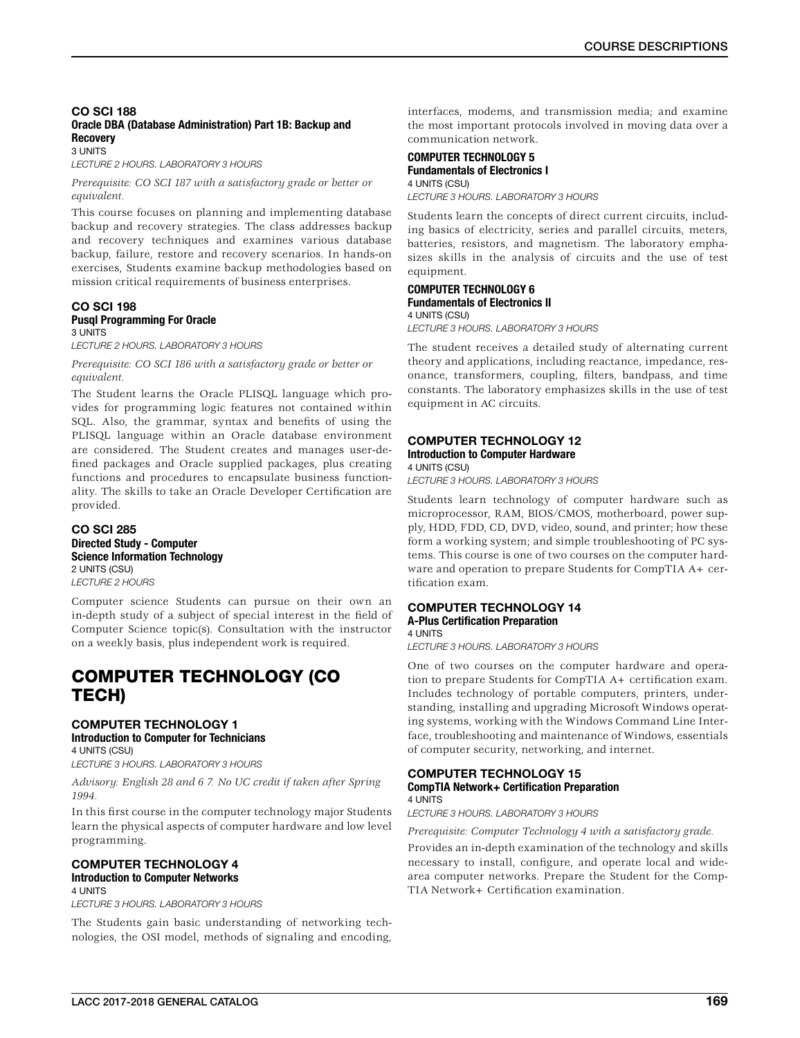### CO SCI 188 Oracle DBA (Database Administration) Part 1B: Backup and **Recovery**

3 UNITS

*LECTURE 2 HOURS. LABORATORY 3 HOURS*

*Prerequisite: CO SCI 187 with a satisfactory grade or better or equivalent.*

This course focuses on planning and implementing database backup and recovery strategies. The class addresses backup and recovery techniques and examines various database backup, failure, restore and recovery scenarios. In hands-on exercises, Students examine backup methodologies based on mission critical requirements of business enterprises.

#### CO SCI 198 Pusql Programming For Oracle 3 UNITS

*LECTURE 2 HOURS. LABORATORY 3 HOURS*

*Prerequisite: CO SCI 186 with a satisfactory grade or better or equivalent.*

The Student learns the Oracle PLISQL language which provides for programming logic features not contained within SQL. Also, the grammar, syntax and benefits of using the PLISQL language within an Oracle database environment are considered. The Student creates and manages user-defined packages and Oracle supplied packages, plus creating functions and procedures to encapsulate business functionality. The skills to take an Oracle Developer Certification are provided.

CO SCI 285 Directed Study - Computer Science Information Technology 2 UNITS (CSU) *LECTURE 2 HOURS*

Computer science Students can pursue on their own an in-depth study of a subject of special interest in the field of Computer Science topic(s). Consultation with the instructor on a weekly basis, plus independent work is required.

## COMPUTER TECHNOLOGY (CO TECH)

### COMPUTER TECHNOLOGY 1 Introduction to Computer for Technicians 4 UNITS (CSU)

*LECTURE 3 HOURS. LABORATORY 3 HOURS*

*Advisory: English 28 and 6 7. No UC credit if taken after Spring 1994.*

In this first course in the computer technology major Students learn the physical aspects of computer hardware and low level programming.

#### COMPUTER TECHNOLOGY 4 Introduction to Computer Networks 4 UNITS

*LECTURE 3 HOURS. LABORATORY 3 HOURS*

The Students gain basic understanding of networking technologies, the OSI model, methods of signaling and encoding,

interfaces, modems, and transmission media; and examine the most important protocols involved in moving data over a communication network.

#### COMPUTER TECHNOLOGY 5 Fundamentals of Electronics I 4 UNITS (CSU)

*LECTURE 3 HOURS. LABORATORY 3 HOURS*

Students learn the concepts of direct current circuits, including basics of electricity, series and parallel circuits, meters, batteries, resistors, and magnetism. The laboratory emphasizes skills in the analysis of circuits and the use of test equipment.

### COMPUTER TECHNOLOGY 6 Fundamentals of Electronics II 4 UNITS (CSU)

*LECTURE 3 HOURS. LABORATORY 3 HOURS*

The student receives a detailed study of alternating current theory and applications, including reactance, impedance, resonance, transformers, coupling, filters, bandpass, and time constants. The laboratory emphasizes skills in the use of test equipment in AC circuits.

### COMPUTER TECHNOLOGY 12

#### Introduction to Computer Hardware 4 UNITS (CSU)

*LECTURE 3 HOURS. LABORATORY 3 HOURS*

Students learn technology of computer hardware such as microprocessor, RAM, BIOS/CMOS, motherboard, power supply, HDD, FDD, CD, DVD, video, sound, and printer; how these form a working system; and simple troubleshooting of PC systems. This course is one of two courses on the computer hardware and operation to prepare Students for CompTIA A+ certification exam.

### COMPUTER TECHNOLOGY 14 A-Plus Certification Preparation

### 4 UNITS

*LECTURE 3 HOURS. LABORATORY 3 HOURS*

One of two courses on the computer hardware and operation to prepare Students for CompTIA A+ certification exam. Includes technology of portable computers, printers, understanding, installing and upgrading Microsoft Windows operating systems, working with the Windows Command Line Interface, troubleshooting and maintenance of Windows, essentials of computer security, networking, and internet.

#### COMPUTER TECHNOLOGY 15 CompTIA Network+ Certification Preparation 4 UNITS

*LECTURE 3 HOURS. LABORATORY 3 HOURS*

*Prerequisite: Computer Technology 4 with a satisfactory grade.*

Provides an in-depth examination of the technology and skills necessary to install, configure, and operate local and widearea computer networks. Prepare the Student for the Comp-TIA Network+ Certification examination.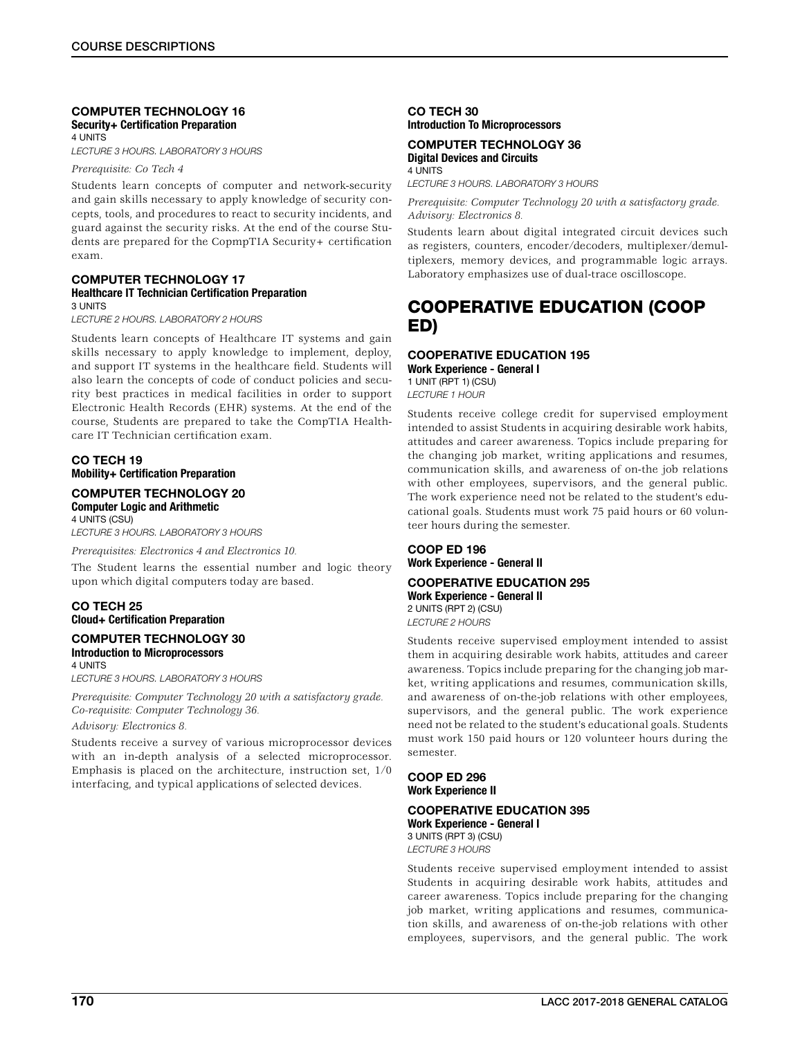#### COMPUTER TECHNOLOGY 16 Security+ Certification Preparation 4 UNITS

*LECTURE 3 HOURS. LABORATORY 3 HOURS*

*Prerequisite: Co Tech 4*

Students learn concepts of computer and network-security and gain skills necessary to apply knowledge of security concepts, tools, and procedures to react to security incidents, and guard against the security risks. At the end of the course Students are prepared for the CopmpTIA Security+ certification exam.

#### COMPUTER TECHNOLOGY 17 Healthcare IT Technician Certification Preparation 3 UNITS

*LECTURE 2 HOURS. LABORATORY 2 HOURS*

Students learn concepts of Healthcare IT systems and gain skills necessary to apply knowledge to implement, deploy, and support IT systems in the healthcare field. Students will also learn the concepts of code of conduct policies and security best practices in medical facilities in order to support Electronic Health Records (EHR) systems. At the end of the course, Students are prepared to take the CompTIA Healthcare IT Technician certification exam.

### CO TECH 19 Mobility+ Certification Preparation

### COMPUTER TECHNOLOGY 20 Computer Logic and Arithmetic

4 UNITS (CSU) *LECTURE 3 HOURS. LABORATORY 3 HOURS*

*Prerequisites: Electronics 4 and Electronics 10.*

The Student learns the essential number and logic theory upon which digital computers today are based.

### CO TECH 25 Cloud+ Certification Preparation

#### COMPUTER TECHNOLOGY 30 Introduction to Microprocessors 4 UNITS

*LECTURE 3 HOURS. LABORATORY 3 HOURS*

*Prerequisite: Computer Technology 20 with a satisfactory grade. Co-requisite: Computer Technology 36.*

### *Advisory: Electronics 8.*

Students receive a survey of various microprocessor devices with an in-depth analysis of a selected microprocessor. Emphasis is placed on the architecture, instruction set, 1/0 interfacing, and typical applications of selected devices.

### CO TECH 30 Introduction To Microprocessors

### COMPUTER TECHNOLOGY 36 Digital Devices and Circuits 4 UNITS

*LECTURE 3 HOURS. LABORATORY 3 HOURS*

*Prerequisite: Computer Technology 20 with a satisfactory grade. Advisory: Electronics 8.*

Students learn about digital integrated circuit devices such as registers, counters, encoder/decoders, multiplexer/demultiplexers, memory devices, and programmable logic arrays. Laboratory emphasizes use of dual-trace oscilloscope.

## COOPERATIVE EDUCATION (COOP ED)

### COOPERATIVE EDUCATION 195

Work Experience - General I 1 UNIT (RPT 1) (CSU) *LECTURE 1 HOUR*

Students receive college credit for supervised employment intended to assist Students in acquiring desirable work habits, attitudes and career awareness. Topics include preparing for the changing job market, writing applications and resumes, communication skills, and awareness of on-the job relations with other employees, supervisors, and the general public. The work experience need not be related to the student's educational goals. Students must work 75 paid hours or 60 volunteer hours during the semester.

COOP ED 196 Work Experience - General II

#### COOPERATIVE EDUCATION 295 Work Experience - General II 2 UNITS (RPT 2) (CSU)

*LECTURE 2 HOURS*

Students receive supervised employment intended to assist them in acquiring desirable work habits, attitudes and career awareness. Topics include preparing for the changing job market, writing applications and resumes, communication skills, and awareness of on-the-job relations with other employees, supervisors, and the general public. The work experience need not be related to the student's educational goals. Students must work 150 paid hours or 120 volunteer hours during the semester.

### COOP ED 296 Work Experience II

#### COOPERATIVE EDUCATION 395 Work Experience - General I

3 UNITS (RPT 3) (CSU) *LECTURE 3 HOURS*

Students receive supervised employment intended to assist Students in acquiring desirable work habits, attitudes and career awareness. Topics include preparing for the changing job market, writing applications and resumes, communication skills, and awareness of on-the-job relations with other employees, supervisors, and the general public. The work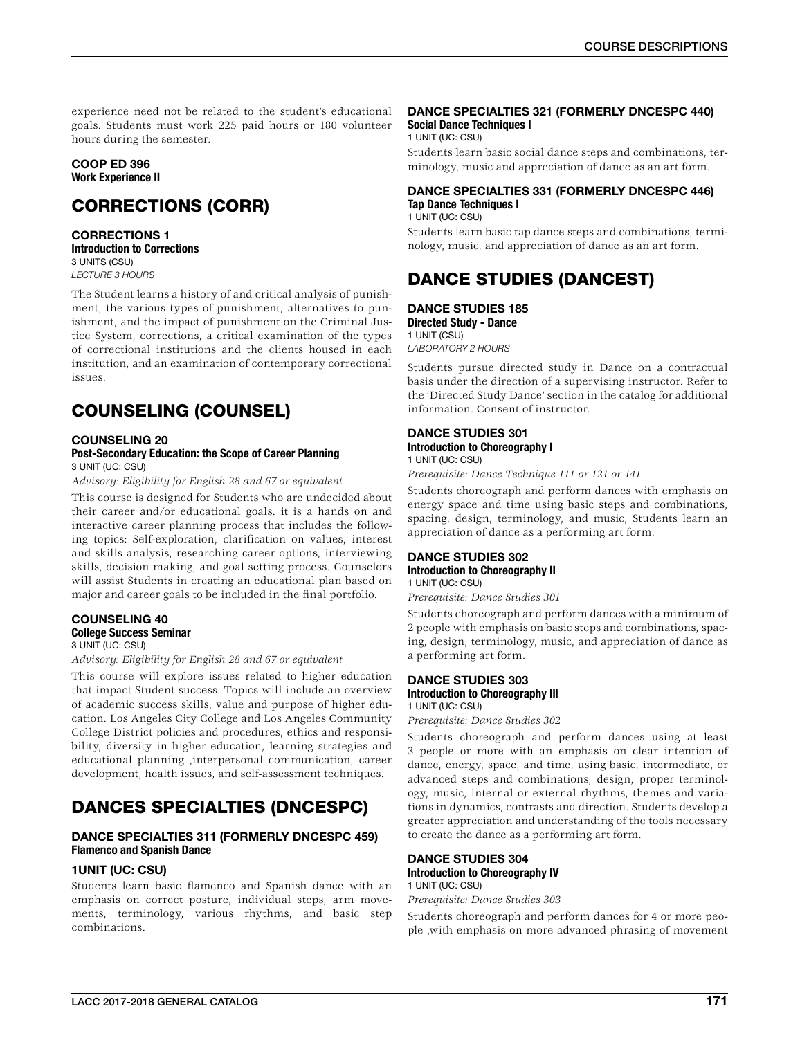experience need not be related to the student's educational goals. Students must work 225 paid hours or 180 volunteer hours during the semester.

### COOP ED 396 Work Experience II

## CORRECTIONS (CORR)

CORRECTIONS 1 Introduction to Corrections 3 UNITS (CSU) *LECTURE 3 HOURS*

The Student learns a history of and critical analysis of punishment, the various types of punishment, alternatives to punishment, and the impact of punishment on the Criminal Justice System, corrections, a critical examination of the types of correctional institutions and the clients housed in each institution, and an examination of contemporary correctional issues.

## COUNSELING (COUNSEL)

### COUNSELING 20

#### Post-Secondary Education: the Scope of Career Planning 3 UNIT (UC: CSU)

*Advisory: Eligibility for English 28 and 67 or equivalent*

This course is designed for Students who are undecided about their career and/or educational goals. it is a hands on and interactive career planning process that includes the following topics: Self-exploration, clarification on values, interest and skills analysis, researching career options, interviewing skills, decision making, and goal setting process. Counselors will assist Students in creating an educational plan based on major and career goals to be included in the final portfolio.

### COUNSELING 40 College Success Seminar

3 UNIT (UC: CSU)

*Advisory: Eligibility for English 28 and 67 or equivalent*

This course will explore issues related to higher education that impact Student success. Topics will include an overview of academic success skills, value and purpose of higher education. Los Angeles City College and Los Angeles Community College District policies and procedures, ethics and responsibility, diversity in higher education, learning strategies and educational planning ,interpersonal communication, career development, health issues, and self-assessment techniques.

## DANCES SPECIALTIES (DNCESPC)

### DANCE SPECIALTIES 311 (FORMERLY DNCESPC 459) Flamenco and Spanish Dance

### 1UNIT (UC: CSU)

Students learn basic flamenco and Spanish dance with an emphasis on correct posture, individual steps, arm movements, terminology, various rhythms, and basic step combinations.

### DANCE SPECIALTIES 321 (FORMERLY DNCESPC 440) Social Dance Techniques I

1 UNIT (UC: CSU)

Students learn basic social dance steps and combinations, terminology, music and appreciation of dance as an art form.

### DANCE SPECIALTIES 331 (FORMERLY DNCESPC 446) Tap Dance Techniques I

1 UNIT (UC: CSU)

Students learn basic tap dance steps and combinations, terminology, music, and appreciation of dance as an art form.

## DANCE STUDIES (DANCEST)

### DANCE STUDIES 185

Directed Study - Dance 1 UNIT (CSU) *LABORATORY 2 HOURS*

Students pursue directed study in Dance on a contractual basis under the direction of a supervising instructor. Refer to the 'Directed Study Dance' section in the catalog for additional information. Consent of instructor.

### DANCE STUDIES 301 Introduction to Choreography I 1 UNIT (UC: CSU)

*Prerequisite: Dance Technique 111 or 121 or 141*

Students choreograph and perform dances with emphasis on energy space and time using basic steps and combinations, spacing, design, terminology, and music, Students learn an appreciation of dance as a performing art form.

#### DANCE STUDIES 302 Introduction to Choreography II 1 UNIT (UC: CSU)

*Prerequisite: Dance Studies 301*

Students choreograph and perform dances with a minimum of 2 people with emphasis on basic steps and combinations, spacing, design, terminology, music, and appreciation of dance as a performing art form.

### DANCE STUDIES 303 Introduction to Choreography Ill 1 UNIT (UC: CSU)

*Prerequisite: Dance Studies 302*

Students choreograph and perform dances using at least 3 people or more with an emphasis on clear intention of dance, energy, space, and time, using basic, intermediate, or advanced steps and combinations, design, proper terminology, music, internal or external rhythms, themes and variations in dynamics, contrasts and direction. Students develop a greater appreciation and understanding of the tools necessary to create the dance as a performing art form.

### DANCE STUDIES 304 Introduction to Choreography IV 1 UNIT (UC: CSU)

*Prerequisite: Dance Studies 303*

Students choreograph and perform dances for 4 or more people ,with emphasis on more advanced phrasing of movement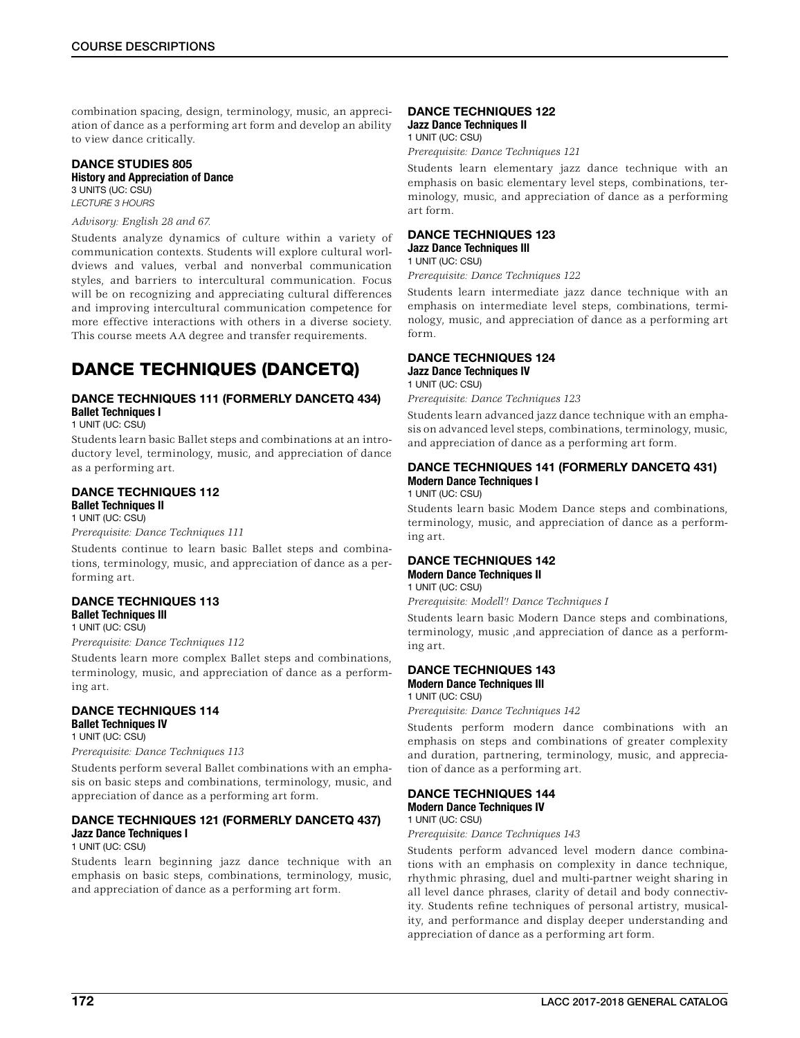combination spacing, design, terminology, music, an appreciation of dance as a performing art form and develop an ability to view dance critically.

#### DANCE STUDIES 805 History and Appreciation of Dance 3 UNITS (UC: CSU)

*LECTURE 3 HOURS*

### *Advisory: English 28 and 67.*

Students analyze dynamics of culture within a variety of communication contexts. Students will explore cultural worldviews and values, verbal and nonverbal communication styles, and barriers to intercultural communication. Focus will be on recognizing and appreciating cultural differences and improving intercultural communication competence for more effective interactions with others in a diverse society. This course meets AA degree and transfer requirements.

## DANCE TECHNIQUES (DANCETQ)

### DANCE TECHNIQUES 111 (FORMERLY DANCETQ 434) Ballet Techniques I

1 UNIT (UC: CSU)

Students learn basic Ballet steps and combinations at an introductory level, terminology, music, and appreciation of dance as a performing art.

### DANCE TECHNIQUES 112

Ballet Techniques II 1 UNIT (UC: CSU)

*Prerequisite: Dance Techniques 111*

Students continue to learn basic Ballet steps and combinations, terminology, music, and appreciation of dance as a performing art.

#### DANCE TECHNIQUES 113 Ballet Techniques Ill

1 UNIT (UC: CSU)

*Prerequisite: Dance Techniques 112*

Students learn more complex Ballet steps and combinations, terminology, music, and appreciation of dance as a performing art.

### DANCE TECHNIQUES 114 Ballet Techniques IV 1 UNIT (UC: CSU)

*Prerequisite: Dance Techniques 113*

Students perform several Ballet combinations with an emphasis on basic steps and combinations, terminology, music, and appreciation of dance as a performing art form.

### DANCE TECHNIQUES 121 (FORMERLY DANCETQ 437) Jazz Dance Techniques I

### 1 UNIT (UC: CSU)

Students learn beginning jazz dance technique with an emphasis on basic steps, combinations, terminology, music, and appreciation of dance as a performing art form.

### DANCE TECHNIQUES 122 Jazz Dance Techniques II

1 UNIT (UC: CSU)

*Prerequisite: Dance Techniques 121*

Students learn elementary jazz dance technique with an emphasis on basic elementary level steps, combinations, terminology, music, and appreciation of dance as a performing art form.

#### DANCE TECHNIQUES 123 Jazz Dance Techniques Ill 1 UNIT (UC: CSU)

*Prerequisite: Dance Techniques 122*

Students learn intermediate jazz dance technique with an emphasis on intermediate level steps, combinations, terminology, music, and appreciation of dance as a performing art form.

### DANCE TECHNIQUES 124

**Jazz Dance Techniques IV** 

1 UNIT (UC: CSU)

*Prerequisite: Dance Techniques 123*

Students learn advanced jazz dance technique with an emphasis on advanced level steps, combinations, terminology, music, and appreciation of dance as a performing art form.

### DANCE TECHNIQUES 141 (FORMERLY DANCETQ 431) Modern Dance Techniques I

1 UNIT (UC: CSU)

Students learn basic Modem Dance steps and combinations, terminology, music, and appreciation of dance as a performing art.

#### DANCE TECHNIQUES 142 Modern Dance Techniques II 1 UNIT (UC: CSU)

*Prerequisite: Modell'! Dance Techniques I*

Students learn basic Modern Dance steps and combinations, terminology, music ,and appreciation of dance as a performing art.

#### DANCE TECHNIQUES 143 Modern Dance Techniques Ill 1 UNIT (UC: CSU)

*Prerequisite: Dance Techniques 142*

Students perform modern dance combinations with an emphasis on steps and combinations of greater complexity and duration, partnering, terminology, music, and appreciation of dance as a performing art.

### DANCE TECHNIQUES 144 Modern Dance Techniques IV

## 1 UNIT (UC: CSU)

*Prerequisite: Dance Techniques 143*

Students perform advanced level modern dance combinations with an emphasis on complexity in dance technique, rhythmic phrasing, duel and multi-partner weight sharing in all level dance phrases, clarity of detail and body connectivity. Students refine techniques of personal artistry, musicality, and performance and display deeper understanding and appreciation of dance as a performing art form.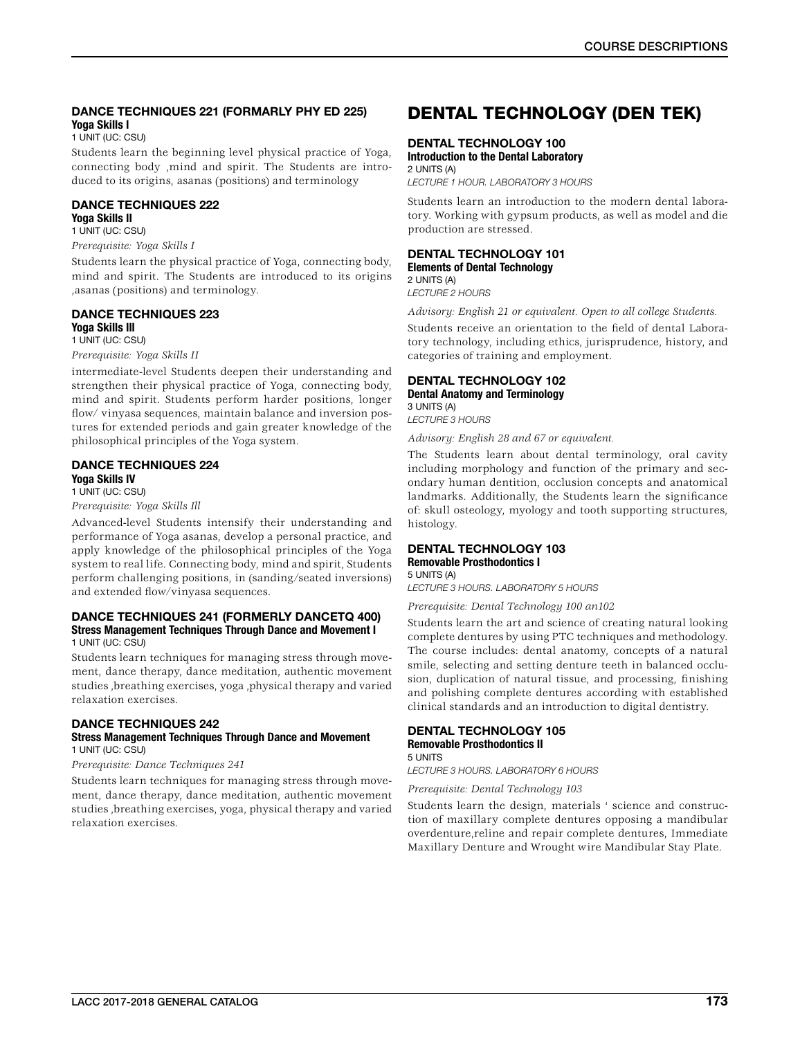### DANCE TECHNIQUES 221 (FORMARLY PHY ED 225) Yoga Skills I

1 UNIT (UC: CSU)

Students learn the beginning level physical practice of Yoga, connecting body ,mind and spirit. The Students are introduced to its origins, asanas (positions) and terminology

### DANCE TECHNIQUES 222 Yoga Skills II

### 1 UNIT (UC: CSU) *Prerequisite: Yoga Skills I*

Students learn the physical practice of Yoga, connecting body, mind and spirit. The Students are introduced to its origins ,asanas (positions) and terminology.

## DANCE TECHNIQUES 223

Yoga Skills Ill 1 UNIT (UC: CSU)

### *Prerequisite: Yoga Skills II*

intermediate-level Students deepen their understanding and strengthen their physical practice of Yoga, connecting body, mind and spirit. Students perform harder positions, longer flow/ vinyasa sequences, maintain balance and inversion postures for extended periods and gain greater knowledge of the philosophical principles of the Yoga system.

### DANCE TECHNIQUES 224 Yoga Skills IV 1 UNIT (UC: CSU)

*Prerequisite: Yoga Skills Ill*

Advanced-level Students intensify their understanding and performance of Yoga asanas, develop a personal practice, and apply knowledge of the philosophical principles of the Yoga system to real life. Connecting body, mind and spirit, Students perform challenging positions, in (sanding/seated inversions) and extended flow/vinyasa sequences.

#### DANCE TECHNIQUES 241 (FORMERLY DANCETQ 400) Stress Management Techniques Through Dance and Movement I 1 UNIT (UC: CSU)

Students learn techniques for managing stress through movement, dance therapy, dance meditation, authentic movement studies ,breathing exercises, yoga ,physical therapy and varied relaxation exercises.

### DANCE TECHNIQUES 242

### Stress Management Techniques Through Dance and Movement 1 UNIT (UC: CSU)

*Prerequisite: Dance Techniques 241*

Students learn techniques for managing stress through movement, dance therapy, dance meditation, authentic movement studies ,breathing exercises, yoga, physical therapy and varied relaxation exercises.

## DENTAL TECHNOLOGY (DEN TEK)

### DENTAL TECHNOLOGY 100

Introduction to the Dental Laboratory 2 UNITS (A)

*LECTURE 1 HOUR. LABORATORY 3 HOURS*

Students learn an introduction to the modern dental laboratory. Working with gypsum products, as well as model and die production are stressed.

#### DENTAL TECHNOLOGY 101 Elements of Dental Technology 2 UNITS (A)

*LECTURE 2 HOURS*

*Advisory: English 21 or equivalent. Open to all college Students.*

Students receive an orientation to the field of dental Laboratory technology, including ethics, jurisprudence, history, and categories of training and employment.

### DENTAL TECHNOLOGY 102 Dental Anatomy and Terminology 3 UNITS (A)

*LECTURE 3 HOURS*

*Advisory: English 28 and 67 or equivalent.*

The Students learn about dental terminology, oral cavity including morphology and function of the primary and secondary human dentition, occlusion concepts and anatomical landmarks. Additionally, the Students learn the significance of: skull osteology, myology and tooth supporting structures, histology.

### DENTAL TECHNOLOGY 103 Removable Prosthodontics I

5 UNITS (A)

*LECTURE 3 HOURS. LABORATORY 5 HOURS*

*Prerequisite: Dental Technology 100 an102*

Students learn the art and science of creating natural looking complete dentures by using PTC techniques and methodology. The course includes: dental anatomy, concepts of a natural smile, selecting and setting denture teeth in balanced occlusion, duplication of natural tissue, and processing, finishing and polishing complete dentures according with established clinical standards and an introduction to digital dentistry.

#### DENTAL TECHNOLOGY 105 Removable Prosthodontics II 5 UNITS

*LECTURE 3 HOURS. LABORATORY 6 HOURS*

*Prerequisite: Dental Technology 103*

Students learn the design, materials ' science and construction of maxillary complete dentures opposing a mandibular overdenture,reline and repair complete dentures, Immediate Maxillary Denture and Wrought wire Mandibular Stay Plate.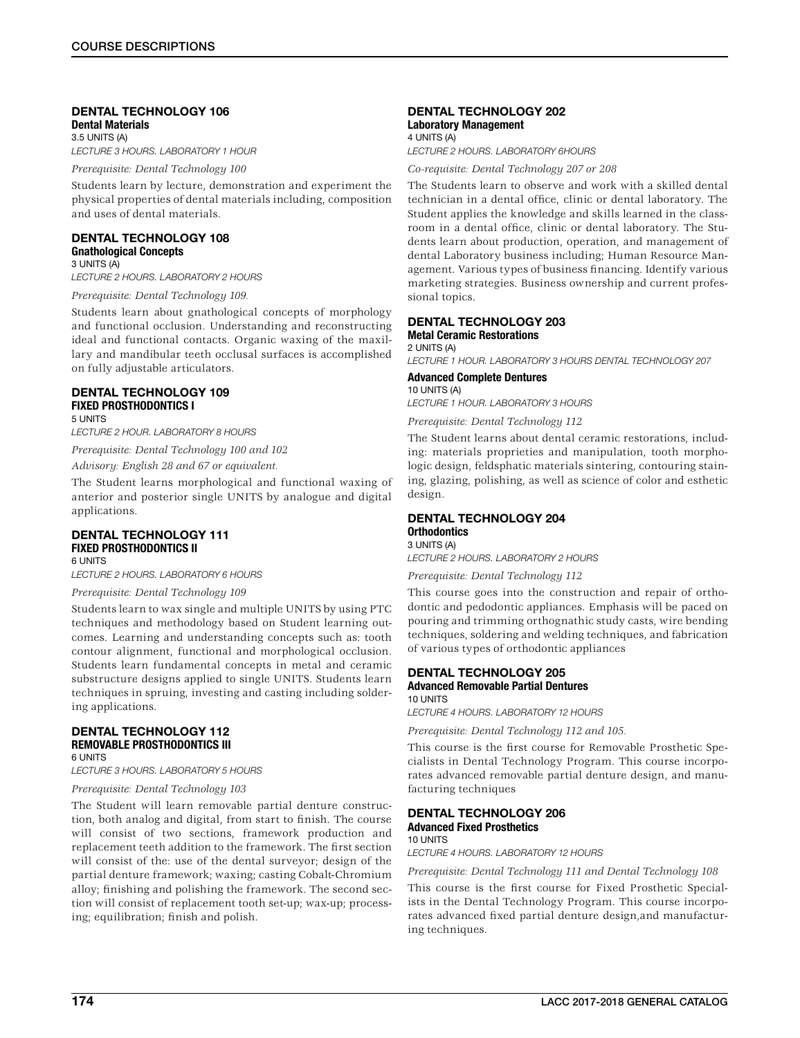#### DENTAL TECHNOLOGY 106 Dental Materials 3.5 UNITS (A)

*LECTURE 3 HOURS. LABORATORY 1 HOUR*

*Prerequisite: Dental Technology 100*

Students learn by lecture, demonstration and experiment the physical properties of dental materials including, composition and uses of dental materials.

#### DENTAL TECHNOLOGY 108 Gnathological Concepts 3 UNITS (A)

*LECTURE 2 HOURS. LABORATORY 2 HOURS*

*Prerequisite: Dental Technology 109.*

Students learn about gnathological concepts of morphology and functional occlusion. Understanding and reconstructing ideal and functional contacts. Organic waxing of the maxillary and mandibular teeth occlusal surfaces is accomplished on fully adjustable articulators.

#### DENTAL TECHNOLOGY 109 FIXED PROSTHODONTICS I 5 UNITS

*LECTURE 2 HOUR. LABORATORY 8 HOURS*

*Prerequisite: Dental Technology 100 and 102*

*Advisory: English 28 and 67 or equivalent.*

The Student learns morphological and functional waxing of anterior and posterior single UNITS by analogue and digital applications.

#### DENTAL TECHNOLOGY 111 FIXED PROSTHODONTICS II 6 UNITS

*LECTURE 2 HOURS. LABORATORY 6 HOURS*

### *Prerequisite: Dental Technology 109*

Students learn to wax single and multiple UNITS by using PTC techniques and methodology based on Student learning outcomes. Learning and understanding concepts such as: tooth contour alignment, functional and morphological occlusion. Students learn fundamental concepts in metal and ceramic substructure designs applied to single UNITS. Students learn techniques in spruing, investing and casting including soldering applications.

#### DENTAL TECHNOLOGY 112 REMOVABLE PROSTHODONTICS III 6 UNITS

*LECTURE 3 HOURS. LABORATORY 5 HOURS*

### *Prerequisite: Dental Technology 103*

The Student will learn removable partial denture construction, both analog and digital, from start to finish. The course will consist of two sections, framework production and replacement teeth addition to the framework. The first section will consist of the: use of the dental surveyor; design of the partial denture framework; waxing; casting Cobalt-Chromium alloy; finishing and polishing the framework. The second section will consist of replacement tooth set-up; wax-up; processing; equilibration; finish and polish.

### DENTAL TECHNOLOGY 202 Laboratory Management

4 UNITS (A) *LECTURE 2 HOURS. LABORATORY 6HOURS*

*Co-requisite: Dental Technology 207 or 208*

The Students learn to observe and work with a skilled dental technician in a dental office, clinic or dental laboratory. The Student applies the knowledge and skills learned in the classroom in a dental office, clinic or dental laboratory. The Students learn about production, operation, and management of dental Laboratory business including; Human Resource Management. Various types of business financing. Identify various marketing strategies. Business ownership and current professional topics.

#### DENTAL TECHNOLOGY 203 Metal Ceramic Restorations 2 UNITS (A)

*LECTURE 1 HOUR. LABORATORY 3 HOURS DENTAL TECHNOLOGY 207*

#### Advanced Complete Dentures 10 UNITS (A)

*LECTURE 1 HOUR. LABORATORY 3 HOURS*

*Prerequisite: Dental Technology 112*

The Student learns about dental ceramic restorations, including: materials proprieties and manipulation, tooth morphologic design, feldsphatic materials sintering, contouring staining, glazing, polishing, as well as science of color and esthetic design.

#### DENTAL TECHNOLOGY 204 **Orthodontics** 3 UNITS (A)

*LECTURE 2 HOURS. LABORATORY 2 HOURS*

*Prerequisite: Dental Technology 112*

This course goes into the construction and repair of orthodontic and pedodontic appliances. Emphasis will be paced on pouring and trimming orthognathic study casts, wire bending techniques, soldering and welding techniques, and fabrication of various types of orthodontic appliances

#### DENTAL TECHNOLOGY 205 Advanced Removable Partial Dentures 10 UNITS

*LECTURE 4 HOURS. LABORATORY 12 HOURS*

*Prerequisite: Dental Technology 112 and 105.*

This course is the first course for Removable Prosthetic Specialists in Dental Technology Program. This course incorporates advanced removable partial denture design, and manufacturing techniques

#### DENTAL TECHNOLOGY 206 Advanced Fixed Prosthetics 10 UNITS

*LECTURE 4 HOURS. LABORATORY 12 HOURS*

*Prerequisite: Dental Technology 111 and Dental Technology 108*

This course is the first course for Fixed Prosthetic Specialists in the Dental Technology Program. This course incorporates advanced fixed partial denture design,and manufacturing techniques.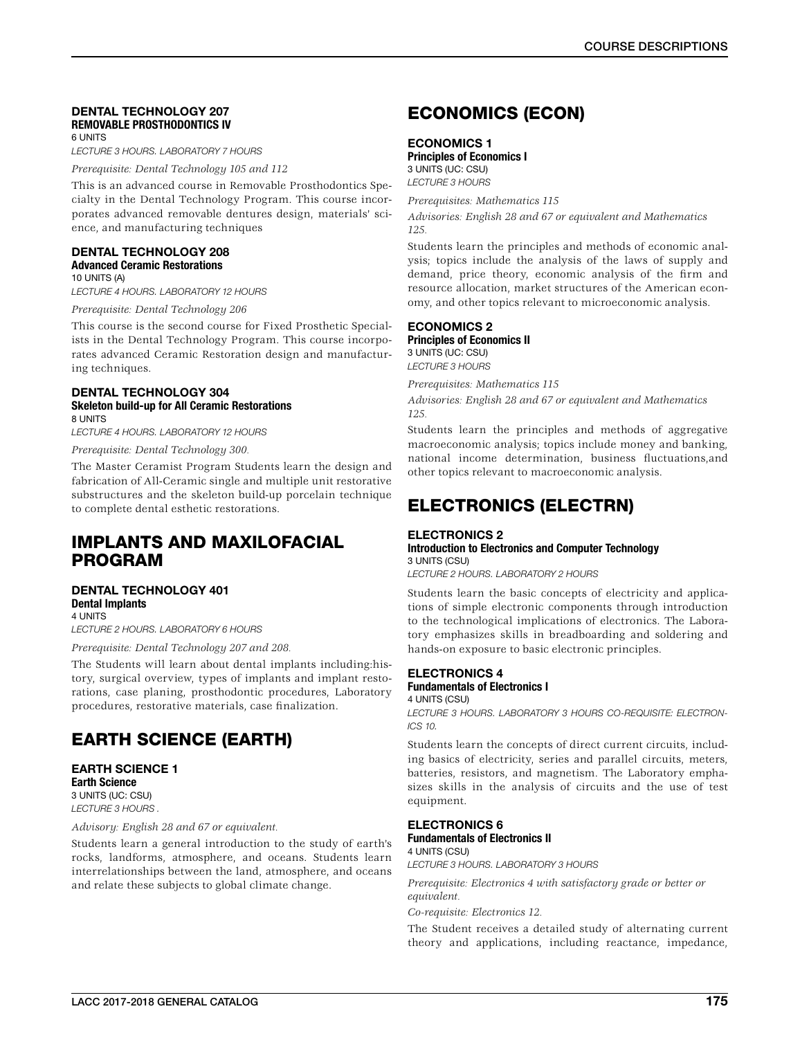### DENTAL TECHNOLOGY 207 REMOVABLE PROSTHODONTICS IV 6 UNITS

*LECTURE 3 HOURS. LABORATORY 7 HOURS* 

*Prerequisite: Dental Technology 105 and 112*

This is an advanced course in Removable Prosthodontics Specialty in the Dental Technology Program. This course incorporates advanced removable dentures design, materials' science, and manufacturing techniques

### DENTAL TECHNOLOGY 208 Advanced Ceramic Restorations

10 UNITS (A) *LECTURE 4 HOURS. LABORATORY 12 HOURS*

*Prerequisite: Dental Technology 206*

This course is the second course for Fixed Prosthetic Specialists in the Dental Technology Program. This course incorporates advanced Ceramic Restoration design and manufacturing techniques.

### DENTAL TECHNOLOGY 304 Skeleton build-up for All Ceramic Restorations 8 UNITS

*LECTURE 4 HOURS. LABORATORY 12 HOURS*

*Prerequisite: Dental Technology 300.*

The Master Ceramist Program Students learn the design and fabrication of All-Ceramic single and multiple unit restorative substructures and the skeleton build-up porcelain technique to complete dental esthetic restorations.

## IMPLANTS AND MAXILOFACIAL PROGRAM

#### DENTAL TECHNOLOGY 401 Dental Implants 4 UNITS

*LECTURE 2 HOURS. LABORATORY 6 HOURS*

*Prerequisite: Dental Technology 207 and 208.*

The Students will learn about dental implants including:history, surgical overview, types of implants and implant restorations, case planing, prosthodontic procedures, Laboratory procedures, restorative materials, case finalization.

## EARTH SCIENCE (EARTH)

EARTH SCIENCE 1 Earth Science 3 UNITS (UC: CSU) *LECTURE 3 HOURS .*

*Advisory: English 28 and 67 or equivalent.*

Students learn a general introduction to the study of earth's rocks, landforms, atmosphere, and oceans. Students learn interrelationships between the land, atmosphere, and oceans and relate these subjects to global climate change.

## ECONOMICS (ECON)

### ECONOMICS 1

Principles of Economics I 3 UNITS (UC: CSU) *LECTURE 3 HOURS*

*Prerequisites: Mathematics 115 Advisories: English 28 and 67 or equivalent and Mathematics 125.*

Students learn the principles and methods of economic analysis; topics include the analysis of the laws of supply and demand, price theory, economic analysis of the firm and resource allocation, market structures of the American economy, and other topics relevant to microeconomic analysis.

### ECONOMICS 2

Principles of Economics II 3 UNITS (UC: CSU) *LECTURE 3 HOURS*

*Prerequisites: Mathematics 115*

*Advisories: English 28 and 67 or equivalent and Mathematics 125.*

Students learn the principles and methods of aggregative macroeconomic analysis; topics include money and banking, national income determination, business fluctuations,and other topics relevant to macroeconomic analysis.

## ELECTRONICS (ELECTRN)

#### ELECTRONICS 2 Introduction to Electronics and Computer Technology 3 UNITS (CSU)

*LECTURE 2 HOURS. LABORATORY 2 HOURS*

Students learn the basic concepts of electricity and applications of simple electronic components through introduction to the technological implications of electronics. The Laboratory emphasizes skills in breadboarding and soldering and hands-on exposure to basic electronic principles.

### ELECTRONICS 4 Fundamentals of Electronics I 4 UNITS (CSU)

*LECTURE 3 HOURS. LABORATORY 3 HOURS CO-REQUISITE: ELECTRON-ICS 10.*

Students learn the concepts of direct current circuits, including basics of electricity, series and parallel circuits, meters, batteries, resistors, and magnetism. The Laboratory emphasizes skills in the analysis of circuits and the use of test equipment.

### ELECTRONICS 6 Fundamentals of Electronics II

4 UNITS (CSU)

*LECTURE 3 HOURS. LABORATORY 3 HOURS*

*Prerequisite: Electronics 4 with satisfactory grade or better or equivalent.*

*Co-requisite: Electronics 12.*

The Student receives a detailed study of alternating current theory and applications, including reactance, impedance,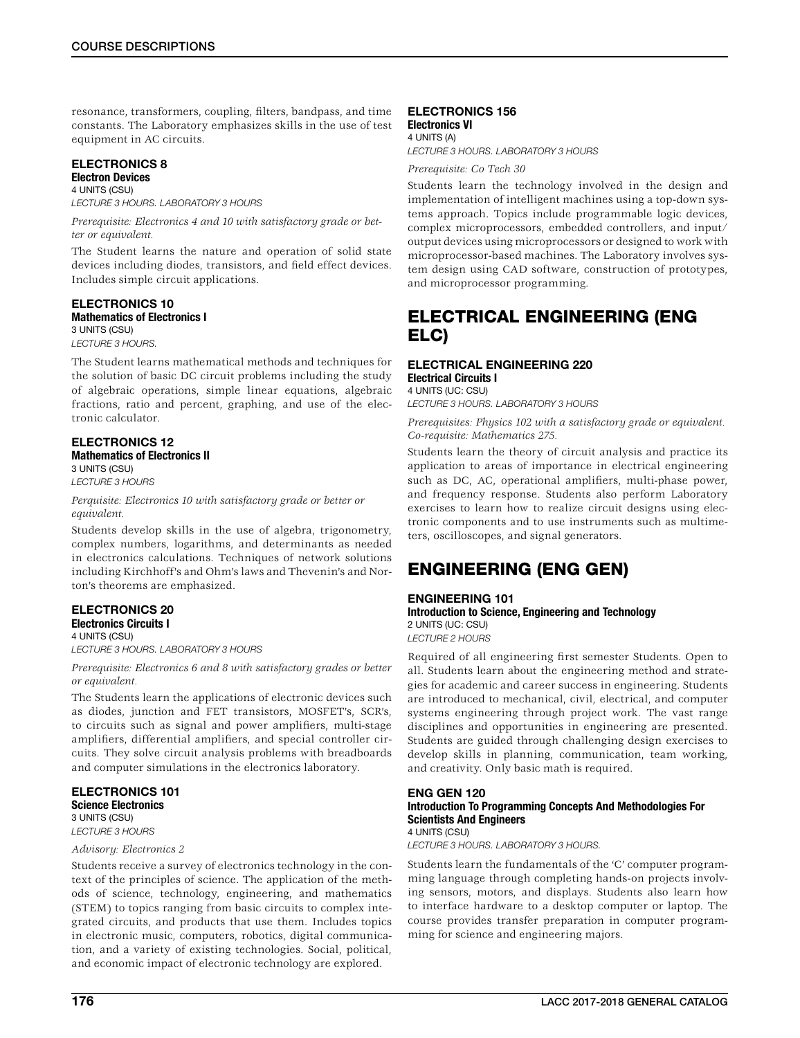resonance, transformers, coupling, filters, bandpass, and time constants. The Laboratory emphasizes skills in the use of test equipment in AC circuits.

#### ELECTRONICS 8 Electron Devices

4 UNITS (CSU) *LECTURE 3 HOURS. LABORATORY 3 HOURS*

*Prerequisite: Electronics 4 and 10 with satisfactory grade or better or equivalent.*

The Student learns the nature and operation of solid state devices including diodes, transistors, and field effect devices. Includes simple circuit applications.

#### ELECTRONICS 10 Mathematics of Electronics I 3 UNITS (CSU)

*LECTURE 3 HOURS.*

The Student learns mathematical methods and techniques for the solution of basic DC circuit problems including the study of algebraic operations, simple linear equations, algebraic fractions, ratio and percent, graphing, and use of the electronic calculator.

#### ELECTRONICS 12 Mathematics of Electronics II 3 UNITS (CSU)

*LECTURE 3 HOURS*

*Perquisite: Electronics 10 with satisfactory grade or better or equivalent.*

Students develop skills in the use of algebra, trigonometry, complex numbers, logarithms, and determinants as needed in electronics calculations. Techniques of network solutions including Kirchhoff's and Ohm's laws and Thevenin's and Norton's theorems are emphasized.

### ELECTRONICS 20 Electronics Circuits I 4 UNITS (CSU)

*LECTURE 3 HOURS. LABORATORY 3 HOURS*

*Prerequisite: Electronics 6 and 8 with satisfactory grades or better or equivalent.*

The Students learn the applications of electronic devices such as diodes, junction and FET transistors, MOSFET's, SCR's, to circuits such as signal and power amplifiers, multi-stage amplifiers, differential amplifiers, and special controller circuits. They solve circuit analysis problems with breadboards and computer simulations in the electronics laboratory.

### ELECTRONICS 101 Science Electronics 3 UNITS (CSU)

*LECTURE 3 HOURS*

### *Advisory: Electronics 2*

Students receive a survey of electronics technology in the context of the principles of science. The application of the methods of science, technology, engineering, and mathematics (STEM) to topics ranging from basic circuits to complex integrated circuits, and products that use them. Includes topics in electronic music, computers, robotics, digital communication, and a variety of existing technologies. Social, political, and economic impact of electronic technology are explored.

### ELECTRONICS 156 Electronics VI

4 UNITS (A)

*LECTURE 3 HOURS. LABORATORY 3 HOURS*

*Prerequisite: Co Tech 30*

Students learn the technology involved in the design and implementation of intelligent machines using a top-down systems approach. Topics include programmable logic devices, complex microprocessors, embedded controllers, and input/ output devices using microprocessors or designed to work with microprocessor-based machines. The Laboratory involves system design using CAD software, construction of prototypes, and microprocessor programming.

## ELECTRICAL ENGINEERING (ENG ELC)

### ELECTRICAL ENGINEERING 220 Electrical Circuits I 4 UNITS (UC: CSU)

*LECTURE 3 HOURS. LABORATORY 3 HOURS*

*Prerequisites: Physics 102 with a satisfactory grade or equivalent. Co-requisite: Mathematics 275.*

Students learn the theory of circuit analysis and practice its application to areas of importance in electrical engineering such as DC, AC, operational amplifiers, multi-phase power, and frequency response. Students also perform Laboratory exercises to learn how to realize circuit designs using electronic components and to use instruments such as multimeters, oscilloscopes, and signal generators.

## ENGINEERING (ENG GEN)

### ENGINEERING 101

Introduction to Science, Engineering and Technology 2 UNITS (UC: CSU) *LECTURE 2 HOURS*

Required of all engineering first semester Students. Open to all. Students learn about the engineering method and strategies for academic and career success in engineering. Students are introduced to mechanical, civil, electrical, and computer systems engineering through project work. The vast range disciplines and opportunities in engineering are presented. Students are guided through challenging design exercises to develop skills in planning, communication, team working, and creativity. Only basic math is required.

### ENG GEN 120 Introduction To Programming Concepts And Methodologies For Scientists And Engineers 4 UNITS (CSU)

*LECTURE 3 HOURS. LABORATORY 3 HOURS.*

Students learn the fundamentals of the 'C' computer programming language through completing hands-on projects involving sensors, motors, and displays. Students also learn how to interface hardware to a desktop computer or laptop. The course provides transfer preparation in computer programming for science and engineering majors.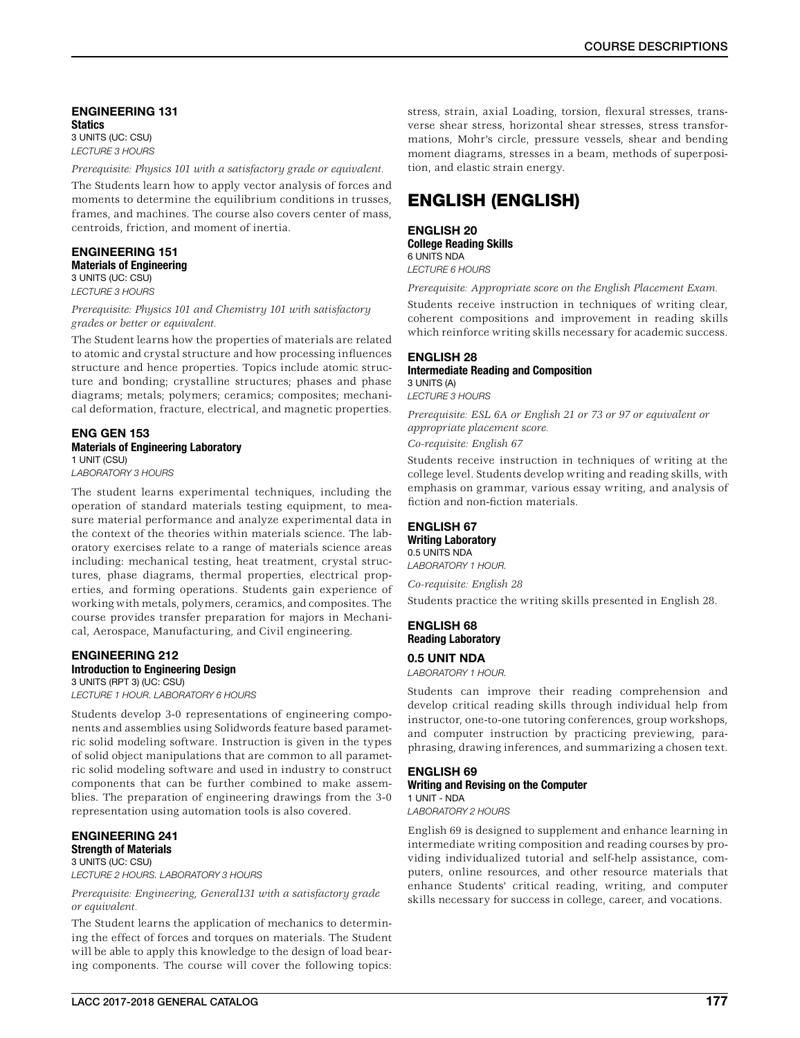### ENGINEERING 131 **Statics** 3 UNITS (UC: CSU)

*LECTURE 3 HOURS*

*Prerequisite: Physics 101 with a satisfactory grade or equivalent.*

The Students learn how to apply vector analysis of forces and moments to determine the equilibrium conditions in trusses, frames, and machines. The course also covers center of mass, centroids, friction, and moment of inertia.

#### ENGINEERING 151 Materials of Engineering 3 UNITS (UC: CSU)

*LECTURE 3 HOURS*

*Prerequisite: Physics 101 and Chemistry 101 with satisfactory grades or better or equivalent.*

The Student learns how the properties of materials are related to atomic and crystal structure and how processing influences structure and hence properties. Topics include atomic structure and bonding; crystalline structures; phases and phase diagrams; metals; polymers; ceramics; composites; mechanical deformation, fracture, electrical, and magnetic properties.

### ENG GEN 153 Materials of Engineering Laboratory 1 UNIT (CSU)

*LABORATORY 3 HOURS*

The student learns experimental techniques, including the operation of standard materials testing equipment, to measure material performance and analyze experimental data in the context of the theories within materials science. The laboratory exercises relate to a range of materials science areas including: mechanical testing, heat treatment, crystal structures, phase diagrams, thermal properties, electrical properties, and forming operations. Students gain experience of working with metals, polymers, ceramics, and composites. The course provides transfer preparation for majors in Mechanical, Aerospace, Manufacturing, and Civil engineering.

### ENGINEERING 212 Introduction to Engineering Design

3 UNITS (RPT 3) (UC: CSU) *LECTURE 1 HOUR. LABORATORY 6 HOURS*

Students develop 3-0 representations of engineering components and assemblies using Solidwords feature based parametric solid modeling software. Instruction is given in the types of solid object manipulations that are common to all parametric solid modeling software and used in industry to construct components that can be further combined to make assemblies. The preparation of engineering drawings from the 3-0 representation using automation tools is also covered.

### ENGINEERING 241 Strength of Materials 3 UNITS (UC: CSU) *LECTURE 2 HOURS. LABORATORY 3 HOURS*

*Prerequisite: Engineering, General131 with a satisfactory grade or equivalent.*

The Student learns the application of mechanics to determining the effect of forces and torques on materials. The Student will be able to apply this knowledge to the design of load bearing components. The course will cover the following topics:

stress, strain, axial Loading, torsion, flexural stresses, transverse shear stress, horizontal shear stresses, stress transformations, Mohr's circle, pressure vessels, shear and bending moment diagrams, stresses in a beam, methods of superposition, and elastic strain energy.

## ENGLISH (ENGLISH)

ENGLISH 20 College Reading Skills 6 UNITS NDA *LECTURE 6 HOURS*

*Prerequisite: Appropriate score on the English Placement Exam.*

Students receive instruction in techniques of writing clear, coherent compositions and improvement in reading skills which reinforce writing skills necessary for academic success.

### ENGLISH 28

#### Intermediate Reading and Composition 3 UNITS (A)

*LECTURE 3 HOURS*

*Prerequisite: ESL 6A or English 21 or 73 or 97 or equivalent or appropriate placement score.*

*Co-requisite: English 67*

Students receive instruction in techniques of writing at the college level. Students develop writing and reading skills, with emphasis on grammar, various essay writing, and analysis of fiction and non-fiction materials.

### ENGLISH 67

Writing Laboratory 0.5 UNITS NDA

*LABORATORY 1 HOUR.*

*Co-requisite: English 28*

Students practice the writing skills presented in English 28.

### ENGLISH 68 Reading Laboratory

### 0.5 UNIT NDA

*LABORATORY 1 HOUR.*

Students can improve their reading comprehension and develop critical reading skills through individual help from instructor, one-to-one tutoring conferences, group workshops, and computer instruction by practicing previewing, paraphrasing, drawing inferences, and summarizing a chosen text.

### ENGLISH 69 Writing and Revising on the Computer 1 UNIT - NDA *LABORATORY 2 HOURS*

English 69 is designed to supplement and enhance learning in intermediate writing composition and reading courses by providing individualized tutorial and self-help assistance, computers, online resources, and other resource materials that enhance Students' critical reading, writing, and computer skills necessary for success in college, career, and vocations.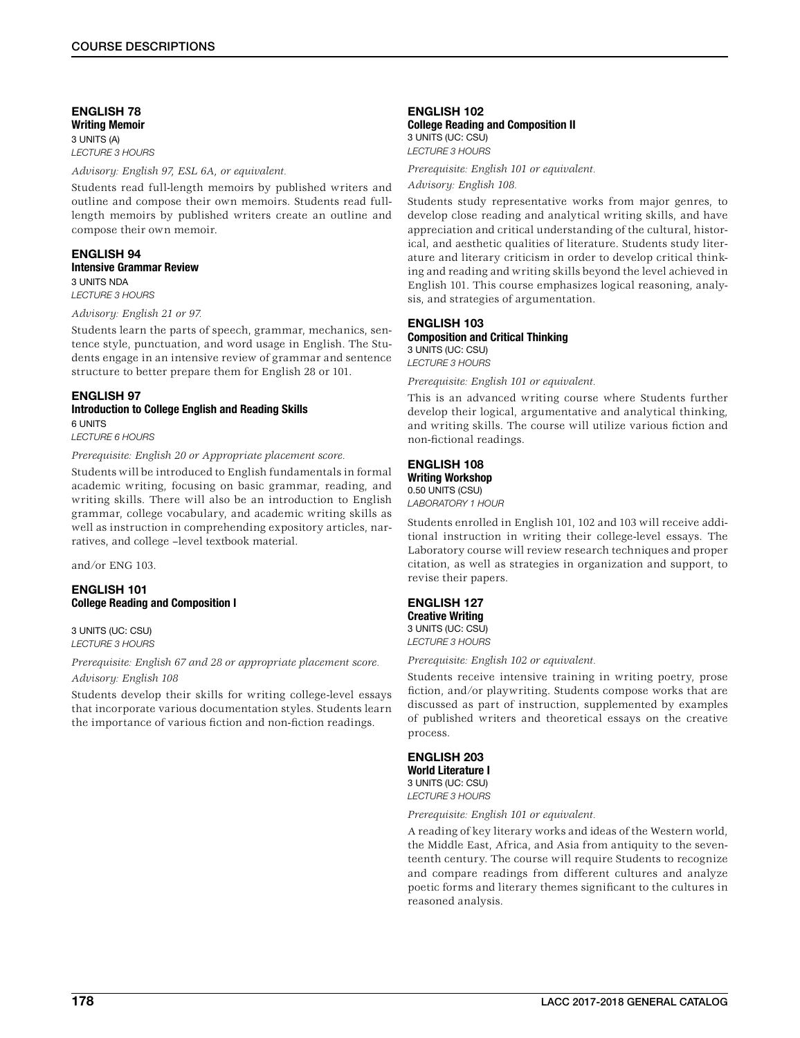# ENGLISH 78 Writing Memoir 3 UNITS (A)

*LECTURE 3 HOURS*

*Advisory: English 97, ESL 6A, or equivalent.*

Students read full-length memoirs by published writers and outline and compose their own memoirs. Students read fulllength memoirs by published writers create an outline and compose their own memoir.

### ENGLISH 94 Intensive Grammar Review 3 UNITS NDA *LECTURE 3 HOURS*

### *Advisory: English 21 or 97.*

Students learn the parts of speech, grammar, mechanics, sentence style, punctuation, and word usage in English. The Students engage in an intensive review of grammar and sentence structure to better prepare them for English 28 or 101.

### ENGLISH 97 Introduction to College English and Reading Skills 6 UNITS

*LECTURE 6 HOURS*

*Prerequisite: English 20 or Appropriate placement score.*

Students will be introduced to English fundamentals in formal academic writing, focusing on basic grammar, reading, and writing skills. There will also be an introduction to English grammar, college vocabulary, and academic writing skills as well as instruction in comprehending expository articles, narratives, and college –level textbook material.

and/or ENG 103.

### ENGLISH 101 College Reading and Composition I

3 UNITS (UC: CSU) *LECTURE 3 HOURS*

### *Prerequisite: English 67 and 28 or appropriate placement score. Advisory: English 108*

Students develop their skills for writing college-level essays that incorporate various documentation styles. Students learn the importance of various fiction and non-fiction readings.

### ENGLISH 102 College Reading and Composition II 3 UNITS (UC: CSU)

*LECTURE 3 HOURS*

*Prerequisite: English 101 or equivalent.*

# *Advisory: English 108.*

Students study representative works from major genres, to develop close reading and analytical writing skills, and have appreciation and critical understanding of the cultural, historical, and aesthetic qualities of literature. Students study literature and literary criticism in order to develop critical thinking and reading and writing skills beyond the level achieved in English 101. This course emphasizes logical reasoning, analysis, and strategies of argumentation.

### ENGLISH 103 Composition and Critical Thinking 3 UNITS (UC: CSU)

*LECTURE 3 HOURS*

*Prerequisite: English 101 or equivalent.*

This is an advanced writing course where Students further develop their logical, argumentative and analytical thinking, and writing skills. The course will utilize various fiction and non-fictional readings.

### ENGLISH 108 Writing Workshop 0.50 UNITS (CSU)

*LABORATORY 1 HOUR*

Students enrolled in English 101, 102 and 103 will receive additional instruction in writing their college-level essays. The Laboratory course will review research techniques and proper citation, as well as strategies in organization and support, to revise their papers.

### ENGLISH 127 Creative Writing 3 UNITS (UC: CSU)

*LECTURE 3 HOURS*

*Prerequisite: English 102 or equivalent.*

Students receive intensive training in writing poetry, prose fiction, and/or playwriting. Students compose works that are discussed as part of instruction, supplemented by examples of published writers and theoretical essays on the creative process.

ENGLISH 203 World Literature I 3 UNITS (UC: CSU) *LECTURE 3 HOURS*

*Prerequisite: English 101 or equivalent.*

A reading of key literary works and ideas of the Western world, the Middle East, Africa, and Asia from antiquity to the seventeenth century. The course will require Students to recognize and compare readings from different cultures and analyze poetic forms and literary themes significant to the cultures in reasoned analysis.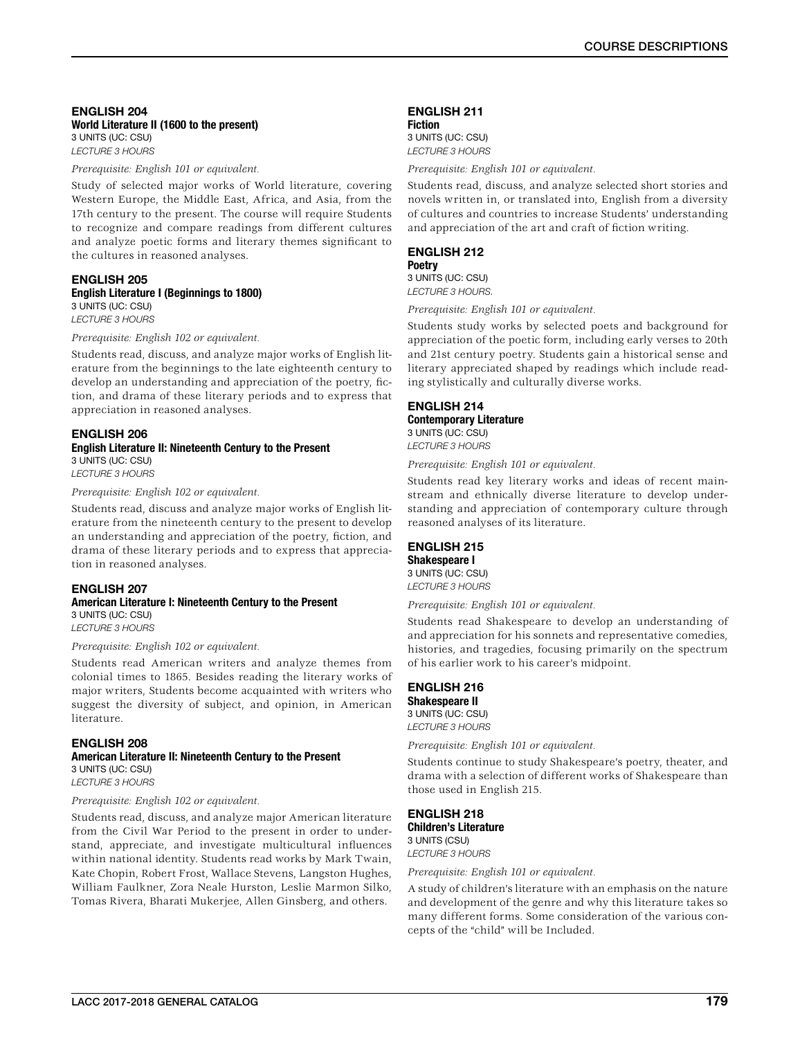#### ENGLISH 204 World Literature II (1600 to the present) 3 UNITS (UC: CSU) *LECTURE 3 HOURS*

*Prerequisite: English 101 or equivalent.*

Study of selected major works of World literature, covering Western Europe, the Middle East, Africa, and Asia, from the 17th century to the present. The course will require Students to recognize and compare readings from different cultures and analyze poetic forms and literary themes significant to the cultures in reasoned analyses.

### ENGLISH 205 English Literature I (Beginnings to 1800) 3 UNITS (UC: CSU) *LECTURE 3 HOURS*

*Prerequisite: English 102 or equivalent.*

Students read, discuss, and analyze major works of English literature from the beginnings to the late eighteenth century to develop an understanding and appreciation of the poetry, fiction, and drama of these literary periods and to express that appreciation in reasoned analyses.

### ENGLISH 206 English Literature II: Nineteenth Century to the Present 3 UNITS (UC: CSU)

*LECTURE 3 HOURS*

*Prerequisite: English 102 or equivalent.*

Students read, discuss and analyze major works of English literature from the nineteenth century to the present to develop an understanding and appreciation of the poetry, fiction, and drama of these literary periods and to express that appreciation in reasoned analyses.

# ENGLISH 207

### American Literature I: Nineteenth Century to the Present 3 UNITS (UC: CSU) *LECTURE 3 HOURS*

*Prerequisite: English 102 or equivalent.*

Students read American writers and analyze themes from colonial times to 1865. Besides reading the literary works of major writers, Students become acquainted with writers who suggest the diversity of subject, and opinion, in American literature.

# ENGLISH 208

# American Literature II: Nineteenth Century to the Present 3 UNITS (UC: CSU)

*LECTURE 3 HOURS*

### *Prerequisite: English 102 or equivalent.*

Students read, discuss, and analyze major American literature from the Civil War Period to the present in order to understand, appreciate, and investigate multicultural influences within national identity. Students read works by Mark Twain, Kate Chopin, Robert Frost, Wallace Stevens, Langston Hughes, William Faulkner, Zora Neale Hurston, Leslie Marmon Silko, Tomas Rivera, Bharati Mukerjee, Allen Ginsberg, and others.

# ENGLISH 211

Fiction 3 UNITS (UC: CSU) *LECTURE 3 HOURS*

*Prerequisite: English 101 or equivalent.*

Students read, discuss, and analyze selected short stories and novels written in, or translated into, English from a diversity of cultures and countries to increase Students' understanding and appreciation of the art and craft of fiction writing.

### ENGLISH 212 **Poetry**

3 UNITS (UC: CSU) *LECTURE 3 HOURS.*

*Prerequisite: English 101 or equivalent.*

Students study works by selected poets and background for appreciation of the poetic form, including early verses to 20th and 21st century poetry. Students gain a historical sense and literary appreciated shaped by readings which include reading stylistically and culturally diverse works.

### ENGLISH 214 Contemporary Literature 3 UNITS (UC: CSU) *LECTURE 3 HOURS*

*Prerequisite: English 101 or equivalent.*

Students read key literary works and ideas of recent mainstream and ethnically diverse literature to develop understanding and appreciation of contemporary culture through reasoned analyses of its literature.

# ENGLISH 215

# Shakespeare I

3 UNITS (UC: CSU) *LECTURE 3 HOURS*

*Prerequisite: English 101 or equivalent.*

Students read Shakespeare to develop an understanding of and appreciation for his sonnets and representative comedies, histories, and tragedies, focusing primarily on the spectrum of his earlier work to his career's midpoint.

#### ENGLISH 216 Shakespeare II

3 UNITS (UC: CSU) *LECTURE 3 HOURS*

*Prerequisite: English 101 or equivalent.*

Students continue to study Shakespeare's poetry, theater, and drama with a selection of different works of Shakespeare than those used in English 215.

### ENGLISH 218 Children's Literature 3 UNITS (CSU)

*LECTURE 3 HOURS*

*Prerequisite: English 101 or equivalent.*

A study of children's literature with an emphasis on the nature and development of the genre and why this literature takes so many different forms. Some consideration of the various concepts of the "child" will be Included.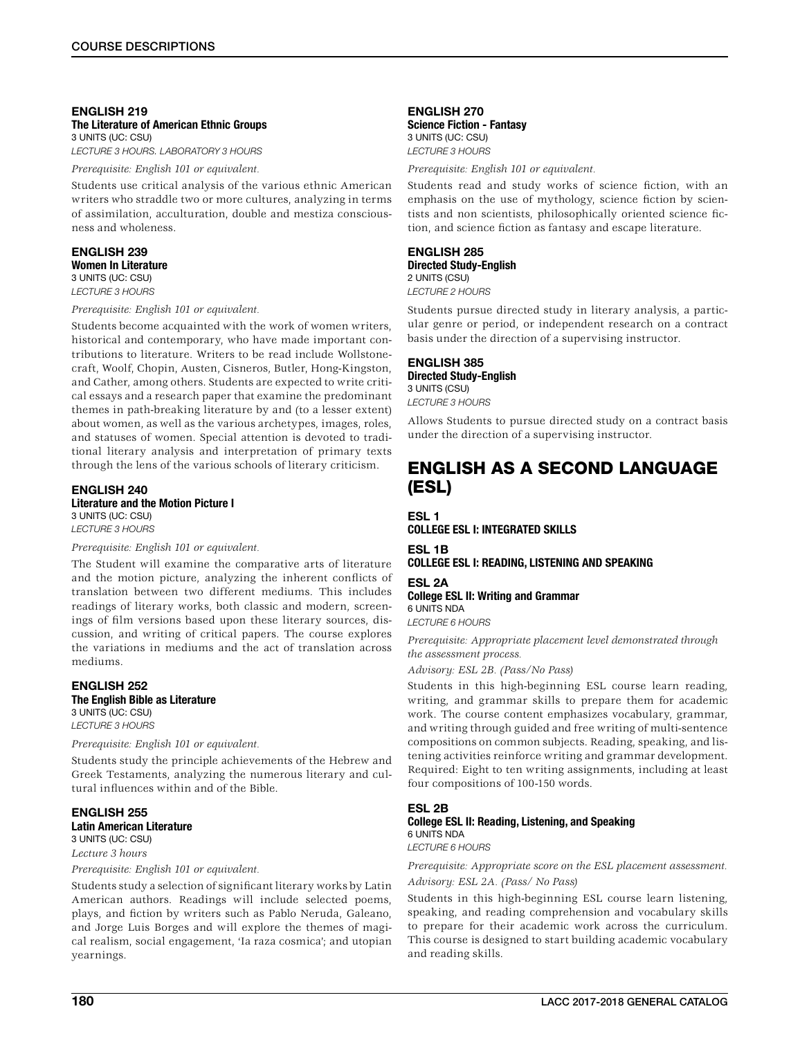### ENGLISH 219 The Literature of American Ethnic Groups 3 UNITS (UC: CSU)

*LECTURE 3 HOURS. LABORATORY 3 HOURS*

*Prerequisite: English 101 or equivalent.*

Students use critical analysis of the various ethnic American writers who straddle two or more cultures, analyzing in terms of assimilation, acculturation, double and mestiza consciousness and wholeness.

### ENGLISH 239 Women In Literature 3 UNITS (UC: CSU) *LECTURE 3 HOURS*

*Prerequisite: English 101 or equivalent.*

Students become acquainted with the work of women writers, historical and contemporary, who have made important contributions to literature. Writers to be read include Wollstonecraft, Woolf, Chopin, Austen, Cisneros, Butler, Hong-Kingston, and Cather, among others. Students are expected to write critical essays and a research paper that examine the predominant themes in path-breaking literature by and (to a lesser extent) about women, as well as the various archetypes, images, roles, and statuses of women. Special attention is devoted to traditional literary analysis and interpretation of primary texts through the lens of the various schools of literary criticism.

#### ENGLISH 240 Literature and the Motion Picture I

3 UNITS (UC: CSU) *LECTURE 3 HOURS*

### *Prerequisite: English 101 or equivalent.*

The Student will examine the comparative arts of literature and the motion picture, analyzing the inherent conflicts of translation between two different mediums. This includes readings of literary works, both classic and modern, screenings of film versions based upon these literary sources, discussion, and writing of critical papers. The course explores the variations in mediums and the act of translation across mediums.

### ENGLISH 252 The English Bible as Literature 3 UNITS (UC: CSU)

*LECTURE 3 HOURS*

### *Prerequisite: English 101 or equivalent.*

Students study the principle achievements of the Hebrew and Greek Testaments, analyzing the numerous literary and cultural influences within and of the Bible.

### ENGLISH 255 Latin American Literature 3 UNITS (UC: CSU)

*Lecture 3 hours*

*Prerequisite: English 101 or equivalent.*

Students study a selection of significant literary works by Latin American authors. Readings will include selected poems, plays, and fiction by writers such as Pablo Neruda, Galeano, and Jorge Luis Borges and will explore the themes of magical realism, social engagement, 'Ia raza cosmica'; and utopian yearnings.

### ENGLISH 270 Science Fiction - Fantasy 3 UNITS (UC: CSU) *LECTURE 3 HOURS*

*Prerequisite: English 101 or equivalent.*

Students read and study works of science fiction, with an emphasis on the use of mythology, science fiction by scientists and non scientists, philosophically oriented science fiction, and science fiction as fantasy and escape literature.

### ENGLISH 285 Directed Study-English 2 UNITS (CSU) *LECTURE 2 HOURS*

Students pursue directed study in literary analysis, a particular genre or period, or independent research on a contract basis under the direction of a supervising instructor.

ENGLISH 385 Directed Study-English 3 UNITS (CSU) *LECTURE 3 HOURS*

Allows Students to pursue directed study on a contract basis under the direction of a supervising instructor.

# ENGLISH AS A SECOND LANGUAGE (ESL)

ESL 1 COLLEGE ESL I: INTEGRATED SKILLS

ESL 1B COLLEGE ESL I: READING, LISTENING AND SPEAKING

ESL 2A College ESL II: Writing and Grammar 6 UNITS NDA

*LECTURE 6 HOURS*

*Prerequisite: Appropriate placement level demonstrated through the assessment process.*

*Advisory: ESL 2B. (Pass/No Pass)*

Students in this high-beginning ESL course learn reading, writing, and grammar skills to prepare them for academic work. The course content emphasizes vocabulary, grammar, and writing through guided and free writing of multi-sentence compositions on common subjects. Reading, speaking, and listening activities reinforce writing and grammar development. Required: Eight to ten writing assignments, including at least four compositions of 100-150 words.

### ESL 2B

# College ESL II: Reading, Listening, and Speaking 6 UNITS NDA

*LECTURE 6 HOURS*

### *Prerequisite: Appropriate score on the ESL placement assessment. Advisory: ESL 2A. (Pass/ No Pass)*

Students in this high-beginning ESL course learn listening, speaking, and reading comprehension and vocabulary skills to prepare for their academic work across the curriculum. This course is designed to start building academic vocabulary and reading skills.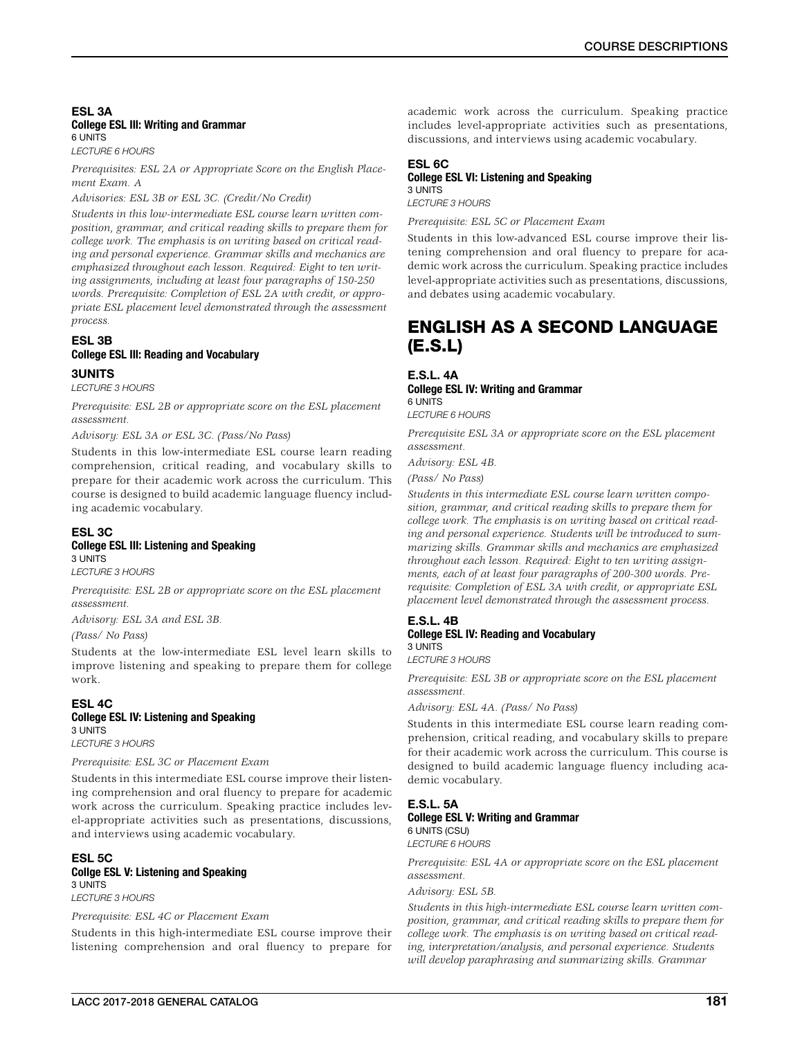# ESL 3A College ESL Ill: Writing and Grammar 6 UNITS

*LECTURE 6 HOURS*

*Prerequisites: ESL 2A or Appropriate Score on the English Placement Exam. A*

*Advisories: ESL 3B or ESL 3C. (Credit/No Credit)*

*Students in this low-intermediate ESL course learn written composition, grammar, and critical reading skills to prepare them for college work. The emphasis is on writing based on critical reading and personal experience. Grammar skills and mechanics are emphasized throughout each lesson. Required: Eight to ten writing assignments, including at least four paragraphs of 150-250 words. Prerequisite: Completion of ESL 2A with credit, or appropriate ESL placement level demonstrated through the assessment process.*

# ESL 3B College ESL Ill: Reading and Vocabulary

3UNITS

*LECTURE 3 HOURS*

*Prerequisite: ESL 2B or appropriate score on the ESL placement assessment.*

*Advisory: ESL 3A or ESL 3C. (Pass/No Pass)*

Students in this low-intermediate ESL course learn reading comprehension, critical reading, and vocabulary skills to prepare for their academic work across the curriculum. This course is designed to build academic language fluency including academic vocabulary.

### ESL 3C College ESL III: Listening and Speaking 3 UNITS

*LECTURE 3 HOURS*

*Prerequisite: ESL 2B or appropriate score on the ESL placement assessment.*

*Advisory: ESL 3A and ESL 3B.*

*(Pass/ No Pass)*

Students at the low-intermediate ESL level learn skills to improve listening and speaking to prepare them for college work.

### ESL 4C College ESL IV: Listening and Speaking 3 UNITS *LECTURE 3 HOURS*

*Prerequisite: ESL 3C or Placement Exam*

Students in this intermediate ESL course improve their listening comprehension and oral fluency to prepare for academic work across the curriculum. Speaking practice includes level-appropriate activities such as presentations, discussions, and interviews using academic vocabulary.

### ESL 5C Collge ESL V: Listening and Speaking 3 UNITS *LECTURE 3 HOURS*

### *Prerequisite: ESL 4C or Placement Exam*

Students in this high-intermediate ESL course improve their listening comprehension and oral fluency to prepare for academic work across the curriculum. Speaking practice includes level-appropriate activities such as presentations, discussions, and interviews using academic vocabulary.

### ESL 6C

# College ESL VI: Listening and Speaking

3 UNITS *LECTURE 3 HOURS*

*Prerequisite: ESL 5C or Placement Exam*

Students in this low-advanced ESL course improve their listening comprehension and oral fluency to prepare for academic work across the curriculum. Speaking practice includes level-appropriate activities such as presentations, discussions, and debates using academic vocabulary.

# ENGLISH AS A SECOND LANGUAGE (E.S.L)

### E.S.L. 4A College ESL IV: Writing and Grammar 6 UNITS

*LECTURE 6 HOURS*

*Prerequisite ESL 3A or appropriate score on the ESL placement assessment.*

*Advisory: ESL 4B.*

*(Pass/ No Pass)*

*Students in this intermediate ESL course learn written composition, grammar, and critical reading skills to prepare them for college work. The emphasis is on writing based on critical reading and personal experience. Students will be introduced to summarizing skills. Grammar skills and mechanics are emphasized throughout each lesson. Required: Eight to ten writing assignments, each of at least four paragraphs of 200-300 words. Prerequisite: Completion of ESL 3A with credit, or appropriate ESL placement level demonstrated through the assessment process.*

#### E.S.L. 4B College ESL IV: Reading and Vocabulary 3 UNITS

*LECTURE 3 HOURS*

*Prerequisite: ESL 3B or appropriate score on the ESL placement assessment.*

*Advisory: ESL 4A. (Pass/ No Pass)*

Students in this intermediate ESL course learn reading comprehension, critical reading, and vocabulary skills to prepare for their academic work across the curriculum. This course is designed to build academic language fluency including academic vocabulary.

# E.S.L. 5A

College ESL V: Writing and Grammar 6 UNITS (CSU)

*LECTURE 6 HOURS*

*Prerequisite: ESL 4A or appropriate score on the ESL placement assessment.*

*Advisory: ESL 5B.*

*Students in this high-intermediate ESL course learn written composition, grammar, and critical reading skills to prepare them for college work. The emphasis is on writing based on critical reading, interpretation/analysis, and personal experience. Students will develop paraphrasing and summarizing skills. Grammar*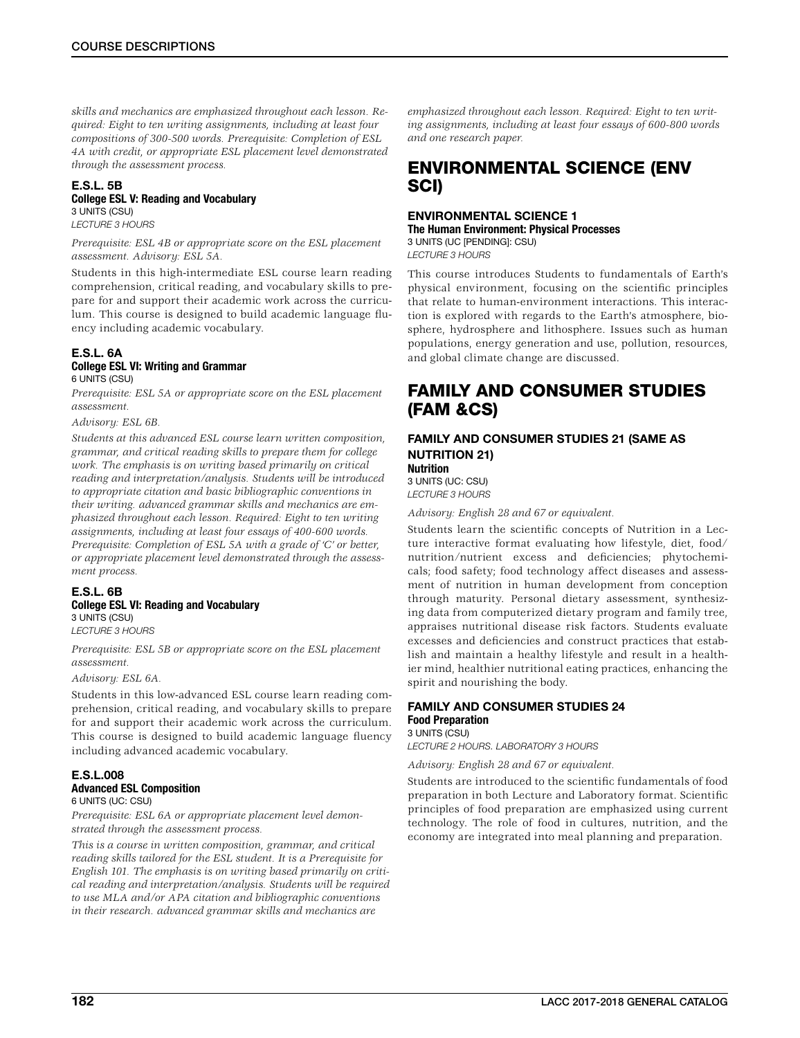*skills and mechanics are emphasized throughout each lesson. Required: Eight to ten writing assignments, including at least four compositions of 300-500 words. Prerequisite: Completion of ESL 4A with credit, or appropriate ESL placement level demonstrated through the assessment process.*

### E.S.L. 5B College ESL V: Reading and Vocabulary 3 UNITS (CSU) *LECTURE 3 HOURS*

*Prerequisite: ESL 4B or appropriate score on the ESL placement assessment. Advisory: ESL 5A.*

Students in this high-intermediate ESL course learn reading comprehension, critical reading, and vocabulary skills to prepare for and support their academic work across the curriculum. This course is designed to build academic language fluency including academic vocabulary.

### E.S.L. 6A College ESL VI: Writing and Grammar 6 UNITS (CSU)

*Prerequisite: ESL 5A or appropriate score on the ESL placement assessment.*

*Advisory: ESL 6B.*

*Students at this advanced ESL course learn written composition, grammar, and critical reading skills to prepare them for college work. The emphasis is on writing based primarily on critical reading and interpretation/analysis. Students will be introduced to appropriate citation and basic bibliographic conventions in their writing. advanced grammar skills and mechanics are emphasized throughout each lesson. Required: Eight to ten writing assignments, including at least four essays of 400-600 words. Prerequisite: Completion of ESL 5A with a grade of 'C' or better, or appropriate placement level demonstrated through the assessment process.*

### E.S.L. 6B College ESL VI: Reading and Vocabulary 3 UNITS (CSU)

*LECTURE 3 HOURS*

*Prerequisite: ESL 5B or appropriate score on the ESL placement assessment.*

### *Advisory: ESL 6A.*

Students in this low-advanced ESL course learn reading comprehension, critical reading, and vocabulary skills to prepare for and support their academic work across the curriculum. This course is designed to build academic language fluency including advanced academic vocabulary.

# E.S.L.008 Advanced ESL Composition

6 UNITS (UC: CSU)

*Prerequisite: ESL 6A or appropriate placement level demonstrated through the assessment process.*

*This is a course in written composition, grammar, and critical reading skills tailored for the ESL student. It is a Prerequisite for English 101. The emphasis is on writing based primarily on critical reading and interpretation/analysis. Students will be required to use MLA and/or APA citation and bibliographic conventions in their research. advanced grammar skills and mechanics are* 

*emphasized throughout each lesson. Required: Eight to ten writing assignments, including at least four essays of 600-800 words and one research paper.*

# ENVIRONMENTAL SCIENCE (ENV SCI)

# ENVIRONMENTAL SCIENCE 1 The Human Environment: Physical Processes 3 UNITS (UC [PENDING]: CSU)

*LECTURE 3 HOURS*

This course introduces Students to fundamentals of Earth's physical environment, focusing on the scientific principles that relate to human-environment interactions. This interaction is explored with regards to the Earth's atmosphere, biosphere, hydrosphere and lithosphere. Issues such as human populations, energy generation and use, pollution, resources, and global climate change are discussed.

# FAMILY AND CONSUMER STUDIES (FAM &CS)

### FAMILY AND CONSUMER STUDIES 21 (SAME AS NUTRITION 21) Nutrition

3 UNITS (UC: CSU) *LECTURE 3 HOURS*

*Advisory: English 28 and 67 or equivalent.*

Students learn the scientific concepts of Nutrition in a Lecture interactive format evaluating how lifestyle, diet, food/ nutrition/nutrient excess and deficiencies; phytochemicals; food safety; food technology affect diseases and assessment of nutrition in human development from conception through maturity. Personal dietary assessment, synthesizing data from computerized dietary program and family tree, appraises nutritional disease risk factors. Students evaluate excesses and deficiencies and construct practices that establish and maintain a healthy lifestyle and result in a healthier mind, healthier nutritional eating practices, enhancing the spirit and nourishing the body.

### FAMILY AND CONSUMER STUDIES 24 Food Preparation 3 UNITS (CSU)

*LECTURE 2 HOURS. LABORATORY 3 HOURS*

# *Advisory: English 28 and 67 or equivalent.*

Students are introduced to the scientific fundamentals of food preparation in both Lecture and Laboratory format. Scientific principles of food preparation are emphasized using current technology. The role of food in cultures, nutrition, and the economy are integrated into meal planning and preparation.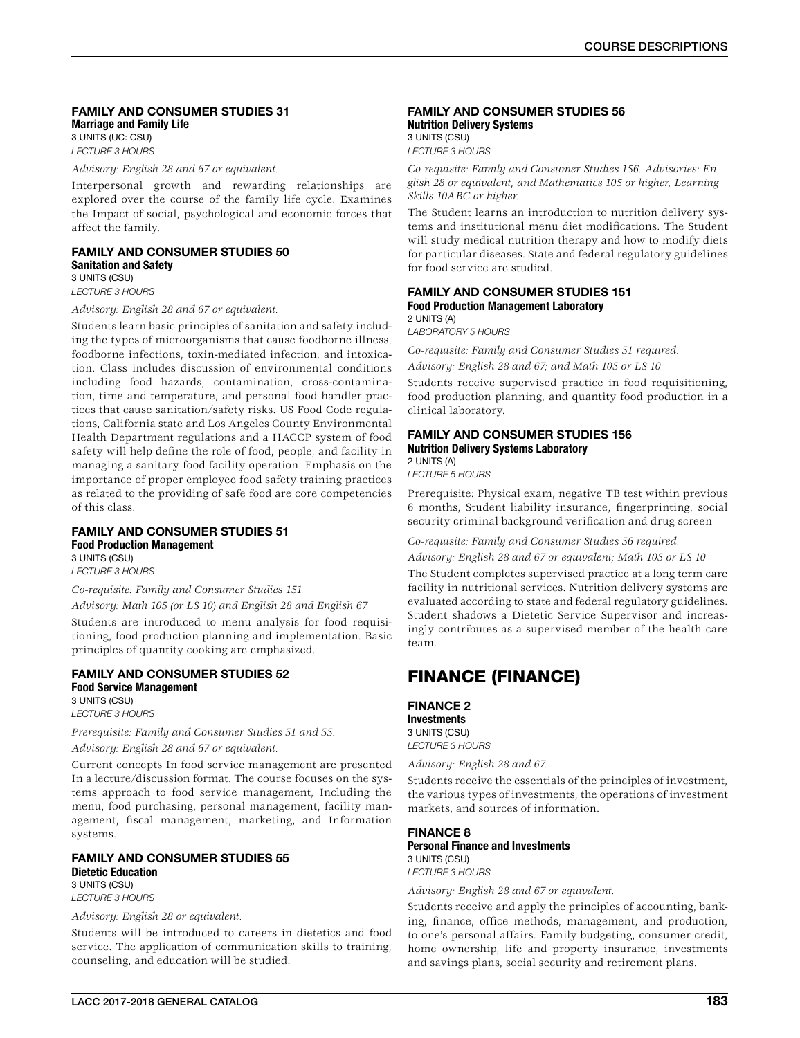### FAMILY AND CONSUMER STUDIES 31 Marriage and Family Life

3 UNITS (UC: CSU) *LECTURE 3 HOURS*

*Advisory: English 28 and 67 or equivalent.*

Interpersonal growth and rewarding relationships are explored over the course of the family life cycle. Examines the Impact of social, psychological and economic forces that affect the family.

FAMILY AND CONSUMER STUDIES 50 Sanitation and Safety 3 UNITS (CSU)

*LECTURE 3 HOURS*

*Advisory: English 28 and 67 or equivalent.*

Students learn basic principles of sanitation and safety including the types of microorganisms that cause foodborne illness, foodborne infections, toxin-mediated infection, and intoxication. Class includes discussion of environmental conditions including food hazards, contamination, cross-contamination, time and temperature, and personal food handler practices that cause sanitation/safety risks. US Food Code regulations, California state and Los Angeles County Environmental Health Department regulations and a HACCP system of food safety will help define the role of food, people, and facility in managing a sanitary food facility operation. Emphasis on the importance of proper employee food safety training practices as related to the providing of safe food are core competencies of this class.

### FAMILY AND CONSUMER STUDIES 51 Food Production Management 3 UNITS (CSU)

*LECTURE 3 HOURS*

*Co-requisite: Family and Consumer Studies 151*

*Advisory: Math 105 (or LS 10) and English 28 and English 67*

Students are introduced to menu analysis for food requisitioning, food production planning and implementation. Basic principles of quantity cooking are emphasized.

### FAMILY AND CONSUMER STUDIES 52 Food Service Management 3 UNITS (CSU) *LECTURE 3 HOURS*

*Prerequisite: Family and Consumer Studies 51 and 55. Advisory: English 28 and 67 or equivalent.*

Current concepts In food service management are presented In a lecture/discussion format. The course focuses on the systems approach to food service management, Including the menu, food purchasing, personal management, facility management, fiscal management, marketing, and Information systems.

### FAMILY AND CONSUMER STUDIES 55 Dietetic Education 3 UNITS (CSU)

*LECTURE 3 HOURS*

### *Advisory: English 28 or equivalent.*

Students will be introduced to careers in dietetics and food service. The application of communication skills to training, counseling, and education will be studied.

### FAMILY AND CONSUMER STUDIES 56 Nutrition Delivery Systems 3 UNITS (CSU)

*LECTURE 3 HOURS*

*Co-requisite: Family and Consumer Studies 156. Advisories: English 28 or equivalent, and Mathematics 105 or higher, Learning Skills 10ABC or higher.*

The Student learns an introduction to nutrition delivery systems and institutional menu diet modifications. The Student will study medical nutrition therapy and how to modify diets for particular diseases. State and federal regulatory guidelines for food service are studied.

### FAMILY AND CONSUMER STUDIES 151 Food Production Management Laboratory 2 UNITS (A)

*LABORATORY 5 HOURS*

*Co-requisite: Family and Consumer Studies 51 required. Advisory: English 28 and 67; and Math 105 or LS 10*

Students receive supervised practice in food requisitioning, food production planning, and quantity food production in a clinical laboratory.

### FAMILY AND CONSUMER STUDIES 156 Nutrition Delivery Systems Laboratory

2 UNITS (A)

*LECTURE 5 HOURS*

Prerequisite: Physical exam, negative TB test within previous 6 months, Student liability insurance, fingerprinting, social security criminal background verification and drug screen

*Co-requisite: Family and Consumer Studies 56 required.*

*Advisory: English 28 and 67 or equivalent; Math 105 or LS 10*

The Student completes supervised practice at a long term care facility in nutritional services. Nutrition delivery systems are evaluated according to state and federal regulatory guidelines. Student shadows a Dietetic Service Supervisor and increasingly contributes as a supervised member of the health care team.

# FINANCE (FINANCE)

# FINANCE 2

Investments 3 UNITS (CSU) *LECTURE 3 HOURS*

*Advisory: English 28 and 67.*

Students receive the essentials of the principles of investment, the various types of investments, the operations of investment markets, and sources of information.

### FINANCE 8 Personal Finance and Investments 3 UNITS (CSU)

*LECTURE 3 HOURS*

*Advisory: English 28 and 67 or equivalent.*

Students receive and apply the principles of accounting, banking, finance, office methods, management, and production, to one's personal affairs. Family budgeting, consumer credit, home ownership, life and property insurance, investments and savings plans, social security and retirement plans.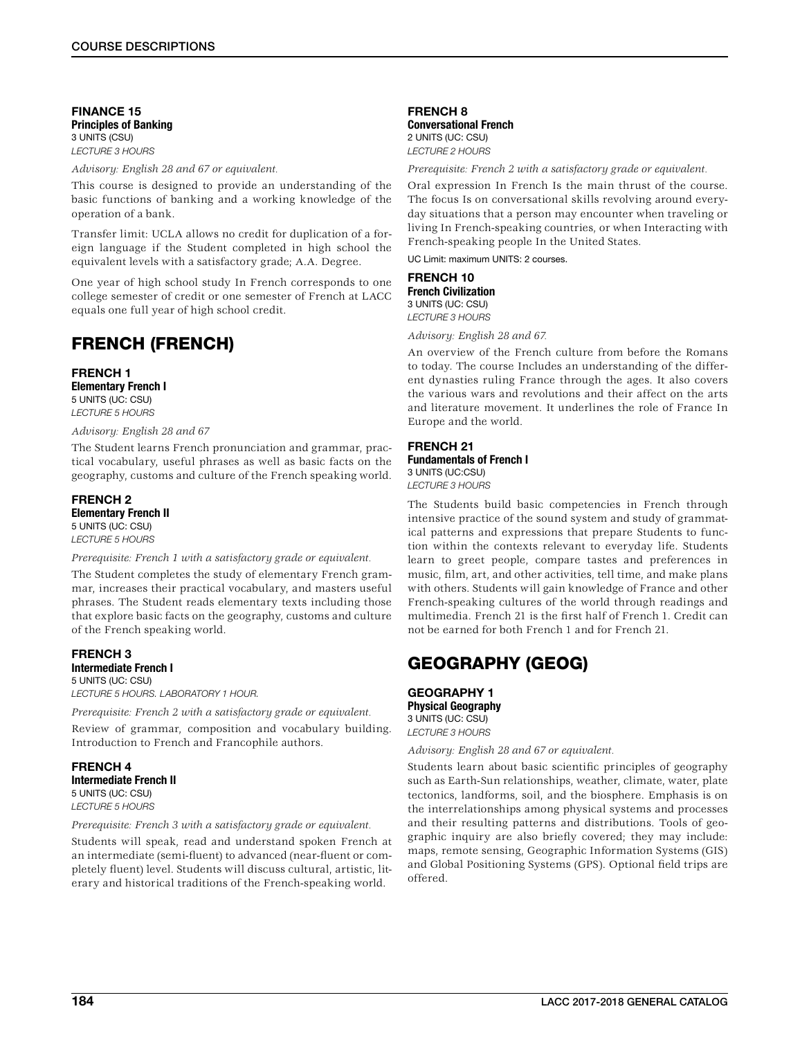FINANCE 15 Principles of Banking 3 UNITS (CSU) *LECTURE 3 HOURS*

*Advisory: English 28 and 67 or equivalent.*

This course is designed to provide an understanding of the basic functions of banking and a working knowledge of the operation of a bank.

Transfer limit: UCLA allows no credit for duplication of a foreign language if the Student completed in high school the equivalent levels with a satisfactory grade; A.A. Degree.

One year of high school study In French corresponds to one college semester of credit or one semester of French at LACC equals one full year of high school credit.

# FRENCH (FRENCH)

### FRENCH 1 Elementary French I 5 UNITS (UC: CSU) *LECTURE 5 HOURS*

*Advisory: English 28 and 67*

The Student learns French pronunciation and grammar, practical vocabulary, useful phrases as well as basic facts on the geography, customs and culture of the French speaking world.

### FRENCH 2 Elementary French II 5 UNITS (UC: CSU) *LECTURE 5 HOURS*

### *Prerequisite: French 1 with a satisfactory grade or equivalent.*

The Student completes the study of elementary French grammar, increases their practical vocabulary, and masters useful phrases. The Student reads elementary texts including those that explore basic facts on the geography, customs and culture of the French speaking world.

### FRENCH 3 Intermediate French I 5 UNITS (UC: CSU) *LECTURE 5 HOURS. LABORATORY 1 HOUR.*

*Prerequisite: French 2 with a satisfactory grade or equivalent.*

Review of grammar, composition and vocabulary building. Introduction to French and Francophile authors.

FRENCH 4 Intermediate French II 5 UNITS (UC: CSU) *LECTURE 5 HOURS*

*Prerequisite: French 3 with a satisfactory grade or equivalent.*

Students will speak, read and understand spoken French at an intermediate (semi-fluent) to advanced (near-fluent or completely fluent) level. Students will discuss cultural, artistic, literary and historical traditions of the French-speaking world.

### FRENCH 8 Conversational French 2 UNITS (UC: CSU) *LECTURE 2 HOURS*

*Prerequisite: French 2 with a satisfactory grade or equivalent.*

Oral expression In French Is the main thrust of the course. The focus Is on conversational skills revolving around everyday situations that a person may encounter when traveling or living In French-speaking countries, or when Interacting with French-speaking people In the United States.

UC Limit: maximum UNITS: 2 courses.

### FRENCH 10 French Civilization 3 UNITS (UC: CSU)

*LECTURE 3 HOURS*

*Advisory: English 28 and 67.*

An overview of the French culture from before the Romans to today. The course Includes an understanding of the different dynasties ruling France through the ages. It also covers the various wars and revolutions and their affect on the arts and literature movement. It underlines the role of France In Europe and the world.

### FRENCH 21 Fundamentals of French I 3 UNITS (UC:CSU) *LECTURE 3 HOURS*

The Students build basic competencies in French through intensive practice of the sound system and study of grammatical patterns and expressions that prepare Students to function within the contexts relevant to everyday life. Students learn to greet people, compare tastes and preferences in music, film, art, and other activities, tell time, and make plans with others. Students will gain knowledge of France and other French-speaking cultures of the world through readings and multimedia. French 21 is the first half of French 1. Credit can not be earned for both French 1 and for French 21.

# GEOGRAPHY (GEOG)

# GEOGRAPHY 1 Physical Geography

3 UNITS (UC: CSU) *LECTURE 3 HOURS*

*Advisory: English 28 and 67 or equivalent.*

Students learn about basic scientific principles of geography such as Earth-Sun relationships, weather, climate, water, plate tectonics, landforms, soil, and the biosphere. Emphasis is on the interrelationships among physical systems and processes and their resulting patterns and distributions. Tools of geographic inquiry are also briefly covered; they may include: maps, remote sensing, Geographic Information Systems (GIS) and Global Positioning Systems (GPS). Optional field trips are offered.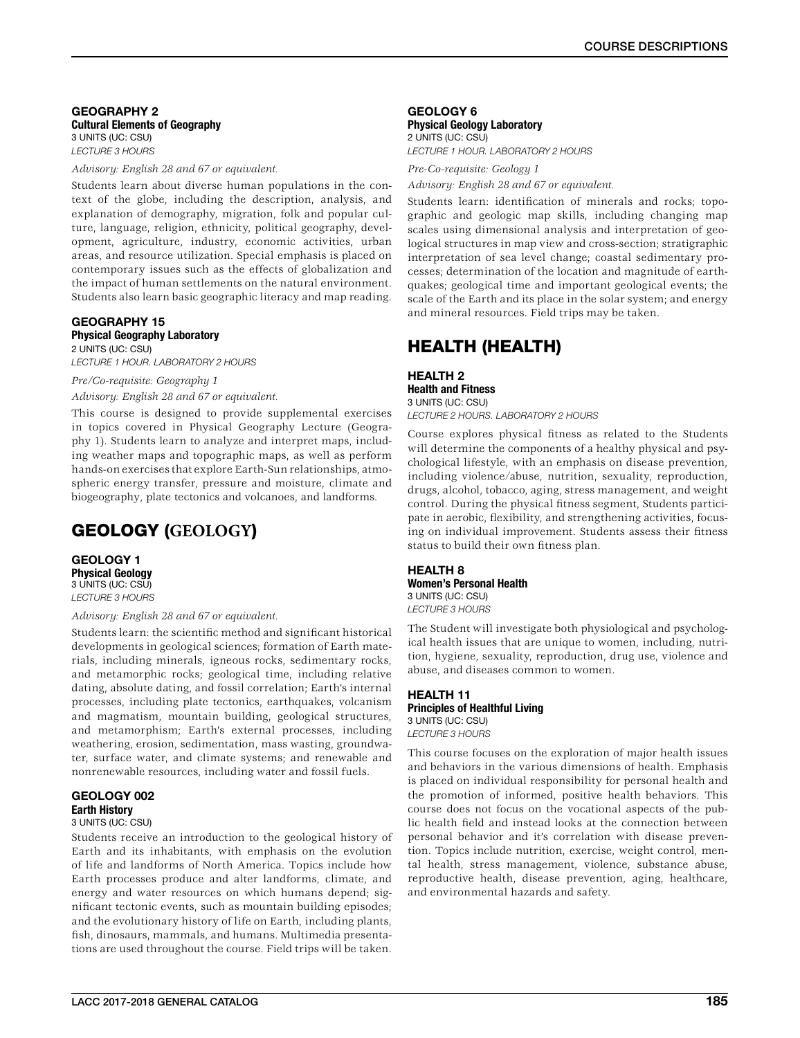### GEOGRAPHY 2 Cultural Elements of Geography 3 UNITS (UC: CSU) *LECTURE 3 HOURS*

*Advisory: English 28 and 67 or equivalent.*

Students learn about diverse human populations in the context of the globe, including the description, analysis, and explanation of demography, migration, folk and popular culture, language, religion, ethnicity, political geography, development, agriculture, industry, economic activities, urban areas, and resource utilization. Special emphasis is placed on contemporary issues such as the effects of globalization and the impact of human settlements on the natural environment. Students also learn basic geographic literacy and map reading.

# GEOGRAPHY 15 Physical Geography Laboratory

2 UNITS (UC: CSU) *LECTURE 1 HOUR. LABORATORY 2 HOURS*

# *Pre/Co-requisite: Geography 1*

*Advisory: English 28 and 67 or equivalent.*

This course is designed to provide supplemental exercises in topics covered in Physical Geography Lecture (Geography 1). Students learn to analyze and interpret maps, including weather maps and topographic maps, as well as perform hands-on exercises that explore Earth-Sun relationships, atmospheric energy transfer, pressure and moisture, climate and biogeography, plate tectonics and volcanoes, and landforms.

# GEOLOGY (**GEOLOGY**)

GEOLOGY 1 Physical Geology 3 UNITS (UC: CSU) *LECTURE 3 HOURS*

*Advisory: English 28 and 67 or equivalent.*

Students learn: the scientific method and significant historical developments in geological sciences; formation of Earth materials, including minerals, igneous rocks, sedimentary rocks, and metamorphic rocks; geological time, including relative dating, absolute dating, and fossil correlation; Earth's internal processes, including plate tectonics, earthquakes, volcanism and magmatism, mountain building, geological structures, and metamorphism; Earth's external processes, including weathering, erosion, sedimentation, mass wasting, groundwater, surface water, and climate systems; and renewable and nonrenewable resources, including water and fossil fuels.

# GEOLOGY 002 Earth History

### 3 UNITS (UC: CSU)

Students receive an introduction to the geological history of Earth and its inhabitants, with emphasis on the evolution of life and landforms of North America. Topics include how Earth processes produce and alter landforms, climate, and energy and water resources on which humans depend; significant tectonic events, such as mountain building episodes; and the evolutionary history of life on Earth, including plants, fish, dinosaurs, mammals, and humans. Multimedia presentations are used throughout the course. Field trips will be taken.

### GEOLOGY 6 Physical Geology Laboratory 2 UNITS (UC: CSU)

*LECTURE 1 HOUR. LABORATORY 2 HOURS*

*Pre-Co-requisite: Geology 1*

*Advisory: English 28 and 67 or equivalent.*

Students learn: identification of minerals and rocks; topographic and geologic map skills, including changing map scales using dimensional analysis and interpretation of geological structures in map view and cross-section; stratigraphic interpretation of sea level change; coastal sedimentary processes; determination of the location and magnitude of earthquakes; geological time and important geological events; the scale of the Earth and its place in the solar system; and energy and mineral resources. Field trips may be taken.

# HEALTH (HEALTH)

# HEALTH 2 Health and Fitness

3 UNITS (UC: CSU) *LECTURE 2 HOURS. LABORATORY 2 HOURS*

Course explores physical fitness as related to the Students will determine the components of a healthy physical and psychological lifestyle, with an emphasis on disease prevention, including violence/abuse, nutrition, sexuality, reproduction, drugs, alcohol, tobacco, aging, stress management, and weight control. During the physical fitness segment, Students participate in aerobic, flexibility, and strengthening activities, focusing on individual improvement. Students assess their fitness status to build their own fitness plan.

# HEALTH 8 Women's Personal Health 3 UNITS (UC: CSU)

*LECTURE 3 HOURS*

The Student will investigate both physiological and psychological health issues that are unique to women, including, nutrition, hygiene, sexuality, reproduction, drug use, violence and abuse, and diseases common to women.

### HEALTH 11 Principles of Healthful Living 3 UNITS (UC: CSU) *LECTURE 3 HOURS*

This course focuses on the exploration of major health issues and behaviors in the various dimensions of health. Emphasis is placed on individual responsibility for personal health and the promotion of informed, positive health behaviors. This course does not focus on the vocational aspects of the public health field and instead looks at the connection between personal behavior and it's correlation with disease prevention. Topics include nutrition, exercise, weight control, mental health, stress management, violence, substance abuse, reproductive health, disease prevention, aging, healthcare, and environmental hazards and safety.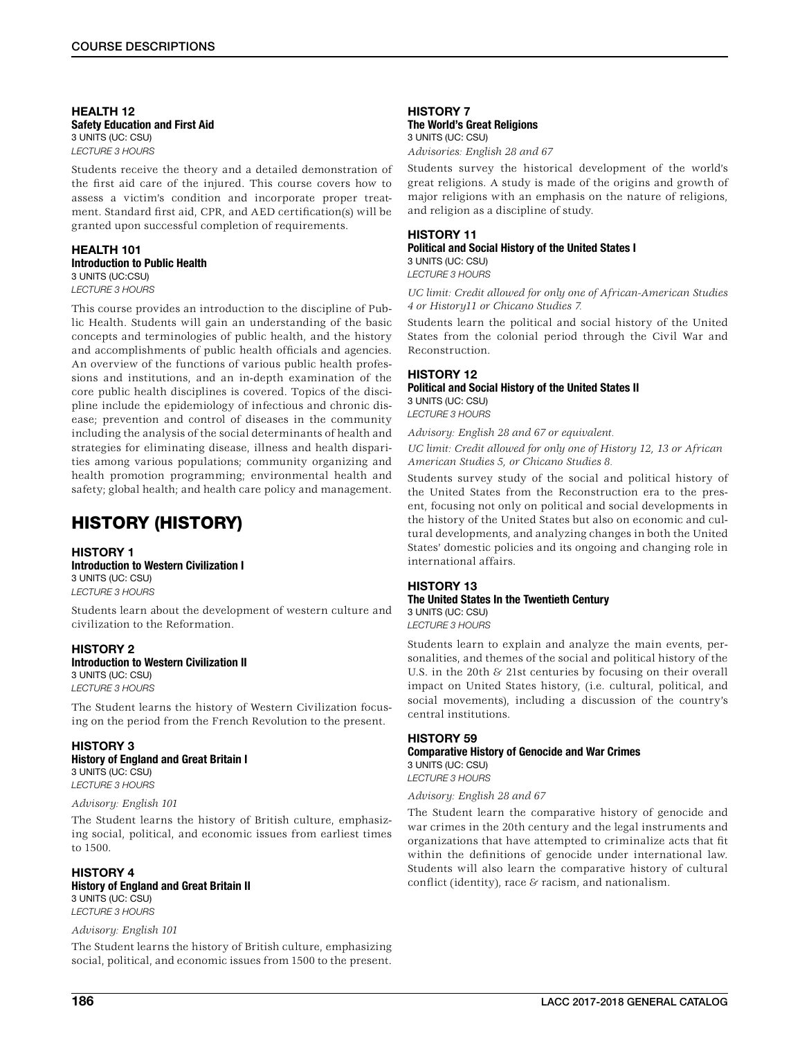### HEALTH 12 Safety Education and First Aid 3 UNITS (UC: CSU) *LECTURE 3 HOURS*

Students receive the theory and a detailed demonstration of the first aid care of the injured. This course covers how to assess a victim's condition and incorporate proper treatment. Standard first aid, CPR, and AED certification(s) will be granted upon successful completion of requirements.

### HEALTH 101 Introduction to Public Health 3 UNITS (UC:CSU) *LECTURE 3 HOURS*

This course provides an introduction to the discipline of Public Health. Students will gain an understanding of the basic concepts and terminologies of public health, and the history and accomplishments of public health officials and agencies. An overview of the functions of various public health professions and institutions, and an in-depth examination of the core public health disciplines is covered. Topics of the discipline include the epidemiology of infectious and chronic disease; prevention and control of diseases in the community including the analysis of the social determinants of health and strategies for eliminating disease, illness and health disparities among various populations; community organizing and health promotion programming; environmental health and safety; global health; and health care policy and management.

# HISTORY (HISTORY)

### HISTORY 1 Introduction to Western Civilization I

3 UNITS (UC: CSU) *LECTURE 3 HOURS*

Students learn about the development of western culture and civilization to the Reformation.

# HISTORY 2

# Introduction to Western Civilization II

3 UNITS (UC: CSU) *LECTURE 3 HOURS*

The Student learns the history of Western Civilization focusing on the period from the French Revolution to the present.

# HISTORY 3

History of England and Great Britain I 3 UNITS (UC: CSU) *LECTURE 3 HOURS*

### *Advisory: English 101*

The Student learns the history of British culture, emphasizing social, political, and economic issues from earliest times to 1500.

# HISTORY 4

### History of England and Great Britain II 3 UNITS (UC: CSU)

*LECTURE 3 HOURS*

### *Advisory: English 101*

The Student learns the history of British culture, emphasizing social, political, and economic issues from 1500 to the present.

### HISTORY 7 The World's Great Religions 3 UNITS (UC: CSU)

*Advisories: English 28 and 67*

Students survey the historical development of the world's great religions. A study is made of the origins and growth of major religions with an emphasis on the nature of religions, and religion as a discipline of study.

### HISTORY 11 Political and Social History of the United States I 3 UNITS (UC: CSU) *LECTURE 3 HOURS*

*UC limit: Credit allowed for only one of African-American Studies 4 or History11 or Chicano Studies 7.*

Students learn the political and social history of the United States from the colonial period through the Civil War and Reconstruction.

# HISTORY 12

### Political and Social History of the United States II 3 UNITS (UC: CSU)

*LECTURE 3 HOURS*

*Advisory: English 28 and 67 or equivalent.*

*UC limit: Credit allowed for only one of History 12, 13 or African American Studies 5, or Chicano Studies 8.*

Students survey study of the social and political history of the United States from the Reconstruction era to the present, focusing not only on political and social developments in the history of the United States but also on economic and cultural developments, and analyzing changes in both the United States' domestic policies and its ongoing and changing role in international affairs.

### HISTORY 13 The United States In the Twentieth Century 3 UNITS (UC: CSU)

*LECTURE 3 HOURS*

Students learn to explain and analyze the main events, personalities, and themes of the social and political history of the U.S. in the 20th  $\&$  21st centuries by focusing on their overall impact on United States history, (i.e. cultural, political, and social movements), including a discussion of the country's central institutions.

# HISTORY 59

Comparative History of Genocide and War Crimes 3 UNITS (UC: CSU) *LECTURE 3 HOURS*

### *Advisory: English 28 and 67*

The Student learn the comparative history of genocide and war crimes in the 20th century and the legal instruments and organizations that have attempted to criminalize acts that fit within the definitions of genocide under international law. Students will also learn the comparative history of cultural conflict (identity), race & racism, and nationalism.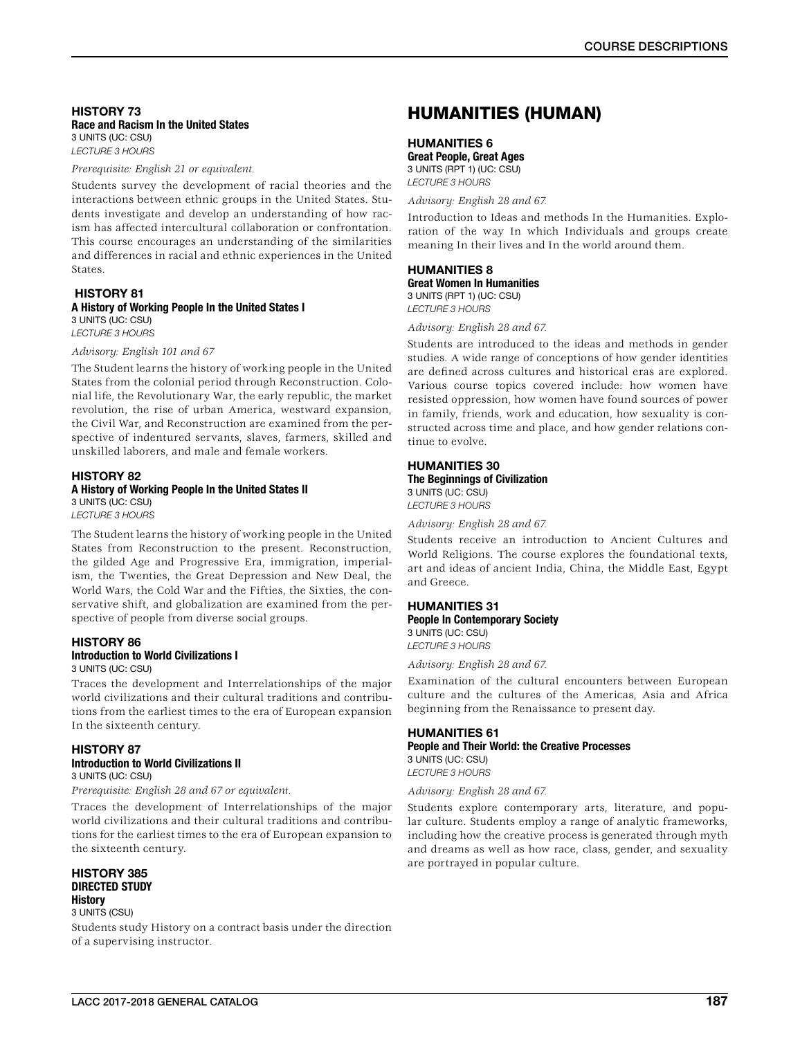### HISTORY 73 Race and Racism In the United States 3 UNITS (UC: CSU) *LECTURE 3 HOURS*

*Prerequisite: English 21 or equivalent.*

Students survey the development of racial theories and the interactions between ethnic groups in the United States. Students investigate and develop an understanding of how racism has affected intercultural collaboration or confrontation. This course encourages an understanding of the similarities and differences in racial and ethnic experiences in the United States.

### HISTORY 81 A History of Working People In the United States I 3 UNITS (UC: CSU)

*LECTURE 3 HOURS*

### *Advisory: English 101 and 67*

The Student learns the history of working people in the United States from the colonial period through Reconstruction. Colonial life, the Revolutionary War, the early republic, the market revolution, the rise of urban America, westward expansion, the Civil War, and Reconstruction are examined from the perspective of indentured servants, slaves, farmers, skilled and unskilled laborers, and male and female workers.

# HISTORY 82 A History of Working People In the United States II 3 UNITS (UC: CSU)

*LECTURE 3 HOURS*

The Student learns the history of working people in the United States from Reconstruction to the present. Reconstruction, the gilded Age and Progressive Era, immigration, imperialism, the Twenties, the Great Depression and New Deal, the World Wars, the Cold War and the Fifties, the Sixties, the conservative shift, and globalization are examined from the perspective of people from diverse social groups.

# HISTORY 86

# Introduction to World Civilizations I

3 UNITS (UC: CSU)

Traces the development and Interrelationships of the major world civilizations and their cultural traditions and contributions from the earliest times to the era of European expansion In the sixteenth century.

# HISTORY 87

### Introduction to World Civilizations II 3 UNITS (UC: CSU)

*Prerequisite: English 28 and 67 or equivalent.*

Traces the development of Interrelationships of the major world civilizations and their cultural traditions and contributions for the earliest times to the era of European expansion to the sixteenth century.

### HISTORY 385 DIRECTED STUDY **History**

3 UNITS (CSU)

Students study History on a contract basis under the direction of a supervising instructor.

# HUMANITIES (HUMAN)

# HUMANITIES 6

Great People, Great Ages 3 UNITS (RPT 1) (UC: CSU) *LECTURE 3 HOURS*

*Advisory: English 28 and 67.*

Introduction to Ideas and methods In the Humanities. Exploration of the way In which Individuals and groups create meaning In their lives and In the world around them.

# HUMANITIES 8 Great Women In Humanities

3 UNITS (RPT 1) (UC: CSU) *LECTURE 3 HOURS*

### *Advisory: English 28 and 67.*

Students are introduced to the ideas and methods in gender studies. A wide range of conceptions of how gender identities are defined across cultures and historical eras are explored. Various course topics covered include: how women have resisted oppression, how women have found sources of power in family, friends, work and education, how sexuality is constructed across time and place, and how gender relations continue to evolve.

# HUMANITIES 30

The Beginnings of Civilization 3 UNITS (UC: CSU) *LECTURE 3 HOURS*

*Advisory: English 28 and 67.*

Students receive an introduction to Ancient Cultures and World Religions. The course explores the foundational texts, art and ideas of ancient India, China, the Middle East, Egypt and Greece.

# HUMANITIES 31

People In Contemporary Society 3 UNITS (UC: CSU) *LECTURE 3 HOURS*

*Advisory: English 28 and 67.*

Examination of the cultural encounters between European culture and the cultures of the Americas, Asia and Africa beginning from the Renaissance to present day.

### HUMANITIES 61 People and Their World: the Creative Processes 3 UNITS (UC: CSU) *LECTURE 3 HOURS*

*Advisory: English 28 and 67.*

Students explore contemporary arts, literature, and popular culture. Students employ a range of analytic frameworks, including how the creative process is generated through myth and dreams as well as how race, class, gender, and sexuality are portrayed in popular culture.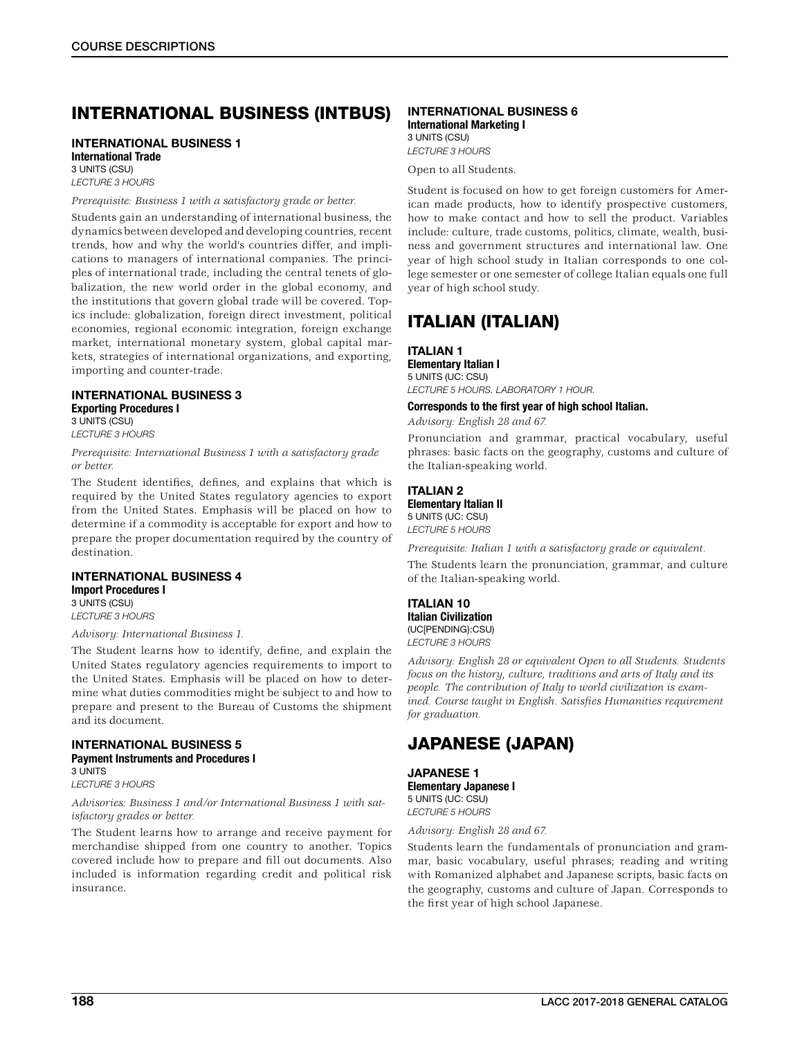# INTERNATIONAL BUSINESS (INTBUS)

# INTERNATIONAL BUSINESS 1 International Trade

3 UNITS (CSU) *LECTURE 3 HOURS*

### *Prerequisite: Business 1 with a satisfactory grade or better.*

Students gain an understanding of international business, the dynamics between developed and developing countries, recent trends, how and why the world's countries differ, and implications to managers of international companies. The principles of international trade, including the central tenets of globalization, the new world order in the global economy, and the institutions that govern global trade will be covered. Topics include: globalization, foreign direct investment, political economies, regional economic integration, foreign exchange market, international monetary system, global capital markets, strategies of international organizations, and exporting, importing and counter-trade.

### INTERNATIONAL BUSINESS 3 Exporting Procedures I 3 UNITS (CSU)

*LECTURE 3 HOURS*

*Prerequisite: International Business 1 with a satisfactory grade or better.*

The Student identifies, defines, and explains that which is required by the United States regulatory agencies to export from the United States. Emphasis will be placed on how to determine if a commodity is acceptable for export and how to prepare the proper documentation required by the country of destination.

### INTERNATIONAL BUSINESS 4 Import Procedures I 3 UNITS (CSU)

*LECTURE 3 HOURS*

### *Advisory: International Business 1.*

The Student learns how to identify, define, and explain the United States regulatory agencies requirements to import to the United States. Emphasis will be placed on how to determine what duties commodities might be subject to and how to prepare and present to the Bureau of Customs the shipment and its document.

### INTERNATIONAL BUSINESS 5 Payment Instruments and Procedures I 3 UNITS

*LECTURE 3 HOURS*

### *Advisories: Business 1 and/or International Business 1 with satisfactory grades or better.*

The Student learns how to arrange and receive payment for merchandise shipped from one country to another. Topics covered include how to prepare and fill out documents. Also included is information regarding credit and political risk insurance.

### INTERNATIONAL BUSINESS 6 International Marketing I 3 UNITS (CSU)

*LECTURE 3 HOURS*

Open to all Students.

Student is focused on how to get foreign customers for American made products, how to identify prospective customers, how to make contact and how to sell the product. Variables include: culture, trade customs, politics, climate, wealth, business and government structures and international law. One year of high school study in Italian corresponds to one college semester or one semester of college Italian equals one full year of high school study.

# ITALIAN (ITALIAN)

# ITALIAN 1

Elementary Italian I 5 UNITS (UC: CSU) *LECTURE 5 HOURS. LABORATORY 1 HOUR.*

### Corresponds to the first year of high school Italian.

*Advisory: English 28 and 67.*

Pronunciation and grammar, practical vocabulary, useful phrases: basic facts on the geography, customs and culture of the Italian-speaking world.

# ITALIAN 2

Elementary Italian II 5 UNITS (UC: CSU)

*LECTURE 5 HOURS*

*Prerequisite: Italian 1 with a satisfactory grade or equivalent.*

The Students learn the pronunciation, grammar, and culture of the Italian-speaking world.

### ITALIAN 10 Italian Civilization (UC[PENDING}:CSU)

*LECTURE 3 HOURS*

*Advisory: English 28 or equivalent Open to all Students. Students focus on the history, culture, traditions and arts of Italy and its people. The contribution of Italy to world civilization is examined. Course taught in English. Satisfies Humanities requirement for graduation.*

# JAPANESE (JAPAN)

JAPANESE 1 Elementary Japanese I 5 UNITS (UC: CSU) *LECTURE 5 HOURS*

*Advisory: English 28 and 67.*

Students learn the fundamentals of pronunciation and grammar, basic vocabulary, useful phrases; reading and writing with Romanized alphabet and Japanese scripts, basic facts on the geography, customs and culture of Japan. Corresponds to the first year of high school Japanese.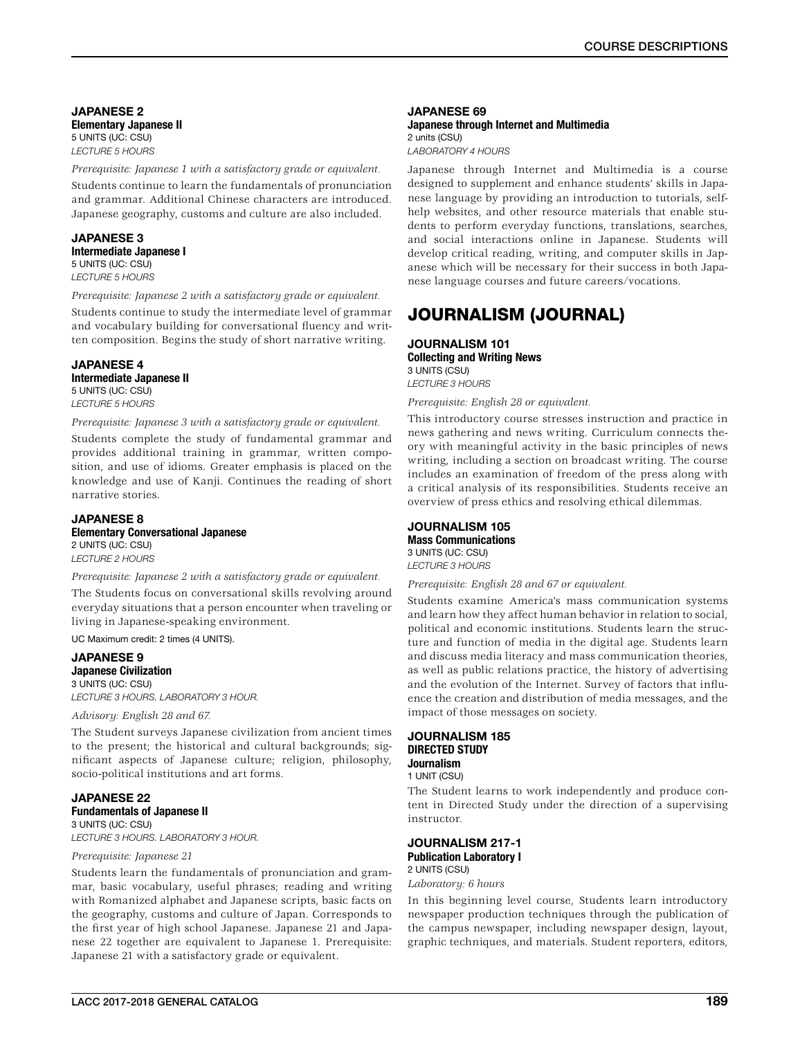JAPANESE 2 Elementary Japanese II 5 UNITS (UC: CSU) *LECTURE 5 HOURS*

*Prerequisite: Japanese 1 with a satisfactory grade or equivalent.*

Students continue to learn the fundamentals of pronunciation and grammar. Additional Chinese characters are introduced. Japanese geography, customs and culture are also included.

### JAPANESE 3 Intermediate Japanese I 5 UNITS (UC: CSU) *LECTURE 5 HOURS*

*Prerequisite: Japanese 2 with a satisfactory grade or equivalent.*

Students continue to study the intermediate level of grammar and vocabulary building for conversational fluency and written composition. Begins the study of short narrative writing.

### JAPANESE 4 Intermediate Japanese II 5 UNITS (UC: CSU) *LECTURE 5 HOURS*

*Prerequisite: Japanese 3 with a satisfactory grade or equivalent.* Students complete the study of fundamental grammar and provides additional training in grammar, written composition, and use of idioms. Greater emphasis is placed on the knowledge and use of Kanji. Continues the reading of short narrative stories.

### JAPANESE 8 Elementary Conversational Japanese 2 UNITS (UC: CSU) *LECTURE 2 HOURS*

*Prerequisite: Japanese 2 with a satisfactory grade or equivalent.*

The Students focus on conversational skills revolving around everyday situations that a person encounter when traveling or living in Japanese-speaking environment.

UC Maximum credit: 2 times (4 UNITS).

### JAPANESE 9 Japanese Civilization 3 UNITS (UC: CSU) *LECTURE 3 HOURS. LABORATORY 3 HOUR.*

*Advisory: English 28 and 67.*

The Student surveys Japanese civilization from ancient times to the present; the historical and cultural backgrounds; significant aspects of Japanese culture; religion, philosophy, socio-political institutions and art forms.

### JAPANESE 22 Fundamentals of Japanese II 3 UNITS (UC: CSU)

*LECTURE 3 HOURS. LABORATORY 3 HOUR.*

### *Prerequisite: Japanese 21*

Students learn the fundamentals of pronunciation and grammar, basic vocabulary, useful phrases; reading and writing with Romanized alphabet and Japanese scripts, basic facts on the geography, customs and culture of Japan. Corresponds to the first year of high school Japanese. Japanese 21 and Japanese 22 together are equivalent to Japanese 1. Prerequisite: Japanese 21 with a satisfactory grade or equivalent.

# JAPANESE 69 Japanese through Internet and Multimedia 2 units (CSU)

*LABORATORY 4 HOURS*

Japanese through Internet and Multimedia is a course designed to supplement and enhance students' skills in Japanese language by providing an introduction to tutorials, selfhelp websites, and other resource materials that enable students to perform everyday functions, translations, searches, and social interactions online in Japanese. Students will develop critical reading, writing, and computer skills in Japanese which will be necessary for their success in both Japanese language courses and future careers/vocations.

# JOURNALISM (JOURNAL)

JOURNALISM 101 Collecting and Writing News 3 UNITS (CSU) *LECTURE 3 HOURS*

*Prerequisite: English 28 or equivalent.*

This introductory course stresses instruction and practice in news gathering and news writing. Curriculum connects theory with meaningful activity in the basic principles of news writing, including a section on broadcast writing. The course includes an examination of freedom of the press along with a critical analysis of its responsibilities. Students receive an overview of press ethics and resolving ethical dilemmas.

# JOURNALISM 105 Mass Communications

3 UNITS (UC: CSU) *LECTURE 3 HOURS*

*Prerequisite: English 28 and 67 or equivalent.*

Students examine America's mass communication systems and learn how they affect human behavior in relation to social, political and economic institutions. Students learn the structure and function of media in the digital age. Students learn and discuss media literacy and mass communication theories, as well as public relations practice, the history of advertising and the evolution of the Internet. Survey of factors that influence the creation and distribution of media messages, and the impact of those messages on society.

### JOURNALISM 185 DIRECTED STUDY Journalism

1 UNIT (CSU)

The Student learns to work independently and produce content in Directed Study under the direction of a supervising instructor.

### JOURNALISM 217-1 Publication Laboratory I 2 UNITS (CSU)

*Laboratory: 6 hours*

In this beginning level course, Students learn introductory newspaper production techniques through the publication of the campus newspaper, including newspaper design, layout, graphic techniques, and materials. Student reporters, editors,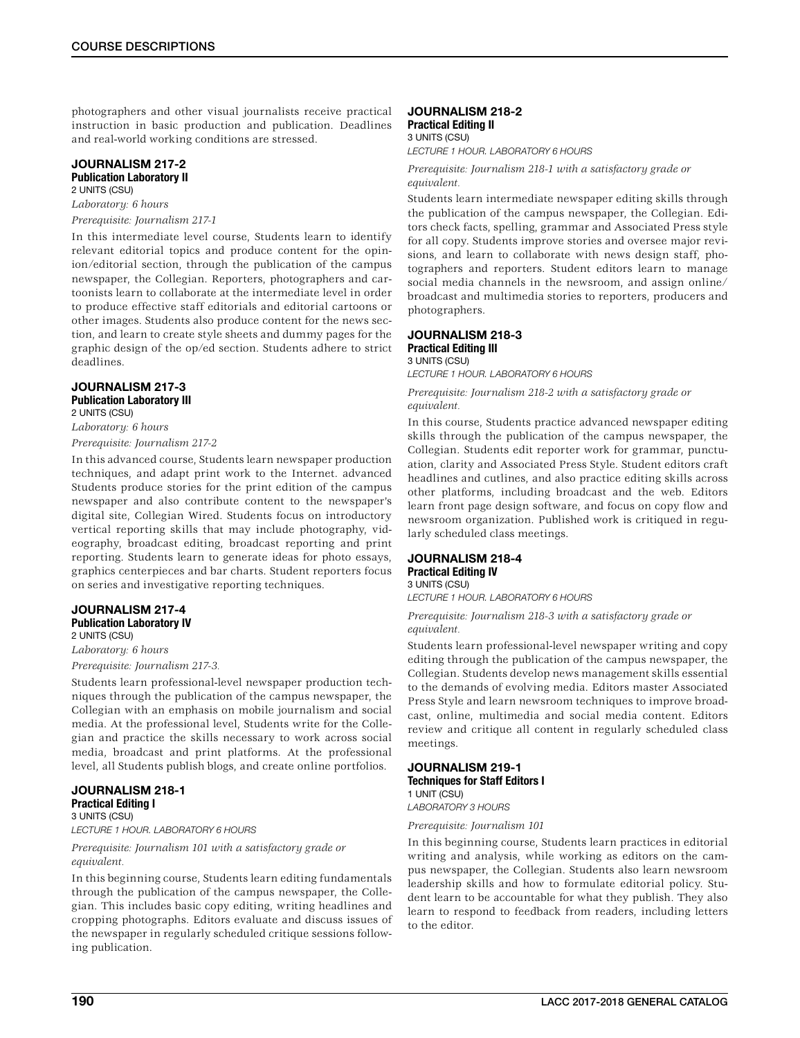photographers and other visual journalists receive practical instruction in basic production and publication. Deadlines and real-world working conditions are stressed.

# JOURNALISM 217-2 Publication Laboratory II

2 UNITS (CSU) *Laboratory: 6 hours Prerequisite: Journalism 217-1*

In this intermediate level course, Students learn to identify relevant editorial topics and produce content for the opinion/editorial section, through the publication of the campus newspaper, the Collegian. Reporters, photographers and cartoonists learn to collaborate at the intermediate level in order to produce effective staff editorials and editorial cartoons or other images. Students also produce content for the news section, and learn to create style sheets and dummy pages for the graphic design of the op/ed section. Students adhere to strict deadlines.

### JOURNALISM 217-3 Publication Laboratory III 2 UNITS (CSU)

*Laboratory: 6 hours Prerequisite: Journalism 217-2*

In this advanced course, Students learn newspaper production techniques, and adapt print work to the Internet. advanced Students produce stories for the print edition of the campus newspaper and also contribute content to the newspaper's digital site, Collegian Wired. Students focus on introductory vertical reporting skills that may include photography, videography, broadcast editing, broadcast reporting and print reporting. Students learn to generate ideas for photo essays, graphics centerpieces and bar charts. Student reporters focus on series and investigative reporting techniques.

# JOURNALISM 217-4 Publication Laboratory IV

2 UNITS (CSU)

*Laboratory: 6 hours*

*Prerequisite: Journalism 217-3.*

Students learn professional-level newspaper production techniques through the publication of the campus newspaper, the Collegian with an emphasis on mobile journalism and social media. At the professional level, Students write for the Collegian and practice the skills necessary to work across social media, broadcast and print platforms. At the professional level, all Students publish blogs, and create online portfolios.

JOURNALISM 218-1 Practical Editing I 3 UNITS (CSU)

*LECTURE 1 HOUR. LABORATORY 6 HOURS*

### *Prerequisite: Journalism 101 with a satisfactory grade or equivalent.*

In this beginning course, Students learn editing fundamentals through the publication of the campus newspaper, the Collegian. This includes basic copy editing, writing headlines and cropping photographs. Editors evaluate and discuss issues of the newspaper in regularly scheduled critique sessions following publication.

### JOURNALISM 218-2 Practical Editing II 3 UNITS (CSU)

*LECTURE 1 HOUR. LABORATORY 6 HOURS*

*Prerequisite: Journalism 218-1 with a satisfactory grade or equivalent.*

Students learn intermediate newspaper editing skills through the publication of the campus newspaper, the Collegian. Editors check facts, spelling, grammar and Associated Press style for all copy. Students improve stories and oversee major revisions, and learn to collaborate with news design staff, photographers and reporters. Student editors learn to manage social media channels in the newsroom, and assign online/ broadcast and multimedia stories to reporters, producers and photographers.

### JOURNALISM 218-3 Practical Editing III 3 UNITS (CSU)

*LECTURE 1 HOUR. LABORATORY 6 HOURS*

*Prerequisite: Journalism 218-2 with a satisfactory grade or equivalent.*

In this course, Students practice advanced newspaper editing skills through the publication of the campus newspaper, the Collegian. Students edit reporter work for grammar, punctuation, clarity and Associated Press Style. Student editors craft headlines and cutlines, and also practice editing skills across other platforms, including broadcast and the web. Editors learn front page design software, and focus on copy flow and newsroom organization. Published work is critiqued in regularly scheduled class meetings.

### JOURNALISM 218-4 Practical Editing IV 3 UNITS (CSU)

*LECTURE 1 HOUR. LABORATORY 6 HOURS*

*Prerequisite: Journalism 218-3 with a satisfactory grade or equivalent.*

Students learn professional-level newspaper writing and copy editing through the publication of the campus newspaper, the Collegian. Students develop news management skills essential to the demands of evolving media. Editors master Associated Press Style and learn newsroom techniques to improve broadcast, online, multimedia and social media content. Editors review and critique all content in regularly scheduled class meetings.

### JOURNALISM 219-1 Techniques for Staff Editors I 1 UNIT (CSU) *LABORATORY 3 HOURS*

*Prerequisite: Journalism 101*

In this beginning course, Students learn practices in editorial writing and analysis, while working as editors on the campus newspaper, the Collegian. Students also learn newsroom leadership skills and how to formulate editorial policy. Student learn to be accountable for what they publish. They also learn to respond to feedback from readers, including letters to the editor.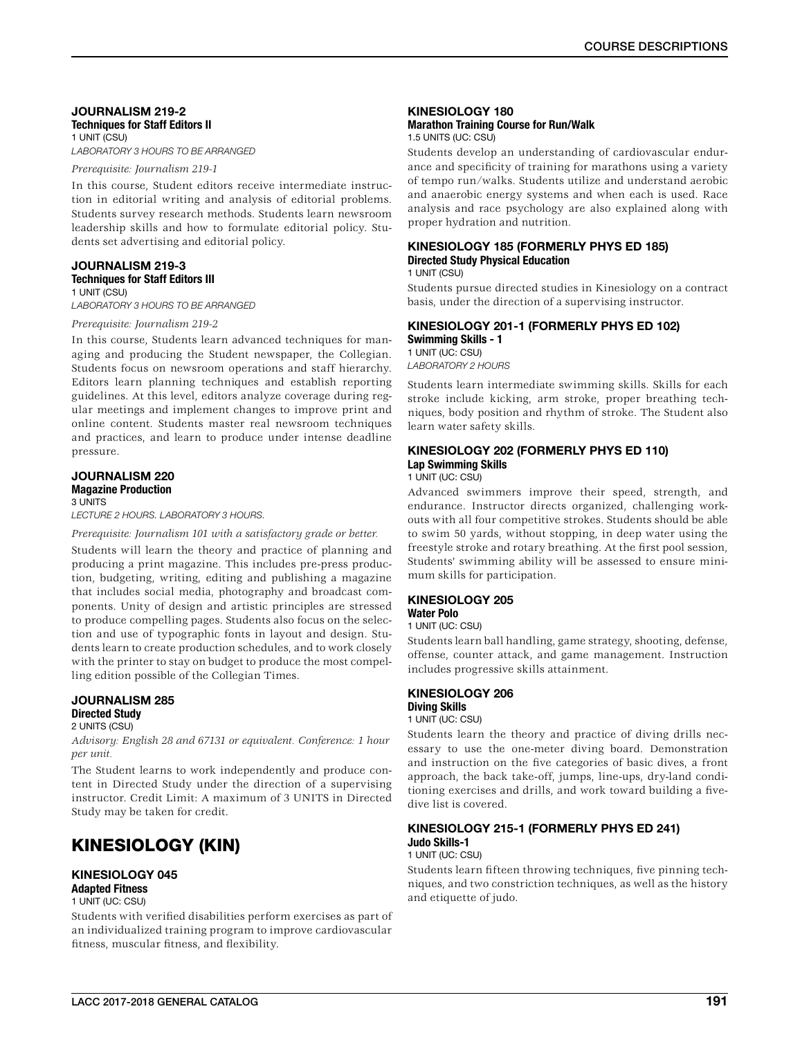### JOURNALISM 219-2 Techniques for Staff Editors II 1 UNIT (CSU)

*LABORATORY 3 HOURS TO BE ARRANGED*

*Prerequisite: Journalism 219-1*

In this course, Student editors receive intermediate instruction in editorial writing and analysis of editorial problems. Students survey research methods. Students learn newsroom leadership skills and how to formulate editorial policy. Students set advertising and editorial policy.

### JOURNALISM 219-3 Techniques for Staff Editors III

1 UNIT (CSU)

*LABORATORY 3 HOURS TO BE ARRANGED*

#### *Prerequisite: Journalism 219-2*

In this course, Students learn advanced techniques for managing and producing the Student newspaper, the Collegian. Students focus on newsroom operations and staff hierarchy. Editors learn planning techniques and establish reporting guidelines. At this level, editors analyze coverage during regular meetings and implement changes to improve print and online content. Students master real newsroom techniques and practices, and learn to produce under intense deadline pressure.

# JOURNALISM 220 Magazine Production

3 UNITS

*LECTURE 2 HOURS. LABORATORY 3 HOURS.*

*Prerequisite: Journalism 101 with a satisfactory grade or better.*

Students will learn the theory and practice of planning and producing a print magazine. This includes pre-press production, budgeting, writing, editing and publishing a magazine that includes social media, photography and broadcast components. Unity of design and artistic principles are stressed to produce compelling pages. Students also focus on the selection and use of typographic fonts in layout and design. Students learn to create production schedules, and to work closely with the printer to stay on budget to produce the most compelling edition possible of the Collegian Times.

# JOURNALISM 285 Directed Study

2 UNITS (CSU)

*Advisory: English 28 and 67131 or equivalent. Conference: 1 hour per unit.*

The Student learns to work independently and produce content in Directed Study under the direction of a supervising instructor. Credit Limit: A maximum of 3 UNITS in Directed Study may be taken for credit.

# KINESIOLOGY (KIN)

# KINESIOLOGY 045

Adapted Fitness

1 UNIT (UC: CSU)

Students with verified disabilities perform exercises as part of an individualized training program to improve cardiovascular fitness, muscular fitness, and flexibility.

# KINESIOLOGY 180 Marathon Training Course for Run/Walk

1.5 UNITS (UC: CSU)

Students develop an understanding of cardiovascular endurance and specificity of training for marathons using a variety of tempo run/walks. Students utilize and understand aerobic and anaerobic energy systems and when each is used. Race analysis and race psychology are also explained along with proper hydration and nutrition.

### KINESIOLOGY 185 (FORMERLY PHYS ED 185) Directed Study Physical Education 1 UNIT (CSU)

Students pursue directed studies in Kinesiology on a contract basis, under the direction of a supervising instructor.

### KINESIOLOGY 201-1 (FORMERLY PHYS ED 102) Swimming Skills - 1 1 UNIT (UC: CSU) *LABORATORY 2 HOURS*

Students learn intermediate swimming skills. Skills for each stroke include kicking, arm stroke, proper breathing techniques, body position and rhythm of stroke. The Student also learn water safety skills.

# KINESIOLOGY 202 (FORMERLY PHYS ED 110) Lap Swimming Skills

1 UNIT (UC: CSU)

Advanced swimmers improve their speed, strength, and endurance. Instructor directs organized, challenging workouts with all four competitive strokes. Students should be able to swim 50 yards, without stopping, in deep water using the freestyle stroke and rotary breathing. At the first pool session, Students' swimming ability will be assessed to ensure minimum skills for participation.

# KINESIOLOGY 205

Water Polo

1 UNIT (UC: CSU)

Students learn ball handling, game strategy, shooting, defense, offense, counter attack, and game management. Instruction includes progressive skills attainment.

### KINESIOLOGY 206 Diving Skills

1 UNIT (UC: CSU)

Students learn the theory and practice of diving drills necessary to use the one-meter diving board. Demonstration and instruction on the five categories of basic dives, a front approach, the back take-off, jumps, line-ups, dry-land conditioning exercises and drills, and work toward building a fivedive list is covered.

#### KINESIOLOGY 215-1 (FORMERLY PHYS ED 241) Judo Skills-1 1 UNIT (UC: CSU)

Students learn fifteen throwing techniques, five pinning techniques, and two constriction techniques, as well as the history and etiquette of judo.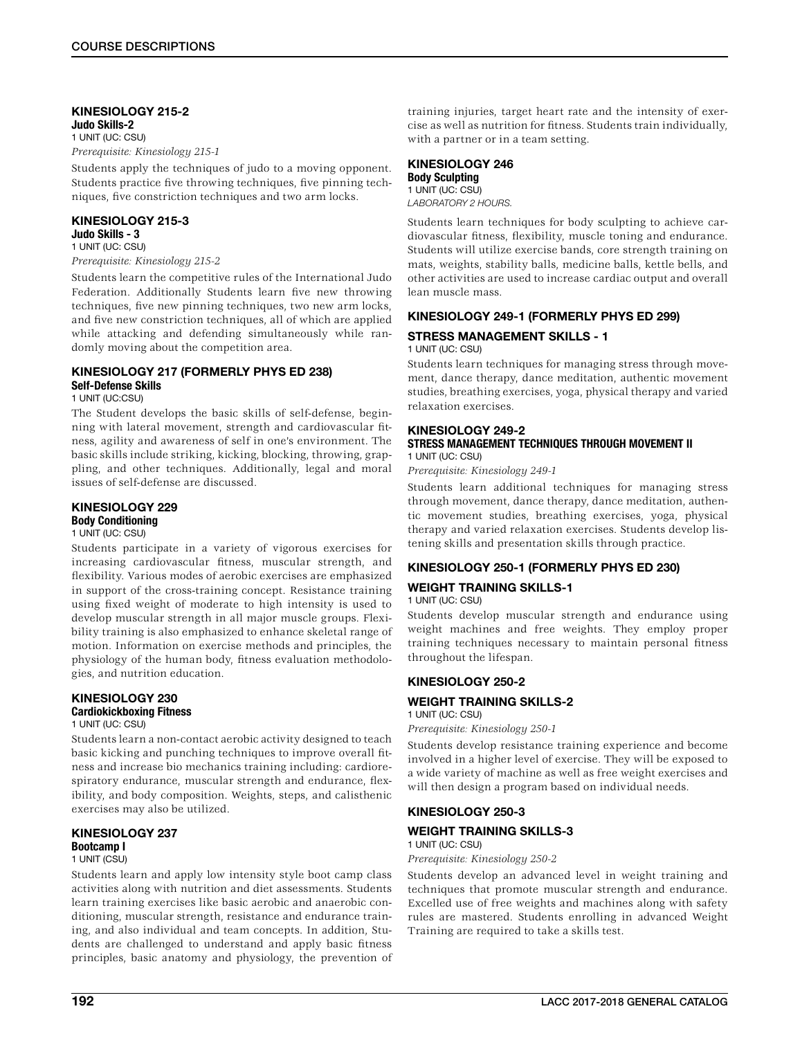### KINESIOLOGY 215-2 Judo Skills-2

1 UNIT (UC: CSU) *Prerequisite: Kinesiology 215-1*

Students apply the techniques of judo to a moving opponent. Students practice five throwing techniques, five pinning techniques, five constriction techniques and two arm locks.

# KINESIOLOGY 215-3

Judo Skills - 3 1 UNIT (UC: CSU)

# *Prerequisite: Kinesiology 215-2*

Students learn the competitive rules of the International Judo Federation. Additionally Students learn five new throwing techniques, five new pinning techniques, two new arm locks, and five new constriction techniques, all of which are applied while attacking and defending simultaneously while randomly moving about the competition area.

### KINESIOLOGY 217 (FORMERLY PHYS ED 238) Self-Defense Skills

1 UNIT (UC:CSU)

The Student develops the basic skills of self-defense, beginning with lateral movement, strength and cardiovascular fitness, agility and awareness of self in one's environment. The basic skills include striking, kicking, blocking, throwing, grappling, and other techniques. Additionally, legal and moral issues of self-defense are discussed.

### KINESIOLOGY 229 Body Conditioning

# 1 UNIT (UC: CSU)

Students participate in a variety of vigorous exercises for increasing cardiovascular fitness, muscular strength, and flexibility. Various modes of aerobic exercises are emphasized in support of the cross-training concept. Resistance training using fixed weight of moderate to high intensity is used to develop muscular strength in all major muscle groups. Flexibility training is also emphasized to enhance skeletal range of motion. Information on exercise methods and principles, the physiology of the human body, fitness evaluation methodologies, and nutrition education.

# KINESIOLOGY 230

# Cardiokickboxing Fitness

1 UNIT (UC: CSU)

Students learn a non-contact aerobic activity designed to teach basic kicking and punching techniques to improve overall fitness and increase bio mechanics training including: cardiorespiratory endurance, muscular strength and endurance, flexibility, and body composition. Weights, steps, and calisthenic exercises may also be utilized.

### KINESIOLOGY 237 Bootcamp I 1 UNIT (CSU)

# Students learn and apply low intensity style boot camp class activities along with nutrition and diet assessments. Students learn training exercises like basic aerobic and anaerobic conditioning, muscular strength, resistance and endurance training, and also individual and team concepts. In addition, Students are challenged to understand and apply basic fitness principles, basic anatomy and physiology, the prevention of

training injuries, target heart rate and the intensity of exercise as well as nutrition for fitness. Students train individually, with a partner or in a team setting.

### KINESIOLOGY 246 Body Sculpting 1 UNIT (UC: CSU)

*LABORATORY 2 HOURS.*

Students learn techniques for body sculpting to achieve cardiovascular fitness, flexibility, muscle toning and endurance. Students will utilize exercise bands, core strength training on mats, weights, stability balls, medicine balls, kettle bells, and other activities are used to increase cardiac output and overall lean muscle mass.

# KINESIOLOGY 249-1 (FORMERLY PHYS ED 299)

### STRESS MANAGEMENT SKILLS - 1 1 UNIT (UC: CSU)

Students learn techniques for managing stress through movement, dance therapy, dance meditation, authentic movement studies, breathing exercises, yoga, physical therapy and varied relaxation exercises.

### KINESIOLOGY 249-2 STRESS MANAGEMENT TECHNIQUES THROUGH MOVEMENT II 1 UNIT (UC: CSU)

*Prerequisite: Kinesiology 249-1*

Students learn additional techniques for managing stress through movement, dance therapy, dance meditation, authentic movement studies, breathing exercises, yoga, physical therapy and varied relaxation exercises. Students develop listening skills and presentation skills through practice.

# KINESIOLOGY 250-1 (FORMERLY PHYS ED 230)

### WEIGHT TRAINING SKILLS-1 1 UNIT (UC: CSU)

Students develop muscular strength and endurance using weight machines and free weights. They employ proper training techniques necessary to maintain personal fitness throughout the lifespan.

# KINESIOLOGY 250-2

# WEIGHT TRAINING SKILLS-2

1 UNIT (UC: CSU)

*Prerequisite: Kinesiology 250-1*

Students develop resistance training experience and become involved in a higher level of exercise. They will be exposed to a wide variety of machine as well as free weight exercises and will then design a program based on individual needs.

# KINESIOLOGY 250-3

# WEIGHT TRAINING SKILLS-3

1 UNIT (UC: CSU)

*Prerequisite: Kinesiology 250-2*

Students develop an advanced level in weight training and techniques that promote muscular strength and endurance. Excelled use of free weights and machines along with safety rules are mastered. Students enrolling in advanced Weight Training are required to take a skills test.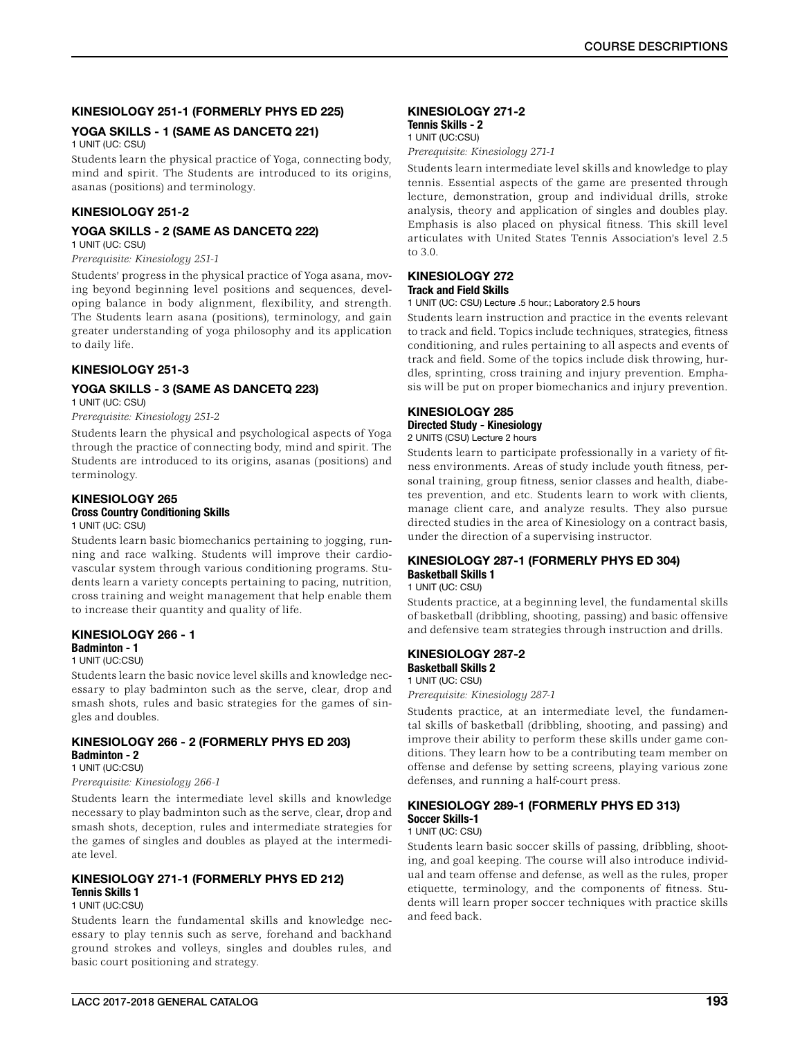# KINESIOLOGY 251-1 (FORMERLY PHYS ED 225)

# YOGA SKILLS - 1 (SAME AS DANCETQ 221)

1 UNIT (UC: CSU)

Students learn the physical practice of Yoga, connecting body, mind and spirit. The Students are introduced to its origins, asanas (positions) and terminology.

### KINESIOLOGY 251-2

# YOGA SKILLS - 2 (SAME AS DANCETQ 222)

1 UNIT (UC: CSU)

*Prerequisite: Kinesiology 251-1*

Students' progress in the physical practice of Yoga asana, moving beyond beginning level positions and sequences, developing balance in body alignment, flexibility, and strength. The Students learn asana (positions), terminology, and gain greater understanding of yoga philosophy and its application to daily life.

### KINESIOLOGY 251-3

# YOGA SKILLS - 3 (SAME AS DANCETQ 223)

1 UNIT (UC: CSU)

*Prerequisite: Kinesiology 251-2*

Students learn the physical and psychological aspects of Yoga through the practice of connecting body, mind and spirit. The Students are introduced to its origins, asanas (positions) and terminology.

### KINESIOLOGY 265 Cross Country Conditioning Skills

### 1 UNIT (UC: CSU)

Students learn basic biomechanics pertaining to jogging, running and race walking. Students will improve their cardiovascular system through various conditioning programs. Students learn a variety concepts pertaining to pacing, nutrition, cross training and weight management that help enable them to increase their quantity and quality of life.

# KINESIOLOGY 266 - 1

# Badminton - 1

### 1 UNIT (UC:CSU)

Students learn the basic novice level skills and knowledge necessary to play badminton such as the serve, clear, drop and smash shots, rules and basic strategies for the games of singles and doubles.

#### KINESIOLOGY 266 - 2 (FORMERLY PHYS ED 203) Badminton - 2 1 UNIT (UC:CSU)

*Prerequisite: Kinesiology 266-1*

Students learn the intermediate level skills and knowledge necessary to play badminton such as the serve, clear, drop and smash shots, deception, rules and intermediate strategies for the games of singles and doubles as played at the intermediate level.

# KINESIOLOGY 271-1 (FORMERLY PHYS ED 212) Tennis Skills 1

### 1 UNIT (UC:CSU)

Students learn the fundamental skills and knowledge necessary to play tennis such as serve, forehand and backhand ground strokes and volleys, singles and doubles rules, and basic court positioning and strategy.

# KINESIOLOGY 271-2 Tennis Skills - 2

1 UNIT (UC:CSU)

*Prerequisite: Kinesiology 271-1*

Students learn intermediate level skills and knowledge to play tennis. Essential aspects of the game are presented through lecture, demonstration, group and individual drills, stroke analysis, theory and application of singles and doubles play. Emphasis is also placed on physical fitness. This skill level articulates with United States Tennis Association's level 2.5 to 3.0.

### KINESIOLOGY 272 Track and Field Skills

1 UNIT (UC: CSU) Lecture .5 hour.; Laboratory 2.5 hours

Students learn instruction and practice in the events relevant to track and field. Topics include techniques, strategies, fitness conditioning, and rules pertaining to all aspects and events of track and field. Some of the topics include disk throwing, hurdles, sprinting, cross training and injury prevention. Emphasis will be put on proper biomechanics and injury prevention.

### KINESIOLOGY 285 Directed Study - Kinesiology 2 UNITS (CSU) Lecture 2 hours

Students learn to participate professionally in a variety of fitness environments. Areas of study include youth fitness, personal training, group fitness, senior classes and health, diabetes prevention, and etc. Students learn to work with clients, manage client care, and analyze results. They also pursue directed studies in the area of Kinesiology on a contract basis, under the direction of a supervising instructor.

# KINESIOLOGY 287-1 (FORMERLY PHYS ED 304) Basketball Skills 1

1 UNIT (UC: CSU)

Students practice, at a beginning level, the fundamental skills of basketball (dribbling, shooting, passing) and basic offensive and defensive team strategies through instruction and drills.

### KINESIOLOGY 287-2 Basketball Skills 2

1 UNIT (UC: CSU)

*Prerequisite: Kinesiology 287-1*

Students practice, at an intermediate level, the fundamental skills of basketball (dribbling, shooting, and passing) and improve their ability to perform these skills under game conditions. They learn how to be a contributing team member on offense and defense by setting screens, playing various zone defenses, and running a half-court press.

### KINESIOLOGY 289-1 (FORMERLY PHYS ED 313) Soccer Skills-1 1 UNIT (UC: CSU)

Students learn basic soccer skills of passing, dribbling, shooting, and goal keeping. The course will also introduce individual and team offense and defense, as well as the rules, proper etiquette, terminology, and the components of fitness. Students will learn proper soccer techniques with practice skills and feed back.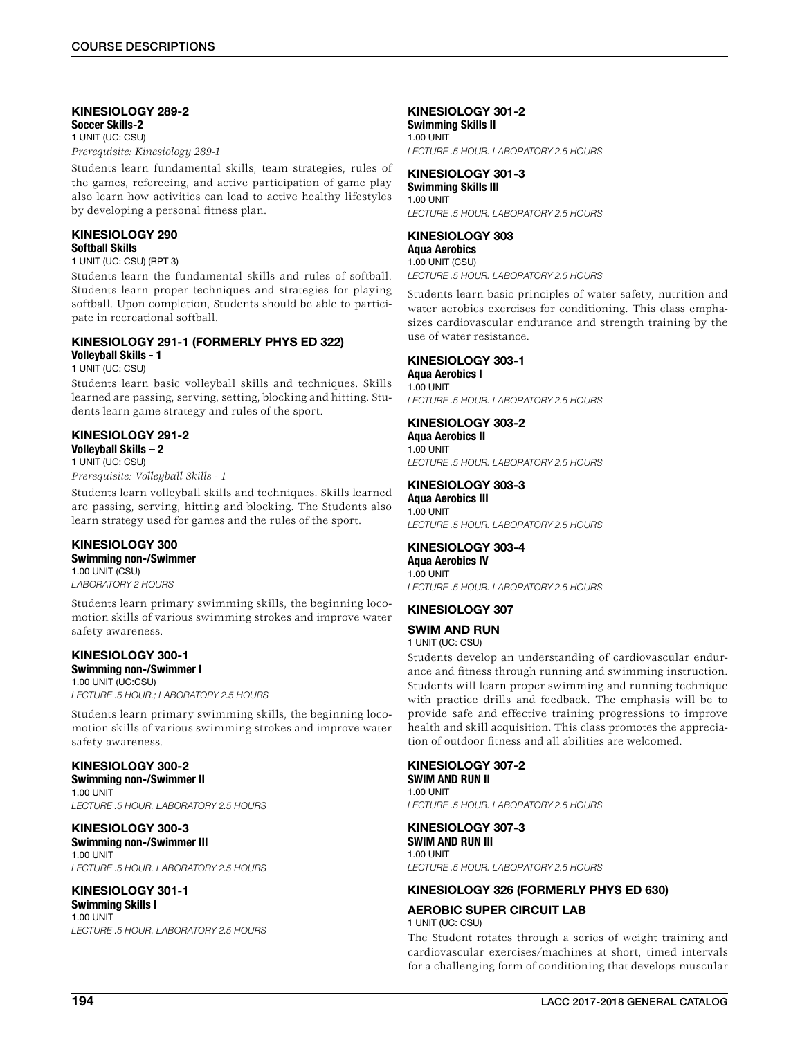### KINESIOLOGY 289-2 Soccer Skills-2

1 UNIT (UC: CSU)

*Prerequisite: Kinesiology 289-1*

Students learn fundamental skills, team strategies, rules of the games, refereeing, and active participation of game play also learn how activities can lead to active healthy lifestyles by developing a personal fitness plan.

# KINESIOLOGY 290 Softball Skills

### 1 UNIT (UC: CSU) (RPT 3)

Students learn the fundamental skills and rules of softball. Students learn proper techniques and strategies for playing softball. Upon completion, Students should be able to participate in recreational softball.

### KINESIOLOGY 291-1 (FORMERLY PHYS ED 322) Volleyball Skills - 1

1 UNIT (UC: CSU)

Students learn basic volleyball skills and techniques. Skills learned are passing, serving, setting, blocking and hitting. Students learn game strategy and rules of the sport.

# KINESIOLOGY 291-2

Volleyball Skills – 2 1 UNIT (UC: CSU)

*Prerequisite: Volleyball Skills - 1*

Students learn volleyball skills and techniques. Skills learned are passing, serving, hitting and blocking. The Students also learn strategy used for games and the rules of the sport.

# KINESIOLOGY 300

Swimming non-/Swimmer 1.00 UNIT (CSU) *LABORATORY 2 HOURS*

Students learn primary swimming skills, the beginning locomotion skills of various swimming strokes and improve water safety awareness.

# KINESIOLOGY 300-1

Swimming non-/Swimmer I 1.00 UNIT (UC:CSU) *LECTURE .5 HOUR.; LABORATORY 2.5 HOURS*

Students learn primary swimming skills, the beginning locomotion skills of various swimming strokes and improve water safety awareness.

# KINESIOLOGY 300-2

Swimming non-/Swimmer II 1.00 UNIT *LECTURE .5 HOUR. LABORATORY 2.5 HOURS*

KINESIOLOGY 300-3 Swimming non-/Swimmer III 1.00 UNIT *LECTURE .5 HOUR. LABORATORY 2.5 HOURS*

# KINESIOLOGY 301-1

Swimming Skills I 1.00 UNIT *LECTURE .5 HOUR. LABORATORY 2.5 HOURS*

# KINESIOLOGY 301-2

Swimming Skills II 1.00 UNIT *LECTURE .5 HOUR. LABORATORY 2.5 HOURS*

# KINESIOLOGY 301-3

Swimming Skills III 1.00 UNIT *LECTURE .5 HOUR. LABORATORY 2.5 HOURS*

### KINESIOLOGY 303 Aqua Aerobics

1.00 UNIT (CSU) *LECTURE .5 HOUR. LABORATORY 2.5 HOURS*

Students learn basic principles of water safety, nutrition and water aerobics exercises for conditioning. This class emphasizes cardiovascular endurance and strength training by the use of water resistance.

### KINESIOLOGY 303-1

Aqua Aerobics I 1.00 UNIT *LECTURE .5 HOUR. LABORATORY 2.5 HOURS*

# KINESIOLOGY 303-2

Aqua Aerobics II 1.00 UNIT *LECTURE .5 HOUR. LABORATORY 2.5 HOURS*

# KINESIOLOGY 303-3

Aqua Aerobics III 1.00 UNIT *LECTURE .5 HOUR. LABORATORY 2.5 HOURS*

# KINESIOLOGY 303-4

Aqua Aerobics IV 1.00 UNIT *LECTURE .5 HOUR. LABORATORY 2.5 HOURS*

# KINESIOLOGY 307

# SWIM AND RUN

1 UNIT (UC: CSU)

Students develop an understanding of cardiovascular endurance and fitness through running and swimming instruction. Students will learn proper swimming and running technique with practice drills and feedback. The emphasis will be to provide safe and effective training progressions to improve health and skill acquisition. This class promotes the appreciation of outdoor fitness and all abilities are welcomed.

# KINESIOLOGY 307-2

SWIM AND RUN II 1.00 UNIT *LECTURE .5 HOUR. LABORATORY 2.5 HOURS*

### KINESIOLOGY 307-3 SWIM AND RUN III 1.00 UNIT

*LECTURE .5 HOUR. LABORATORY 2.5 HOURS*

# KINESIOLOGY 326 (FORMERLY PHYS ED 630)

# AEROBIC SUPER CIRCUIT LAB

1 UNIT (UC: CSU)

The Student rotates through a series of weight training and cardiovascular exercises/machines at short, timed intervals for a challenging form of conditioning that develops muscular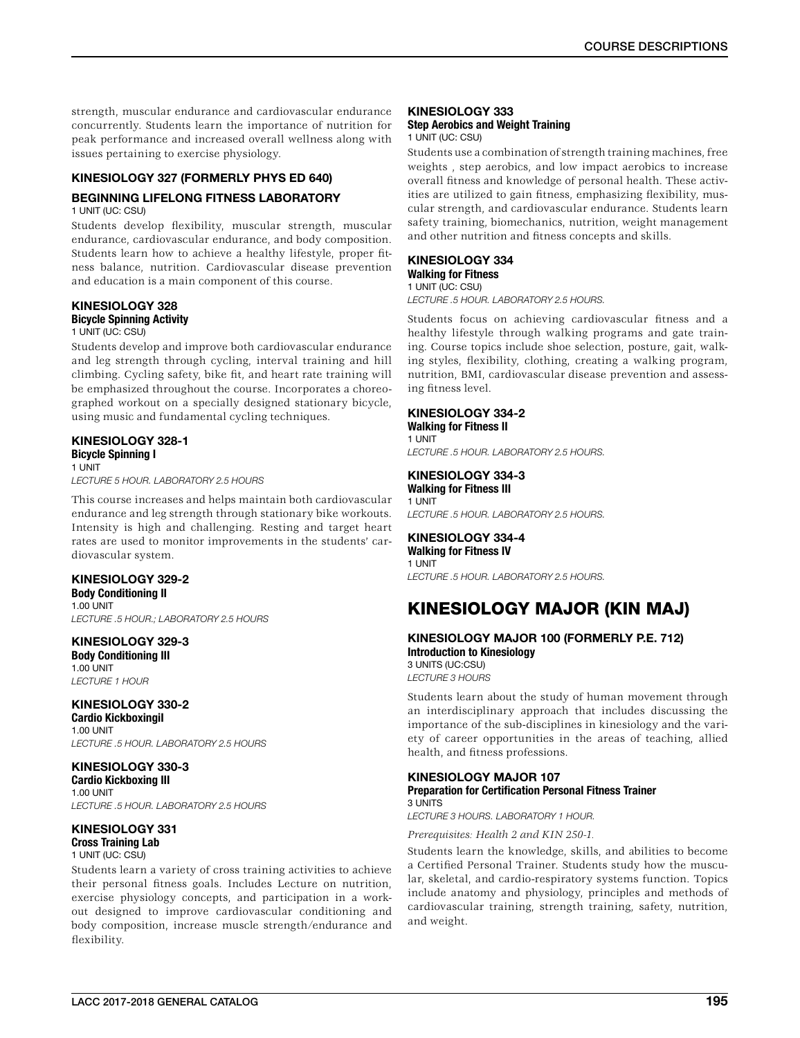strength, muscular endurance and cardiovascular endurance concurrently. Students learn the importance of nutrition for peak performance and increased overall wellness along with issues pertaining to exercise physiology.

# KINESIOLOGY 327 (FORMERLY PHYS ED 640)

# BEGINNING LIFELONG FITNESS LABORATORY

1 UNIT (UC: CSU)

Students develop flexibility, muscular strength, muscular endurance, cardiovascular endurance, and body composition. Students learn how to achieve a healthy lifestyle, proper fitness balance, nutrition. Cardiovascular disease prevention and education is a main component of this course.

# KINESIOLOGY 328

Bicycle Spinning Activity

### 1 UNIT (UC: CSU)

Students develop and improve both cardiovascular endurance and leg strength through cycling, interval training and hill climbing. Cycling safety, bike fit, and heart rate training will be emphasized throughout the course. Incorporates a choreographed workout on a specially designed stationary bicycle, using music and fundamental cycling techniques.

# KINESIOLOGY 328-1

Bicycle Spinning I 1 UNIT

*LECTURE 5 HOUR. LABORATORY 2.5 HOURS*

This course increases and helps maintain both cardiovascular endurance and leg strength through stationary bike workouts. Intensity is high and challenging. Resting and target heart rates are used to monitor improvements in the students' cardiovascular system.

# KINESIOLOGY 329-2

Body Conditioning II 1.00 UNIT *LECTURE .5 HOUR.; LABORATORY 2.5 HOURS*

KINESIOLOGY 329-3 Body Conditioning III 1.00 UNIT *LECTURE 1 HOUR*

KINESIOLOGY 330-2

Cardio KickboxingiI 1.00 UNIT *LECTURE .5 HOUR. LABORATORY 2.5 HOURS*

KINESIOLOGY 330-3 Cardio Kickboxing III 1.00 UNIT *LECTURE .5 HOUR. LABORATORY 2.5 HOURS*

# KINESIOLOGY 331

Cross Training Lab 1 UNIT (UC: CSU)

Students learn a variety of cross training activities to achieve their personal fitness goals. Includes Lecture on nutrition, exercise physiology concepts, and participation in a workout designed to improve cardiovascular conditioning and body composition, increase muscle strength/endurance and flexibility.

### KINESIOLOGY 333

#### Step Aerobics and Weight Training 1 UNIT (UC: CSU)

Students use a combination of strength training machines, free weights , step aerobics, and low impact aerobics to increase overall fitness and knowledge of personal health. These activities are utilized to gain fitness, emphasizing flexibility, muscular strength, and cardiovascular endurance. Students learn safety training, biomechanics, nutrition, weight management and other nutrition and fitness concepts and skills.

# KINESIOLOGY 334

#### Walking for Fitness 1 UNIT (UC: CSU)

*LECTURE .5 HOUR. LABORATORY 2.5 HOURS.*

Students focus on achieving cardiovascular fitness and a healthy lifestyle through walking programs and gate training. Course topics include shoe selection, posture, gait, walking styles, flexibility, clothing, creating a walking program, nutrition, BMI, cardiovascular disease prevention and assessing fitness level.

# KINESIOLOGY 334-2

Walking for Fitness II 1 UNIT *LECTURE .5 HOUR. LABORATORY 2.5 HOURS.*

### KINESIOLOGY 334-3 Walking for Fitness III

1 UNIT *LECTURE .5 HOUR. LABORATORY 2.5 HOURS.*

KINESIOLOGY 334-4 Walking for Fitness IV 1 UNIT *LECTURE .5 HOUR. LABORATORY 2.5 HOURS.*

# KINESIOLOGY MAJOR (KIN MAJ)

### KINESIOLOGY MAJOR 100 (FORMERLY P.E. 712) Introduction to Kinesiology 3 UNITS (UC:CSU)

*LECTURE 3 HOURS*

Students learn about the study of human movement through an interdisciplinary approach that includes discussing the importance of the sub-disciplines in kinesiology and the variety of career opportunities in the areas of teaching, allied health, and fitness professions.

#### KINESIOLOGY MAJOR 107 Preparation for Certification Personal Fitness Trainer 3 UNITS

*LECTURE 3 HOURS. LABORATORY 1 HOUR.*

*Prerequisites: Health 2 and KIN 250-1.*

Students learn the knowledge, skills, and abilities to become a Certified Personal Trainer. Students study how the muscular, skeletal, and cardio-respiratory systems function. Topics include anatomy and physiology, principles and methods of cardiovascular training, strength training, safety, nutrition, and weight.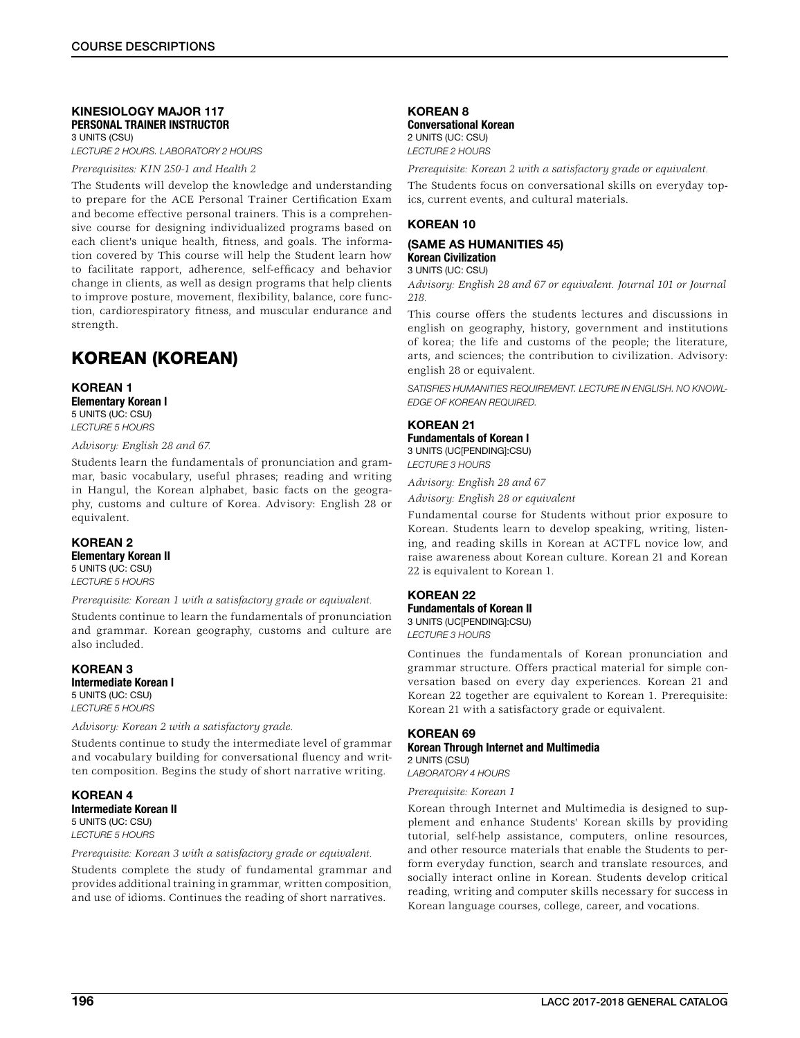### KINESIOLOGY MAJOR 117 PERSONAL TRAINER INSTRUCTOR 3 UNITS (CSU)

*LECTURE 2 HOURS. LABORATORY 2 HOURS*

*Prerequisites: KIN 250-1 and Health 2*

The Students will develop the knowledge and understanding to prepare for the ACE Personal Trainer Certification Exam and become effective personal trainers. This is a comprehensive course for designing individualized programs based on each client's unique health, fitness, and goals. The information covered by This course will help the Student learn how to facilitate rapport, adherence, self-efficacy and behavior change in clients, as well as design programs that help clients to improve posture, movement, flexibility, balance, core function, cardiorespiratory fitness, and muscular endurance and strength.

# KOREAN (KOREAN)

### KOREAN 1 Elementary Korean I 5 UNITS (UC: CSU) *LECTURE 5 HOURS*

### *Advisory: English 28 and 67.*

Students learn the fundamentals of pronunciation and grammar, basic vocabulary, useful phrases; reading and writing in Hangul, the Korean alphabet, basic facts on the geography, customs and culture of Korea. Advisory: English 28 or equivalent.

### KOREAN 2 Elementary Korean II 5 UNITS (UC: CSU)

*LECTURE 5 HOURS*

*Prerequisite: Korean 1 with a satisfactory grade or equivalent.*

Students continue to learn the fundamentals of pronunciation and grammar. Korean geography, customs and culture are also included.

### KOREAN 3 Intermediate Korean I 5 UNITS (UC: CSU) *LECTURE 5 HOURS*

*Advisory: Korean 2 with a satisfactory grade.*

Students continue to study the intermediate level of grammar and vocabulary building for conversational fluency and written composition. Begins the study of short narrative writing.

KOREAN 4 Intermediate Korean II 5 UNITS (UC: CSU) *LECTURE 5 HOURS*

*Prerequisite: Korean 3 with a satisfactory grade or equivalent.*

Students complete the study of fundamental grammar and provides additional training in grammar, written composition, and use of idioms. Continues the reading of short narratives.

# KOREAN 8

Conversational Korean 2 UNITS (UC: CSU) *LECTURE 2 HOURS*

*Prerequisite: Korean 2 with a satisfactory grade or equivalent.*

The Students focus on conversational skills on everyday topics, current events, and cultural materials.

### KOREAN 10

# (SAME AS HUMANITIES 45) Korean Civilization

3 UNITS (UC: CSU)

*Advisory: English 28 and 67 or equivalent. Journal 101 or Journal 218.*

This course offers the students lectures and discussions in english on geography, history, government and institutions of korea; the life and customs of the people; the literature, arts, and sciences; the contribution to civilization. Advisory: english 28 or equivalent.

*SATISFIES HUMANITIES REQUIREMENT. LECTURE IN ENGLISH. NO KNOWL-EDGE OF KOREAN REQUIRED.*

# KOREAN 21

Fundamentals of Korean I 3 UNITS (UC[PENDING]:CSU) *LECTURE 3 HOURS*

*Advisory: English 28 and 67*

*Advisory: English 28 or equivalent*

Fundamental course for Students without prior exposure to Korean. Students learn to develop speaking, writing, listening, and reading skills in Korean at ACTFL novice low, and raise awareness about Korean culture. Korean 21 and Korean 22 is equivalent to Korean 1.

### KOREAN 22

Fundamentals of Korean II 3 UNITS (UC[PENDING]:CSU) *LECTURE 3 HOURS*

Continues the fundamentals of Korean pronunciation and grammar structure. Offers practical material for simple conversation based on every day experiences. Korean 21 and Korean 22 together are equivalent to Korean 1. Prerequisite: Korean 21 with a satisfactory grade or equivalent.

### KOREAN 69 Korean Through Internet and Multimedia 2 UNITS (CSU)

*LABORATORY 4 HOURS*

*Prerequisite: Korean 1*

Korean through Internet and Multimedia is designed to supplement and enhance Students' Korean skills by providing tutorial, self-help assistance, computers, online resources, and other resource materials that enable the Students to perform everyday function, search and translate resources, and socially interact online in Korean. Students develop critical reading, writing and computer skills necessary for success in Korean language courses, college, career, and vocations.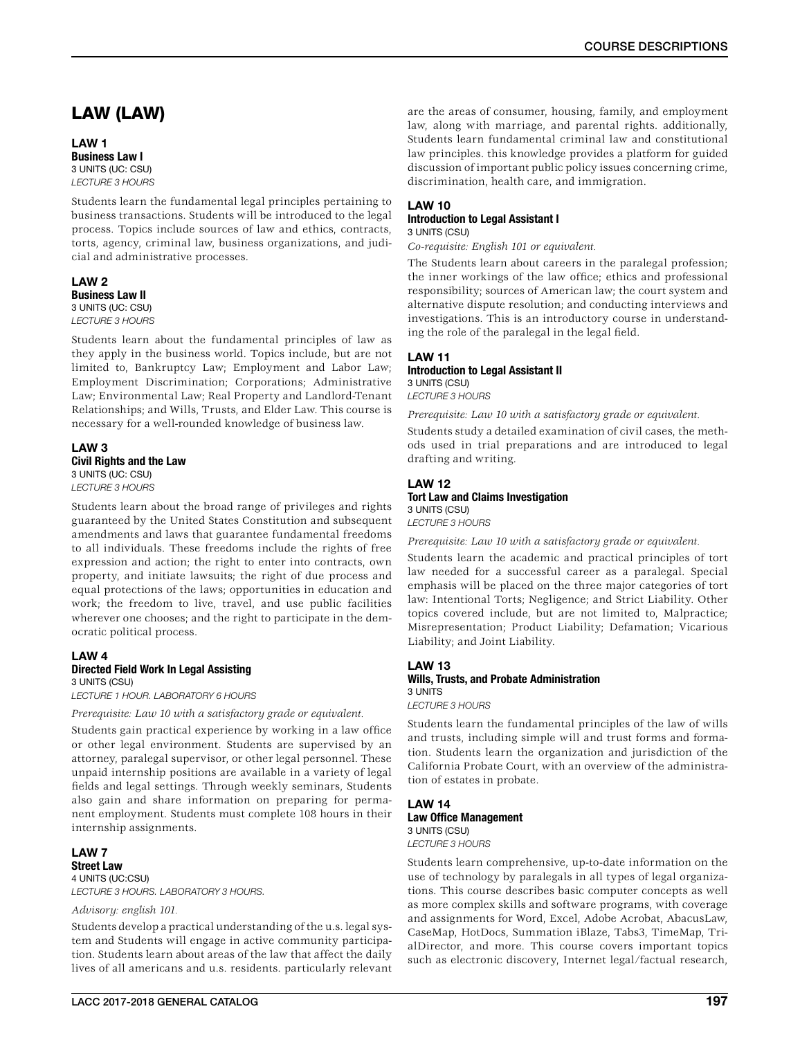# COURSE DESCRIPTIONS

# LAW (LAW)

### LAW 1 Business Law I 3 UNITS (UC: CSU) *LECTURE 3 HOURS*

Students learn the fundamental legal principles pertaining to business transactions. Students will be introduced to the legal process. Topics include sources of law and ethics, contracts, torts, agency, criminal law, business organizations, and judicial and administrative processes.

LAW<sub>2</sub> Business Law II 3 UNITS (UC: CSU) *LECTURE 3 HOURS*

Students learn about the fundamental principles of law as they apply in the business world. Topics include, but are not limited to, Bankruptcy Law; Employment and Labor Law; Employment Discrimination; Corporations; Administrative Law; Environmental Law; Real Property and Landlord-Tenant Relationships; and Wills, Trusts, and Elder Law. This course is necessary for a well-rounded knowledge of business law.

### LAW 3 Civil Rights and the Law 3 UNITS (UC: CSU) *LECTURE 3 HOURS*

Students learn about the broad range of privileges and rights guaranteed by the United States Constitution and subsequent amendments and laws that guarantee fundamental freedoms to all individuals. These freedoms include the rights of free expression and action; the right to enter into contracts, own property, and initiate lawsuits; the right of due process and equal protections of the laws; opportunities in education and work; the freedom to live, travel, and use public facilities wherever one chooses; and the right to participate in the democratic political process.

### LAW 4 Directed Field Work In Legal Assisting 3 UNITS (CSU)

*LECTURE 1 HOUR. LABORATORY 6 HOURS*

*Prerequisite: Law 10 with a satisfactory grade or equivalent.*

Students gain practical experience by working in a law office or other legal environment. Students are supervised by an attorney, paralegal supervisor, or other legal personnel. These unpaid internship positions are available in a variety of legal fields and legal settings. Through weekly seminars, Students also gain and share information on preparing for permanent employment. Students must complete 108 hours in their internship assignments.

### LAW 7 Street Law 4 UNITS (UC:CSU) *LECTURE 3 HOURS. LABORATORY 3 HOURS.*

### *Advisory: english 101.*

Students develop a practical understanding of the u.s. legal system and Students will engage in active community participation. Students learn about areas of the law that affect the daily lives of all americans and u.s. residents. particularly relevant

### LAW 10 Introduction to Legal Assistant I 3 UNITS (CSU)

*Co-requisite: English 101 or equivalent.*

The Students learn about careers in the paralegal profession; the inner workings of the law office; ethics and professional responsibility; sources of American law; the court system and alternative dispute resolution; and conducting interviews and investigations. This is an introductory course in understanding the role of the paralegal in the legal field.

# LAW 11

### Introduction to Legal Assistant II 3 UNITS (CSU)

*LECTURE 3 HOURS*

*Prerequisite: Law 10 with a satisfactory grade or equivalent.*

Students study a detailed examination of civil cases, the methods used in trial preparations and are introduced to legal drafting and writing.

### LAW 12 Tort Law and Claims Investigation 3 UNITS (CSU) *LECTURE 3 HOURS*

*Prerequisite: Law 10 with a satisfactory grade or equivalent.*

Students learn the academic and practical principles of tort law needed for a successful career as a paralegal. Special emphasis will be placed on the three major categories of tort law: Intentional Torts; Negligence; and Strict Liability. Other topics covered include, but are not limited to, Malpractice; Misrepresentation; Product Liability; Defamation; Vicarious Liability; and Joint Liability.

### LAW 13 Wills, Trusts, and Probate Administration 3 UNITS *LECTURE 3 HOURS*

Students learn the fundamental principles of the law of wills and trusts, including simple will and trust forms and formation. Students learn the organization and jurisdiction of the California Probate Court, with an overview of the administration of estates in probate.

### LAW 14 Law Office Management 3 UNITS (CSU) *LECTURE 3 HOURS*

Students learn comprehensive, up-to-date information on the use of technology by paralegals in all types of legal organizations. This course describes basic computer concepts as well as more complex skills and software programs, with coverage and assignments for Word, Excel, Adobe Acrobat, AbacusLaw, CaseMap, HotDocs, Summation iBlaze, Tabs3, TimeMap, TrialDirector, and more. This course covers important topics such as electronic discovery, Internet legal/factual research,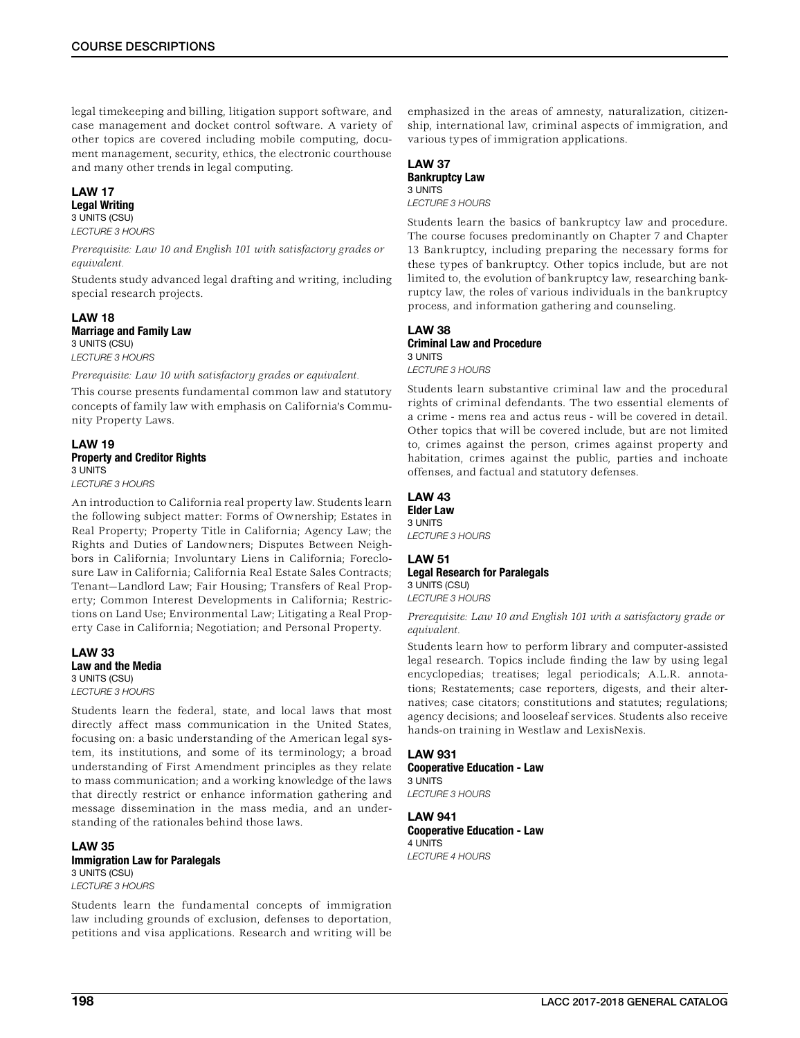legal timekeeping and billing, litigation support software, and case management and docket control software. A variety of other topics are covered including mobile computing, document management, security, ethics, the electronic courthouse and many other trends in legal computing.

### LAW 17 Legal Writing 3 UNITS (CSU)

*LECTURE 3 HOURS*

*Prerequisite: Law 10 and English 101 with satisfactory grades or equivalent.*

Students study advanced legal drafting and writing, including special research projects.

### LAW 18 Marriage and Family Law 3 UNITS (CSU)

*LECTURE 3 HOURS*

*Prerequisite: Law 10 with satisfactory grades or equivalent.*

This course presents fundamental common law and statutory concepts of family law with emphasis on California's Community Property Laws.

# LAW 19 Property and Creditor Rights 3 UNITS

*LECTURE 3 HOURS*

An introduction to California real property law. Students learn the following subject matter: Forms of Ownership; Estates in Real Property; Property Title in California; Agency Law; the Rights and Duties of Landowners; Disputes Between Neighbors in California; Involuntary Liens in California; Foreclosure Law in California; California Real Estate Sales Contracts; Tenant—Landlord Law; Fair Housing; Transfers of Real Property; Common Interest Developments in California; Restrictions on Land Use; Environmental Law; Litigating a Real Property Case in California; Negotiation; and Personal Property.

LAW 33 Law and the Media 3 UNITS (CSU) *LECTURE 3 HOURS*

Students learn the federal, state, and local laws that most directly affect mass communication in the United States, focusing on: a basic understanding of the American legal system, its institutions, and some of its terminology; a broad understanding of First Amendment principles as they relate to mass communication; and a working knowledge of the laws that directly restrict or enhance information gathering and message dissemination in the mass media, and an understanding of the rationales behind those laws.

LAW 35 Immigration Law for Paralegals 3 UNITS (CSU) *LECTURE 3 HOURS*

Students learn the fundamental concepts of immigration law including grounds of exclusion, defenses to deportation, petitions and visa applications. Research and writing will be

emphasized in the areas of amnesty, naturalization, citizenship, international law, criminal aspects of immigration, and various types of immigration applications.

# LAW 37 Bankruptcy Law

### 3 UNITS

*LECTURE 3 HOURS*

Students learn the basics of bankruptcy law and procedure. The course focuses predominantly on Chapter 7 and Chapter 13 Bankruptcy, including preparing the necessary forms for these types of bankruptcy. Other topics include, but are not limited to, the evolution of bankruptcy law, researching bankruptcy law, the roles of various individuals in the bankruptcy process, and information gathering and counseling.

### LAW 38 Criminal Law and Procedure 3 UNITS *LECTURE 3 HOURS*

Students learn substantive criminal law and the procedural rights of criminal defendants. The two essential elements of a crime - mens rea and actus reus - will be covered in detail. Other topics that will be covered include, but are not limited to, crimes against the person, crimes against property and habitation, crimes against the public, parties and inchoate offenses, and factual and statutory defenses.

### LAW 43 Elder Law 3 UNITS

*LECTURE 3 HOURS*

### LAW 51 Legal Research for Paralegals 3 UNITS (CSU) *LECTURE 3 HOURS*

*Prerequisite: Law 10 and English 101 with a satisfactory grade or equivalent.*

Students learn how to perform library and computer-assisted legal research. Topics include finding the law by using legal encyclopedias; treatises; legal periodicals; A.L.R. annotations; Restatements; case reporters, digests, and their alternatives; case citators; constitutions and statutes; regulations; agency decisions; and looseleaf services. Students also receive hands-on training in Westlaw and LexisNexis.

LAW 931 Cooperative Education - Law 3 UNITS *LECTURE 3 HOURS*

LAW 941 Cooperative Education - Law 4 UNITS *LECTURE 4 HOURS*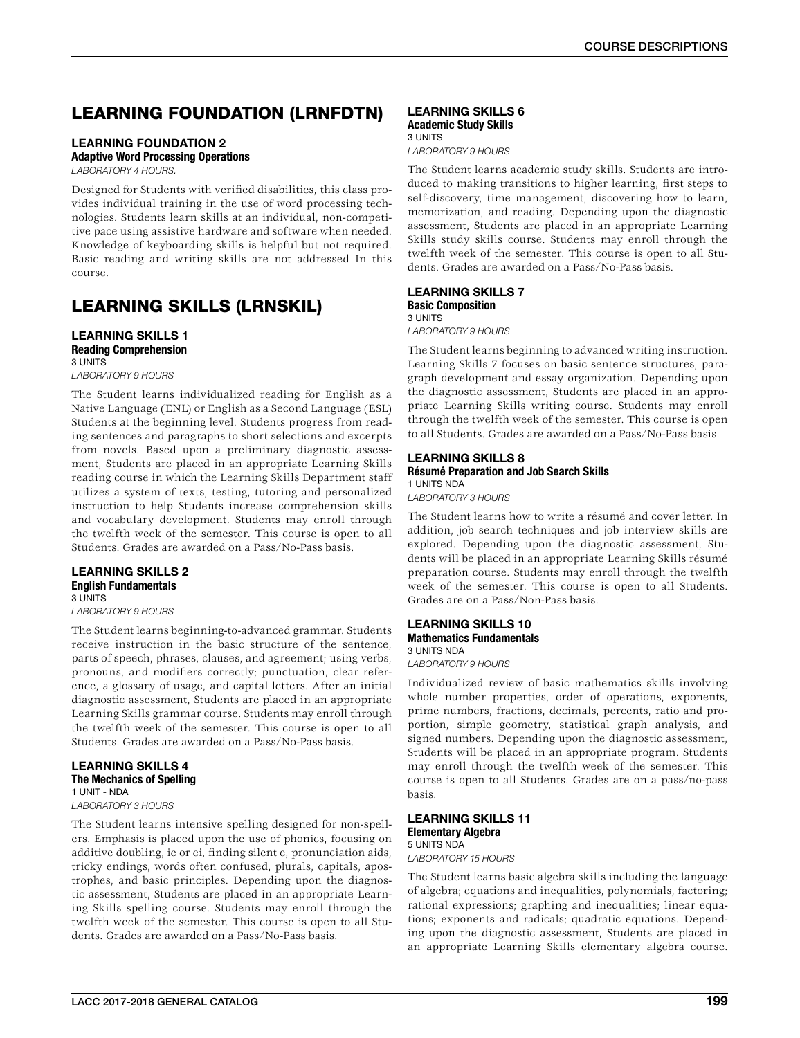# LEARNING FOUNDATION (LRNFDTN)

# LEARNING FOUNDATION 2

Adaptive Word Processing Operations

*LABORATORY 4 HOURS.*

Designed for Students with verified disabilities, this class provides individual training in the use of word processing technologies. Students learn skills at an individual, non-competitive pace using assistive hardware and software when needed. Knowledge of keyboarding skills is helpful but not required. Basic reading and writing skills are not addressed In this course.

# LEARNING SKILLS (LRNSKIL)

# LEARNING SKILLS 1 Reading Comprehension

3 UNITS *LABORATORY 9 HOURS*

The Student learns individualized reading for English as a Native Language (ENL) or English as a Second Language (ESL) Students at the beginning level. Students progress from reading sentences and paragraphs to short selections and excerpts from novels. Based upon a preliminary diagnostic assessment, Students are placed in an appropriate Learning Skills reading course in which the Learning Skills Department staff utilizes a system of texts, testing, tutoring and personalized instruction to help Students increase comprehension skills and vocabulary development. Students may enroll through the twelfth week of the semester. This course is open to all Students. Grades are awarded on a Pass/No-Pass basis.

### LEARNING SKILLS 2 English Fundamentals 3 UNITS

*LABORATORY 9 HOURS*

The Student learns beginning-to-advanced grammar. Students receive instruction in the basic structure of the sentence, parts of speech, phrases, clauses, and agreement; using verbs, pronouns, and modifiers correctly; punctuation, clear reference, a glossary of usage, and capital letters. After an initial diagnostic assessment, Students are placed in an appropriate Learning Skills grammar course. Students may enroll through the twelfth week of the semester. This course is open to all Students. Grades are awarded on a Pass/No-Pass basis.

### LEARNING SKILLS 4 The Mechanics of Spelling 1 UNIT - NDA *LABORATORY 3 HOURS*

The Student learns intensive spelling designed for non-spellers. Emphasis is placed upon the use of phonics, focusing on additive doubling, ie or ei, finding silent e, pronunciation aids, tricky endings, words often confused, plurals, capitals, apostrophes, and basic principles. Depending upon the diagnostic assessment, Students are placed in an appropriate Learning Skills spelling course. Students may enroll through the twelfth week of the semester. This course is open to all Students. Grades are awarded on a Pass/No-Pass basis.

#### LEARNING SKILLS 6 Academic Study Skills 3 UNITS

*LABORATORY 9 HOURS*

The Student learns academic study skills. Students are introduced to making transitions to higher learning, first steps to self-discovery, time management, discovering how to learn, memorization, and reading. Depending upon the diagnostic assessment, Students are placed in an appropriate Learning Skills study skills course. Students may enroll through the twelfth week of the semester. This course is open to all Students. Grades are awarded on a Pass/No-Pass basis.

### LEARNING SKILLS 7 Basic Composition 3 UNITS

*LABORATORY 9 HOURS*

The Student learns beginning to advanced writing instruction. Learning Skills 7 focuses on basic sentence structures, paragraph development and essay organization. Depending upon the diagnostic assessment, Students are placed in an appropriate Learning Skills writing course. Students may enroll through the twelfth week of the semester. This course is open to all Students. Grades are awarded on a Pass/No-Pass basis.

# LEARNING SKILLS 8

Résumé Preparation and Job Search Skills 1 UNITS NDA

*LABORATORY 3 HOURS*

The Student learns how to write a résumé and cover letter. In addition, job search techniques and job interview skills are explored. Depending upon the diagnostic assessment, Students will be placed in an appropriate Learning Skills résumé preparation course. Students may enroll through the twelfth week of the semester. This course is open to all Students. Grades are on a Pass/Non-Pass basis.

### LEARNING SKILLS 10 Mathematics Fundamentals 3 UNITS NDA

*LABORATORY 9 HOURS*

Individualized review of basic mathematics skills involving whole number properties, order of operations, exponents, prime numbers, fractions, decimals, percents, ratio and proportion, simple geometry, statistical graph analysis, and signed numbers. Depending upon the diagnostic assessment, Students will be placed in an appropriate program. Students may enroll through the twelfth week of the semester. This course is open to all Students. Grades are on a pass/no-pass basis.

#### LEARNING SKILLS 11 Elementary Algebra 5 UNITS NDA

*LABORATORY 15 HOURS*

The Student learns basic algebra skills including the language of algebra; equations and inequalities, polynomials, factoring; rational expressions; graphing and inequalities; linear equations; exponents and radicals; quadratic equations. Depending upon the diagnostic assessment, Students are placed in an appropriate Learning Skills elementary algebra course.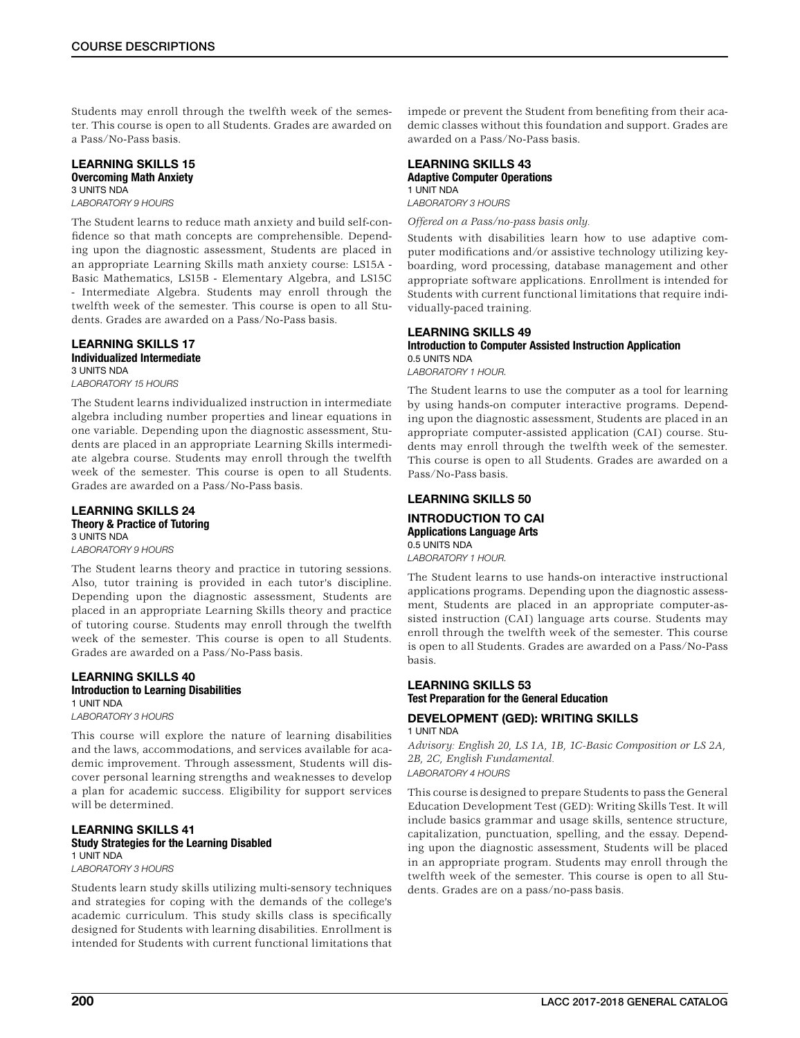Students may enroll through the twelfth week of the semester. This course is open to all Students. Grades are awarded on a Pass/No-Pass basis.

#### LEARNING SKILLS 15 Overcoming Math Anxiety 3 UNITS NDA

*LABORATORY 9 HOURS*

The Student learns to reduce math anxiety and build self-confidence so that math concepts are comprehensible. Depending upon the diagnostic assessment, Students are placed in an appropriate Learning Skills math anxiety course: LS15A - Basic Mathematics, LS15B - Elementary Algebra, and LS15C - Intermediate Algebra. Students may enroll through the twelfth week of the semester. This course is open to all Students. Grades are awarded on a Pass/No-Pass basis.

### LEARNING SKILLS 17 Individualized Intermediate 3 UNITS NDA

*LABORATORY 15 HOURS*

The Student learns individualized instruction in intermediate algebra including number properties and linear equations in one variable. Depending upon the diagnostic assessment, Students are placed in an appropriate Learning Skills intermediate algebra course. Students may enroll through the twelfth week of the semester. This course is open to all Students. Grades are awarded on a Pass/No-Pass basis.

# LEARNING SKILLS 24 Theory & Practice of Tutoring 3 UNITS NDA

*LABORATORY 9 HOURS*

The Student learns theory and practice in tutoring sessions. Also, tutor training is provided in each tutor's discipline. Depending upon the diagnostic assessment, Students are placed in an appropriate Learning Skills theory and practice of tutoring course. Students may enroll through the twelfth week of the semester. This course is open to all Students. Grades are awarded on a Pass/No-Pass basis.

### LEARNING SKILLS 40 Introduction to Learning Disabilities 1 UNIT NDA *LABORATORY 3 HOURS*

This course will explore the nature of learning disabilities and the laws, accommodations, and services available for academic improvement. Through assessment, Students will discover personal learning strengths and weaknesses to develop a plan for academic success. Eligibility for support services will be determined.

### LEARNING SKILLS 41 Study Strategies for the Learning Disabled 1 UNIT NDA

### *LABORATORY 3 HOURS*

Students learn study skills utilizing multi-sensory techniques and strategies for coping with the demands of the college's academic curriculum. This study skills class is specifically designed for Students with learning disabilities. Enrollment is intended for Students with current functional limitations that

impede or prevent the Student from benefiting from their academic classes without this foundation and support. Grades are awarded on a Pass/No-Pass basis.

### LEARNING SKILLS 43 Adaptive Computer Operations 1 UNIT NDA

*LABORATORY 3 HOURS*

*Offered on a Pass/no-pass basis only.*

Students with disabilities learn how to use adaptive computer modifications and/or assistive technology utilizing keyboarding, word processing, database management and other appropriate software applications. Enrollment is intended for Students with current functional limitations that require individually-paced training.

### LEARNING SKILLS 49 Introduction to Computer Assisted Instruction Application 0.5 UNITS NDA

*LABORATORY 1 HOUR.*

The Student learns to use the computer as a tool for learning by using hands-on computer interactive programs. Depending upon the diagnostic assessment, Students are placed in an appropriate computer-assisted application (CAI) course. Students may enroll through the twelfth week of the semester. This course is open to all Students. Grades are awarded on a Pass/No-Pass basis.

# LEARNING SKILLS 50 INTRODUCTION TO CAI Applications Language Arts 0.5 UNITS NDA

*LABORATORY 1 HOUR.*

The Student learns to use hands-on interactive instructional applications programs. Depending upon the diagnostic assessment, Students are placed in an appropriate computer-assisted instruction (CAI) language arts course. Students may enroll through the twelfth week of the semester. This course is open to all Students. Grades are awarded on a Pass/No-Pass basis.

# LEARNING SKILLS 53 Test Preparation for the General Education

### DEVELOPMENT (GED): WRITING SKILLS 1 UNIT NDA

*Advisory: English 20, LS 1A, 1B, 1C-Basic Composition or LS 2A, 2B, 2C, English Fundamental. LABORATORY 4 HOURS*

This course is designed to prepare Students to pass the General Education Development Test (GED): Writing Skills Test. It will include basics grammar and usage skills, sentence structure, capitalization, punctuation, spelling, and the essay. Depending upon the diagnostic assessment, Students will be placed in an appropriate program. Students may enroll through the twelfth week of the semester. This course is open to all Students. Grades are on a pass/no-pass basis.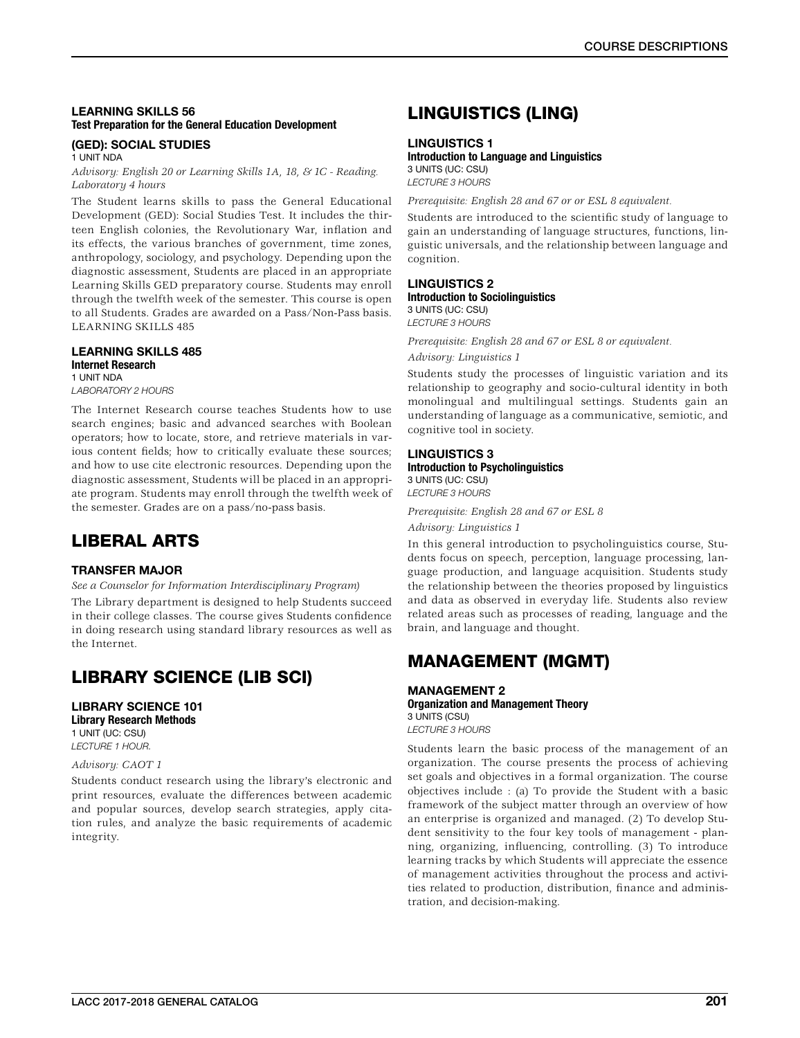# LEARNING SKILLS 56 Test Preparation for the General Education Development

# (GED): SOCIAL STUDIES

1 UNIT NDA

*Advisory: English 20 or Learning Skills 1A, 18, & 1C - Reading. Laboratory 4 hours*

The Student learns skills to pass the General Educational Development (GED): Social Studies Test. It includes the thirteen English colonies, the Revolutionary War, inflation and its effects, the various branches of government, time zones, anthropology, sociology, and psychology. Depending upon the diagnostic assessment, Students are placed in an appropriate Learning Skills GED preparatory course. Students may enroll through the twelfth week of the semester. This course is open to all Students. Grades are awarded on a Pass/Non-Pass basis. LEARNING SKILLS 485

#### LEARNING SKILLS 485 Internet Research 1 UNIT NDA

*LABORATORY 2 HOURS*

The Internet Research course teaches Students how to use search engines; basic and advanced searches with Boolean operators; how to locate, store, and retrieve materials in various content fields; how to critically evaluate these sources; and how to use cite electronic resources. Depending upon the diagnostic assessment, Students will be placed in an appropriate program. Students may enroll through the twelfth week of the semester. Grades are on a pass/no-pass basis.

# LIBERAL ARTS

# TRANSFER MAJOR

*See a Counselor for Information Interdisciplinary Program)*

The Library department is designed to help Students succeed in their college classes. The course gives Students confidence in doing research using standard library resources as well as the Internet.

# LIBRARY SCIENCE (LIB SCI)

### LIBRARY SCIENCE 101 Library Research Methods

1 UNIT (UC: CSU)

*LECTURE 1 HOUR.*

# *Advisory: CAOT 1*

Students conduct research using the library's electronic and print resources, evaluate the differences between academic and popular sources, develop search strategies, apply citation rules, and analyze the basic requirements of academic integrity.

# LINGUISTICS (LING)

### LINGUISTICS 1

# Introduction to Language and Linguistics

3 UNITS (UC: CSU) *LECTURE 3 HOURS*

*Prerequisite: English 28 and 67 or or ESL 8 equivalent.*

Students are introduced to the scientific study of language to gain an understanding of language structures, functions, linguistic universals, and the relationship between language and cognition.

# LINGUISTICS 2

Introduction to Sociolinguistics 3 UNITS (UC: CSU)

*LECTURE 3 HOURS*

*Prerequisite: English 28 and 67 or ESL 8 or equivalent.*

*Advisory: Linguistics 1*

Students study the processes of linguistic variation and its relationship to geography and socio-cultural identity in both monolingual and multilingual settings. Students gain an understanding of language as a communicative, semiotic, and cognitive tool in society.

# LINGUISTICS 3

### Introduction to Psycholinguistics 3 UNITS (UC: CSU)

*LECTURE 3 HOURS*

*Prerequisite: English 28 and 67 or ESL 8*

*Advisory: Linguistics 1*

In this general introduction to psycholinguistics course, Students focus on speech, perception, language processing, language production, and language acquisition. Students study the relationship between the theories proposed by linguistics and data as observed in everyday life. Students also review related areas such as processes of reading, language and the brain, and language and thought.

# MANAGEMENT (MGMT)

MANAGEMENT 2 Organization and Management Theory 3 UNITS (CSU) *LECTURE 3 HOURS*

Students learn the basic process of the management of an organization. The course presents the process of achieving set goals and objectives in a formal organization. The course objectives include : (a) To provide the Student with a basic framework of the subject matter through an overview of how an enterprise is organized and managed. (2) To develop Student sensitivity to the four key tools of management - planning, organizing, influencing, controlling. (3) To introduce learning tracks by which Students will appreciate the essence of management activities throughout the process and activities related to production, distribution, finance and administration, and decision-making.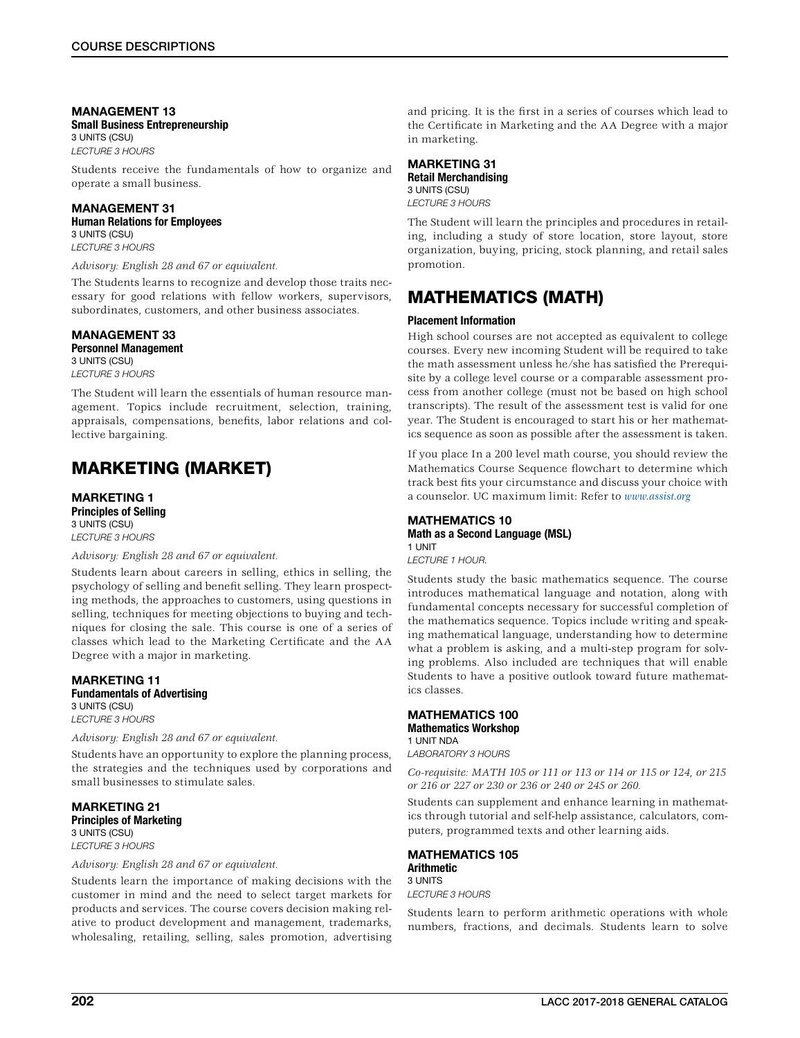### MANAGEMENT 13 Small Business Entrepreneurship 3 UNITS (CSU)

*LECTURE 3 HOURS*

Students receive the fundamentals of how to organize and operate a small business.

# MANAGEMENT 31 Human Relations for Employees

3 UNITS (CSU) *LECTURE 3 HOURS*

### *Advisory: English 28 and 67 or equivalent.*

The Students learns to recognize and develop those traits necessary for good relations with fellow workers, supervisors, subordinates, customers, and other business associates.

# MANAGEMENT 33

# Personnel Management

3 UNITS (CSU) *LECTURE 3 HOURS*

The Student will learn the essentials of human resource management. Topics include recruitment, selection, training, appraisals, compensations, benefits, labor relations and collective bargaining.

# MARKETING (MARKET)

MARKETING 1 Principles of Selling 3 UNITS (CSU) *LECTURE 3 HOURS*

### *Advisory: English 28 and 67 or equivalent.*

Students learn about careers in selling, ethics in selling, the psychology of selling and benefit selling. They learn prospecting methods, the approaches to customers, using questions in selling, techniques for meeting objections to buying and techniques for closing the sale. This course is one of a series of classes which lead to the Marketing Certificate and the AA Degree with a major in marketing.

### MARKETING 11 Fundamentals of Advertising 3 UNITS (CSU)

*LECTURE 3 HOURS* 

# *Advisory: English 28 and 67 or equivalent.*

Students have an opportunity to explore the planning process, the strategies and the techniques used by corporations and small businesses to stimulate sales.

MARKETING 21 Principles of Marketing 3 UNITS (CSU) *LECTURE 3 HOURS*

*Advisory: English 28 and 67 or equivalent.*

Students learn the importance of making decisions with the customer in mind and the need to select target markets for products and services. The course covers decision making relative to product development and management, trademarks, wholesaling, retailing, selling, sales promotion, advertising

and pricing. It is the first in a series of courses which lead to the Certificate in Marketing and the AA Degree with a major in marketing.

# MARKETING 31

Retail Merchandising 3 UNITS (CSU)

*LECTURE 3 HOURS*

The Student will learn the principles and procedures in retailing, including a study of store location, store layout, store organization, buying, pricing, stock planning, and retail sales promotion.

# MATHEMATICS (MATH)

### Placement Information

High school courses are not accepted as equivalent to college courses. Every new incoming Student will be required to take the math assessment unless he/she has satisfied the Prerequisite by a college level course or a comparable assessment process from another college (must not be based on high school transcripts). The result of the assessment test is valid for one year. The Student is encouraged to start his or her mathematics sequence as soon as possible after the assessment is taken.

If you place In a 200 level math course, you should review the Mathematics Course Sequence flowchart to determine which track best fits your circumstance and discuss your choice with a counselor. UC maximum limit: Refer to *www.assist.org*

#### MATHEMATICS 10 Math as a Second Language (MSL) 1 UNIT

*LECTURE 1 HOUR.*

Students study the basic mathematics sequence. The course introduces mathematical language and notation, along with fundamental concepts necessary for successful completion of the mathematics sequence. Topics include writing and speaking mathematical language, understanding how to determine what a problem is asking, and a multi-step program for solving problems. Also included are techniques that will enable Students to have a positive outlook toward future mathematics classes.

### MATHEMATICS 100 Mathematics Workshop 1 UNIT NDA

*LABORATORY 3 HOURS*

*Co-requisite: MATH 105 or 111 or 113 or 114 or 115 or 124, or 215 or 216 or 227 or 230 or 236 or 240 or 245 or 260.*

Students can supplement and enhance learning in mathematics through tutorial and self-help assistance, calculators, computers, programmed texts and other learning aids.

#### MATHEMATICS 105 **Arithmetic** 3 UNITS

*LECTURE 3 HOURS*

Students learn to perform arithmetic operations with whole numbers, fractions, and decimals. Students learn to solve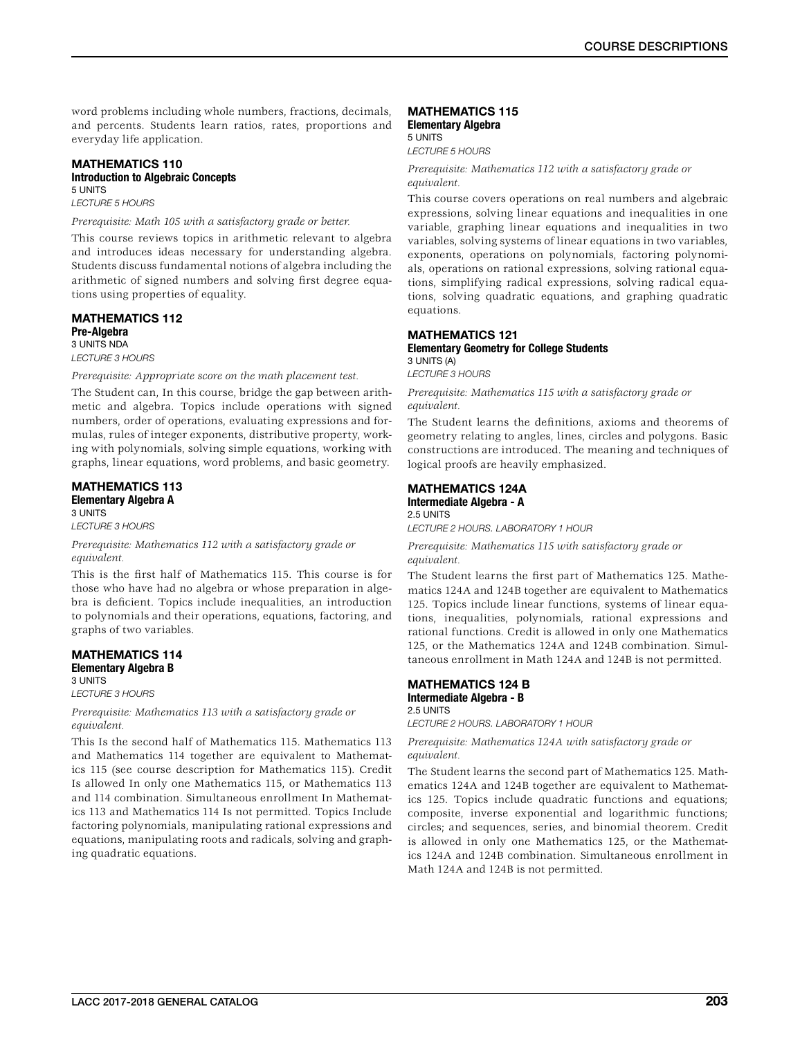word problems including whole numbers, fractions, decimals, and percents. Students learn ratios, rates, proportions and everyday life application.

# MATHEMATICS 110 Introduction to Algebraic Concepts 5 UNITS

*LECTURE 5 HOURS*

## *Prerequisite: Math 105 with a satisfactory grade or better.*

This course reviews topics in arithmetic relevant to algebra and introduces ideas necessary for understanding algebra. Students discuss fundamental notions of algebra including the arithmetic of signed numbers and solving first degree equations using properties of equality.

### MATHEMATICS 112 Pre-Algebra 3 UNITS NDA *LECTURE 3 HOURS*

*Prerequisite: Appropriate score on the math placement test.*

The Student can, In this course, bridge the gap between arithmetic and algebra. Topics include operations with signed numbers, order of operations, evaluating expressions and formulas, rules of integer exponents, distributive property, working with polynomials, solving simple equations, working with graphs, linear equations, word problems, and basic geometry.

### MATHEMATICS 113 Elementary Algebra A 3 UNITS

*LECTURE 3 HOURS*

*Prerequisite: Mathematics 112 with a satisfactory grade or equivalent.*

This is the first half of Mathematics 115. This course is for those who have had no algebra or whose preparation in algebra is deficient. Topics include inequalities, an introduction to polynomials and their operations, equations, factoring, and graphs of two variables.

#### MATHEMATICS 114 Elementary Algebra B 3 UNITS

*LECTURE 3 HOURS*

*Prerequisite: Mathematics 113 with a satisfactory grade or equivalent.*

This Is the second half of Mathematics 115. Mathematics 113 and Mathematics 114 together are equivalent to Mathematics 115 (see course description for Mathematics 115). Credit Is allowed In only one Mathematics 115, or Mathematics 113 and 114 combination. Simultaneous enrollment In Mathematics 113 and Mathematics 114 Is not permitted. Topics Include factoring polynomials, manipulating rational expressions and equations, manipulating roots and radicals, solving and graphing quadratic equations.

# MATHEMATICS 115

Elementary Algebra 5 UNITS *LECTURE 5 HOURS*

*Prerequisite: Mathematics 112 with a satisfactory grade or equivalent.*

This course covers operations on real numbers and algebraic expressions, solving linear equations and inequalities in one variable, graphing linear equations and inequalities in two variables, solving systems of linear equations in two variables, exponents, operations on polynomials, factoring polynomials, operations on rational expressions, solving rational equations, simplifying radical expressions, solving radical equations, solving quadratic equations, and graphing quadratic equations.

### MATHEMATICS 121 Elementary Geometry for College Students 3 UNITS (A)

*LECTURE 3 HOURS*

*Prerequisite: Mathematics 115 with a satisfactory grade or equivalent.*

The Student learns the definitions, axioms and theorems of geometry relating to angles, lines, circles and polygons. Basic constructions are introduced. The meaning and techniques of logical proofs are heavily emphasized.

### MATHEMATICS 124A

Intermediate Algebra - A 2.5 UNITS

*LECTURE 2 HOURS. LABORATORY 1 HOUR*

*Prerequisite: Mathematics 115 with satisfactory grade or equivalent.*

The Student learns the first part of Mathematics 125. Mathematics 124A and 124B together are equivalent to Mathematics 125. Topics include linear functions, systems of linear equations, inequalities, polynomials, rational expressions and rational functions. Credit is allowed in only one Mathematics 125, or the Mathematics 124A and 124B combination. Simultaneous enrollment in Math 124A and 124B is not permitted.

### MATHEMATICS 124 B Intermediate Algebra - B 2.5 UNITS

*LECTURE 2 HOURS. LABORATORY 1 HOUR*

*Prerequisite: Mathematics 124A with satisfactory grade or equivalent.*

The Student learns the second part of Mathematics 125. Mathematics 124A and 124B together are equivalent to Mathematics 125. Topics include quadratic functions and equations; composite, inverse exponential and logarithmic functions; circles; and sequences, series, and binomial theorem. Credit is allowed in only one Mathematics 125, or the Mathematics 124A and 124B combination. Simultaneous enrollment in Math 124A and 124B is not permitted.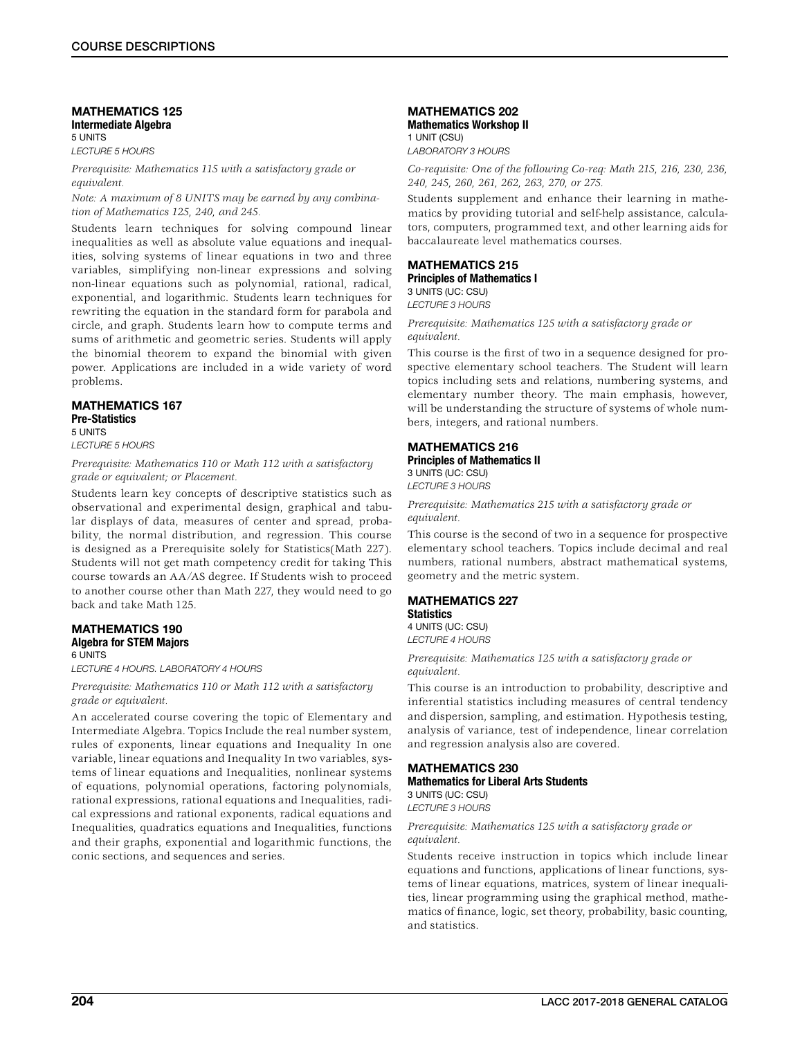### MATHEMATICS 125 Intermediate Algebra 5 UNITS

*LECTURE 5 HOURS*

*Prerequisite: Mathematics 115 with a satisfactory grade or equivalent.*

*Note: A maximum of 8 UNITS may be earned by any combination of Mathematics 125, 240, and 245.*

Students learn techniques for solving compound linear inequalities as well as absolute value equations and inequalities, solving systems of linear equations in two and three variables, simplifying non-linear expressions and solving non-linear equations such as polynomial, rational, radical, exponential, and logarithmic. Students learn techniques for rewriting the equation in the standard form for parabola and circle, and graph. Students learn how to compute terms and sums of arithmetic and geometric series. Students will apply the binomial theorem to expand the binomial with given power. Applications are included in a wide variety of word problems.

### MATHEMATICS 167 Pre-Statistics 5 UNITS

*LECTURE 5 HOURS*

*Prerequisite: Mathematics 110 or Math 112 with a satisfactory grade or equivalent; or Placement.*

Students learn key concepts of descriptive statistics such as observational and experimental design, graphical and tabular displays of data, measures of center and spread, probability, the normal distribution, and regression. This course is designed as a Prerequisite solely for Statistics(Math 227). Students will not get math competency credit for taking This course towards an AA/AS degree. If Students wish to proceed to another course other than Math 227, they would need to go back and take Math 125.

#### MATHEMATICS 190 Algebra for STEM Majors 6 UNITS

*LECTURE 4 HOURS. LABORATORY 4 HOURS*

*Prerequisite: Mathematics 110 or Math 112 with a satisfactory grade or equivalent.*

An accelerated course covering the topic of Elementary and Intermediate Algebra. Topics Include the real number system, rules of exponents, linear equations and Inequality In one variable, linear equations and Inequality In two variables, systems of linear equations and Inequalities, nonlinear systems of equations, polynomial operations, factoring polynomials, rational expressions, rational equations and Inequalities, radical expressions and rational exponents, radical equations and Inequalities, quadratics equations and Inequalities, functions and their graphs, exponential and logarithmic functions, the conic sections, and sequences and series.

### MATHEMATICS 202 Mathematics Workshop II 1 UNIT (CSU)

*LABORATORY 3 HOURS*

*Co-requisite: One of the following Co-req: Math 215, 216, 230, 236, 240, 245, 260, 261, 262, 263, 270, or 275.*

Students supplement and enhance their learning in mathematics by providing tutorial and self-help assistance, calculators, computers, programmed text, and other learning aids for baccalaureate level mathematics courses.

### MATHEMATICS 215 Principles of Mathematics I

3 UNITS (UC: CSU) *LECTURE 3 HOURS*

*Prerequisite: Mathematics 125 with a satisfactory grade or equivalent.*

This course is the first of two in a sequence designed for prospective elementary school teachers. The Student will learn topics including sets and relations, numbering systems, and elementary number theory. The main emphasis, however, will be understanding the structure of systems of whole numbers, integers, and rational numbers.

### MATHEMATICS 216 Principles of Mathematics II

3 UNITS (UC: CSU) *LECTURE 3 HOURS*

*Prerequisite: Mathematics 215 with a satisfactory grade or equivalent.*

This course is the second of two in a sequence for prospective elementary school teachers. Topics include decimal and real numbers, rational numbers, abstract mathematical systems, geometry and the metric system.

#### MATHEMATICS 227 **Statistics**

4 UNITS (UC: CSU) *LECTURE 4 HOURS*

*Prerequisite: Mathematics 125 with a satisfactory grade or equivalent.*

This course is an introduction to probability, descriptive and inferential statistics including measures of central tendency and dispersion, sampling, and estimation. Hypothesis testing, analysis of variance, test of independence, linear correlation and regression analysis also are covered.

# MATHEMATICS 230

Mathematics for Liberal Arts Students 3 UNITS (UC: CSU) *LECTURE 3 HOURS*

### *Prerequisite: Mathematics 125 with a satisfactory grade or equivalent.*

Students receive instruction in topics which include linear equations and functions, applications of linear functions, systems of linear equations, matrices, system of linear inequalities, linear programming using the graphical method, mathematics of finance, logic, set theory, probability, basic counting, and statistics.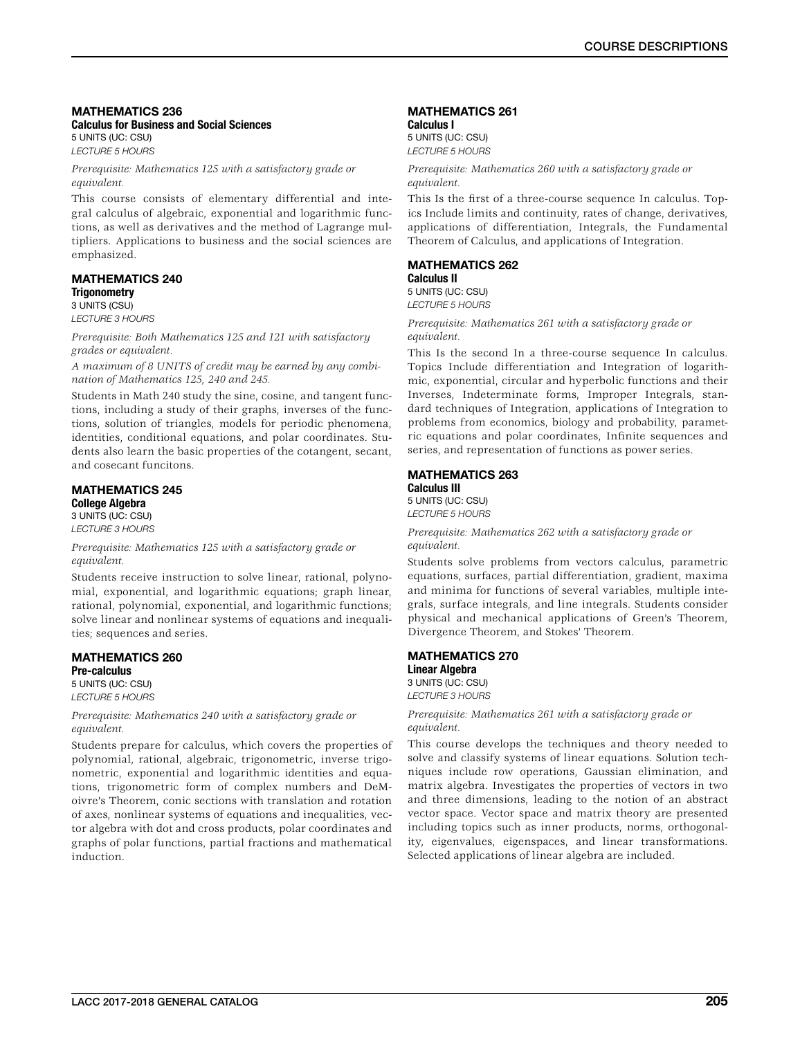### MATHEMATICS 236 Calculus for Business and Social Sciences 5 UNITS (UC: CSU)

*LECTURE 5 HOURS*

*Prerequisite: Mathematics 125 with a satisfactory grade or equivalent.*

This course consists of elementary differential and integral calculus of algebraic, exponential and logarithmic functions, as well as derivatives and the method of Lagrange multipliers. Applications to business and the social sciences are emphasized.

### MATHEMATICS 240 **Trigonometry** 3 UNITS (CSU)

*LECTURE 3 HOURS*

*Prerequisite: Both Mathematics 125 and 121 with satisfactory grades or equivalent.*

*A maximum of 8 UNITS of credit may be earned by any combination of Mathematics 125, 240 and 245.*

Students in Math 240 study the sine, cosine, and tangent functions, including a study of their graphs, inverses of the functions, solution of triangles, models for periodic phenomena, identities, conditional equations, and polar coordinates. Students also learn the basic properties of the cotangent, secant, and cosecant funcitons.

# MATHEMATICS 245

College Algebra 3 UNITS (UC: CSU) *LECTURE 3 HOURS*

*Prerequisite: Mathematics 125 with a satisfactory grade or equivalent.*

Students receive instruction to solve linear, rational, polynomial, exponential, and logarithmic equations; graph linear, rational, polynomial, exponential, and logarithmic functions; solve linear and nonlinear systems of equations and inequalities; sequences and series.

### MATHEMATICS 260 Pre-calculus

5 UNITS (UC: CSU) *LECTURE 5 HOURS*

*Prerequisite: Mathematics 240 with a satisfactory grade or equivalent.*

Students prepare for calculus, which covers the properties of polynomial, rational, algebraic, trigonometric, inverse trigonometric, exponential and logarithmic identities and equations, trigonometric form of complex numbers and DeMoivre's Theorem, conic sections with translation and rotation of axes, nonlinear systems of equations and inequalities, vector algebra with dot and cross products, polar coordinates and graphs of polar functions, partial fractions and mathematical induction.

# MATHEMATICS 261

Calculus I 5 UNITS (UC: CSU) *LECTURE 5 HOURS*

*Prerequisite: Mathematics 260 with a satisfactory grade or equivalent.*

This Is the first of a three-course sequence In calculus. Topics Include limits and continuity, rates of change, derivatives, applications of differentiation, Integrals, the Fundamental Theorem of Calculus, and applications of Integration.

# MATHEMATICS 262

Calculus II 5 UNITS (UC: CSU)

*LECTURE 5 HOURS*

*Prerequisite: Mathematics 261 with a satisfactory grade or equivalent.*

This Is the second In a three-course sequence In calculus. Topics Include differentiation and Integration of logarithmic, exponential, circular and hyperbolic functions and their Inverses, Indeterminate forms, Improper Integrals, standard techniques of Integration, applications of Integration to problems from economics, biology and probability, parametric equations and polar coordinates, Infinite sequences and series, and representation of functions as power series.

#### MATHEMATICS 263 Calculus III

5 UNITS (UC: CSU) *LECTURE 5 HOURS*

*Prerequisite: Mathematics 262 with a satisfactory grade or equivalent.*

Students solve problems from vectors calculus, parametric equations, surfaces, partial differentiation, gradient, maxima and minima for functions of several variables, multiple integrals, surface integrals, and line integrals. Students consider physical and mechanical applications of Green's Theorem, Divergence Theorem, and Stokes' Theorem.

### MATHEMATICS 270 Linear Algebra

3 UNITS (UC: CSU) *LECTURE 3 HOURS*

*Prerequisite: Mathematics 261 with a satisfactory grade or equivalent.*

This course develops the techniques and theory needed to solve and classify systems of linear equations. Solution techniques include row operations, Gaussian elimination, and matrix algebra. Investigates the properties of vectors in two and three dimensions, leading to the notion of an abstract vector space. Vector space and matrix theory are presented including topics such as inner products, norms, orthogonality, eigenvalues, eigenspaces, and linear transformations. Selected applications of linear algebra are included.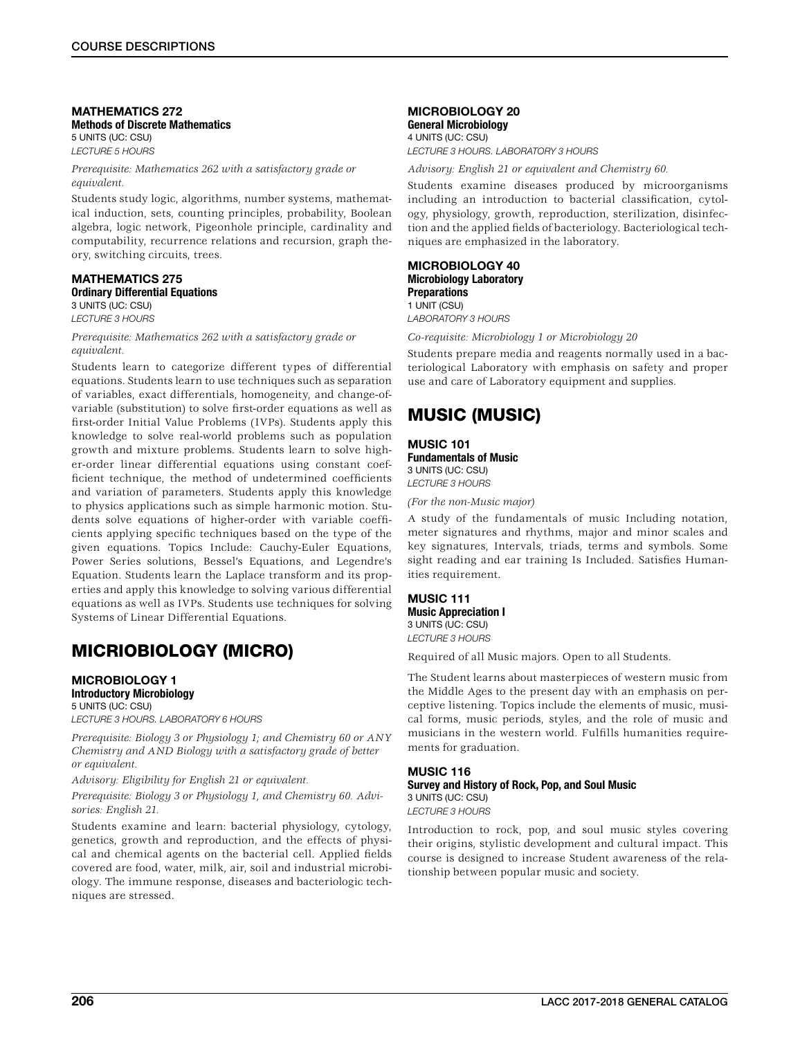### MATHEMATICS 272 Methods of Discrete Mathematics 5 UNITS (UC: CSU) *LECTURE 5 HOURS*

*Prerequisite: Mathematics 262 with a satisfactory grade or equivalent.*

Students study logic, algorithms, number systems, mathematical induction, sets, counting principles, probability, Boolean algebra, logic network, Pigeonhole principle, cardinality and computability, recurrence relations and recursion, graph theory, switching circuits, trees.

### MATHEMATICS 275 Ordinary Differential Equations 3 UNITS (UC: CSU)

*LECTURE 3 HOURS*

*Prerequisite: Mathematics 262 with a satisfactory grade or equivalent.*

Students learn to categorize different types of differential equations. Students learn to use techniques such as separation of variables, exact differentials, homogeneity, and change-ofvariable (substitution) to solve first-order equations as well as first-order Initial Value Problems (IVPs). Students apply this knowledge to solve real-world problems such as population growth and mixture problems. Students learn to solve higher-order linear differential equations using constant coefficient technique, the method of undetermined coefficients and variation of parameters. Students apply this knowledge to physics applications such as simple harmonic motion. Students solve equations of higher-order with variable coefficients applying specific techniques based on the type of the given equations. Topics Include: Cauchy-Euler Equations, Power Series solutions, Bessel's Equations, and Legendre's Equation. Students learn the Laplace transform and its properties and apply this knowledge to solving various differential equations as well as IVPs. Students use techniques for solving Systems of Linear Differential Equations.

# MICRIOBIOLOGY (MICRO)

### MICROBIOLOGY 1 Introductory Microbiology

5 UNITS (UC: CSU) *LECTURE 3 HOURS. LABORATORY 6 HOURS*

*Prerequisite: Biology 3 or Physiology 1; and Chemistry 60 or ANY Chemistry and AND Biology with a satisfactory grade of better or equivalent.*

*Advisory: Eligibility for English 21 or equivalent.*

*Prerequisite: Biology 3 or Physiology 1, and Chemistry 60. Advisories: English 21.*

Students examine and learn: bacterial physiology, cytology, genetics, growth and reproduction, and the effects of physical and chemical agents on the bacterial cell. Applied fields covered are food, water, milk, air, soil and industrial microbiology. The immune response, diseases and bacteriologic techniques are stressed.

# MICROBIOLOGY 20

General Microbiology 4 UNITS (UC: CSU) *LECTURE 3 HOURS. LABORATORY 3 HOURS*

*Advisory: English 21 or equivalent and Chemistry 60.*

Students examine diseases produced by microorganisms including an introduction to bacterial classification, cytology, physiology, growth, reproduction, sterilization, disinfection and the applied fields of bacteriology. Bacteriological techniques are emphasized in the laboratory.

MICROBIOLOGY 40 Microbiology Laboratory Preparations 1 UNIT (CSU) *LABORATORY 3 HOURS*

*Co-requisite: Microbiology 1 or Microbiology 20*

Students prepare media and reagents normally used in a bacteriological Laboratory with emphasis on safety and proper use and care of Laboratory equipment and supplies.

# MUSIC (MUSIC)

# MUSIC 101 Fundamentals of Music 3 UNITS (UC: CSU)

*LECTURE 3 HOURS*

*(For the non-Music major)*

A study of the fundamentals of music Including notation, meter signatures and rhythms, major and minor scales and key signatures, Intervals, triads, terms and symbols. Some sight reading and ear training Is Included. Satisfies Humanities requirement.

### MUSIC 111 Music Appreciation I 3 UNITS (UC: CSU)

*LECTURE 3 HOURS*

Required of all Music majors. Open to all Students.

The Student learns about masterpieces of western music from the Middle Ages to the present day with an emphasis on perceptive listening. Topics include the elements of music, musical forms, music periods, styles, and the role of music and musicians in the western world. Fulfills humanities requirements for graduation.

### MUSIC 116 Survey and History of Rock, Pop, and Soul Music 3 UNITS (UC: CSU) *LECTURE 3 HOURS*

Introduction to rock, pop, and soul music styles covering their origins, stylistic development and cultural impact. This course is designed to increase Student awareness of the relationship between popular music and society.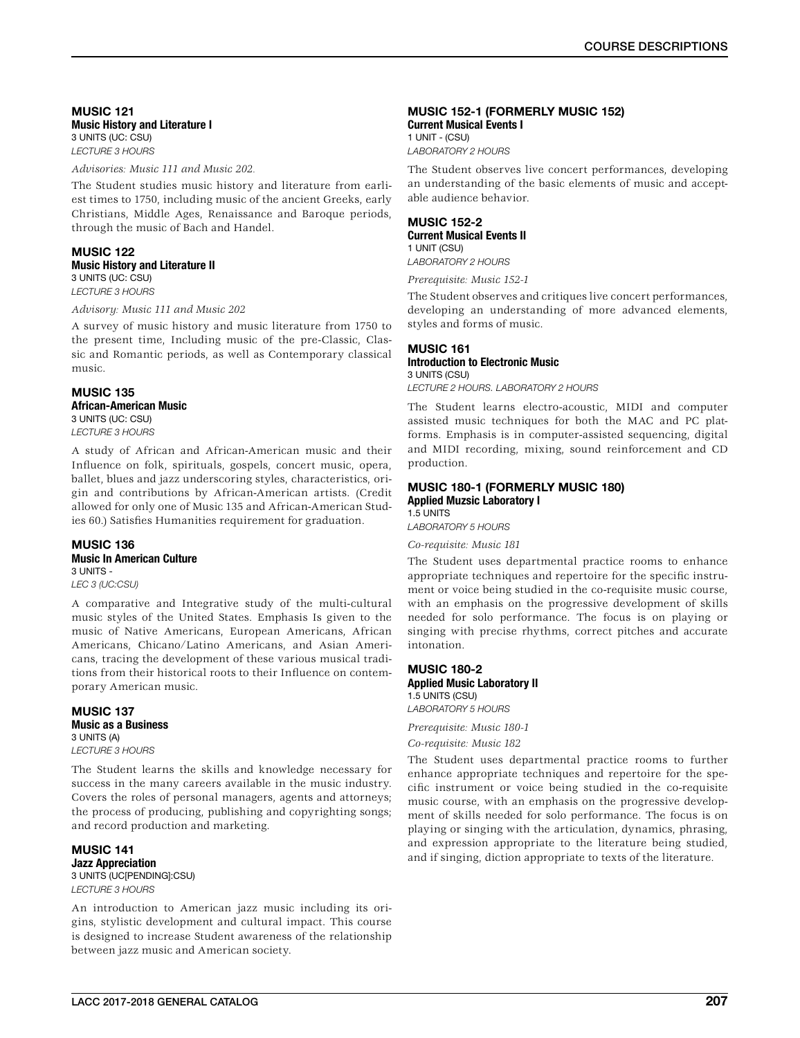### MUSIC 121 Music History and Literature I 3 UNITS (UC: CSU) *LECTURE 3 HOURS*

*Advisories: Music 111 and Music 202.*

The Student studies music history and literature from earliest times to 1750, including music of the ancient Greeks, early Christians, Middle Ages, Renaissance and Baroque periods, through the music of Bach and Handel.

### MUSIC 122 Music History and Literature II 3 UNITS (UC: CSU) *LECTURE 3 HOURS*

*Advisory: Music 111 and Music 202*

A survey of music history and music literature from 1750 to the present time, Including music of the pre-Classic, Classic and Romantic periods, as well as Contemporary classical music.

## MUSIC 135 African-American Music 3 UNITS (UC: CSU)

*LECTURE 3 HOURS*

A study of African and African-American music and their Influence on folk, spirituals, gospels, concert music, opera, ballet, blues and jazz underscoring styles, characteristics, origin and contributions by African-American artists. (Credit allowed for only one of Music 135 and African-American Studies 60.) Satisfies Humanities requirement for graduation.

### MUSIC 136 Music In American Culture 3 UNITS - *LEC 3 (UC:CSU)*

A comparative and Integrative study of the multi-cultural music styles of the United States. Emphasis Is given to the music of Native Americans, European Americans, African Americans, Chicano/Latino Americans, and Asian Americans, tracing the development of these various musical traditions from their historical roots to their Influence on contemporary American music.

### MUSIC 137 Music as a Business 3 UNITS (A) *LECTURE 3 HOURS*

The Student learns the skills and knowledge necessary for success in the many careers available in the music industry. Covers the roles of personal managers, agents and attorneys; the process of producing, publishing and copyrighting songs; and record production and marketing.

MUSIC 141 Jazz Appreciation 3 UNITS (UC[PENDING]:CSU) *LECTURE 3 HOURS*

An introduction to American jazz music including its origins, stylistic development and cultural impact. This course is designed to increase Student awareness of the relationship between jazz music and American society.

# MUSIC 152-1 (FORMERLY MUSIC 152)

Current Musical Events I 1 UNIT - (CSU) *LABORATORY 2 HOURS*

The Student observes live concert performances, developing an understanding of the basic elements of music and acceptable audience behavior.

# MUSIC 152-2

Current Musical Events II 1 UNIT (CSU) *LABORATORY 2 HOURS*

*Prerequisite: Music 152-1*

The Student observes and critiques live concert performances, developing an understanding of more advanced elements, styles and forms of music.

# MUSIC 161

#### Introduction to Electronic Music 3 UNITS (CSU)

*LECTURE 2 HOURS. LABORATORY 2 HOURS*

The Student learns electro-acoustic, MIDI and computer assisted music techniques for both the MAC and PC platforms. Emphasis is in computer-assisted sequencing, digital and MIDI recording, mixing, sound reinforcement and CD production.

### MUSIC 180-1 (FORMERLY MUSIC 180) Applied Muzsic Laboratory I

1.5 UNITS

*LABORATORY 5 HOURS*

*Co-requisite: Music 181*

The Student uses departmental practice rooms to enhance appropriate techniques and repertoire for the specific instrument or voice being studied in the co-requisite music course, with an emphasis on the progressive development of skills needed for solo performance. The focus is on playing or singing with precise rhythms, correct pitches and accurate intonation.

### MUSIC 180-2 Applied Music Laboratory II 1.5 UNITS (CSU) *LABORATORY 5 HOURS*

*Prerequisite: Music 180-1*

*Co-requisite: Music 182*

The Student uses departmental practice rooms to further enhance appropriate techniques and repertoire for the specific instrument or voice being studied in the co-requisite music course, with an emphasis on the progressive development of skills needed for solo performance. The focus is on playing or singing with the articulation, dynamics, phrasing, and expression appropriate to the literature being studied, and if singing, diction appropriate to texts of the literature.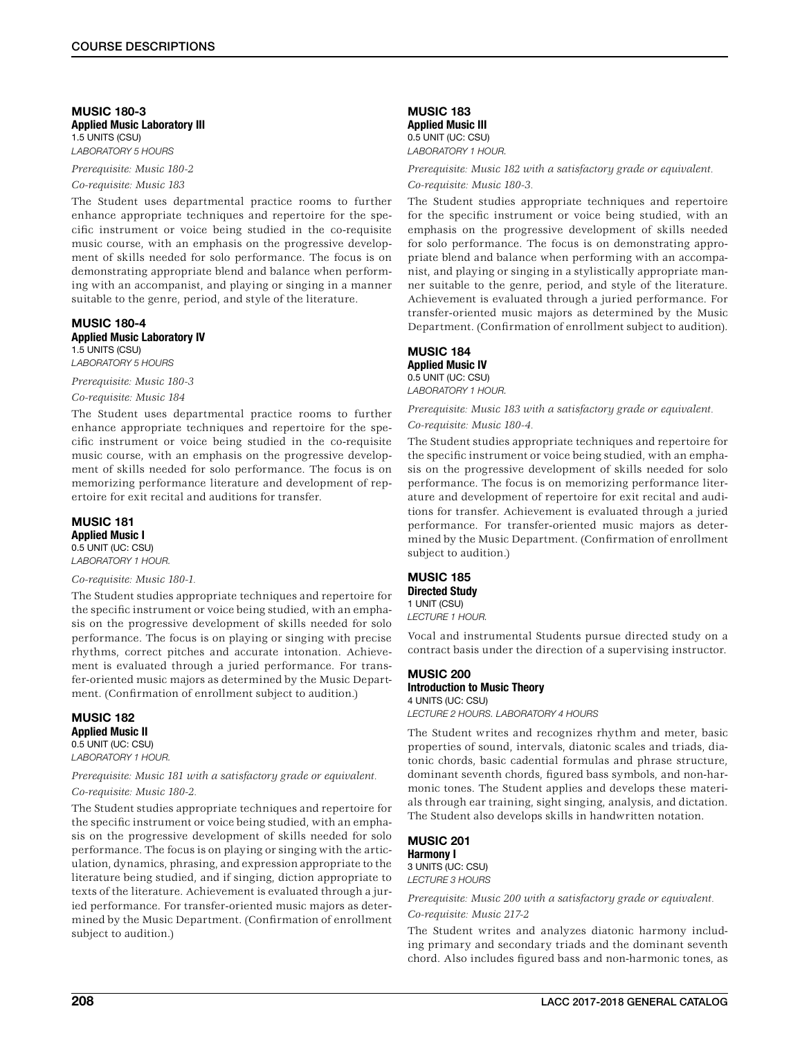### MUSIC 180-3 Applied Music Laboratory III 1.5 UNITS (CSU) *LABORATORY 5 HOURS*

*Prerequisite: Music 180-2*

*Co-requisite: Music 183*

The Student uses departmental practice rooms to further enhance appropriate techniques and repertoire for the specific instrument or voice being studied in the co-requisite music course, with an emphasis on the progressive development of skills needed for solo performance. The focus is on demonstrating appropriate blend and balance when performing with an accompanist, and playing or singing in a manner suitable to the genre, period, and style of the literature.

### MUSIC 180-4 Applied Music Laboratory IV 1.5 UNITS (CSU)

*LABORATORY 5 HOURS*

*Prerequisite: Music 180-3*

### *Co-requisite: Music 184*

The Student uses departmental practice rooms to further enhance appropriate techniques and repertoire for the specific instrument or voice being studied in the co-requisite music course, with an emphasis on the progressive development of skills needed for solo performance. The focus is on memorizing performance literature and development of repertoire for exit recital and auditions for transfer.

### MUSIC 181 Applied Music I 0.5 UNIT (UC: CSU)

*LABORATORY 1 HOUR.*

### *Co-requisite: Music 180-1.*

The Student studies appropriate techniques and repertoire for the specific instrument or voice being studied, with an emphasis on the progressive development of skills needed for solo performance. The focus is on playing or singing with precise rhythms, correct pitches and accurate intonation. Achievement is evaluated through a juried performance. For transfer-oriented music majors as determined by the Music Department. (Confirmation of enrollment subject to audition.)

# MUSIC 182 Applied Music II 0.5 UNIT (UC: CSU)

# *LABORATORY 1 HOUR. Prerequisite: Music 181 with a satisfactory grade or equivalent.*

*Co-requisite: Music 180-2.*

The Student studies appropriate techniques and repertoire for the specific instrument or voice being studied, with an emphasis on the progressive development of skills needed for solo performance. The focus is on playing or singing with the articulation, dynamics, phrasing, and expression appropriate to the literature being studied, and if singing, diction appropriate to texts of the literature. Achievement is evaluated through a juried performance. For transfer-oriented music majors as determined by the Music Department. (Confirmation of enrollment subject to audition.)

MUSIC 183 Applied Music III 0.5 UNIT (UC: CSU) *LABORATORY 1 HOUR.*

### *Prerequisite: Music 182 with a satisfactory grade or equivalent. Co-requisite: Music 180-3.*

The Student studies appropriate techniques and repertoire for the specific instrument or voice being studied, with an emphasis on the progressive development of skills needed for solo performance. The focus is on demonstrating appropriate blend and balance when performing with an accompanist, and playing or singing in a stylistically appropriate manner suitable to the genre, period, and style of the literature. Achievement is evaluated through a juried performance. For transfer-oriented music majors as determined by the Music Department. (Confirmation of enrollment subject to audition).

### MUSIC 184 Applied Music IV

0.5 UNIT (UC: CSU) *LABORATORY 1 HOUR.*

*Prerequisite: Music 183 with a satisfactory grade or equivalent. Co-requisite: Music 180-4.*

The Student studies appropriate techniques and repertoire for the specific instrument or voice being studied, with an emphasis on the progressive development of skills needed for solo performance. The focus is on memorizing performance literature and development of repertoire for exit recital and auditions for transfer. Achievement is evaluated through a juried performance. For transfer-oriented music majors as determined by the Music Department. (Confirmation of enrollment subject to audition.)

### MUSIC 185 Directed Study 1 UNIT (CSU)

*LECTURE 1 HOUR.*

Vocal and instrumental Students pursue directed study on a contract basis under the direction of a supervising instructor.

### MUSIC 200 Introduction to Music Theory 4 UNITS (UC: CSU)

*LECTURE 2 HOURS. LABORATORY 4 HOURS*

The Student writes and recognizes rhythm and meter, basic properties of sound, intervals, diatonic scales and triads, diatonic chords, basic cadential formulas and phrase structure, dominant seventh chords, figured bass symbols, and non-harmonic tones. The Student applies and develops these materials through ear training, sight singing, analysis, and dictation. The Student also develops skills in handwritten notation.

### MUSIC 201 Harmony I 3 UNITS (UC: CSU) *LECTURE 3 HOURS*

*Prerequisite: Music 200 with a satisfactory grade or equivalent.*

*Co-requisite: Music 217-2*

The Student writes and analyzes diatonic harmony including primary and secondary triads and the dominant seventh chord. Also includes figured bass and non-harmonic tones, as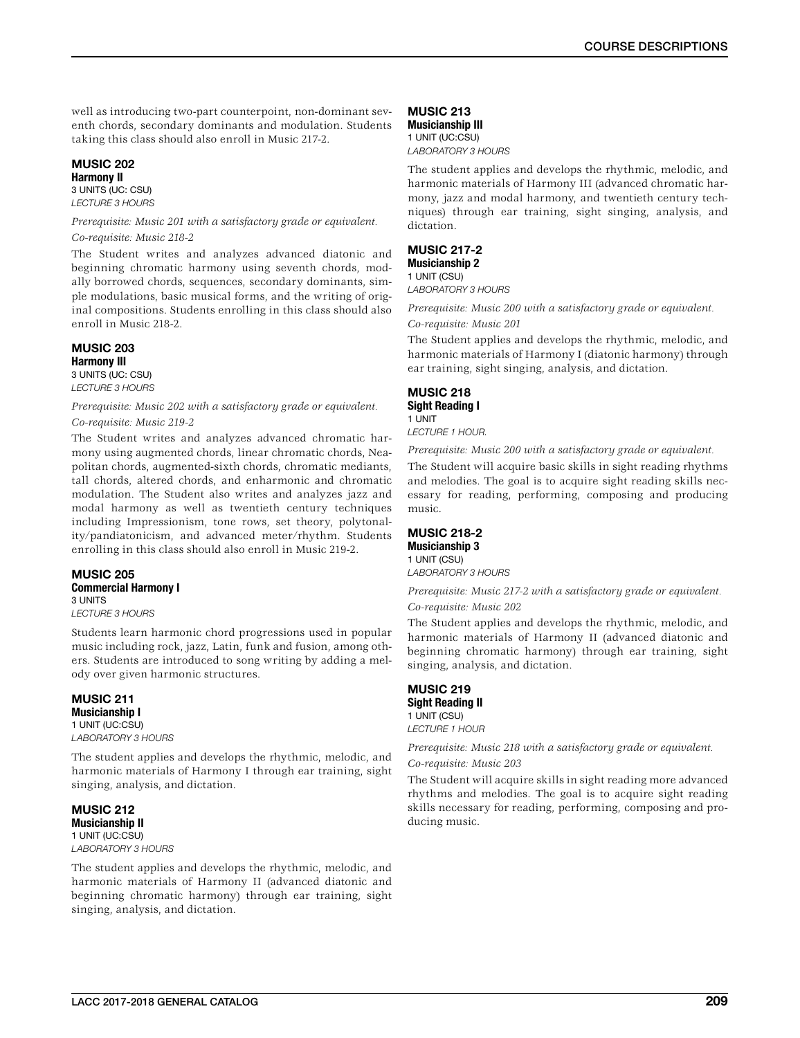well as introducing two-part counterpoint, non-dominant seventh chords, secondary dominants and modulation. Students taking this class should also enroll in Music 217-2.

### MUSIC 202 Harmony II

3 UNITS (UC: CSU) *LECTURE 3 HOURS*

### *Prerequisite: Music 201 with a satisfactory grade or equivalent. Co-requisite: Music 218-2*

The Student writes and analyzes advanced diatonic and beginning chromatic harmony using seventh chords, modally borrowed chords, sequences, secondary dominants, simple modulations, basic musical forms, and the writing of original compositions. Students enrolling in this class should also enroll in Music 218-2.

# MUSIC 203

Harmony III 3 UNITS (UC: CSU) *LECTURE 3 HOURS*

*Prerequisite: Music 202 with a satisfactory grade or equivalent. Co-requisite: Music 219-2*

The Student writes and analyzes advanced chromatic harmony using augmented chords, linear chromatic chords, Neapolitan chords, augmented-sixth chords, chromatic mediants, tall chords, altered chords, and enharmonic and chromatic modulation. The Student also writes and analyzes jazz and modal harmony as well as twentieth century techniques including Impressionism, tone rows, set theory, polytonality/pandiatonicism, and advanced meter/rhythm. Students enrolling in this class should also enroll in Music 219-2.

MUSIC 205 Commercial Harmony I 3 UNITS *LECTURE 3 HOURS*

Students learn harmonic chord progressions used in popular music including rock, jazz, Latin, funk and fusion, among others. Students are introduced to song writing by adding a melody over given harmonic structures.

# MUSIC 211

Musicianship I 1 UNIT (UC:CSU) *LABORATORY 3 HOURS*

The student applies and develops the rhythmic, melodic, and harmonic materials of Harmony I through ear training, sight singing, analysis, and dictation.

MUSIC 212 Musicianship II 1 UNIT (UC:CSU) *LABORATORY 3 HOURS*

The student applies and develops the rhythmic, melodic, and harmonic materials of Harmony II (advanced diatonic and beginning chromatic harmony) through ear training, sight singing, analysis, and dictation.

# MUSIC 213

Musicianship III 1 UNIT (UC:CSU) *LABORATORY 3 HOURS*

The student applies and develops the rhythmic, melodic, and harmonic materials of Harmony III (advanced chromatic harmony, jazz and modal harmony, and twentieth century techniques) through ear training, sight singing, analysis, and dictation.

### MUSIC 217-2 Musicianship 2 1 UNIT (CSU)

*LABORATORY 3 HOURS*

*Prerequisite: Music 200 with a satisfactory grade or equivalent. Co-requisite: Music 201*

The Student applies and develops the rhythmic, melodic, and harmonic materials of Harmony I (diatonic harmony) through ear training, sight singing, analysis, and dictation.

# MUSIC 218

Sight Reading I 1 UNIT *LECTURE 1 HOUR.*

*Prerequisite: Music 200 with a satisfactory grade or equivalent.*

The Student will acquire basic skills in sight reading rhythms and melodies. The goal is to acquire sight reading skills necessary for reading, performing, composing and producing music.

### MUSIC 218-2 Musicianship 3

1 UNIT (CSU) *LABORATORY 3 HOURS*

*Prerequisite: Music 217-2 with a satisfactory grade or equivalent. Co-requisite: Music 202*

The Student applies and develops the rhythmic, melodic, and harmonic materials of Harmony II (advanced diatonic and beginning chromatic harmony) through ear training, sight singing, analysis, and dictation.

### MUSIC<sub>219</sub> Sight Reading II 1 UNIT (CSU)

*LECTURE 1 HOUR*

*Prerequisite: Music 218 with a satisfactory grade or equivalent.*

*Co-requisite: Music 203*

The Student will acquire skills in sight reading more advanced rhythms and melodies. The goal is to acquire sight reading skills necessary for reading, performing, composing and producing music.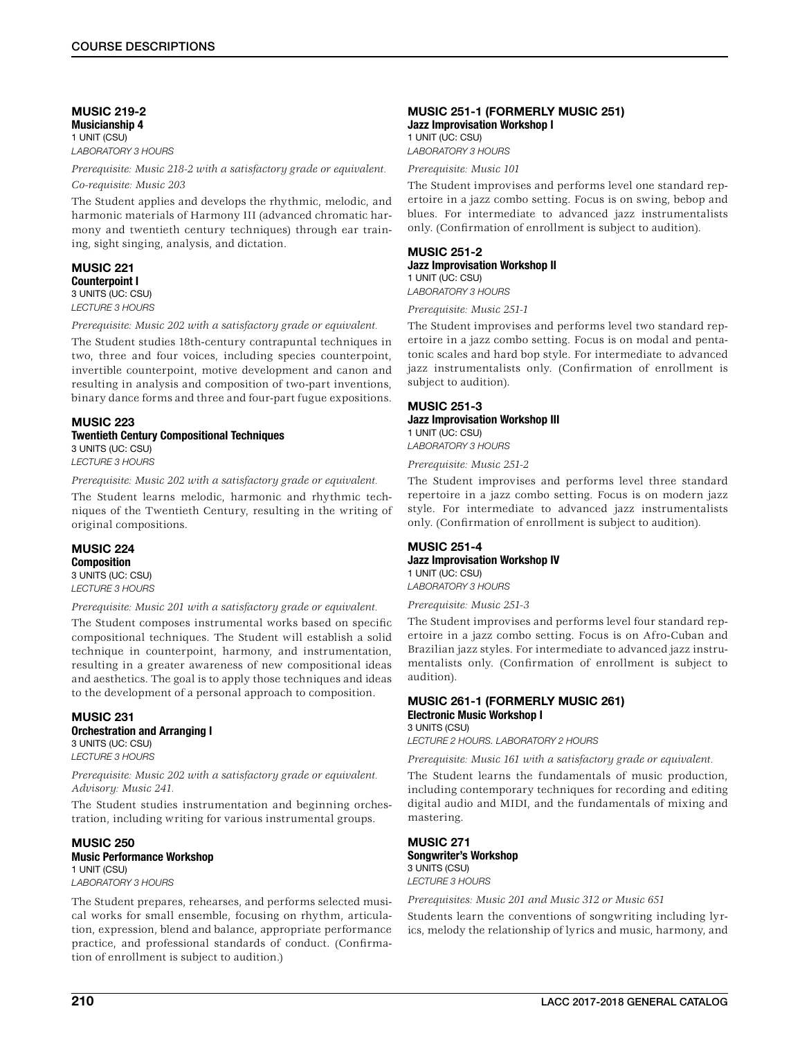### MUSIC 219-2 Musicianship 4 1 UNIT (CSU) *LABORATORY 3 HOURS*

*Prerequisite: Music 218-2 with a satisfactory grade or equivalent. Co-requisite: Music 203*

The Student applies and develops the rhythmic, melodic, and harmonic materials of Harmony III (advanced chromatic harmony and twentieth century techniques) through ear training, sight singing, analysis, and dictation.

### MUSIC 221 Counterpoint I 3 UNITS (UC: CSU)

*LECTURE 3 HOURS*

*Prerequisite: Music 202 with a satisfactory grade or equivalent.*

The Student studies 18th-century contrapuntal techniques in two, three and four voices, including species counterpoint, invertible counterpoint, motive development and canon and resulting in analysis and composition of two-part inventions, binary dance forms and three and four-part fugue expositions.

# MUSIC 223

### Twentieth Century Compositional Techniques 3 UNITS (UC: CSU) *LECTURE 3 HOURS*

*Prerequisite: Music 202 with a satisfactory grade or equivalent.*

The Student learns melodic, harmonic and rhythmic techniques of the Twentieth Century, resulting in the writing of original compositions.

#### MUSIC 224 **Composition** 3 UNITS (UC: CSU)

*LECTURE 3 HOURS*

*Prerequisite: Music 201 with a satisfactory grade or equivalent.*

The Student composes instrumental works based on specific compositional techniques. The Student will establish a solid technique in counterpoint, harmony, and instrumentation, resulting in a greater awareness of new compositional ideas and aesthetics. The goal is to apply those techniques and ideas to the development of a personal approach to composition.

# MUSIC 231 Orchestration and Arranging I

3 UNITS (UC: CSU) *LECTURE 3 HOURS*

*Prerequisite: Music 202 with a satisfactory grade or equivalent. Advisory: Music 241.*

The Student studies instrumentation and beginning orchestration, including writing for various instrumental groups.

### MUSIC 250 Music Performance Workshop 1 UNIT (CSU) *LABORATORY 3 HOURS*

The Student prepares, rehearses, and performs selected musical works for small ensemble, focusing on rhythm, articulation, expression, blend and balance, appropriate performance practice, and professional standards of conduct. (Confirmation of enrollment is subject to audition.)

### MUSIC 251-1 (FORMERLY MUSIC 251) Jazz Improvisation Workshop I

1 UNIT (UC: CSU) *LABORATORY 3 HOURS*

*Prerequisite: Music 101*

The Student improvises and performs level one standard repertoire in a jazz combo setting. Focus is on swing, bebop and blues. For intermediate to advanced jazz instrumentalists only. (Confirmation of enrollment is subject to audition).

### MUSIC 251-2 Jazz Improvisation Workshop II

1 UNIT (UC: CSU) *LABORATORY 3 HOURS*

*Prerequisite: Music 251-1*

The Student improvises and performs level two standard repertoire in a jazz combo setting. Focus is on modal and pentatonic scales and hard bop style. For intermediate to advanced jazz instrumentalists only. (Confirmation of enrollment is subject to audition).

### MUSIC 251-3 Jazz Improvisation Workshop III 1 UNIT (UC: CSU) *LABORATORY 3 HOURS*

*Prerequisite: Music 251-2*

The Student improvises and performs level three standard repertoire in a jazz combo setting. Focus is on modern jazz style. For intermediate to advanced jazz instrumentalists only. (Confirmation of enrollment is subject to audition).

### MUSIC 251-4 Jazz Improvisation Workshop IV 1 UNIT (UC: CSU)

*LABORATORY 3 HOURS*

*Prerequisite: Music 251-3*

The Student improvises and performs level four standard repertoire in a jazz combo setting. Focus is on Afro-Cuban and Brazilian jazz styles. For intermediate to advanced jazz instrumentalists only. (Confirmation of enrollment is subject to audition).

### MUSIC 261-1 (FORMERLY MUSIC 261) Electronic Music Workshop I 3 UNITS (CSU)

*LECTURE 2 HOURS. LABORATORY 2 HOURS*

*Prerequisite: Music 161 with a satisfactory grade or equivalent.*

The Student learns the fundamentals of music production, including contemporary techniques for recording and editing digital audio and MIDI, and the fundamentals of mixing and mastering.

### MUSIC 271 Songwriter's Workshop 3 UNITS (CSU) *LECTURE 3 HOURS*

*Prerequisites: Music 201 and Music 312 or Music 651*

Students learn the conventions of songwriting including lyrics, melody the relationship of lyrics and music, harmony, and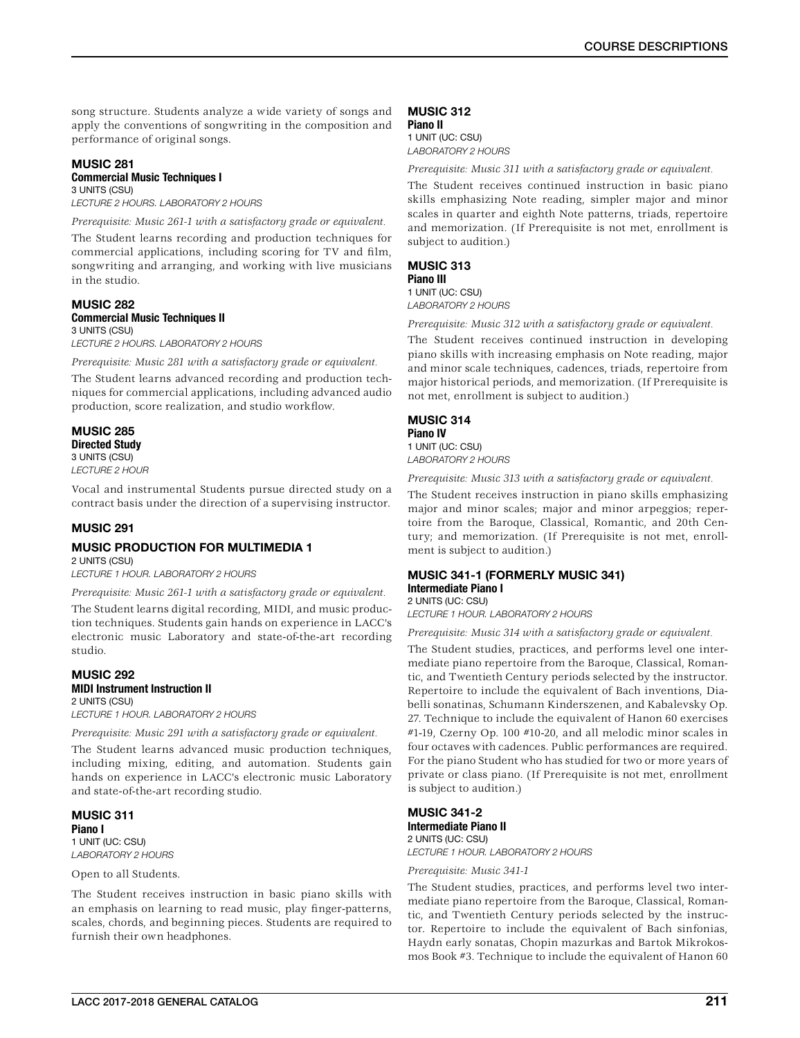song structure. Students analyze a wide variety of songs and apply the conventions of songwriting in the composition and performance of original songs.

# MUSIC<sub>281</sub>

### Commercial Music Techniques I 3 UNITS (CSU)

*LECTURE 2 HOURS. LABORATORY 2 HOURS*

*Prerequisite: Music 261-1 with a satisfactory grade or equivalent.*

The Student learns recording and production techniques for commercial applications, including scoring for TV and film, songwriting and arranging, and working with live musicians in the studio.

### MUSIC 282 Commercial Music Techniques II 3 UNITS (CSU)

*LECTURE 2 HOURS. LABORATORY 2 HOURS*

*Prerequisite: Music 281 with a satisfactory grade or equivalent.*

The Student learns advanced recording and production techniques for commercial applications, including advanced audio production, score realization, and studio workflow.

MUSIC 285 Directed Study 3 UNITS (CSU) *LECTURE 2 HOUR*

Vocal and instrumental Students pursue directed study on a contract basis under the direction of a supervising instructor.

### MUSIC 291

### MUSIC PRODUCTION FOR MULTIMEDIA 1 2 UNITS (CSU)

*LECTURE 1 HOUR. LABORATORY 2 HOURS*

*Prerequisite: Music 261-1 with a satisfactory grade or equivalent.* 

The Student learns digital recording, MIDI, and music production techniques. Students gain hands on experience in LACC's electronic music Laboratory and state-of-the-art recording studio.

### MUSIC 292 MIDI Instrument Instruction II 2 UNITS (CSU) *LECTURE 1 HOUR. LABORATORY 2 HOURS*

*Prerequisite: Music 291 with a satisfactory grade or equivalent.*

The Student learns advanced music production techniques, including mixing, editing, and automation. Students gain hands on experience in LACC's electronic music Laboratory and state-of-the-art recording studio.

MUSIC 311 Piano I 1 UNIT (UC: CSU) *LABORATORY 2 HOURS*

Open to all Students.

The Student receives instruction in basic piano skills with an emphasis on learning to read music, play finger-patterns, scales, chords, and beginning pieces. Students are required to furnish their own headphones.

# MUSIC 312

Piano II 1 UNIT (UC: CSU) *LABORATORY 2 HOURS*

*Prerequisite: Music 311 with a satisfactory grade or equivalent.*

The Student receives continued instruction in basic piano skills emphasizing Note reading, simpler major and minor scales in quarter and eighth Note patterns, triads, repertoire and memorization. (If Prerequisite is not met, enrollment is subject to audition.)

# MUSIC 313

Piano III 1 UNIT (UC: CSU)

*LABORATORY 2 HOURS*

*Prerequisite: Music 312 with a satisfactory grade or equivalent.*

The Student receives continued instruction in developing piano skills with increasing emphasis on Note reading, major and minor scale techniques, cadences, triads, repertoire from major historical periods, and memorization. (If Prerequisite is not met, enrollment is subject to audition.)

# MUSIC 314

#### Piano IV 1 UNIT (UC: CSU)

*LABORATORY 2 HOURS*

*Prerequisite: Music 313 with a satisfactory grade or equivalent.*

The Student receives instruction in piano skills emphasizing major and minor scales; major and minor arpeggios; repertoire from the Baroque, Classical, Romantic, and 20th Century; and memorization. (If Prerequisite is not met, enrollment is subject to audition.)

# MUSIC 341-1 (FORMERLY MUSIC 341) Intermediate Piano I

2 UNITS (UC: CSU) *LECTURE 1 HOUR. LABORATORY 2 HOURS*

*Prerequisite: Music 314 with a satisfactory grade or equivalent.*

The Student studies, practices, and performs level one intermediate piano repertoire from the Baroque, Classical, Romantic, and Twentieth Century periods selected by the instructor. Repertoire to include the equivalent of Bach inventions, Diabelli sonatinas, Schumann Kinderszenen, and Kabalevsky Op. 27. Technique to include the equivalent of Hanon 60 exercises #1-19, Czerny Op. 100 #10-20, and all melodic minor scales in four octaves with cadences. Public performances are required. For the piano Student who has studied for two or more years of private or class piano. (If Prerequisite is not met, enrollment is subject to audition.)

# MUSIC 341-2 Intermediate Piano II

2 UNITS (UC: CSU) *LECTURE 1 HOUR. LABORATORY 2 HOURS*

*Prerequisite: Music 341-1*

The Student studies, practices, and performs level two intermediate piano repertoire from the Baroque, Classical, Romantic, and Twentieth Century periods selected by the instructor. Repertoire to include the equivalent of Bach sinfonias, Haydn early sonatas, Chopin mazurkas and Bartok Mikrokosmos Book #3. Technique to include the equivalent of Hanon 60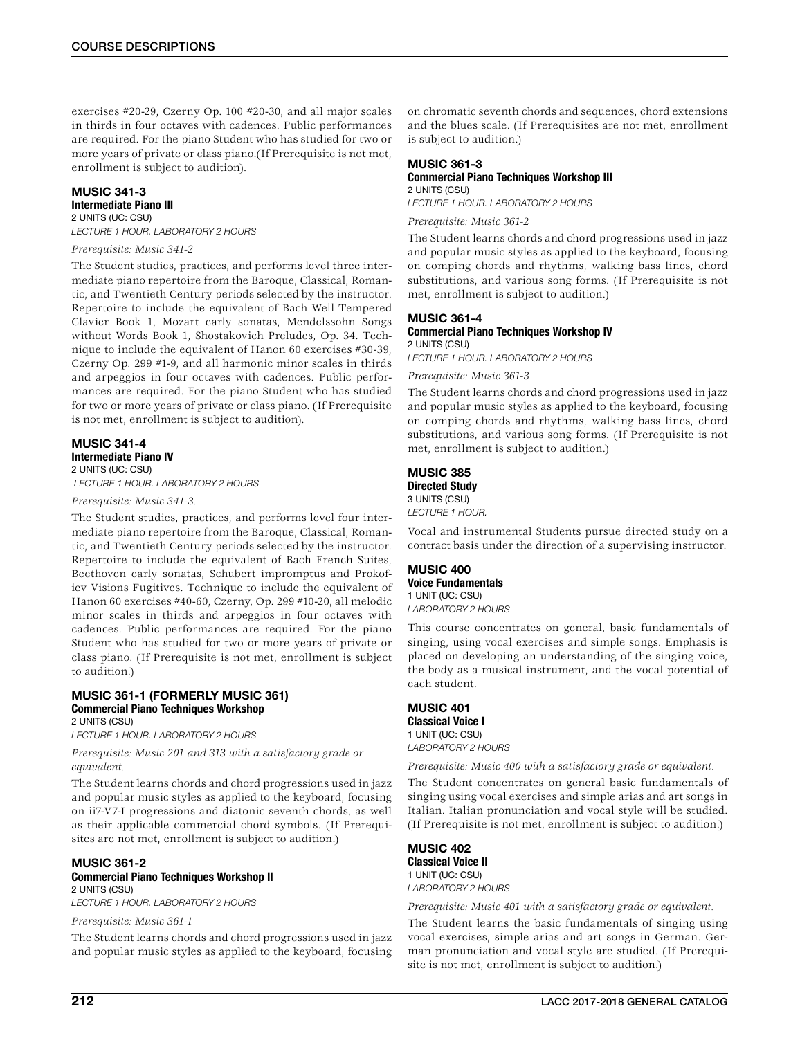exercises #20-29, Czerny Op. 100 #20-30, and all major scales in thirds in four octaves with cadences. Public performances are required. For the piano Student who has studied for two or more years of private or class piano.(If Prerequisite is not met, enrollment is subject to audition).

### MUSIC 341-3 Intermediate Piano III 2 UNITS (UC: CSU)

*LECTURE 1 HOUR. LABORATORY 2 HOURS*

### *Prerequisite: Music 341-2*

The Student studies, practices, and performs level three intermediate piano repertoire from the Baroque, Classical, Romantic, and Twentieth Century periods selected by the instructor. Repertoire to include the equivalent of Bach Well Tempered Clavier Book 1, Mozart early sonatas, Mendelssohn Songs without Words Book 1, Shostakovich Preludes, Op. 34. Technique to include the equivalent of Hanon 60 exercises #30-39, Czerny Op. 299 #1-9, and all harmonic minor scales in thirds and arpeggios in four octaves with cadences. Public performances are required. For the piano Student who has studied for two or more years of private or class piano. (If Prerequisite is not met, enrollment is subject to audition).

### MUSIC 341-4 Intermediate Piano IV 2 UNITS (UC: CSU)  *LECTURE 1 HOUR. LABORATORY 2 HOURS*

*Prerequisite: Music 341-3.*

The Student studies, practices, and performs level four intermediate piano repertoire from the Baroque, Classical, Romantic, and Twentieth Century periods selected by the instructor. Repertoire to include the equivalent of Bach French Suites, Beethoven early sonatas, Schubert impromptus and Prokofiev Visions Fugitives. Technique to include the equivalent of Hanon 60 exercises #40-60, Czerny, Op. 299 #10-20, all melodic minor scales in thirds and arpeggios in four octaves with cadences. Public performances are required. For the piano Student who has studied for two or more years of private or class piano. (If Prerequisite is not met, enrollment is subject to audition.)

# MUSIC 361-1 (FORMERLY MUSIC 361) Commercial Piano Techniques Workshop

2 UNITS (CSU)

*LECTURE 1 HOUR. LABORATORY 2 HOURS*

*Prerequisite: Music 201 and 313 with a satisfactory grade or equivalent.*

The Student learns chords and chord progressions used in jazz and popular music styles as applied to the keyboard, focusing on ii7-V7-I progressions and diatonic seventh chords, as well as their applicable commercial chord symbols. (If Prerequisites are not met, enrollment is subject to audition.)

### MUSIC 361-2 Commercial Piano Techniques Workshop II 2 UNITS (CSU)

*LECTURE 1 HOUR. LABORATORY 2 HOURS*

### *Prerequisite: Music 361-1*

The Student learns chords and chord progressions used in jazz and popular music styles as applied to the keyboard, focusing

on chromatic seventh chords and sequences, chord extensions and the blues scale. (If Prerequisites are not met, enrollment is subject to audition.)

### MUSIC 361-3 Commercial Piano Techniques Workshop III 2 UNITS (CSU)

*LECTURE 1 HOUR. LABORATORY 2 HOURS*

### *Prerequisite: Music 361-2*

The Student learns chords and chord progressions used in jazz and popular music styles as applied to the keyboard, focusing on comping chords and rhythms, walking bass lines, chord substitutions, and various song forms. (If Prerequisite is not met, enrollment is subject to audition.)

### MUSIC 361-4 Commercial Piano Techniques Workshop IV 2 UNITS (CSU)

*LECTURE 1 HOUR. LABORATORY 2 HOURS*

### *Prerequisite: Music 361-3*

The Student learns chords and chord progressions used in jazz and popular music styles as applied to the keyboard, focusing on comping chords and rhythms, walking bass lines, chord substitutions, and various song forms. (If Prerequisite is not met, enrollment is subject to audition.)

### MUSIC 385 Directed Study 3 UNITS (CSU)

*LECTURE 1 HOUR.*

Vocal and instrumental Students pursue directed study on a contract basis under the direction of a supervising instructor.

### MUSIC 400 Voice Fundamentals

1 UNIT (UC: CSU) *LABORATORY 2 HOURS*

This course concentrates on general, basic fundamentals of singing, using vocal exercises and simple songs. Emphasis is placed on developing an understanding of the singing voice, the body as a musical instrument, and the vocal potential of each student.

### MUSIC 401 Classical Voice I 1 UNIT (UC: CSU) *LABORATORY 2 HOURS*

*Prerequisite: Music 400 with a satisfactory grade or equivalent.*

The Student concentrates on general basic fundamentals of singing using vocal exercises and simple arias and art songs in Italian. Italian pronunciation and vocal style will be studied. (If Prerequisite is not met, enrollment is subject to audition.)

### MUSIC 402 Classical Voice II 1 UNIT (UC: CSU) *LABORATORY 2 HOURS*

*Prerequisite: Music 401 with a satisfactory grade or equivalent.*

The Student learns the basic fundamentals of singing using vocal exercises, simple arias and art songs in German. German pronunciation and vocal style are studied. (If Prerequisite is not met, enrollment is subject to audition.)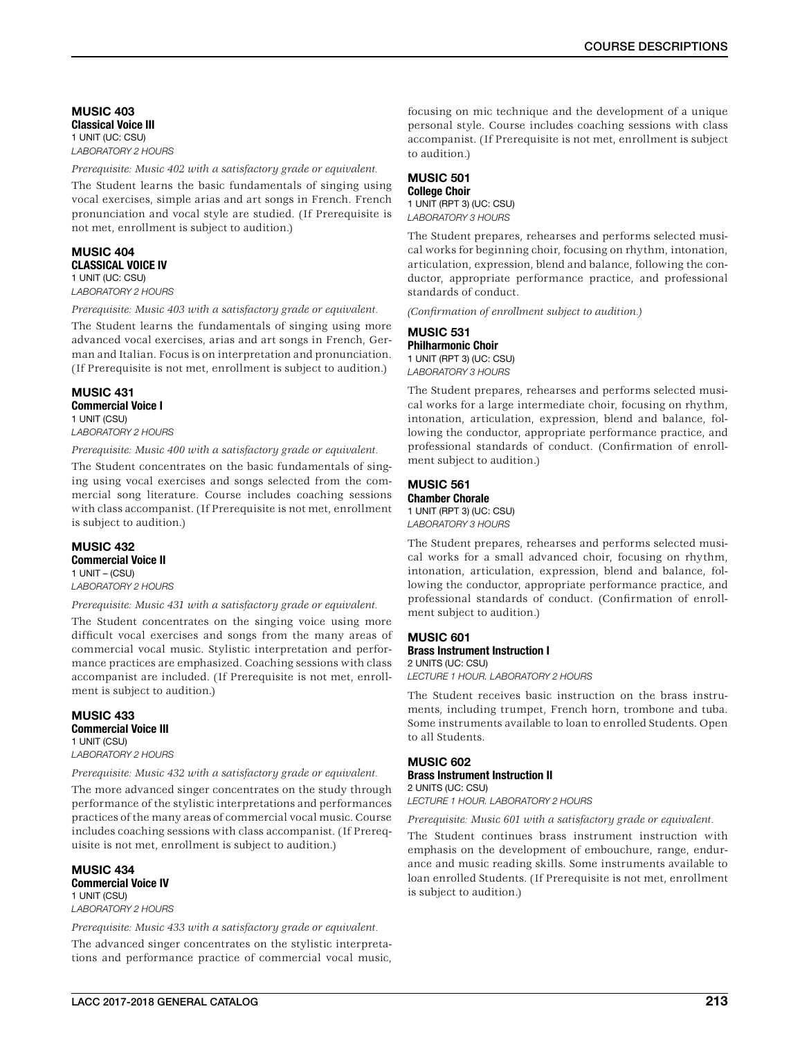MUSIC 403 Classical Voice III 1 UNIT (UC: CSU) *LABORATORY 2 HOURS*

*Prerequisite: Music 402 with a satisfactory grade or equivalent.*

The Student learns the basic fundamentals of singing using vocal exercises, simple arias and art songs in French. French pronunciation and vocal style are studied. (If Prerequisite is not met, enrollment is subject to audition.)

### MUSIC 404 CLASSICAL VOICE IV 1 UNIT (UC: CSU)

*LABORATORY 2 HOURS*

*Prerequisite: Music 403 with a satisfactory grade or equivalent.*

The Student learns the fundamentals of singing using more advanced vocal exercises, arias and art songs in French, German and Italian. Focus is on interpretation and pronunciation. (If Prerequisite is not met, enrollment is subject to audition.)

### MUSIC 431 Commercial Voice I 1 UNIT (CSU)

*LABORATORY 2 HOURS*

*Prerequisite: Music 400 with a satisfactory grade or equivalent.*

The Student concentrates on the basic fundamentals of singing using vocal exercises and songs selected from the commercial song literature. Course includes coaching sessions with class accompanist. (If Prerequisite is not met, enrollment is subject to audition.)

### MUSIC 432 Commercial Voice II 1 UNIT – (CSU) *LABORATORY 2 HOURS*

*Prerequisite: Music 431 with a satisfactory grade or equivalent.*

The Student concentrates on the singing voice using more difficult vocal exercises and songs from the many areas of commercial vocal music. Stylistic interpretation and performance practices are emphasized. Coaching sessions with class accompanist are included. (If Prerequisite is not met, enrollment is subject to audition.)

### MUSIC 433 Commercial Voice III 1 UNIT (CSU) *LABORATORY 2 HOURS*

*Prerequisite: Music 432 with a satisfactory grade or equivalent.*

The more advanced singer concentrates on the study through performance of the stylistic interpretations and performances practices of the many areas of commercial vocal music. Course includes coaching sessions with class accompanist. (If Prerequisite is not met, enrollment is subject to audition.)

MUSIC 434 Commercial Voice IV 1 UNIT (CSU) *LABORATORY 2 HOURS*

*Prerequisite: Music 433 with a satisfactory grade or equivalent.* The advanced singer concentrates on the stylistic interpretations and performance practice of commercial vocal music,

focusing on mic technique and the development of a unique personal style. Course includes coaching sessions with class accompanist. (If Prerequisite is not met, enrollment is subject to audition.)

# MUSIC 501

College Choir 1 UNIT (RPT 3) (UC: CSU) *LABORATORY 3 HOURS*

The Student prepares, rehearses and performs selected musical works for beginning choir, focusing on rhythm, intonation, articulation, expression, blend and balance, following the conductor, appropriate performance practice, and professional standards of conduct.

*(Confirmation of enrollment subject to audition.)*

# MUSIC 531 Philharmonic Choir

1 UNIT (RPT 3) (UC: CSU) *LABORATORY 3 HOURS*

The Student prepares, rehearses and performs selected musical works for a large intermediate choir, focusing on rhythm, intonation, articulation, expression, blend and balance, following the conductor, appropriate performance practice, and professional standards of conduct. (Confirmation of enrollment subject to audition.)

### MUSIC 561 Chamber Chorale

1 UNIT (RPT 3) (UC: CSU) *LABORATORY 3 HOURS*

The Student prepares, rehearses and performs selected musical works for a small advanced choir, focusing on rhythm, intonation, articulation, expression, blend and balance, following the conductor, appropriate performance practice, and professional standards of conduct. (Confirmation of enrollment subject to audition.)

### MUSIC 601 Brass Instrument Instruction I 2 UNITS (UC: CSU)

*LECTURE 1 HOUR. LABORATORY 2 HOURS*

The Student receives basic instruction on the brass instruments, including trumpet, French horn, trombone and tuba. Some instruments available to loan to enrolled Students. Open to all Students.

# MUSIC 602 Brass Instrument Instruction II 2 UNITS (UC: CSU)

*LECTURE 1 HOUR. LABORATORY 2 HOURS*

*Prerequisite: Music 601 with a satisfactory grade or equivalent.*

The Student continues brass instrument instruction with emphasis on the development of embouchure, range, endurance and music reading skills. Some instruments available to loan enrolled Students. (If Prerequisite is not met, enrollment is subject to audition.)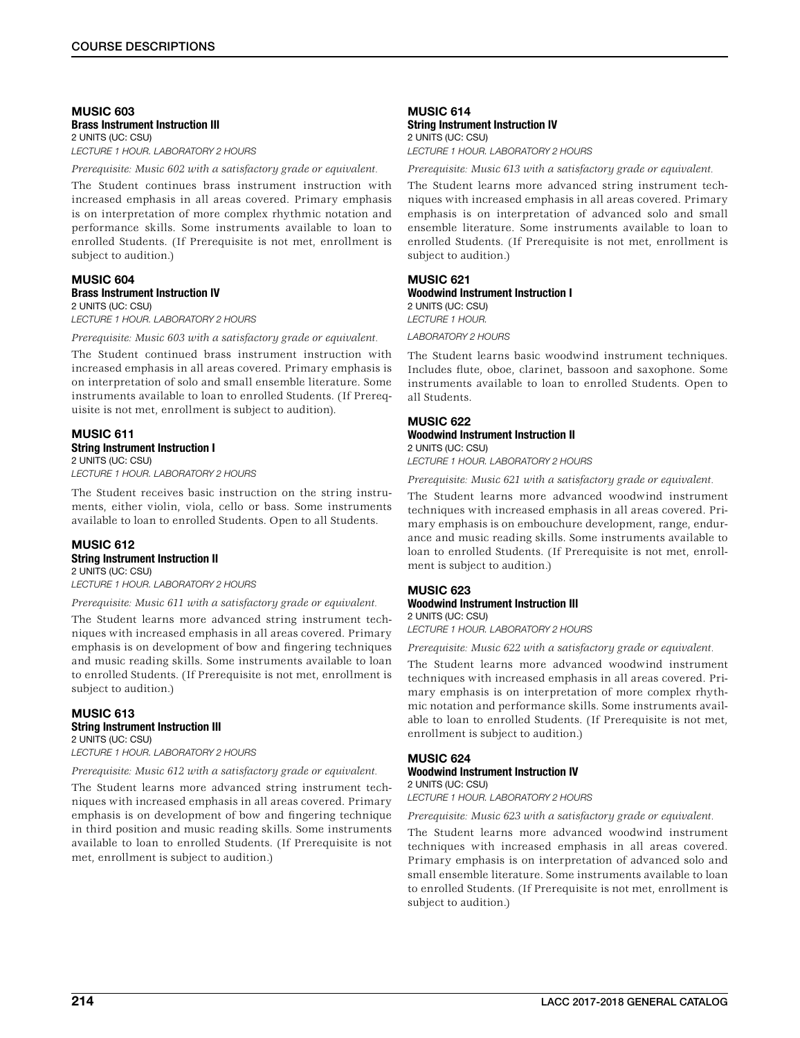#### MUSIC 603 Brass Instrument Instruction III 2 UNITS (UC: CSU) *LECTURE 1 HOUR. LABORATORY 2 HOURS*

*Prerequisite: Music 602 with a satisfactory grade or equivalent.*

The Student continues brass instrument instruction with increased emphasis in all areas covered. Primary emphasis is on interpretation of more complex rhythmic notation and performance skills. Some instruments available to loan to enrolled Students. (If Prerequisite is not met, enrollment is subject to audition.)

## MUSIC 604 Brass Instrument Instruction IV 2 UNITS (UC: CSU)

*LECTURE 1 HOUR. LABORATORY 2 HOURS*

*Prerequisite: Music 603 with a satisfactory grade or equivalent.*

The Student continued brass instrument instruction with increased emphasis in all areas covered. Primary emphasis is on interpretation of solo and small ensemble literature. Some instruments available to loan to enrolled Students. (If Prerequisite is not met, enrollment is subject to audition).

## MUSIC 611 String Instrument Instruction I 2 UNITS (UC: CSU)

*LECTURE 1 HOUR. LABORATORY 2 HOURS*

The Student receives basic instruction on the string instruments, either violin, viola, cello or bass. Some instruments available to loan to enrolled Students. Open to all Students.

## MUSIC 612 String Instrument Instruction II 2 UNITS (UC: CSU)

*LECTURE 1 HOUR. LABORATORY 2 HOURS*

*Prerequisite: Music 611 with a satisfactory grade or equivalent.*

The Student learns more advanced string instrument techniques with increased emphasis in all areas covered. Primary emphasis is on development of bow and fingering techniques and music reading skills. Some instruments available to loan to enrolled Students. (If Prerequisite is not met, enrollment is subject to audition.)

## MUSIC 613 String Instrument Instruction III 2 UNITS (UC: CSU)

*LECTURE 1 HOUR. LABORATORY 2 HOURS*

*Prerequisite: Music 612 with a satisfactory grade or equivalent.*

The Student learns more advanced string instrument techniques with increased emphasis in all areas covered. Primary emphasis is on development of bow and fingering technique in third position and music reading skills. Some instruments available to loan to enrolled Students. (If Prerequisite is not met, enrollment is subject to audition.)

## MUSIC 614 String Instrument Instruction IV 2 UNITS (UC: CSU) *LECTURE 1 HOUR. LABORATORY 2 HOURS*

*Prerequisite: Music 613 with a satisfactory grade or equivalent.*

The Student learns more advanced string instrument techniques with increased emphasis in all areas covered. Primary emphasis is on interpretation of advanced solo and small ensemble literature. Some instruments available to loan to enrolled Students. (If Prerequisite is not met, enrollment is subject to audition.)

## MUSIC 621 Woodwind Instrument Instruction I 2 UNITS (UC: CSU) *LECTURE 1 HOUR. LABORATORY 2 HOURS*

The Student learns basic woodwind instrument techniques. Includes flute, oboe, clarinet, bassoon and saxophone. Some instruments available to loan to enrolled Students. Open to all Students.

## MUSIC 622 Woodwind Instrument Instruction II 2 UNITS (UC: CSU)

*LECTURE 1 HOUR. LABORATORY 2 HOURS*

*Prerequisite: Music 621 with a satisfactory grade or equivalent.*

The Student learns more advanced woodwind instrument techniques with increased emphasis in all areas covered. Primary emphasis is on embouchure development, range, endurance and music reading skills. Some instruments available to loan to enrolled Students. (If Prerequisite is not met, enrollment is subject to audition.)

### MUSIC 623 Woodwind Instrument Instruction III 2 UNITS (UC: CSU)

*LECTURE 1 HOUR. LABORATORY 2 HOURS*

*Prerequisite: Music 622 with a satisfactory grade or equivalent.*

The Student learns more advanced woodwind instrument techniques with increased emphasis in all areas covered. Primary emphasis is on interpretation of more complex rhythmic notation and performance skills. Some instruments available to loan to enrolled Students. (If Prerequisite is not met, enrollment is subject to audition.)

# MUSIC 624

#### Woodwind Instrument Instruction IV 2 UNITS (UC: CSU)

*LECTURE 1 HOUR. LABORATORY 2 HOURS*

*Prerequisite: Music 623 with a satisfactory grade or equivalent.*

The Student learns more advanced woodwind instrument techniques with increased emphasis in all areas covered. Primary emphasis is on interpretation of advanced solo and small ensemble literature. Some instruments available to loan to enrolled Students. (If Prerequisite is not met, enrollment is subject to audition.)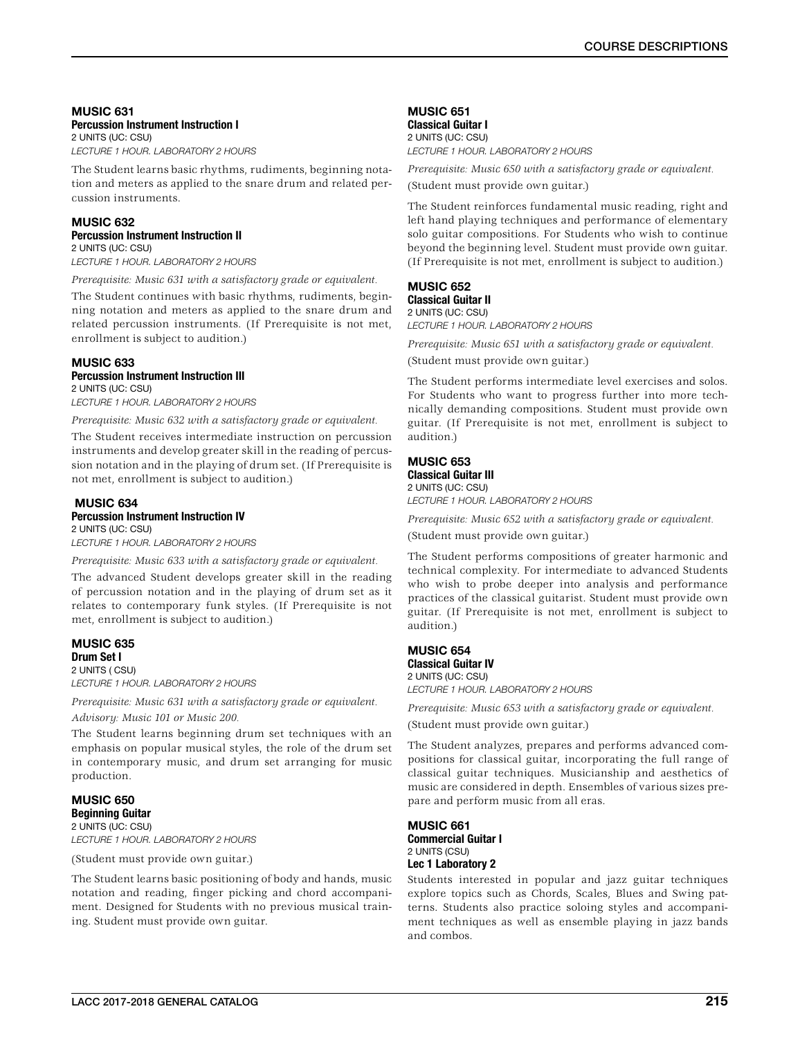#### MUSIC 631 Percussion Instrument Instruction I 2 UNITS (UC: CSU)

*LECTURE 1 HOUR. LABORATORY 2 HOURS*

The Student learns basic rhythms, rudiments, beginning notation and meters as applied to the snare drum and related percussion instruments.

## MUSIC 632 Percussion Instrument Instruction II 2 UNITS (UC: CSU)

*LECTURE 1 HOUR. LABORATORY 2 HOURS*

*Prerequisite: Music 631 with a satisfactory grade or equivalent.*

The Student continues with basic rhythms, rudiments, beginning notation and meters as applied to the snare drum and related percussion instruments. (If Prerequisite is not met, enrollment is subject to audition.)

## MUSIC 633 Percussion Instrument Instruction III

2 UNITS (UC: CSU) *LECTURE 1 HOUR. LABORATORY 2 HOURS*

*Prerequisite: Music 632 with a satisfactory grade or equivalent.*

The Student receives intermediate instruction on percussion instruments and develop greater skill in the reading of percussion notation and in the playing of drum set. (If Prerequisite is not met, enrollment is subject to audition.)

### MUSIC 634 Percussion Instrument Instruction IV 2 UNITS (UC: CSU)

*LECTURE 1 HOUR. LABORATORY 2 HOURS*

*Prerequisite: Music 633 with a satisfactory grade or equivalent.*

The advanced Student develops greater skill in the reading of percussion notation and in the playing of drum set as it relates to contemporary funk styles. (If Prerequisite is not met, enrollment is subject to audition.)

## MUSIC 635 Drum Set I

2 UNITS ( CSU) *LECTURE 1 HOUR. LABORATORY 2 HOURS*

*Prerequisite: Music 631 with a satisfactory grade or equivalent. Advisory: Music 101 or Music 200.*

The Student learns beginning drum set techniques with an emphasis on popular musical styles, the role of the drum set in contemporary music, and drum set arranging for music production.

## MUSIC 650 Beginning Guitar 2 UNITS (UC: CSU)

*LECTURE 1 HOUR. LABORATORY 2 HOURS*

(Student must provide own guitar.)

The Student learns basic positioning of body and hands, music notation and reading, finger picking and chord accompaniment. Designed for Students with no previous musical training. Student must provide own guitar.

## MUSIC 651 Classical Guitar I

2 UNITS (UC: CSU) *LECTURE 1 HOUR. LABORATORY 2 HOURS*

*Prerequisite: Music 650 with a satisfactory grade or equivalent.*

(Student must provide own guitar.)

The Student reinforces fundamental music reading, right and left hand playing techniques and performance of elementary solo guitar compositions. For Students who wish to continue beyond the beginning level. Student must provide own guitar. (If Prerequisite is not met, enrollment is subject to audition.)

## MUSIC 652 Classical Guitar II

2 UNITS (UC: CSU) *LECTURE 1 HOUR. LABORATORY 2 HOURS*

*Prerequisite: Music 651 with a satisfactory grade or equivalent.*

(Student must provide own guitar.)

The Student performs intermediate level exercises and solos. For Students who want to progress further into more technically demanding compositions. Student must provide own guitar. (If Prerequisite is not met, enrollment is subject to audition.)

## MUSIC 653

Classical Guitar III 2 UNITS (UC: CSU) *LECTURE 1 HOUR. LABORATORY 2 HOURS*

*Prerequisite: Music 652 with a satisfactory grade or equivalent.*

(Student must provide own guitar.)

The Student performs compositions of greater harmonic and technical complexity. For intermediate to advanced Students who wish to probe deeper into analysis and performance practices of the classical guitarist. Student must provide own guitar. (If Prerequisite is not met, enrollment is subject to audition.)

## MUSIC 654 Classical Guitar IV

2 UNITS (UC: CSU) *LECTURE 1 HOUR. LABORATORY 2 HOURS*

*Prerequisite: Music 653 with a satisfactory grade or equivalent.*

(Student must provide own guitar.)

The Student analyzes, prepares and performs advanced compositions for classical guitar, incorporating the full range of classical guitar techniques. Musicianship and aesthetics of music are considered in depth. Ensembles of various sizes prepare and perform music from all eras.

## MUSIC 661 Commercial Guitar I 2 UNITS (CSU) Lec 1 Laboratory 2

Students interested in popular and jazz guitar techniques explore topics such as Chords, Scales, Blues and Swing patterns. Students also practice soloing styles and accompaniment techniques as well as ensemble playing in jazz bands and combos.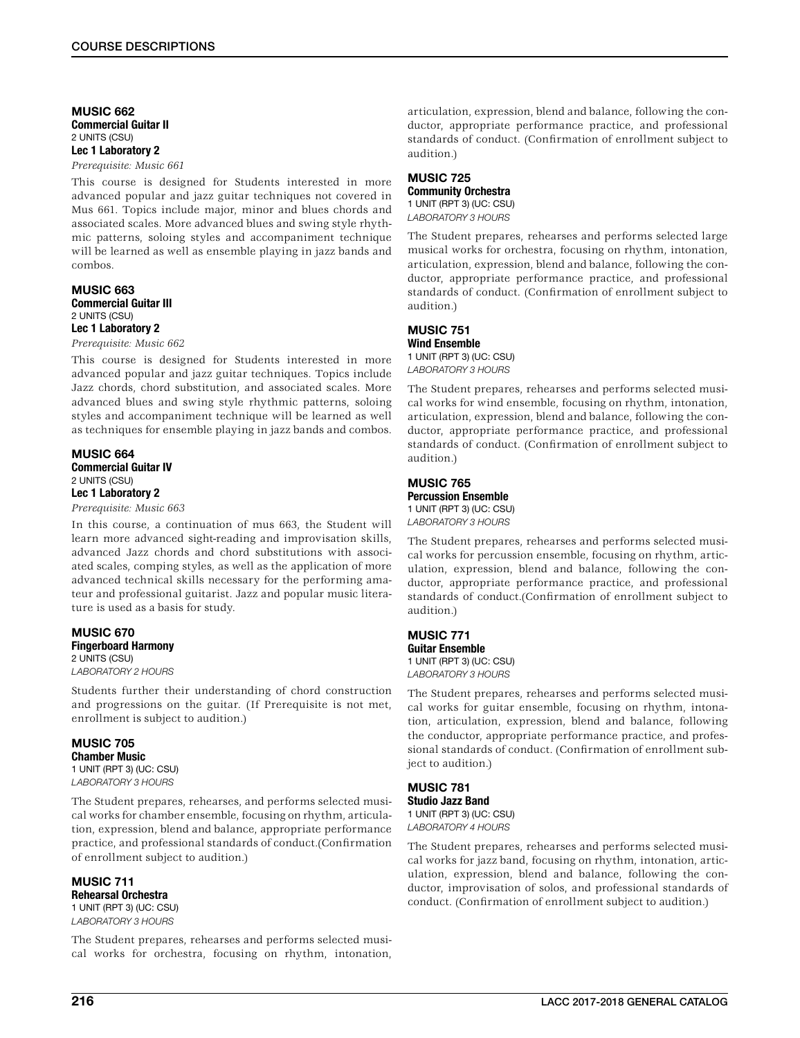## MUSIC 662 Commercial Guitar II 2 UNITS (CSU) Lec 1 Laboratory 2

*Prerequisite: Music 661*

This course is designed for Students interested in more advanced popular and jazz guitar techniques not covered in Mus 661. Topics include major, minor and blues chords and associated scales. More advanced blues and swing style rhythmic patterns, soloing styles and accompaniment technique will be learned as well as ensemble playing in jazz bands and combos.

### MUSIC 663 Commercial Guitar III 2 UNITS (CSU)

## Lec 1 Laboratory 2

*Prerequisite: Music 662*

This course is designed for Students interested in more advanced popular and jazz guitar techniques. Topics include Jazz chords, chord substitution, and associated scales. More advanced blues and swing style rhythmic patterns, soloing styles and accompaniment technique will be learned as well as techniques for ensemble playing in jazz bands and combos.

## MUSIC 664 Commercial Guitar IV 2 UNITS (CSU) Lec 1 Laboratory 2

*Prerequisite: Music 663*

In this course, a continuation of mus 663, the Student will learn more advanced sight-reading and improvisation skills, advanced Jazz chords and chord substitutions with associated scales, comping styles, as well as the application of more advanced technical skills necessary for the performing amateur and professional guitarist. Jazz and popular music literature is used as a basis for study.

#### MUSIC 670 Fingerboard Harmony 2 UNITS (CSU) *LABORATORY 2 HOURS*

Students further their understanding of chord construction and progressions on the guitar. (If Prerequisite is not met, enrollment is subject to audition.)

## MUSIC 705 Chamber Music 1 UNIT (RPT 3) (UC: CSU)

*LABORATORY 3 HOURS*

The Student prepares, rehearses, and performs selected musical works for chamber ensemble, focusing on rhythm, articulation, expression, blend and balance, appropriate performance practice, and professional standards of conduct.(Confirmation of enrollment subject to audition.)

MUSIC 711 Rehearsal Orchestra 1 UNIT (RPT 3) (UC: CSU) *LABORATORY 3 HOURS*

The Student prepares, rehearses and performs selected musical works for orchestra, focusing on rhythm, intonation,

articulation, expression, blend and balance, following the conductor, appropriate performance practice, and professional standards of conduct. (Confirmation of enrollment subject to audition.)

# MUSIC 725 Community Orchestra

1 UNIT (RPT 3) (UC: CSU) *LABORATORY 3 HOURS*

The Student prepares, rehearses and performs selected large musical works for orchestra, focusing on rhythm, intonation, articulation, expression, blend and balance, following the conductor, appropriate performance practice, and professional standards of conduct. (Confirmation of enrollment subject to audition.)

#### MUSIC 751 Wind Ensemble

1 UNIT (RPT 3) (UC: CSU) *LABORATORY 3 HOURS*

The Student prepares, rehearses and performs selected musical works for wind ensemble, focusing on rhythm, intonation, articulation, expression, blend and balance, following the conductor, appropriate performance practice, and professional standards of conduct. (Confirmation of enrollment subject to audition.)

## MUSIC 765 Percussion Ensemble

1 UNIT (RPT 3) (UC: CSU) *LABORATORY 3 HOURS*

The Student prepares, rehearses and performs selected musical works for percussion ensemble, focusing on rhythm, articulation, expression, blend and balance, following the conductor, appropriate performance practice, and professional standards of conduct.(Confirmation of enrollment subject to audition.)

## MUSIC 771 Guitar Ensemble 1 UNIT (RPT 3) (UC: CSU) *LABORATORY 3 HOURS*

The Student prepares, rehearses and performs selected musical works for guitar ensemble, focusing on rhythm, intonation, articulation, expression, blend and balance, following the conductor, appropriate performance practice, and professional standards of conduct. (Confirmation of enrollment subject to audition.)

## MUSIC 781 Studio Jazz Band

1 UNIT (RPT 3) (UC: CSU) *LABORATORY 4 HOURS*

The Student prepares, rehearses and performs selected musical works for jazz band, focusing on rhythm, intonation, articulation, expression, blend and balance, following the conductor, improvisation of solos, and professional standards of conduct. (Confirmation of enrollment subject to audition.)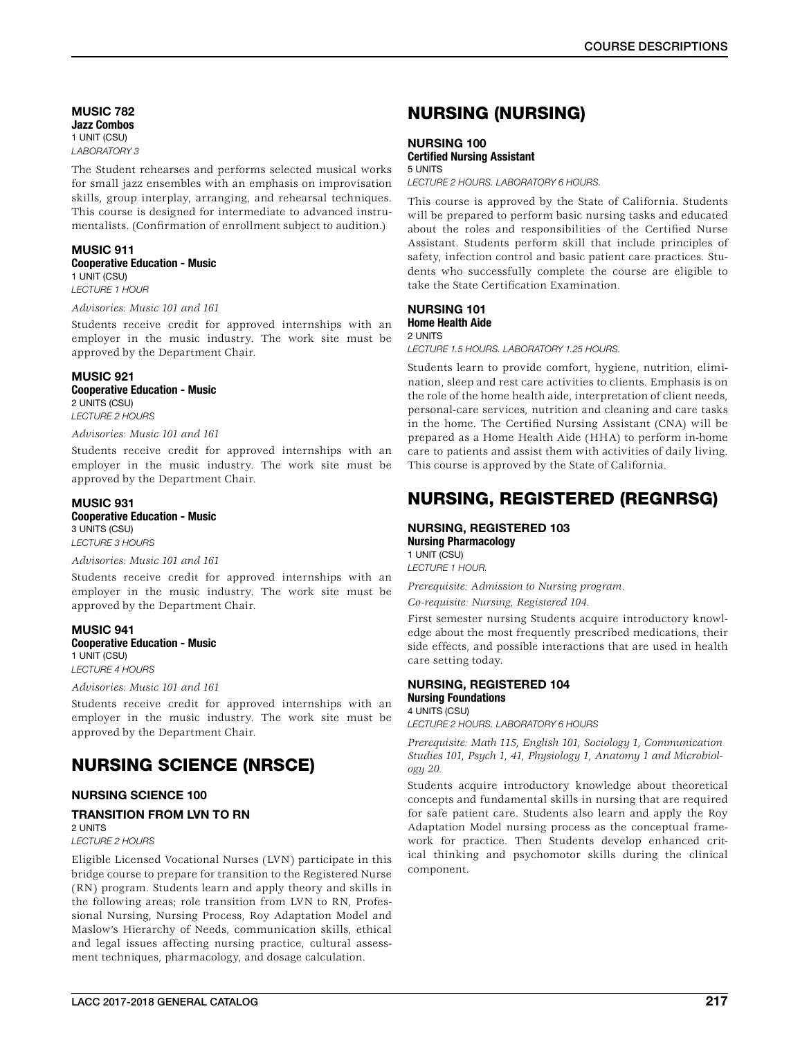MUSIC 782 Jazz Combos 1 UNIT (CSU) *LABORATORY 3*

The Student rehearses and performs selected musical works for small jazz ensembles with an emphasis on improvisation skills, group interplay, arranging, and rehearsal techniques. This course is designed for intermediate to advanced instrumentalists. (Confirmation of enrollment subject to audition.)

## MUSIC 911 Cooperative Education - Music 1 UNIT (CSU)

*LECTURE 1 HOUR*

## *Advisories: Music 101 and 161*

Students receive credit for approved internships with an employer in the music industry. The work site must be approved by the Department Chair.

## MUSIC 921

Cooperative Education - Music 2 UNITS (CSU) *LECTURE 2 HOURS*

## *Advisories: Music 101 and 161*

Students receive credit for approved internships with an employer in the music industry. The work site must be approved by the Department Chair.

# MUSIC 931

Cooperative Education - Music 3 UNITS (CSU) *LECTURE 3 HOURS*

## *Advisories: Music 101 and 161*

Students receive credit for approved internships with an employer in the music industry. The work site must be approved by the Department Chair.

#### MUSIC 941 Cooperative Education - Music 1 UNIT (CSU) *LECTURE 4 HOURS*

*Advisories: Music 101 and 161*

Students receive credit for approved internships with an employer in the music industry. The work site must be approved by the Department Chair.

# NURSING SCIENCE (NRSCE)

## NURSING SCIENCE 100

## TRANSITION FROM LVN TO RN

2 UNITS

## *LECTURE 2 HOURS*

Eligible Licensed Vocational Nurses (LVN) participate in this bridge course to prepare for transition to the Registered Nurse (RN) program. Students learn and apply theory and skills in the following areas; role transition from LVN to RN, Professional Nursing, Nursing Process, Roy Adaptation Model and Maslow's Hierarchy of Needs, communication skills, ethical and legal issues affecting nursing practice, cultural assessment techniques, pharmacology, and dosage calculation.

# NURSING (NURSING)

## NURSING 100 Certified Nursing Assistant 5 UNITS

*LECTURE 2 HOURS. LABORATORY 6 HOURS.*

This course is approved by the State of California. Students will be prepared to perform basic nursing tasks and educated about the roles and responsibilities of the Certified Nurse Assistant. Students perform skill that include principles of safety, infection control and basic patient care practices. Students who successfully complete the course are eligible to take the State Certification Examination.

## NURSING 101

Home Health Aide 2 UNITS *LECTURE 1.5 HOURS. LABORATORY 1.25 HOURS.*

Students learn to provide comfort, hygiene, nutrition, elimination, sleep and rest care activities to clients. Emphasis is on the role of the home health aide, interpretation of client needs, personal-care services, nutrition and cleaning and care tasks in the home. The Certified Nursing Assistant (CNA) will be prepared as a Home Health Aide (HHA) to perform in-home care to patients and assist them with activities of daily living. This course is approved by the State of California.

# NURSING, REGISTERED (REGNRSG)

## NURSING, REGISTERED 103

Nursing Pharmacology 1 UNIT (CSU) *LECTURE 1 HOUR.*

*Prerequisite: Admission to Nursing program. Co-requisite: Nursing, Registered 104.*

First semester nursing Students acquire introductory knowledge about the most frequently prescribed medications, their side effects, and possible interactions that are used in health care setting today.

#### NURSING, REGISTERED 104 Nursing Foundations 4 UNITS (CSU)

*LECTURE 2 HOURS. LABORATORY 6 HOURS*

*Prerequisite: Math 115, English 101, Sociology 1, Communication Studies 101, Psych 1, 41, Physiology 1, Anatomy 1 and Microbiology 20.*

Students acquire introductory knowledge about theoretical concepts and fundamental skills in nursing that are required for safe patient care. Students also learn and apply the Roy Adaptation Model nursing process as the conceptual framework for practice. Then Students develop enhanced critical thinking and psychomotor skills during the clinical component.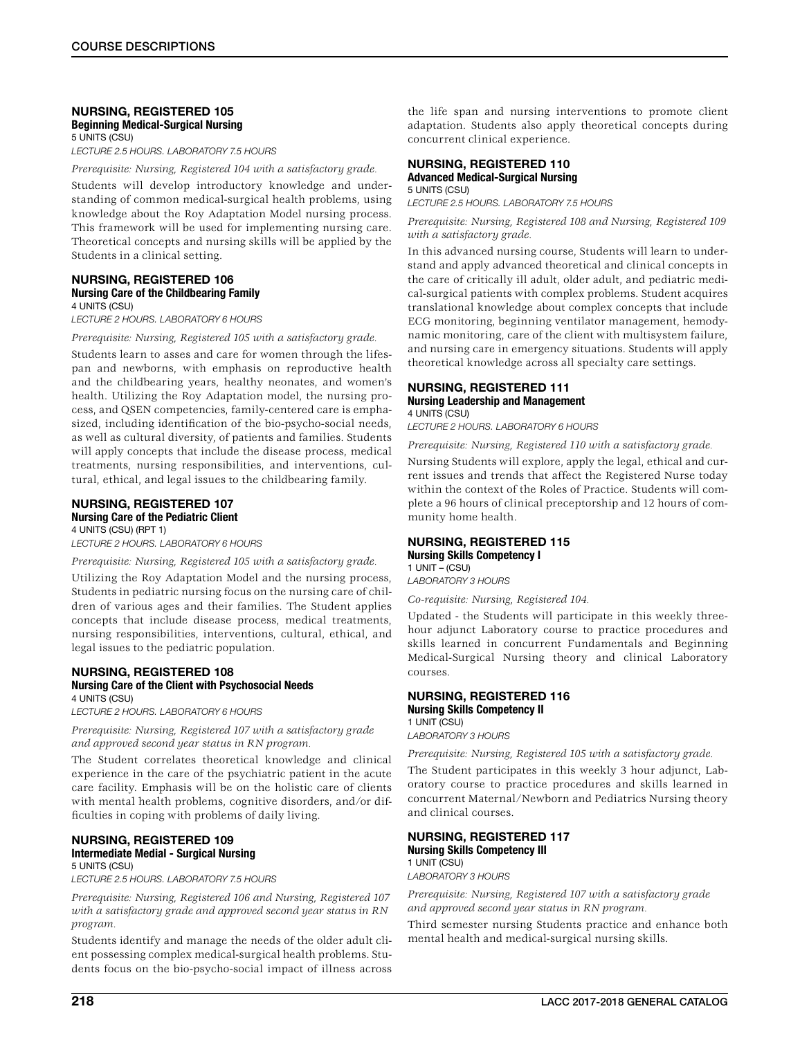## NURSING, REGISTERED 105 Beginning Medical-Surgical Nursing 5 UNITS (CSU)

*LECTURE 2.5 HOURS. LABORATORY 7.5 HOURS*

*Prerequisite: Nursing, Registered 104 with a satisfactory grade.*

Students will develop introductory knowledge and understanding of common medical-surgical health problems, using knowledge about the Roy Adaptation Model nursing process. This framework will be used for implementing nursing care. Theoretical concepts and nursing skills will be applied by the Students in a clinical setting.

#### NURSING, REGISTERED 106 Nursing Care of the Childbearing Family 4 UNITS (CSU)

*LECTURE 2 HOURS. LABORATORY 6 HOURS*

*Prerequisite: Nursing, Registered 105 with a satisfactory grade.*

Students learn to asses and care for women through the lifespan and newborns, with emphasis on reproductive health and the childbearing years, healthy neonates, and women's health. Utilizing the Roy Adaptation model, the nursing process, and QSEN competencies, family-centered care is emphasized, including identification of the bio-psycho-social needs, as well as cultural diversity, of patients and families. Students will apply concepts that include the disease process, medical treatments, nursing responsibilities, and interventions, cultural, ethical, and legal issues to the childbearing family.

# NURSING, REGISTERED 107

Nursing Care of the Pediatric Client 4 UNITS (CSU) (RPT 1) *LECTURE 2 HOURS. LABORATORY 6 HOURS*

*Prerequisite: Nursing, Registered 105 with a satisfactory grade.*

Utilizing the Roy Adaptation Model and the nursing process, Students in pediatric nursing focus on the nursing care of children of various ages and their families. The Student applies concepts that include disease process, medical treatments, nursing responsibilities, interventions, cultural, ethical, and legal issues to the pediatric population.

## NURSING, REGISTERED 108 Nursing Care of the Client with Psychosocial Needs 4 UNITS (CSU)

*LECTURE 2 HOURS. LABORATORY 6 HOURS*

*Prerequisite: Nursing, Registered 107 with a satisfactory grade and approved second year status in RN program.*

The Student correlates theoretical knowledge and clinical experience in the care of the psychiatric patient in the acute care facility. Emphasis will be on the holistic care of clients with mental health problems, cognitive disorders, and/or difficulties in coping with problems of daily living.

## NURSING, REGISTERED 109 Intermediate Medial - Surgical Nursing 5 UNITS (CSU)

*LECTURE 2.5 HOURS. LABORATORY 7.5 HOURS*

*Prerequisite: Nursing, Registered 106 and Nursing, Registered 107 with a satisfactory grade and approved second year status in RN program.*

Students identify and manage the needs of the older adult client possessing complex medical-surgical health problems. Students focus on the bio-psycho-social impact of illness across the life span and nursing interventions to promote client adaptation. Students also apply theoretical concepts during concurrent clinical experience.

#### NURSING, REGISTERED 110 Advanced Medical-Surgical Nursing 5 UNITS (CSU)

*LECTURE 2.5 HOURS. LABORATORY 7.5 HOURS*

*Prerequisite: Nursing, Registered 108 and Nursing, Registered 109 with a satisfactory grade.*

In this advanced nursing course, Students will learn to understand and apply advanced theoretical and clinical concepts in the care of critically ill adult, older adult, and pediatric medical-surgical patients with complex problems. Student acquires translational knowledge about complex concepts that include ECG monitoring, beginning ventilator management, hemodynamic monitoring, care of the client with multisystem failure, and nursing care in emergency situations. Students will apply theoretical knowledge across all specialty care settings.

#### NURSING, REGISTERED 111 Nursing Leadership and Management 4 UNITS (CSU)

*LECTURE 2 HOURS. LABORATORY 6 HOURS*

*Prerequisite: Nursing, Registered 110 with a satisfactory grade.*

Nursing Students will explore, apply the legal, ethical and current issues and trends that affect the Registered Nurse today within the context of the Roles of Practice. Students will complete a 96 hours of clinical preceptorship and 12 hours of community home health.

## NURSING, REGISTERED 115 Nursing Skills Competency I

1 UNIT – (CSU) *LABORATORY 3 HOURS*

*Co-requisite: Nursing, Registered 104.*

Updated - the Students will participate in this weekly threehour adjunct Laboratory course to practice procedures and skills learned in concurrent Fundamentals and Beginning Medical-Surgical Nursing theory and clinical Laboratory courses.

## NURSING, REGISTERED 116 Nursing Skills Competency II

1 UNIT (CSU) *LABORATORY 3 HOURS*

*Prerequisite: Nursing, Registered 105 with a satisfactory grade.*

The Student participates in this weekly 3 hour adjunct, Laboratory course to practice procedures and skills learned in concurrent Maternal/Newborn and Pediatrics Nursing theory and clinical courses.

## NURSING, REGISTERED 117 Nursing Skills Competency III 1 UNIT (CSU) *LABORATORY 3 HOURS*

*Prerequisite: Nursing, Registered 107 with a satisfactory grade and approved second year status in RN program.*

Third semester nursing Students practice and enhance both mental health and medical-surgical nursing skills.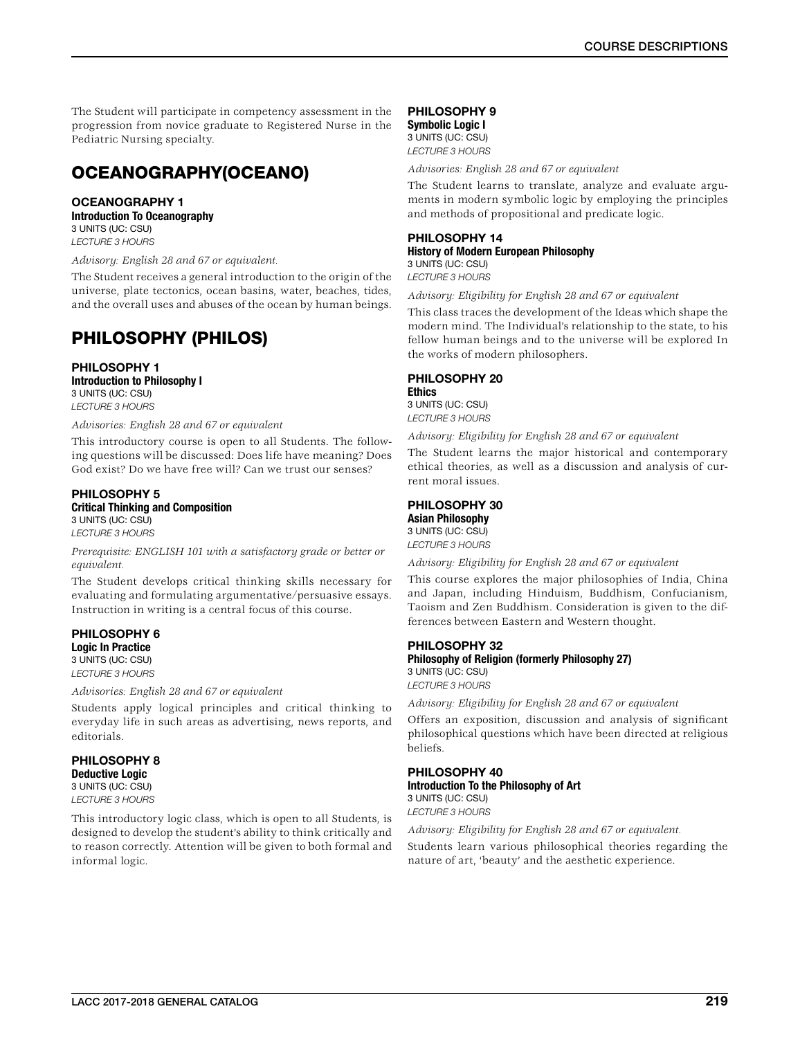The Student will participate in competency assessment in the progression from novice graduate to Registered Nurse in the Pediatric Nursing specialty.

# OCEANOGRAPHY(OCEANO)

## OCEANOGRAPHY 1 Introduction To Oceanography

3 UNITS (UC: CSU) *LECTURE 3 HOURS*

*Advisory: English 28 and 67 or equivalent.*

The Student receives a general introduction to the origin of the universe, plate tectonics, ocean basins, water, beaches, tides, and the overall uses and abuses of the ocean by human beings.

# PHILOSOPHY (PHILOS)

PHILOSOPHY 1 Introduction to Philosophy I 3 UNITS (UC: CSU) *LECTURE 3 HOURS*

*Advisories: English 28 and 67 or equivalent*

This introductory course is open to all Students. The following questions will be discussed: Does life have meaning? Does God exist? Do we have free will? Can we trust our senses?

### PHILOSOPHY 5 Critical Thinking and Composition 3 UNITS (UC: CSU) *LECTURE 3 HOURS*

*Prerequisite: ENGLISH 101 with a satisfactory grade or better or equivalent.*

The Student develops critical thinking skills necessary for evaluating and formulating argumentative/persuasive essays. Instruction in writing is a central focus of this course.

PHILOSOPHY 6 Logic In Practice 3 UNITS (UC: CSU) *LECTURE 3 HOURS*

*Advisories: English 28 and 67 or equivalent*

Students apply logical principles and critical thinking to everyday life in such areas as advertising, news reports, and editorials.

## PHILOSOPHY 8 Deductive Logic 3 UNITS (UC: CSU) *LECTURE 3 HOURS*

This introductory logic class, which is open to all Students, is designed to develop the student's ability to think critically and to reason correctly. Attention will be given to both formal and informal logic.

## PHILOSOPHY 9

Symbolic Logic I 3 UNITS (UC: CSU) *LECTURE 3 HOURS*

*Advisories: English 28 and 67 or equivalent*

The Student learns to translate, analyze and evaluate arguments in modern symbolic logic by employing the principles and methods of propositional and predicate logic.

## PHILOSOPHY 14 History of Modern European Philosophy 3 UNITS (UC: CSU)

*LECTURE 3 HOURS*

*Advisory: Eligibility for English 28 and 67 or equivalent*

This class traces the development of the Ideas which shape the modern mind. The Individual's relationship to the state, to his fellow human beings and to the universe will be explored In the works of modern philosophers.

## PHILOSOPHY 20

**Ethics** 3 UNITS (UC: CSU) *LECTURE 3 HOURS*

*Advisory: Eligibility for English 28 and 67 or equivalent*

The Student learns the major historical and contemporary ethical theories, as well as a discussion and analysis of current moral issues.

## PHILOSOPHY 30

Asian Philosophy 3 UNITS (UC: CSU) *LECTURE 3 HOURS*

*Advisory: Eligibility for English 28 and 67 or equivalent*

This course explores the major philosophies of India, China and Japan, including Hinduism, Buddhism, Confucianism, Taoism and Zen Buddhism. Consideration is given to the differences between Eastern and Western thought.

## PHILOSOPHY 32 Philosophy of Religion (formerly Philosophy 27) 3 UNITS (UC: CSU) *LECTURE 3 HOURS*

*Advisory: Eligibility for English 28 and 67 or equivalent*

Offers an exposition, discussion and analysis of significant philosophical questions which have been directed at religious beliefs.

## PHILOSOPHY 40 Introduction To the Philosophy of Art 3 UNITS (UC: CSU) *LECTURE 3 HOURS*

*Advisory: Eligibility for English 28 and 67 or equivalent.*

Students learn various philosophical theories regarding the nature of art, 'beauty' and the aesthetic experience.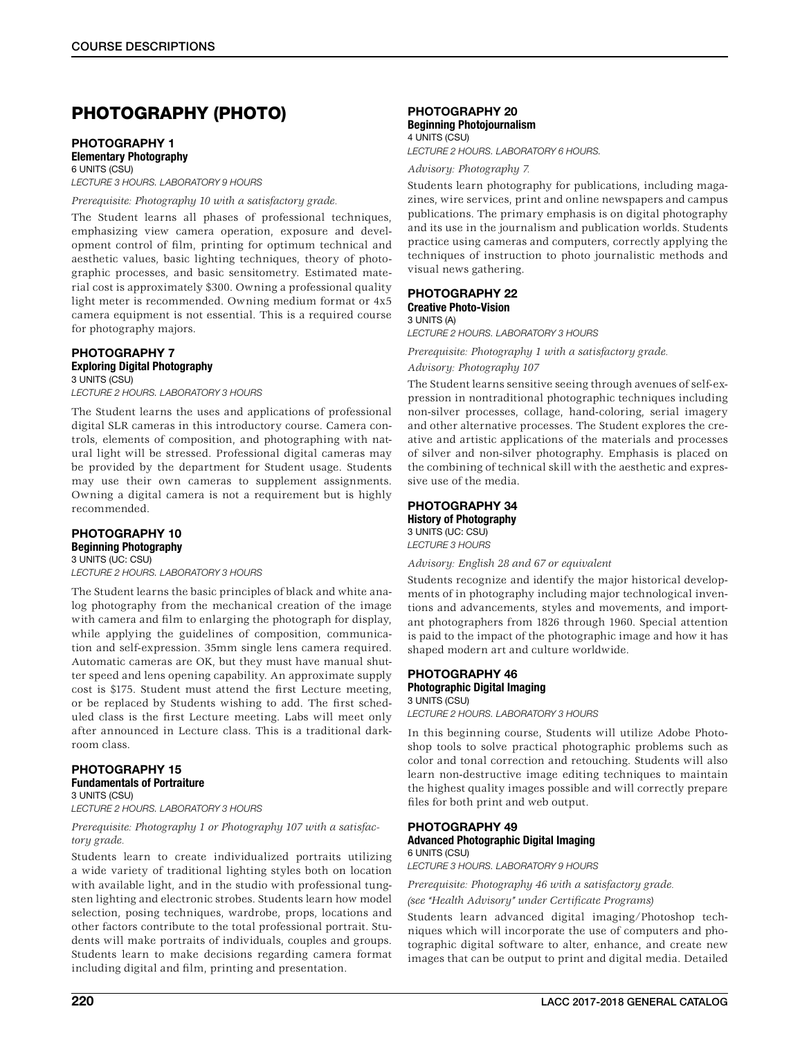# PHOTOGRAPHY (PHOTO)

## PHOTOGRAPHY 1 Elementary Photography

6 UNITS (CSU) *LECTURE 3 HOURS. LABORATORY 9 HOURS*

## *Prerequisite: Photography 10 with a satisfactory grade.*

The Student learns all phases of professional techniques, emphasizing view camera operation, exposure and development control of film, printing for optimum technical and aesthetic values, basic lighting techniques, theory of photographic processes, and basic sensitometry. Estimated material cost is approximately \$300. Owning a professional quality light meter is recommended. Owning medium format or 4x5 camera equipment is not essential. This is a required course for photography majors.

## PHOTOGRAPHY 7 Exploring Digital Photography 3 UNITS (CSU)

*LECTURE 2 HOURS. LABORATORY 3 HOURS*

The Student learns the uses and applications of professional digital SLR cameras in this introductory course. Camera controls, elements of composition, and photographing with natural light will be stressed. Professional digital cameras may be provided by the department for Student usage. Students may use their own cameras to supplement assignments. Owning a digital camera is not a requirement but is highly recommended.

## PHOTOGRAPHY 10 Beginning Photography

3 UNITS (UC: CSU) *LECTURE 2 HOURS. LABORATORY 3 HOURS*

The Student learns the basic principles of black and white analog photography from the mechanical creation of the image with camera and film to enlarging the photograph for display, while applying the guidelines of composition, communication and self-expression. 35mm single lens camera required. Automatic cameras are OK, but they must have manual shutter speed and lens opening capability. An approximate supply cost is \$175. Student must attend the first Lecture meeting, or be replaced by Students wishing to add. The first scheduled class is the first Lecture meeting. Labs will meet only after announced in Lecture class. This is a traditional darkroom class.

## PHOTOGRAPHY 15 Fundamentals of Portraiture

3 UNITS (CSU) *LECTURE 2 HOURS. LABORATORY 3 HOURS*

## *Prerequisite: Photography 1 or Photography 107 with a satisfactory grade.*

Students learn to create individualized portraits utilizing a wide variety of traditional lighting styles both on location with available light, and in the studio with professional tungsten lighting and electronic strobes. Students learn how model selection, posing techniques, wardrobe, props, locations and other factors contribute to the total professional portrait. Students will make portraits of individuals, couples and groups. Students learn to make decisions regarding camera format including digital and film, printing and presentation.

## PHOTOGRAPHY 20 Beginning Photojournalism

4 UNITS (CSU) *LECTURE 2 HOURS. LABORATORY 6 HOURS.*

*Advisory: Photography 7.*

Students learn photography for publications, including magazines, wire services, print and online newspapers and campus publications. The primary emphasis is on digital photography and its use in the journalism and publication worlds. Students practice using cameras and computers, correctly applying the techniques of instruction to photo journalistic methods and visual news gathering.

#### PHOTOGRAPHY 22 Creative Photo-Vision 3 UNITS (A)

*LECTURE 2 HOURS. LABORATORY 3 HOURS*

*Prerequisite: Photography 1 with a satisfactory grade. Advisory: Photography 107*

The Student learns sensitive seeing through avenues of self-expression in nontraditional photographic techniques including non-silver processes, collage, hand-coloring, serial imagery and other alternative processes. The Student explores the creative and artistic applications of the materials and processes of silver and non-silver photography. Emphasis is placed on the combining of technical skill with the aesthetic and expressive use of the media.

## PHOTOGRAPHY 34

History of Photography 3 UNITS (UC: CSU) *LECTURE 3 HOURS*

*Advisory: English 28 and 67 or equivalent*

Students recognize and identify the major historical developments of in photography including major technological inventions and advancements, styles and movements, and important photographers from 1826 through 1960. Special attention is paid to the impact of the photographic image and how it has shaped modern art and culture worldwide.

## PHOTOGRAPHY 46 Photographic Digital Imaging 3 UNITS (CSU)

*LECTURE 2 HOURS. LABORATORY 3 HOURS*

In this beginning course, Students will utilize Adobe Photoshop tools to solve practical photographic problems such as color and tonal correction and retouching. Students will also learn non-destructive image editing techniques to maintain the highest quality images possible and will correctly prepare files for both print and web output.

#### PHOTOGRAPHY 49 Advanced Photographic Digital Imaging 6 UNITS (CSU)

*LECTURE 3 HOURS. LABORATORY 9 HOURS*

*Prerequisite: Photography 46 with a satisfactory grade. (see "Health Advisory" under Certificate Programs)*

Students learn advanced digital imaging/Photoshop techniques which will incorporate the use of computers and photographic digital software to alter, enhance, and create new images that can be output to print and digital media. Detailed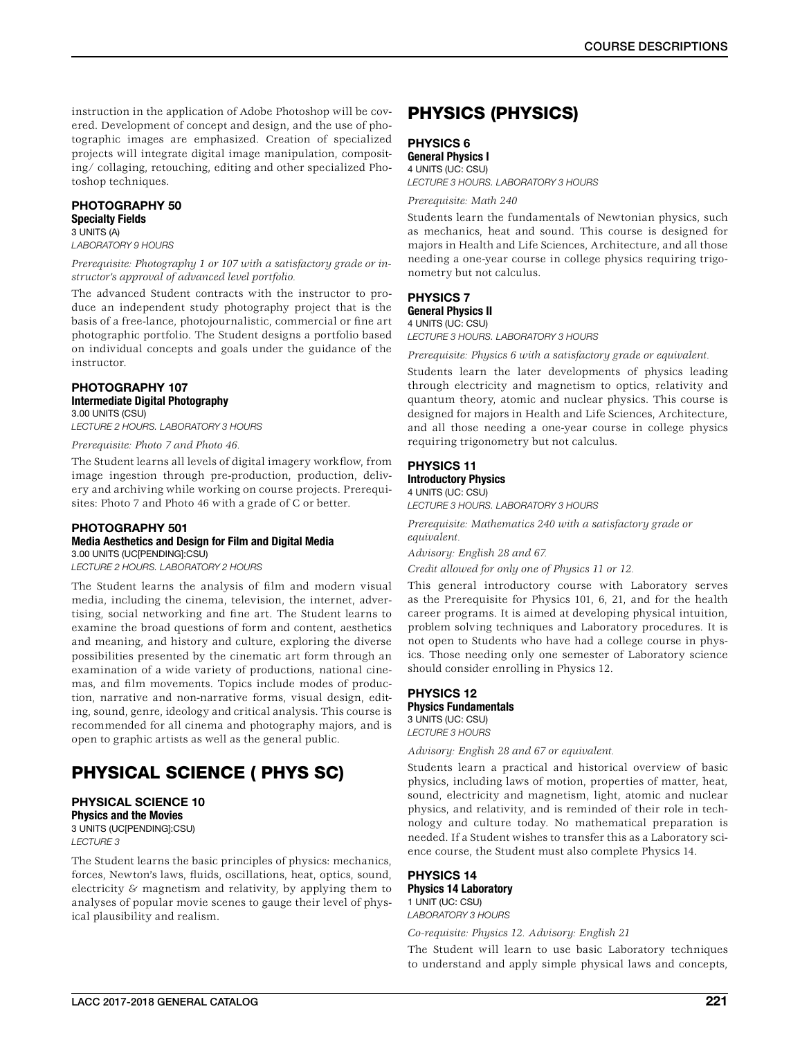instruction in the application of Adobe Photoshop will be covered. Development of concept and design, and the use of photographic images are emphasized. Creation of specialized projects will integrate digital image manipulation, compositing/ collaging, retouching, editing and other specialized Photoshop techniques.

## PHOTOGRAPHY 50 Specialty Fields

#### 3 UNITS (A) *LABORATORY 9 HOURS*

*Prerequisite: Photography 1 or 107 with a satisfactory grade or instructor's approval of advanced level portfolio.*

The advanced Student contracts with the instructor to produce an independent study photography project that is the basis of a free-lance, photojournalistic, commercial or fine art photographic portfolio. The Student designs a portfolio based on individual concepts and goals under the guidance of the instructor.

#### PHOTOGRAPHY 107 Intermediate Digital Photography 3.00 UNITS (CSU)

*LECTURE 2 HOURS. LABORATORY 3 HOURS*

*Prerequisite: Photo 7 and Photo 46.*

The Student learns all levels of digital imagery workflow, from image ingestion through pre-production, production, delivery and archiving while working on course projects. Prerequisites: Photo 7 and Photo 46 with a grade of C or better.

## PHOTOGRAPHY 501 Media Aesthetics and Design for Film and Digital Media 3.00 UNITS (UC[PENDING]:CSU)

*LECTURE 2 HOURS. LABORATORY 2 HOURS*

The Student learns the analysis of film and modern visual media, including the cinema, television, the internet, advertising, social networking and fine art. The Student learns to examine the broad questions of form and content, aesthetics and meaning, and history and culture, exploring the diverse possibilities presented by the cinematic art form through an examination of a wide variety of productions, national cinemas, and film movements. Topics include modes of production, narrative and non-narrative forms, visual design, editing, sound, genre, ideology and critical analysis. This course is recommended for all cinema and photography majors, and is open to graphic artists as well as the general public.

# PHYSICAL SCIENCE ( PHYS SC)

# PHYSICAL SCIENCE 10

Physics and the Movies 3 UNITS (UC[PENDING]:CSU) *LECTURE 3*

The Student learns the basic principles of physics: mechanics, forces, Newton's laws, fluids, oscillations, heat, optics, sound, electricity  $\&$  magnetism and relativity, by applying them to analyses of popular movie scenes to gauge their level of physical plausibility and realism.

# PHYSICS (PHYSICS)

## PHYSICS 6

General Physics I

4 UNITS (UC: CSU) *LECTURE 3 HOURS. LABORATORY 3 HOURS*

*Prerequisite: Math 240*

Students learn the fundamentals of Newtonian physics, such as mechanics, heat and sound. This course is designed for majors in Health and Life Sciences, Architecture, and all those needing a one-year course in college physics requiring trigonometry but not calculus.

## PHYSICS 7 General Physics II

4 UNITS (UC: CSU) *LECTURE 3 HOURS. LABORATORY 3 HOURS*

*Prerequisite: Physics 6 with a satisfactory grade or equivalent.*

Students learn the later developments of physics leading through electricity and magnetism to optics, relativity and quantum theory, atomic and nuclear physics. This course is designed for majors in Health and Life Sciences, Architecture, and all those needing a one-year course in college physics requiring trigonometry but not calculus.

## PHYSICS 11 Introductory Physics

4 UNITS (UC: CSU)

*LECTURE 3 HOURS. LABORATORY 3 HOURS*

*Prerequisite: Mathematics 240 with a satisfactory grade or equivalent.*

*Advisory: English 28 and 67.*

*Credit allowed for only one of Physics 11 or 12.*

This general introductory course with Laboratory serves as the Prerequisite for Physics 101, 6, 21, and for the health career programs. It is aimed at developing physical intuition, problem solving techniques and Laboratory procedures. It is not open to Students who have had a college course in physics. Those needing only one semester of Laboratory science should consider enrolling in Physics 12.

## PHYSICS 12 Physics Fundamentals

3 UNITS (UC: CSU) *LECTURE 3 HOURS*

*Advisory: English 28 and 67 or equivalent.*

Students learn a practical and historical overview of basic physics, including laws of motion, properties of matter, heat, sound, electricity and magnetism, light, atomic and nuclear physics, and relativity, and is reminded of their role in technology and culture today. No mathematical preparation is needed. If a Student wishes to transfer this as a Laboratory science course, the Student must also complete Physics 14.

## PHYSICS 14

Physics 14 Laboratory 1 UNIT (UC: CSU) *LABORATORY 3 HOURS*

*Co-requisite: Physics 12. Advisory: English 21*

The Student will learn to use basic Laboratory techniques to understand and apply simple physical laws and concepts,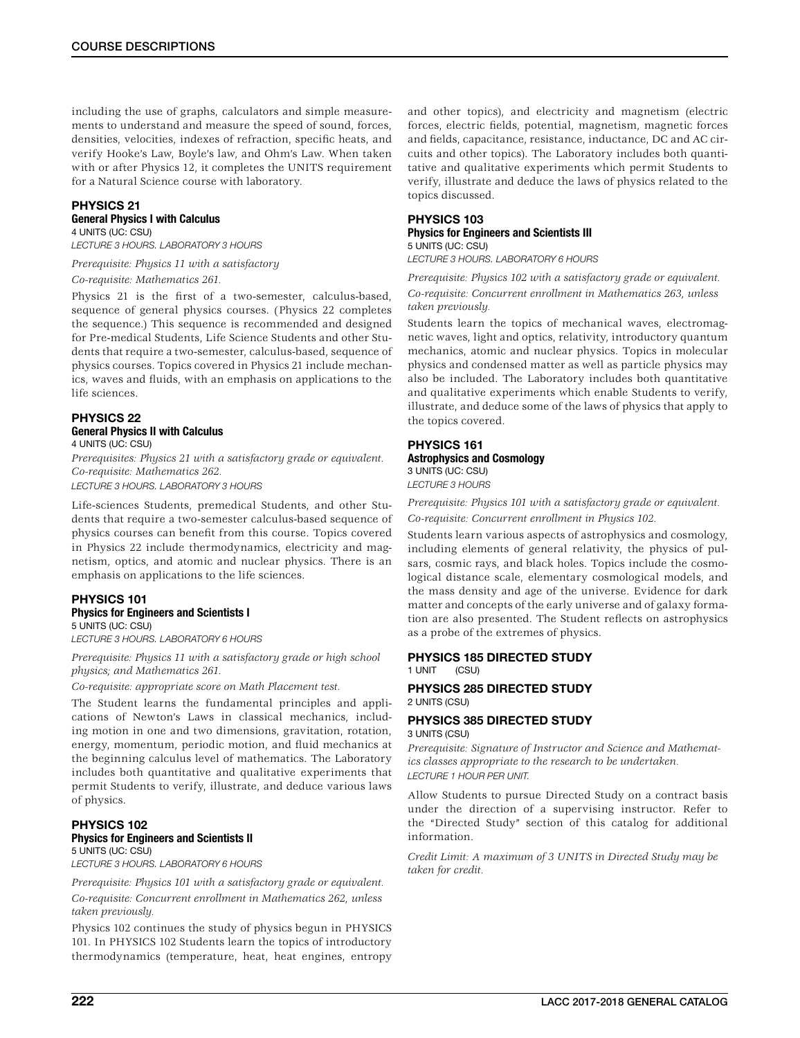including the use of graphs, calculators and simple measurements to understand and measure the speed of sound, forces, densities, velocities, indexes of refraction, specific heats, and verify Hooke's Law, Boyle's law, and Ohm's Law. When taken with or after Physics 12, it completes the UNITS requirement for a Natural Science course with laboratory.

## PHYSICS 21

## General Physics I with Calculus

4 UNITS (UC: CSU) *LECTURE 3 HOURS. LABORATORY 3 HOURS*

*Prerequisite: Physics 11 with a satisfactory*

*Co-requisite: Mathematics 261.*

Physics 21 is the first of a two-semester, calculus-based, sequence of general physics courses. (Physics 22 completes the sequence.) This sequence is recommended and designed for Pre-medical Students, Life Science Students and other Students that require a two-semester, calculus-based, sequence of physics courses. Topics covered in Physics 21 include mechanics, waves and fluids, with an emphasis on applications to the life sciences.

### PHYSICS 22 General Physics II with Calculus 4 UNITS (UC: CSU)

*Prerequisites: Physics 21 with a satisfactory grade or equivalent. Co-requisite: Mathematics 262.*

*LECTURE 3 HOURS. LABORATORY 3 HOURS*

Life-sciences Students, premedical Students, and other Students that require a two-semester calculus-based sequence of physics courses can benefit from this course. Topics covered in Physics 22 include thermodynamics, electricity and magnetism, optics, and atomic and nuclear physics. There is an emphasis on applications to the life sciences.

## PHYSICS 101

Physics for Engineers and Scientists I 5 UNITS (UC: CSU)

*LECTURE 3 HOURS. LABORATORY 6 HOURS*

*Prerequisite: Physics 11 with a satisfactory grade or high school physics; and Mathematics 261.*

*Co-requisite: appropriate score on Math Placement test.*

The Student learns the fundamental principles and applications of Newton's Laws in classical mechanics, including motion in one and two dimensions, gravitation, rotation, energy, momentum, periodic motion, and fluid mechanics at the beginning calculus level of mathematics. The Laboratory includes both quantitative and qualitative experiments that permit Students to verify, illustrate, and deduce various laws of physics.

### PHYSICS 102 Physics for Engineers and Scientists II 5 UNITS (UC: CSU)

*LECTURE 3 HOURS. LABORATORY 6 HOURS*

*Prerequisite: Physics 101 with a satisfactory grade or equivalent. Co-requisite: Concurrent enrollment in Mathematics 262, unless taken previously.*

Physics 102 continues the study of physics begun in PHYSICS 101. In PHYSICS 102 Students learn the topics of introductory thermodynamics (temperature, heat, heat engines, entropy

and other topics), and electricity and magnetism (electric forces, electric fields, potential, magnetism, magnetic forces and fields, capacitance, resistance, inductance, DC and AC circuits and other topics). The Laboratory includes both quantitative and qualitative experiments which permit Students to verify, illustrate and deduce the laws of physics related to the topics discussed.

## PHYSICS 103

#### Physics for Engineers and Scientists III 5 UNITS (UC: CSU)

*LECTURE 3 HOURS. LABORATORY 6 HOURS*

*Prerequisite: Physics 102 with a satisfactory grade or equivalent. Co-requisite: Concurrent enrollment in Mathematics 263, unless taken previously.*

Students learn the topics of mechanical waves, electromagnetic waves, light and optics, relativity, introductory quantum mechanics, atomic and nuclear physics. Topics in molecular physics and condensed matter as well as particle physics may also be included. The Laboratory includes both quantitative and qualitative experiments which enable Students to verify, illustrate, and deduce some of the laws of physics that apply to the topics covered.

### PHYSICS 161 Astrophysics and Cosmology 3 UNITS (UC: CSU) *LECTURE 3 HOURS*

*Prerequisite: Physics 101 with a satisfactory grade or equivalent. Co-requisite: Concurrent enrollment in Physics 102.*

Students learn various aspects of astrophysics and cosmology, including elements of general relativity, the physics of pulsars, cosmic rays, and black holes. Topics include the cosmological distance scale, elementary cosmological models, and the mass density and age of the universe. Evidence for dark matter and concepts of the early universe and of galaxy formation are also presented. The Student reflects on astrophysics as a probe of the extremes of physics.

## PHYSICS 185 DIRECTED STUDY 1 UNIT (CSU)

PHYSICS 285 DIRECTED STUDY 2 UNITS (CSU)

## PHYSICS 385 DIRECTED STUDY 3 UNITS (CSU)

*Prerequisite: Signature of Instructor and Science and Mathematics classes appropriate to the research to be undertaken. LECTURE 1 HOUR PER UNIT.*

Allow Students to pursue Directed Study on a contract basis under the direction of a supervising instructor. Refer to the "Directed Study" section of this catalog for additional information.

*Credit Limit: A maximum of 3 UNITS in Directed Study may be taken for credit.*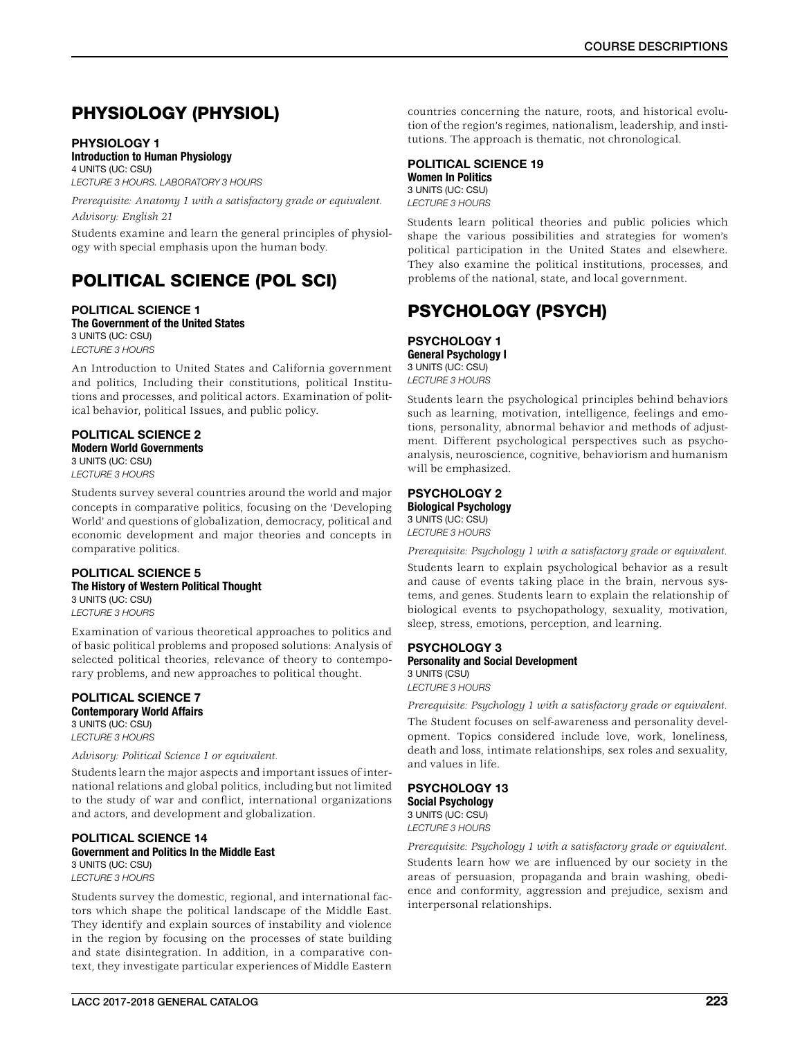# PHYSIOLOGY (PHYSIOL)

## PHYSIOLOGY 1

## Introduction to Human Physiology

4 UNITS (UC: CSU) *LECTURE 3 HOURS. LABORATORY 3 HOURS*

*Prerequisite: Anatomy 1 with a satisfactory grade or equivalent. Advisory: English 21*

Students examine and learn the general principles of physiology with special emphasis upon the human body.

# POLITICAL SCIENCE (POL SCI)

## POLITICAL SCIENCE 1 The Government of the United States

3 UNITS (UC: CSU) *LECTURE 3 HOURS*

An Introduction to United States and California government and politics, Including their constitutions, political Institutions and processes, and political actors. Examination of political behavior, political Issues, and public policy.

## POLITICAL SCIENCE 2

Modern World Governments 3 UNITS (UC: CSU) *LECTURE 3 HOURS*

Students survey several countries around the world and major concepts in comparative politics, focusing on the 'Developing World' and questions of globalization, democracy, political and economic development and major theories and concepts in comparative politics.

## POLITICAL SCIENCE 5 The History of Western Political Thought 3 UNITS (UC: CSU)

*LECTURE 3 HOURS*

Examination of various theoretical approaches to politics and of basic political problems and proposed solutions: Analysis of selected political theories, relevance of theory to contemporary problems, and new approaches to political thought.

# POLITICAL SCIENCE 7

Contemporary World Affairs 3 UNITS (UC: CSU) *LECTURE 3 HOURS*

*Advisory: Political Science 1 or equivalent.*

Students learn the major aspects and important issues of international relations and global politics, including but not limited to the study of war and conflict, international organizations and actors, and development and globalization.

#### POLITICAL SCIENCE 14 Government and Politics In the Middle East 3 UNITS (UC: CSU) *LECTURE 3 HOURS*

Students survey the domestic, regional, and international factors which shape the political landscape of the Middle East. They identify and explain sources of instability and violence in the region by focusing on the processes of state building and state disintegration. In addition, in a comparative context, they investigate particular experiences of Middle Eastern

countries concerning the nature, roots, and historical evolution of the region's regimes, nationalism, leadership, and institutions. The approach is thematic, not chronological.

## POLITICAL SCIENCE 19 Women In Politics 3 UNITS (UC: CSU) *LECTURE 3 HOURS*

Students learn political theories and public policies which shape the various possibilities and strategies for women's political participation in the United States and elsewhere. They also examine the political institutions, processes, and problems of the national, state, and local government.

# PSYCHOLOGY (PSYCH)

PSYCHOLOGY 1 General Psychology I 3 UNITS (UC: CSU) *LECTURE 3 HOURS*

Students learn the psychological principles behind behaviors such as learning, motivation, intelligence, feelings and emotions, personality, abnormal behavior and methods of adjustment. Different psychological perspectives such as psychoanalysis, neuroscience, cognitive, behaviorism and humanism will be emphasized.

## PSYCHOLOGY 2 Biological Psychology 3 UNITS (UC: CSU)

*LECTURE 3 HOURS*

*Prerequisite: Psychology 1 with a satisfactory grade or equivalent.* Students learn to explain psychological behavior as a result and cause of events taking place in the brain, nervous systems, and genes. Students learn to explain the relationship of biological events to psychopathology, sexuality, motivation, sleep, stress, emotions, perception, and learning.

## PSYCHOLOGY 3 Personality and Social Development

3 UNITS (CSU) *LECTURE 3 HOURS*

*Prerequisite: Psychology 1 with a satisfactory grade or equivalent.*

The Student focuses on self-awareness and personality development. Topics considered include love, work, loneliness, death and loss, intimate relationships, sex roles and sexuality, and values in life.

PSYCHOLOGY 13 Social Psychology 3 UNITS (UC: CSU) *LECTURE 3 HOURS*

*Prerequisite: Psychology 1 with a satisfactory grade or equivalent.* Students learn how we are influenced by our society in the areas of persuasion, propaganda and brain washing, obedience and conformity, aggression and prejudice, sexism and interpersonal relationships.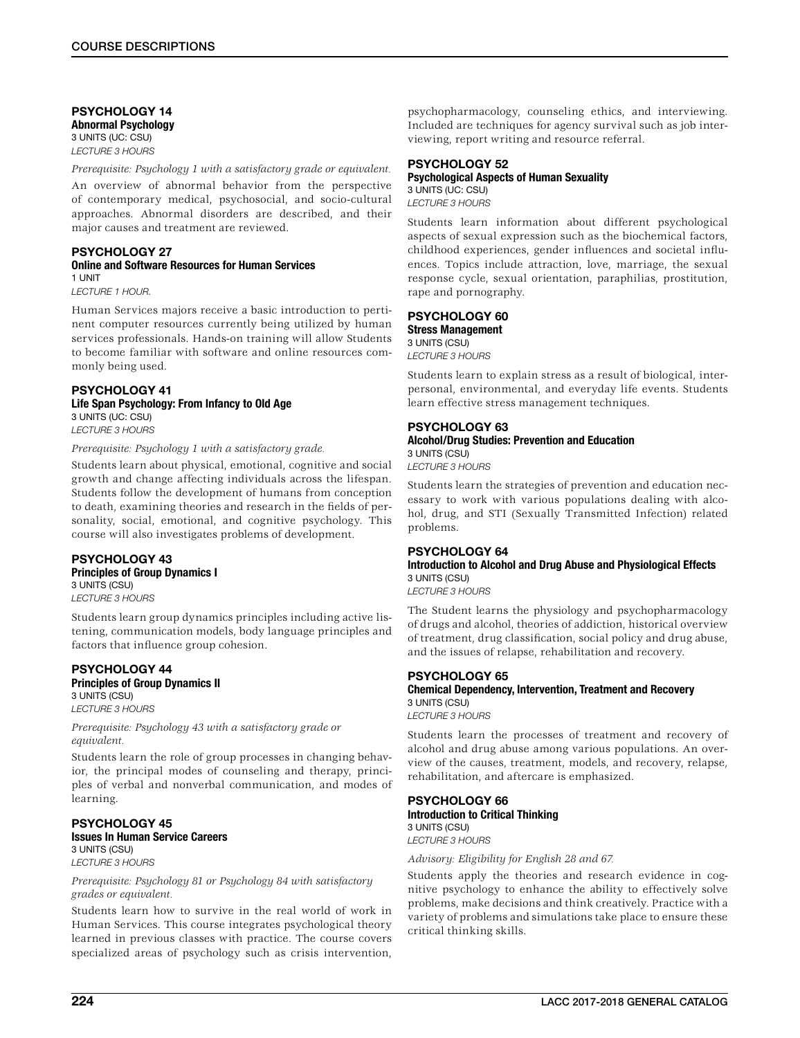## PSYCHOLOGY 14 Abnormal Psychology 3 UNITS (UC: CSU) *LECTURE 3 HOURS*

*Prerequisite: Psychology 1 with a satisfactory grade or equivalent.*

An overview of abnormal behavior from the perspective of contemporary medical, psychosocial, and socio-cultural approaches. Abnormal disorders are described, and their major causes and treatment are reviewed.

#### PSYCHOLOGY 27 Online and Software Resources for Human Services 1 UNIT

*LECTURE 1 HOUR.*

Human Services majors receive a basic introduction to pertinent computer resources currently being utilized by human services professionals. Hands-on training will allow Students to become familiar with software and online resources commonly being used.

# PSYCHOLOGY 41

#### Life Span Psychology: From Infancy to Old Age 3 UNITS (UC: CSU)

*LECTURE 3 HOURS*

*Prerequisite: Psychology 1 with a satisfactory grade.*

Students learn about physical, emotional, cognitive and social growth and change affecting individuals across the lifespan. Students follow the development of humans from conception to death, examining theories and research in the fields of personality, social, emotional, and cognitive psychology. This course will also investigates problems of development.

## PSYCHOLOGY 43 Principles of Group Dynamics I 3 UNITS (CSU)

*LECTURE 3 HOURS*

Students learn group dynamics principles including active listening, communication models, body language principles and factors that influence group cohesion.

### PSYCHOLOGY 44 Principles of Group Dynamics II 3 UNITS (CSU)

*LECTURE 3 HOURS*

*Prerequisite: Psychology 43 with a satisfactory grade or equivalent.*

Students learn the role of group processes in changing behavior, the principal modes of counseling and therapy, principles of verbal and nonverbal communication, and modes of learning.

#### PSYCHOLOGY 45 Issues In Human Service Careers 3 UNITS (CSU)

*LECTURE 3 HOURS*

*Prerequisite: Psychology 81 or Psychology 84 with satisfactory grades or equivalent.*

Students learn how to survive in the real world of work in Human Services. This course integrates psychological theory learned in previous classes with practice. The course covers specialized areas of psychology such as crisis intervention,

psychopharmacology, counseling ethics, and interviewing. Included are techniques for agency survival such as job interviewing, report writing and resource referral.

## PSYCHOLOGY 52 Psychological Aspects of Human Sexuality

3 UNITS (UC: CSU) *LECTURE 3 HOURS*

Students learn information about different psychological aspects of sexual expression such as the biochemical factors, childhood experiences, gender influences and societal influences. Topics include attraction, love, marriage, the sexual response cycle, sexual orientation, paraphilias, prostitution, rape and pornography.

#### PSYCHOLOGY 60 Stress Management 3 UNITS (CSU)

*LECTURE 3 HOURS*

Students learn to explain stress as a result of biological, interpersonal, environmental, and everyday life events. Students learn effective stress management techniques.

#### PSYCHOLOGY 63 Alcohol/Drug Studies: Prevention and Education 3 UNITS (CSU)

*LECTURE 3 HOURS*

Students learn the strategies of prevention and education necessary to work with various populations dealing with alcohol, drug, and STI (Sexually Transmitted Infection) related problems.

## PSYCHOLOGY 64

## Introduction to Alcohol and Drug Abuse and Physiological Effects 3 UNITS (CSU)

*LECTURE 3 HOURS*

The Student learns the physiology and psychopharmacology of drugs and alcohol, theories of addiction, historical overview of treatment, drug classification, social policy and drug abuse, and the issues of relapse, rehabilitation and recovery.

## PSYCHOLOGY 65

Chemical Dependency, Intervention, Treatment and Recovery 3 UNITS (CSU)

*LECTURE 3 HOURS*

Students learn the processes of treatment and recovery of alcohol and drug abuse among various populations. An overview of the causes, treatment, models, and recovery, relapse, rehabilitation, and aftercare is emphasized.

## PSYCHOLOGY 66

Introduction to Critical Thinking 3 UNITS (CSU)

*LECTURE 3 HOURS*

*Advisory: Eligibility for English 28 and 67.*

Students apply the theories and research evidence in cognitive psychology to enhance the ability to effectively solve problems, make decisions and think creatively. Practice with a variety of problems and simulations take place to ensure these critical thinking skills.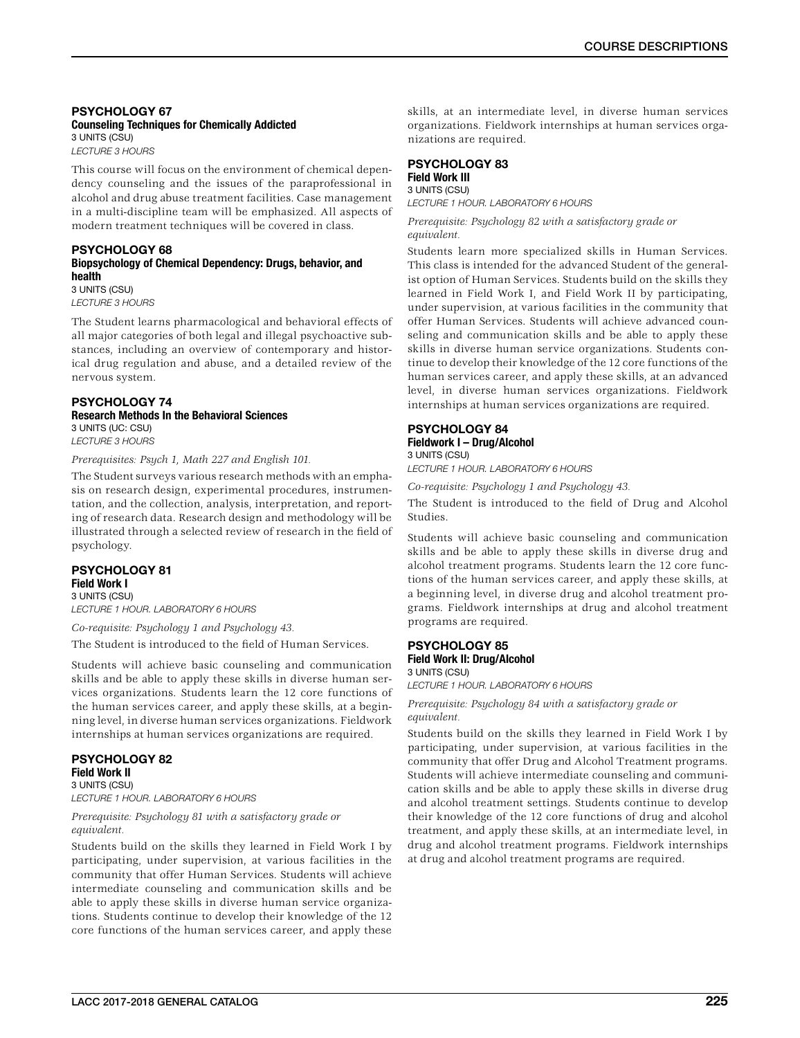## PSYCHOLOGY 67 Counseling Techniques for Chemically Addicted 3 UNITS (CSU)

*LECTURE 3 HOURS*

This course will focus on the environment of chemical dependency counseling and the issues of the paraprofessional in alcohol and drug abuse treatment facilities. Case management in a multi-discipline team will be emphasized. All aspects of modern treatment techniques will be covered in class.

### PSYCHOLOGY 68 Biopsychology of Chemical Dependency: Drugs, behavior, and health 3 UNITS (CSU)

*LECTURE 3 HOURS*

The Student learns pharmacological and behavioral effects of all major categories of both legal and illegal psychoactive substances, including an overview of contemporary and historical drug regulation and abuse, and a detailed review of the nervous system.

# PSYCHOLOGY 74

Research Methods In the Behavioral Sciences 3 UNITS (UC: CSU) *LECTURE 3 HOURS*

*Prerequisites: Psych 1, Math 227 and English 101.*

The Student surveys various research methods with an emphasis on research design, experimental procedures, instrumentation, and the collection, analysis, interpretation, and reporting of research data. Research design and methodology will be illustrated through a selected review of research in the field of psychology.

#### PSYCHOLOGY 81 Field Work I 3 UNITS (CSU)

*LECTURE 1 HOUR. LABORATORY 6 HOURS*

*Co-requisite: Psychology 1 and Psychology 43.*

The Student is introduced to the field of Human Services.

Students will achieve basic counseling and communication skills and be able to apply these skills in diverse human services organizations. Students learn the 12 core functions of the human services career, and apply these skills, at a beginning level, in diverse human services organizations. Fieldwork internships at human services organizations are required.

## PSYCHOLOGY 82 Field Work II 3 UNITS (CSU)

*LECTURE 1 HOUR. LABORATORY 6 HOURS*

*Prerequisite: Psychology 81 with a satisfactory grade or equivalent.*

Students build on the skills they learned in Field Work I by participating, under supervision, at various facilities in the community that offer Human Services. Students will achieve intermediate counseling and communication skills and be able to apply these skills in diverse human service organizations. Students continue to develop their knowledge of the 12 core functions of the human services career, and apply these

skills, at an intermediate level, in diverse human services organizations. Fieldwork internships at human services organizations are required.

### PSYCHOLOGY 83 Field Work III 3 UNITS (CSU)

*LECTURE 1 HOUR. LABORATORY 6 HOURS*

*Prerequisite: Psychology 82 with a satisfactory grade or equivalent.*

Students learn more specialized skills in Human Services. This class is intended for the advanced Student of the generalist option of Human Services. Students build on the skills they learned in Field Work I, and Field Work II by participating, under supervision, at various facilities in the community that offer Human Services. Students will achieve advanced counseling and communication skills and be able to apply these skills in diverse human service organizations. Students continue to develop their knowledge of the 12 core functions of the human services career, and apply these skills, at an advanced level, in diverse human services organizations. Fieldwork internships at human services organizations are required.

## PSYCHOLOGY 84 Fieldwork I – Drug/Alcohol 3 UNITS (CSU)

*LECTURE 1 HOUR. LABORATORY 6 HOURS*

*Co-requisite: Psychology 1 and Psychology 43.*

The Student is introduced to the field of Drug and Alcohol Studies.

Students will achieve basic counseling and communication skills and be able to apply these skills in diverse drug and alcohol treatment programs. Students learn the 12 core functions of the human services career, and apply these skills, at a beginning level, in diverse drug and alcohol treatment programs. Fieldwork internships at drug and alcohol treatment programs are required.

## PSYCHOLOGY 85 Field Work II: Drug/Alcohol 3 UNITS (CSU)

*LECTURE 1 HOUR. LABORATORY 6 HOURS*

*Prerequisite: Psychology 84 with a satisfactory grade or equivalent.*

Students build on the skills they learned in Field Work I by participating, under supervision, at various facilities in the community that offer Drug and Alcohol Treatment programs. Students will achieve intermediate counseling and communication skills and be able to apply these skills in diverse drug and alcohol treatment settings. Students continue to develop their knowledge of the 12 core functions of drug and alcohol treatment, and apply these skills, at an intermediate level, in drug and alcohol treatment programs. Fieldwork internships at drug and alcohol treatment programs are required.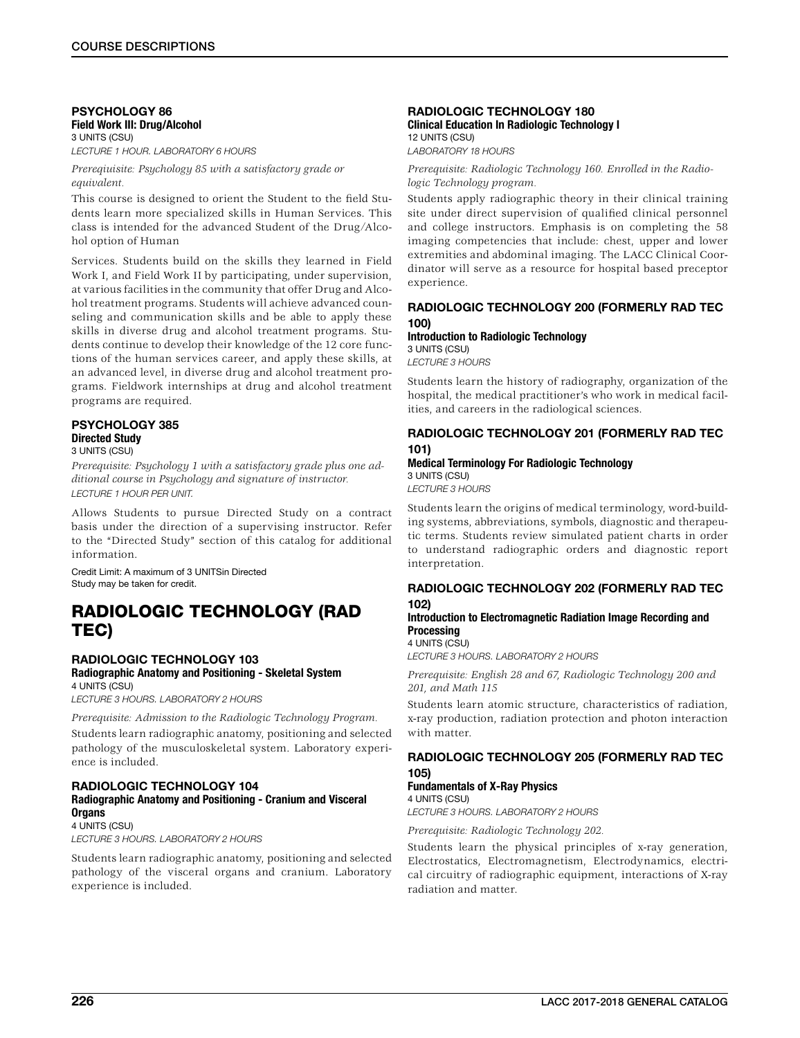## PSYCHOLOGY 86 Field Work III: Drug/Alcohol 3 UNITS (CSU)

*LECTURE 1 HOUR. LABORATORY 6 HOURS*

*Prereqiuisite: Psychology 85 with a satisfactory grade or equivalent.*

This course is designed to orient the Student to the field Students learn more specialized skills in Human Services. This class is intended for the advanced Student of the Drug/Alcohol option of Human

Services. Students build on the skills they learned in Field Work I, and Field Work II by participating, under supervision, at various facilities in the community that offer Drug and Alcohol treatment programs. Students will achieve advanced counseling and communication skills and be able to apply these skills in diverse drug and alcohol treatment programs. Students continue to develop their knowledge of the 12 core functions of the human services career, and apply these skills, at an advanced level, in diverse drug and alcohol treatment programs. Fieldwork internships at drug and alcohol treatment programs are required.

#### PSYCHOLOGY 385 Directed Study 3 UNITS (CSU)

*Prerequisite: Psychology 1 with a satisfactory grade plus one additional course in Psychology and signature of instructor. LECTURE 1 HOUR PER UNIT.*

Allows Students to pursue Directed Study on a contract basis under the direction of a supervising instructor. Refer to the "Directed Study" section of this catalog for additional information.

Credit Limit: A maximum of 3 UNITSin Directed Study may be taken for credit.

# RADIOLOGIC TECHNOLOGY (RAD TEC)

## RADIOLOGIC TECHNOLOGY 103 Radiographic Anatomy and Positioning - Skeletal System 4 UNITS (CSU)

*LECTURE 3 HOURS. LABORATORY 2 HOURS*

*Prerequisite: Admission to the Radiologic Technology Program.*

Students learn radiographic anatomy, positioning and selected pathology of the musculoskeletal system. Laboratory experience is included.

## RADIOLOGIC TECHNOLOGY 104 Radiographic Anatomy and Positioning - Cranium and Visceral **Organs** 4 UNITS (CSU)

*LECTURE 3 HOURS. LABORATORY 2 HOURS*

Students learn radiographic anatomy, positioning and selected pathology of the visceral organs and cranium. Laboratory experience is included.

## RADIOLOGIC TECHNOLOGY 180 Clinical Education In Radiologic Technology I 12 UNITS (CSU)

*LABORATORY 18 HOURS*

*Prerequisite: Radiologic Technology 160. Enrolled in the Radiologic Technology program.*

Students apply radiographic theory in their clinical training site under direct supervision of qualified clinical personnel and college instructors. Emphasis is on completing the 58 imaging competencies that include: chest, upper and lower extremities and abdominal imaging. The LACC Clinical Coordinator will serve as a resource for hospital based preceptor experience.

## RADIOLOGIC TECHNOLOGY 200 (FORMERLY RAD TEC 100)

Introduction to Radiologic Technology 3 UNITS (CSU) *LECTURE 3 HOURS*

Students learn the history of radiography, organization of the hospital, the medical practitioner's who work in medical facilities, and careers in the radiological sciences.

## RADIOLOGIC TECHNOLOGY 201 (FORMERLY RAD TEC 101)

## Medical Terminology For Radiologic Technology 3 UNITS (CSU)

*LECTURE 3 HOURS*

Students learn the origins of medical terminology, word-building systems, abbreviations, symbols, diagnostic and therapeutic terms. Students review simulated patient charts in order to understand radiographic orders and diagnostic report interpretation.

## RADIOLOGIC TECHNOLOGY 202 (FORMERLY RAD TEC 102)

## Introduction to Electromagnetic Radiation Image Recording and **Processing**

4 UNITS (CSU)

*LECTURE 3 HOURS. LABORATORY 2 HOURS*

*Prerequisite: English 28 and 67, Radiologic Technology 200 and 201, and Math 115*

Students learn atomic structure, characteristics of radiation, x-ray production, radiation protection and photon interaction with matter.

## RADIOLOGIC TECHNOLOGY 205 (FORMERLY RAD TEC 105)

Fundamentals of X-Ray Physics 4 UNITS (CSU)

*LECTURE 3 HOURS. LABORATORY 2 HOURS*

*Prerequisite: Radiologic Technology 202.*

Students learn the physical principles of x-ray generation, Electrostatics, Electromagnetism, Electrodynamics, electrical circuitry of radiographic equipment, interactions of X-ray radiation and matter.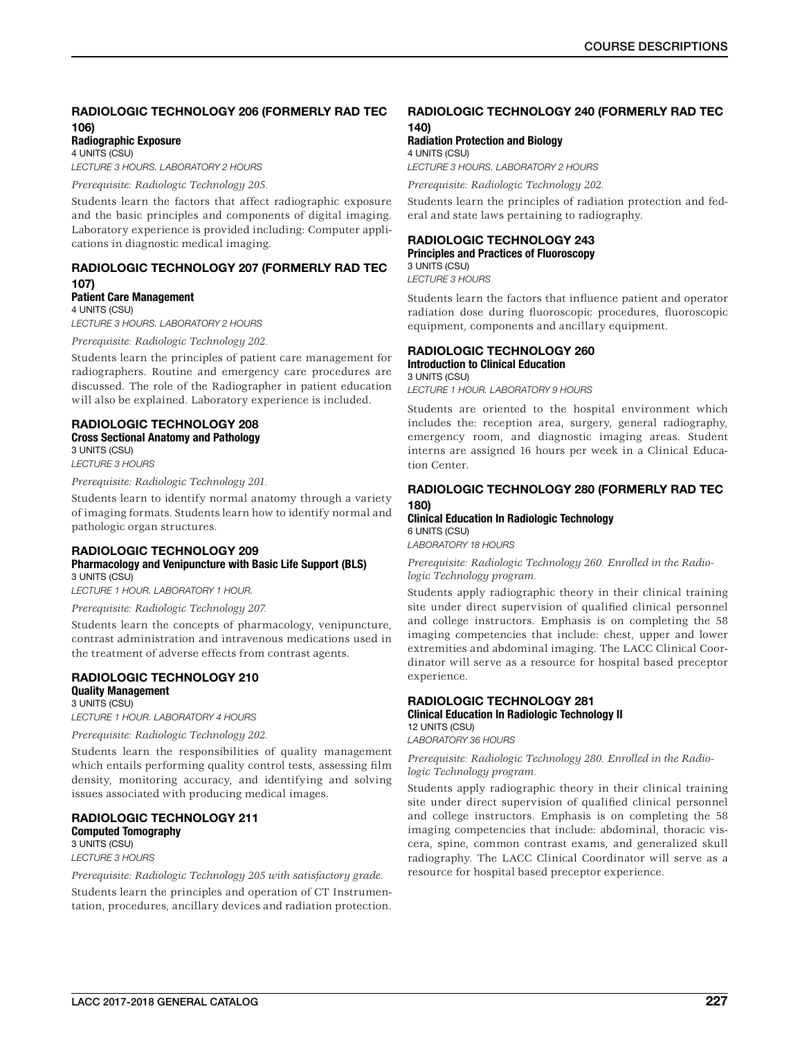## RADIOLOGIC TECHNOLOGY 206 (FORMERLY RAD TEC 106)

Radiographic Exposure 4 UNITS (CSU)

*LECTURE 3 HOURS. LABORATORY 2 HOURS*

*Prerequisite: Radiologic Technology 205.*

Students learn the factors that affect radiographic exposure and the basic principles and components of digital imaging. Laboratory experience is provided including: Computer applications in diagnostic medical imaging.

## RADIOLOGIC TECHNOLOGY 207 (FORMERLY RAD TEC 107) Patient Care Management

4 UNITS (CSU) *LECTURE 3 HOURS. LABORATORY 2 HOURS*

*Prerequisite: Radiologic Technology 202.*

Students learn the principles of patient care management for radiographers. Routine and emergency care procedures are discussed. The role of the Radiographer in patient education will also be explained. Laboratory experience is included.

## RADIOLOGIC TECHNOLOGY 208 Cross Sectional Anatomy and Pathology

3 UNITS (CSU) *LECTURE 3 HOURS*

## *Prerequisite: Radiologic Technology 201.*

Students learn to identify normal anatomy through a variety of imaging formats. Students learn how to identify normal and pathologic organ structures.

## RADIOLOGIC TECHNOLOGY 209 Pharmacology and Venipuncture with Basic Life Support (BLS) 3 UNITS (CSU)

*LECTURE 1 HOUR. LABORATORY 1 HOUR.*

#### *Prerequisite: Radiologic Technology 207.*

Students learn the concepts of pharmacology, venipuncture, contrast administration and intravenous medications used in the treatment of adverse effects from contrast agents.

#### RADIOLOGIC TECHNOLOGY 210 Quality Management 3 UNITS (CSU)

*LECTURE 1 HOUR. LABORATORY 4 HOURS*

*Prerequisite: Radiologic Technology 202.*

Students learn the responsibilities of quality management which entails performing quality control tests, assessing film density, monitoring accuracy, and identifying and solving issues associated with producing medical images.

## RADIOLOGIC TECHNOLOGY 211 Computed Tomography 3 UNITS (CSU)

*LECTURE 3 HOURS*

*Prerequisite: Radiologic Technology 205 with satisfactory grade.* Students learn the principles and operation of CT Instrumentation, procedures, ancillary devices and radiation protection.

## RADIOLOGIC TECHNOLOGY 240 (FORMERLY RAD TEC 140)

Radiation Protection and Biology 4 UNITS (CSU)

*LECTURE 3 HOURS. LABORATORY 2 HOURS*

*Prerequisite: Radiologic Technology 202.*

Students learn the principles of radiation protection and federal and state laws pertaining to radiography.

## RADIOLOGIC TECHNOLOGY 243 Principles and Practices of Fluoroscopy 3 UNITS (CSU)

*LECTURE 3 HOURS*

Students learn the factors that influence patient and operator radiation dose during fluoroscopic procedures, fluoroscopic equipment, components and ancillary equipment.

## RADIOLOGIC TECHNOLOGY 260

#### Introduction to Clinical Education 3 UNITS (CSU)

*LECTURE 1 HOUR. LABORATORY 9 HOURS*

Students are oriented to the hospital environment which includes the: reception area, surgery, general radiography, emergency room, and diagnostic imaging areas. Student interns are assigned 16 hours per week in a Clinical Education Center.

## RADIOLOGIC TECHNOLOGY 280 (FORMERLY RAD TEC 180)

## Clinical Education In Radiologic Technology 6 UNITS (CSU)

*LABORATORY 18 HOURS*

*Prerequisite: Radiologic Technology 260. Enrolled in the Radiologic Technology program.*

Students apply radiographic theory in their clinical training site under direct supervision of qualified clinical personnel and college instructors. Emphasis is on completing the 58 imaging competencies that include: chest, upper and lower extremities and abdominal imaging. The LACC Clinical Coordinator will serve as a resource for hospital based preceptor experience.

## RADIOLOGIC TECHNOLOGY 281 Clinical Education In Radiologic Technology II 12 UNITS (CSU)

*LABORATORY 36 HOURS*

## *Prerequisite: Radiologic Technology 280. Enrolled in the Radiologic Technology program.*

Students apply radiographic theory in their clinical training site under direct supervision of qualified clinical personnel and college instructors. Emphasis is on completing the 58 imaging competencies that include: abdominal, thoracic viscera, spine, common contrast exams, and generalized skull radiography. The LACC Clinical Coordinator will serve as a resource for hospital based preceptor experience.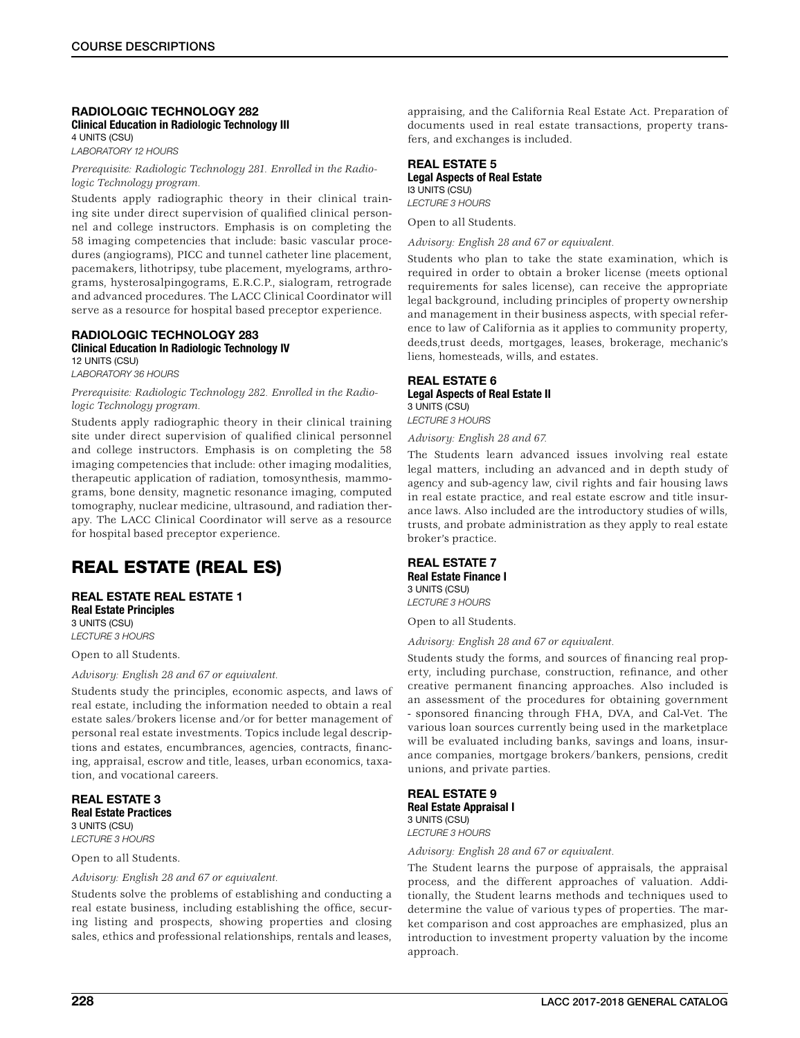#### RADIOLOGIC TECHNOLOGY 282 Clinical Education in Radiologic Technology III 4 UNITS (CSU)

*LABORATORY 12 HOURS*

*Prerequisite: Radiologic Technology 281. Enrolled in the Radiologic Technology program.*

Students apply radiographic theory in their clinical training site under direct supervision of qualified clinical personnel and college instructors. Emphasis is on completing the 58 imaging competencies that include: basic vascular procedures (angiograms), PICC and tunnel catheter line placement, pacemakers, lithotripsy, tube placement, myelograms, arthrograms, hysterosalpingograms, E.R.C.P., sialogram, retrograde and advanced procedures. The LACC Clinical Coordinator will serve as a resource for hospital based preceptor experience.

#### RADIOLOGIC TECHNOLOGY 283 Clinical Education In Radiologic Technology IV 12 UNITS (CSU)

*LABORATORY 36 HOURS*

*Prerequisite: Radiologic Technology 282. Enrolled in the Radiologic Technology program.*

Students apply radiographic theory in their clinical training site under direct supervision of qualified clinical personnel and college instructors. Emphasis is on completing the 58 imaging competencies that include: other imaging modalities, therapeutic application of radiation, tomosynthesis, mammograms, bone density, magnetic resonance imaging, computed tomography, nuclear medicine, ultrasound, and radiation therapy. The LACC Clinical Coordinator will serve as a resource for hospital based preceptor experience.

# REAL ESTATE (REAL ES)

REAL ESTATE REAL ESTATE 1 Real Estate Principles 3 UNITS (CSU)

*LECTURE 3 HOURS*

Open to all Students.

*Advisory: English 28 and 67 or equivalent.*

Students study the principles, economic aspects, and laws of real estate, including the information needed to obtain a real estate sales/brokers license and/or for better management of personal real estate investments. Topics include legal descriptions and estates, encumbrances, agencies, contracts, financing, appraisal, escrow and title, leases, urban economics, taxation, and vocational careers.

## REAL ESTATE 3 Real Estate Practices

3 UNITS (CSU) *LECTURE 3 HOURS*

Open to all Students.

*Advisory: English 28 and 67 or equivalent.*

Students solve the problems of establishing and conducting a real estate business, including establishing the office, securing listing and prospects, showing properties and closing sales, ethics and professional relationships, rentals and leases,

appraising, and the California Real Estate Act. Preparation of documents used in real estate transactions, property transfers, and exchanges is included.

## REAL ESTATE 5 Legal Aspects of Real Estate I3 UNITS (CSU) *LECTURE 3 HOURS*

Open to all Students.

*Advisory: English 28 and 67 or equivalent.*

Students who plan to take the state examination, which is required in order to obtain a broker license (meets optional requirements for sales license), can receive the appropriate legal background, including principles of property ownership and management in their business aspects, with special reference to law of California as it applies to community property, deeds,trust deeds, mortgages, leases, brokerage, mechanic's liens, homesteads, wills, and estates.

### REAL ESTATE 6 Legal Aspects of Real Estate II 3 UNITS (CSU) *LECTURE 3 HOURS*

*Advisory: English 28 and 67.*

The Students learn advanced issues involving real estate legal matters, including an advanced and in depth study of agency and sub-agency law, civil rights and fair housing laws in real estate practice, and real estate escrow and title insurance laws. Also included are the introductory studies of wills, trusts, and probate administration as they apply to real estate broker's practice.

# REAL ESTATE 7

Real Estate Finance I 3 UNITS (CSU) *LECTURE 3 HOURS*

Open to all Students.

*Advisory: English 28 and 67 or equivalent.*

Students study the forms, and sources of financing real property, including purchase, construction, refinance, and other creative permanent financing approaches. Also included is an assessment of the procedures for obtaining government - sponsored financing through FHA, DVA, and Cal-Vet. The various loan sources currently being used in the marketplace will be evaluated including banks, savings and loans, insurance companies, mortgage brokers/bankers, pensions, credit unions, and private parties.

REAL ESTATE 9 Real Estate Appraisal I 3 UNITS (CSU) *LECTURE 3 HOURS*

*Advisory: English 28 and 67 or equivalent.*

The Student learns the purpose of appraisals, the appraisal process, and the different approaches of valuation. Additionally, the Student learns methods and techniques used to determine the value of various types of properties. The market comparison and cost approaches are emphasized, plus an introduction to investment property valuation by the income approach.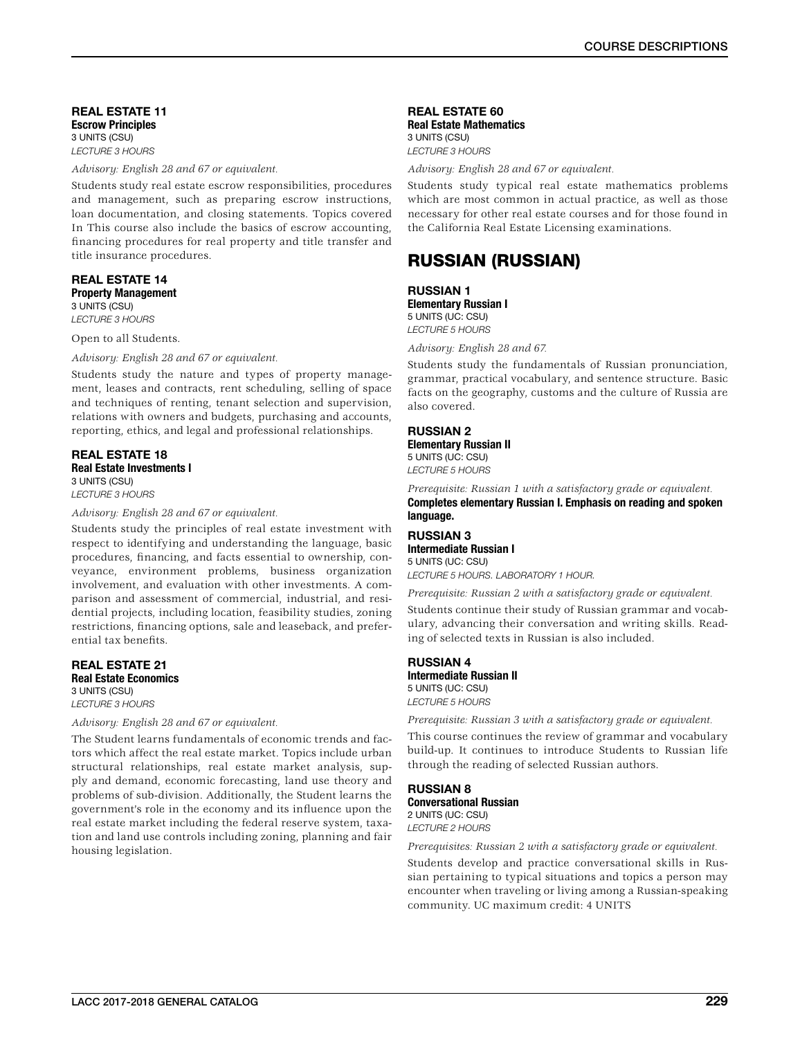REAL ESTATE 11 Escrow Principles 3 UNITS (CSU) *LECTURE 3 HOURS*

*Advisory: English 28 and 67 or equivalent.*

Students study real estate escrow responsibilities, procedures and management, such as preparing escrow instructions, loan documentation, and closing statements. Topics covered In This course also include the basics of escrow accounting, financing procedures for real property and title transfer and title insurance procedures.

## REAL ESTATE 14 Property Management

3 UNITS (CSU) *LECTURE 3 HOURS*

Open to all Students.

*Advisory: English 28 and 67 or equivalent.*

Students study the nature and types of property management, leases and contracts, rent scheduling, selling of space and techniques of renting, tenant selection and supervision, relations with owners and budgets, purchasing and accounts, reporting, ethics, and legal and professional relationships.

### REAL ESTATE 18 Real Estate Investments I 3 UNITS (CSU)

*LECTURE 3 HOURS*

*Advisory: English 28 and 67 or equivalent.*

Students study the principles of real estate investment with respect to identifying and understanding the language, basic procedures, financing, and facts essential to ownership, conveyance, environment problems, business organization involvement, and evaluation with other investments. A comparison and assessment of commercial, industrial, and residential projects, including location, feasibility studies, zoning restrictions, financing options, sale and leaseback, and preferential tax benefits.

## REAL ESTATE 21 Real Estate Economics 3 UNITS (CSU)

*LECTURE 3 HOURS*

*Advisory: English 28 and 67 or equivalent.*

The Student learns fundamentals of economic trends and factors which affect the real estate market. Topics include urban structural relationships, real estate market analysis, supply and demand, economic forecasting, land use theory and problems of sub-division. Additionally, the Student learns the government's role in the economy and its influence upon the real estate market including the federal reserve system, taxation and land use controls including zoning, planning and fair housing legislation.

REAL ESTATE 60 Real Estate Mathematics 3 UNITS (CSU) *LECTURE 3 HOURS*

*Advisory: English 28 and 67 or equivalent.*

Students study typical real estate mathematics problems which are most common in actual practice, as well as those necessary for other real estate courses and for those found in the California Real Estate Licensing examinations.

# RUSSIAN (RUSSIAN)

RUSSIAN 1 Elementary Russian I 5 UNITS (UC: CSU) *LECTURE 5 HOURS*

*Advisory: English 28 and 67.*

Students study the fundamentals of Russian pronunciation, grammar, practical vocabulary, and sentence structure. Basic facts on the geography, customs and the culture of Russia are also covered.

RUSSIAN 2 Elementary Russian II 5 UNITS (UC: CSU) *LECTURE 5 HOURS*

*Prerequisite: Russian 1 with a satisfactory grade or equivalent.* Completes elementary Russian I. Emphasis on reading and spoken language.

RUSSIAN 3 Intermediate Russian I 5 UNITS (UC: CSU) *LECTURE 5 HOURS. LABORATORY 1 HOUR.*

*Prerequisite: Russian 2 with a satisfactory grade or equivalent.*

Students continue their study of Russian grammar and vocabulary, advancing their conversation and writing skills. Reading of selected texts in Russian is also included.

## RUSSIAN 4 Intermediate Russian II 5 UNITS (UC: CSU) *LECTURE 5 HOURS*

*Prerequisite: Russian 3 with a satisfactory grade or equivalent.*

This course continues the review of grammar and vocabulary build-up. It continues to introduce Students to Russian life through the reading of selected Russian authors.

## RUSSIAN 8 Conversational Russian 2 UNITS (UC: CSU)

*LECTURE 2 HOURS*

*Prerequisites: Russian 2 with a satisfactory grade or equivalent.*

Students develop and practice conversational skills in Russian pertaining to typical situations and topics a person may encounter when traveling or living among a Russian-speaking community. UC maximum credit: 4 UNITS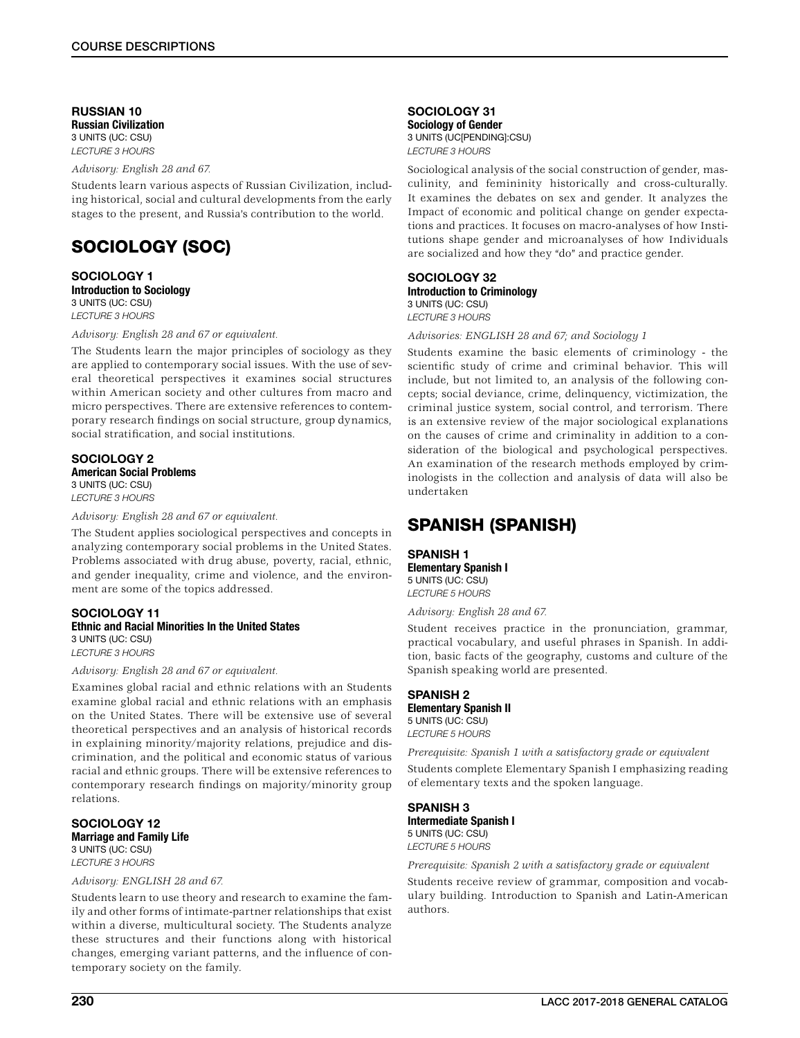RUSSIAN 10 Russian Civilization 3 UNITS (UC: CSU) *LECTURE 3 HOURS*

*Advisory: English 28 and 67.*

Students learn various aspects of Russian Civilization, including historical, social and cultural developments from the early stages to the present, and Russia's contribution to the world.

# SOCIOLOGY (SOC)

#### SOCIOLOGY 1 Introduction to Sociology 3 UNITS (UC: CSU) *LECTURE 3 HOURS*

*Advisory: English 28 and 67 or equivalent.*

The Students learn the major principles of sociology as they are applied to contemporary social issues. With the use of several theoretical perspectives it examines social structures within American society and other cultures from macro and micro perspectives. There are extensive references to contemporary research findings on social structure, group dynamics, social stratification, and social institutions.

## SOCIOLOGY 2 American Social Problems 3 UNITS (UC: CSU) *LECTURE 3 HOURS*

*Advisory: English 28 and 67 or equivalent.*

The Student applies sociological perspectives and concepts in analyzing contemporary social problems in the United States. Problems associated with drug abuse, poverty, racial, ethnic, and gender inequality, crime and violence, and the environment are some of the topics addressed.

## SOCIOLOGY 11 Ethnic and Racial Minorities In the United States 3 UNITS (UC: CSU)

*LECTURE 3 HOURS*

*Advisory: English 28 and 67 or equivalent.*

Examines global racial and ethnic relations with an Students examine global racial and ethnic relations with an emphasis on the United States. There will be extensive use of several theoretical perspectives and an analysis of historical records in explaining minority/majority relations, prejudice and discrimination, and the political and economic status of various racial and ethnic groups. There will be extensive references to contemporary research findings on majority/minority group relations.

## SOCIOLOGY 12 Marriage and Family Life

3 UNITS (UC: CSU) *LECTURE 3 HOURS*

#### *Advisory: ENGLISH 28 and 67.*

Students learn to use theory and research to examine the family and other forms of intimate-partner relationships that exist within a diverse, multicultural society. The Students analyze these structures and their functions along with historical changes, emerging variant patterns, and the influence of contemporary society on the family.

SOCIOLOGY 31 Sociology of Gender 3 UNITS (UC[PENDING]:CSU) *LECTURE 3 HOURS*

Sociological analysis of the social construction of gender, masculinity, and femininity historically and cross-culturally. It examines the debates on sex and gender. It analyzes the Impact of economic and political change on gender expectations and practices. It focuses on macro-analyses of how Institutions shape gender and microanalyses of how Individuals are socialized and how they "do" and practice gender.

#### SOCIOLOGY 32 Introduction to Criminology 3 UNITS (UC: CSU)

*LECTURE 3 HOURS*

*Advisories: ENGLISH 28 and 67; and Sociology 1*

Students examine the basic elements of criminology - the scientific study of crime and criminal behavior. This will include, but not limited to, an analysis of the following concepts; social deviance, crime, delinquency, victimization, the criminal justice system, social control, and terrorism. There is an extensive review of the major sociological explanations on the causes of crime and criminality in addition to a consideration of the biological and psychological perspectives. An examination of the research methods employed by criminologists in the collection and analysis of data will also be undertaken

# SPANISH (SPANISH)

## SPANISH 1

Elementary Spanish I 5 UNITS (UC: CSU) *LECTURE 5 HOURS*

*Advisory: English 28 and 67.*

Student receives practice in the pronunciation, grammar, practical vocabulary, and useful phrases in Spanish. In addition, basic facts of the geography, customs and culture of the Spanish speaking world are presented.

## SPANISH 2 Elementary Spanish II 5 UNITS (UC: CSU) *LECTURE 5 HOURS*

*Prerequisite: Spanish 1 with a satisfactory grade or equivalent* Students complete Elementary Spanish I emphasizing reading of elementary texts and the spoken language.

## SPANISH 3

Intermediate Spanish I 5 UNITS (UC: CSU) *LECTURE 5 HOURS*

*Prerequisite: Spanish 2 with a satisfactory grade or equivalent*

Students receive review of grammar, composition and vocabulary building. Introduction to Spanish and Latin-American authors.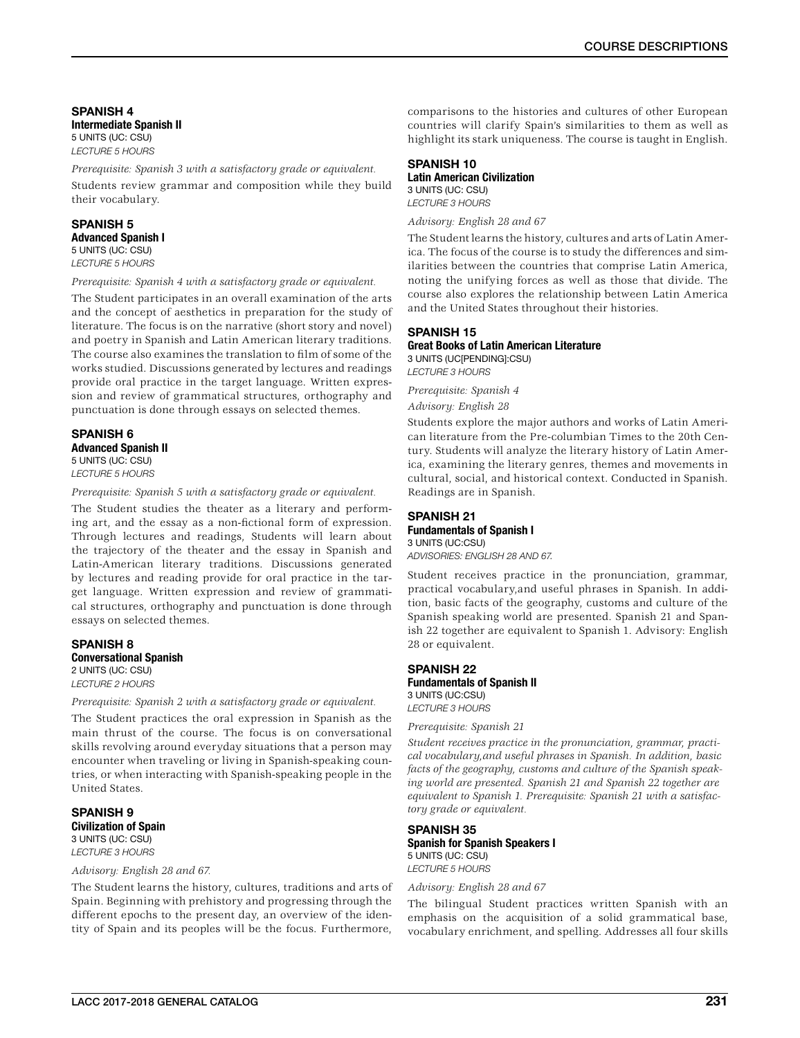SPANISH 4 Intermediate Spanish II 5 UNITS (UC: CSU) *LECTURE 5 HOURS*

*Prerequisite: Spanish 3 with a satisfactory grade or equivalent.*

Students review grammar and composition while they build their vocabulary.

# SPANISH 5

Advanced Spanish I 5 UNITS (UC: CSU) *LECTURE 5 HOURS*

*Prerequisite: Spanish 4 with a satisfactory grade or equivalent.*

The Student participates in an overall examination of the arts and the concept of aesthetics in preparation for the study of literature. The focus is on the narrative (short story and novel) and poetry in Spanish and Latin American literary traditions. The course also examines the translation to film of some of the works studied. Discussions generated by lectures and readings provide oral practice in the target language. Written expression and review of grammatical structures, orthography and punctuation is done through essays on selected themes.

## SPANISH 6 Advanced Spanish II 5 UNITS (UC: CSU) *LECTURE 5 HOURS*

*Prerequisite: Spanish 5 with a satisfactory grade or equivalent.*

The Student studies the theater as a literary and performing art, and the essay as a non-fictional form of expression. Through lectures and readings, Students will learn about the trajectory of the theater and the essay in Spanish and Latin-American literary traditions. Discussions generated by lectures and reading provide for oral practice in the target language. Written expression and review of grammatical structures, orthography and punctuation is done through essays on selected themes.

## SPANISH 8 Conversational Spanish 2 UNITS (UC: CSU)

*LECTURE 2 HOURS*

*Prerequisite: Spanish 2 with a satisfactory grade or equivalent.*

The Student practices the oral expression in Spanish as the main thrust of the course. The focus is on conversational skills revolving around everyday situations that a person may encounter when traveling or living in Spanish-speaking countries, or when interacting with Spanish-speaking people in the United States.

SPANISH 9 Civilization of Spain 3 UNITS (UC: CSU) *LECTURE 3 HOURS*

## *Advisory: English 28 and 67.*

The Student learns the history, cultures, traditions and arts of Spain. Beginning with prehistory and progressing through the different epochs to the present day, an overview of the identity of Spain and its peoples will be the focus. Furthermore,

comparisons to the histories and cultures of other European countries will clarify Spain's similarities to them as well as highlight its stark uniqueness. The course is taught in English.

#### SPANISH 10 Latin American Civilization

3 UNITS (UC: CSU) *LECTURE 3 HOURS*

## *Advisory: English 28 and 67*

The Student learns the history, cultures and arts of Latin America. The focus of the course is to study the differences and similarities between the countries that comprise Latin America, noting the unifying forces as well as those that divide. The course also explores the relationship between Latin America and the United States throughout their histories.

## SPANISH 15 Great Books of Latin American Literature 3 UNITS (UC[PENDING]:CSU)

*LECTURE 3 HOURS*

*Prerequisite: Spanish 4 Advisory: English 28*

Students explore the major authors and works of Latin American literature from the Pre-columbian Times to the 20th Century. Students will analyze the literary history of Latin America, examining the literary genres, themes and movements in cultural, social, and historical context. Conducted in Spanish. Readings are in Spanish.

## SPANISH 21 Fundamentals of Spanish I 3 UNITS (UC:CSU)

*ADVISORIES: ENGLISH 28 AND 67.*

Student receives practice in the pronunciation, grammar, practical vocabulary,and useful phrases in Spanish. In addition, basic facts of the geography, customs and culture of the Spanish speaking world are presented. Spanish 21 and Spanish 22 together are equivalent to Spanish 1. Advisory: English 28 or equivalent.

## SPANISH 22 Fundamentals of Spanish II 3 UNITS (UC:CSU) *LECTURE 3 HOURS*

*Prerequisite: Spanish 21*

*Student receives practice in the pronunciation, grammar, practical vocabulary,and useful phrases in Spanish. In addition, basic facts of the geography, customs and culture of the Spanish speaking world are presented. Spanish 21 and Spanish 22 together are equivalent to Spanish 1. Prerequisite: Spanish 21 with a satisfactory grade or equivalent.*

## SPANISH 35 Spanish for Spanish Speakers I 5 UNITS (UC: CSU) *LECTURE 5 HOURS*

#### *Advisory: English 28 and 67*

The bilingual Student practices written Spanish with an emphasis on the acquisition of a solid grammatical base, vocabulary enrichment, and spelling. Addresses all four skills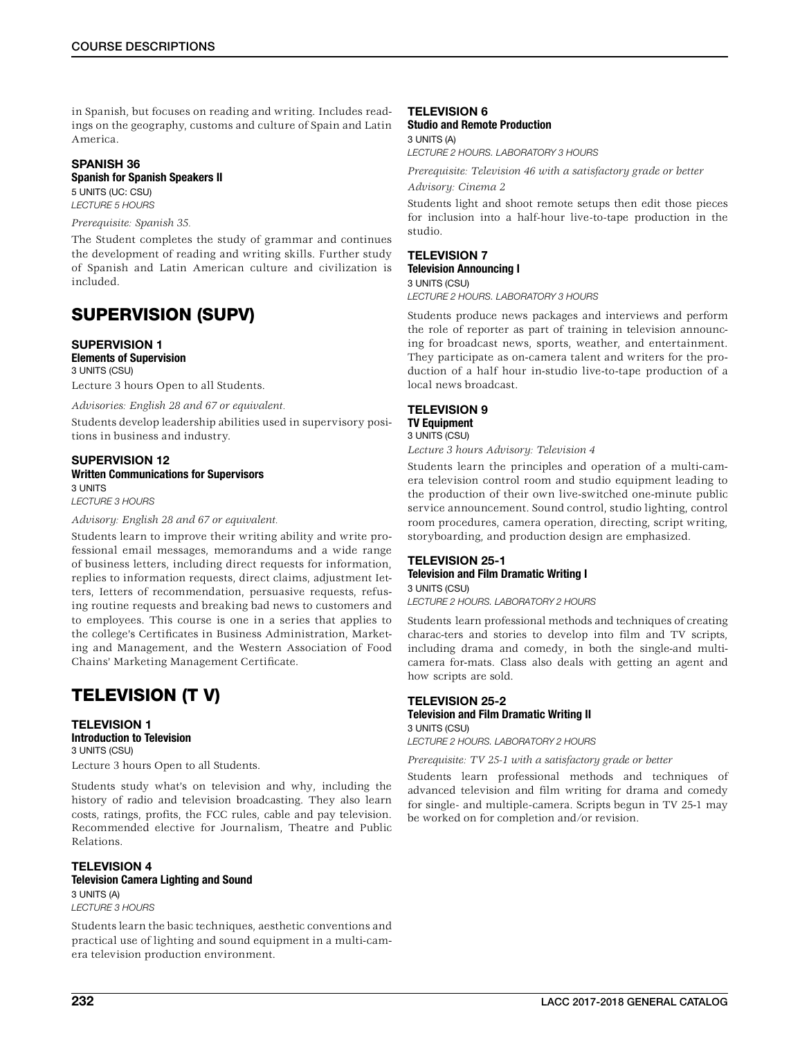in Spanish, but focuses on reading and writing. Includes readings on the geography, customs and culture of Spain and Latin America.

## SPANISH 36 Spanish for Spanish Speakers II

5 UNITS (UC: CSU)

*LECTURE 5 HOURS*

## *Prerequisite: Spanish 35.*

The Student completes the study of grammar and continues the development of reading and writing skills. Further study of Spanish and Latin American culture and civilization is included.

# SUPERVISION (SUPV)

## SUPERVISION 1 Elements of Supervision 3 UNITS (CSU)

Lecture 3 hours Open to all Students.

*Advisories: English 28 and 67 or equivalent.*

Students develop leadership abilities used in supervisory positions in business and industry.

## SUPERVISION 12 Written Communications for Supervisors 3 UNITS

*LECTURE 3 HOURS*

## *Advisory: English 28 and 67 or equivalent.*

Students learn to improve their writing ability and write professional email messages, memorandums and a wide range of business letters, including direct requests for information, replies to information requests, direct claims, adjustment Ietters, Ietters of recommendation, persuasive requests, refusing routine requests and breaking bad news to customers and to employees. This course is one in a series that applies to the college's Certificates in Business Administration, Marketing and Management, and the Western Association of Food Chains' Marketing Management Certificate.

# TELEVISION (T V)

## TELEVISION 1 Introduction to Television 3 UNITS (CSU)

Lecture 3 hours Open to all Students.

Students study what's on television and why, including the history of radio and television broadcasting. They also learn costs, ratings, profits, the FCC rules, cable and pay television. Recommended elective for Journalism, Theatre and Public Relations.

## TELEVISION 4 Television Camera Lighting and Sound 3 UNITS (A)

*LECTURE 3 HOURS*

Students learn the basic techniques, aesthetic conventions and practical use of lighting and sound equipment in a multi-camera television production environment.

## TELEVISION 6

#### Studio and Remote Production 3 UNITS (A)

*LECTURE 2 HOURS. LABORATORY 3 HOURS*

*Prerequisite: Television 46 with a satisfactory grade or better Advisory: Cinema 2*

Students light and shoot remote setups then edit those pieces for inclusion into a half-hour live-to-tape production in the studio.

# TELEVISION 7

Television Announcing I 3 UNITS (CSU)

*LECTURE 2 HOURS. LABORATORY 3 HOURS*

Students produce news packages and interviews and perform the role of reporter as part of training in television announcing for broadcast news, sports, weather, and entertainment. They participate as on-camera talent and writers for the production of a half hour in-studio live-to-tape production of a local news broadcast.

## TELEVISION 9 TV Equipment 3 UNITS (CSU)

*Lecture 3 hours Advisory: Television 4*

Students learn the principles and operation of a multi-camera television control room and studio equipment leading to the production of their own live-switched one-minute public service announcement. Sound control, studio lighting, control room procedures, camera operation, directing, script writing, storyboarding, and production design are emphasized.

## TELEVISION 25-1 Television and Film Dramatic Writing I 3 UNITS (CSU)

*LECTURE 2 HOURS. LABORATORY 2 HOURS*

Students learn professional methods and techniques of creating charac-ters and stories to develop into film and TV scripts, including drama and comedy, in both the single-and multicamera for-mats. Class also deals with getting an agent and how scripts are sold.

## TELEVISION 25-2 Television and Film Dramatic Writing II 3 UNITS (CSU)

*LECTURE 2 HOURS. LABORATORY 2 HOURS*

*Prerequisite: TV 25-1 with a satisfactory grade or better*

Students learn professional methods and techniques of advanced television and film writing for drama and comedy for single- and multiple-camera. Scripts begun in TV 25-1 may be worked on for completion and/or revision.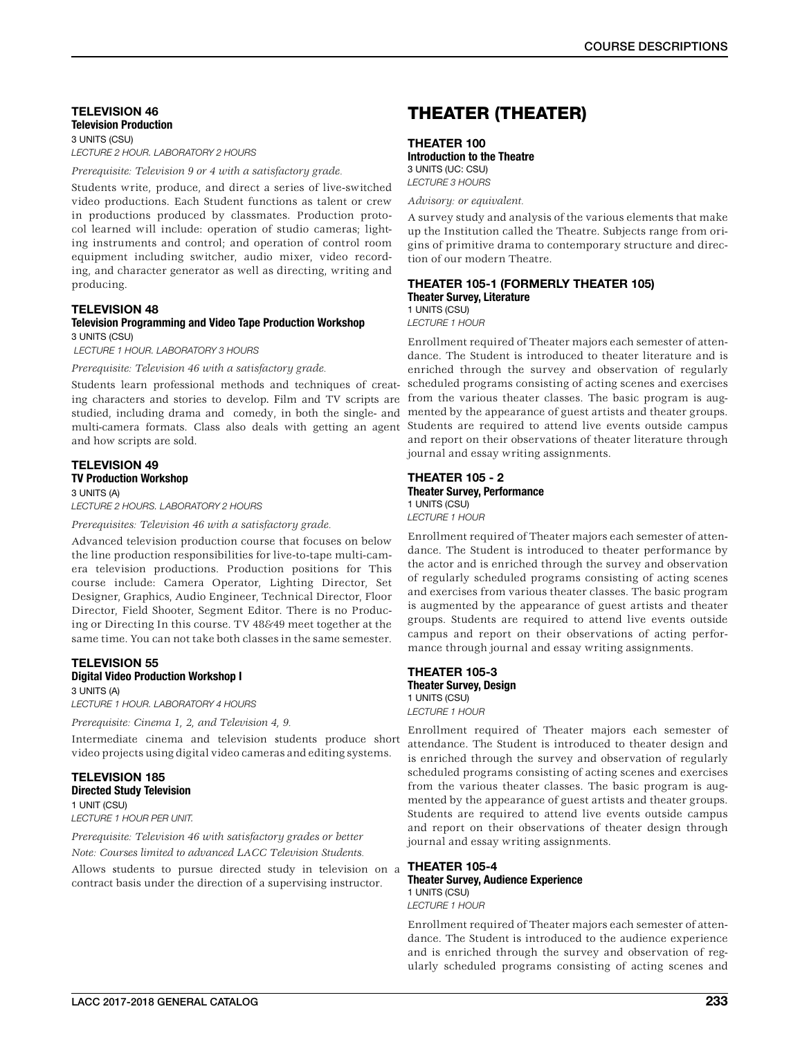## TELEVISION 46 Television Production 3 UNITS (CSU)

*LECTURE 2 HOUR. LABORATORY 2 HOURS*

*Prerequisite: Television 9 or 4 with a satisfactory grade.*

Students write, produce, and direct a series of live-switched video productions. Each Student functions as talent or crew in productions produced by classmates. Production protocol learned will include: operation of studio cameras; lighting instruments and control; and operation of control room equipment including switcher, audio mixer, video recording, and character generator as well as directing, writing and producing.

## TELEVISION 48

## Television Programming and Video Tape Production Workshop 3 UNITS (CSU)

 *LECTURE 1 HOUR. LABORATORY 3 HOURS*

*Prerequisite: Television 46 with a satisfactory grade.*

Students learn professional methods and techniques of creating characters and stories to develop. Film and TV scripts are studied, including drama and comedy, in both the single- and multi-camera formats. Class also deals with getting an agent Students are required to attend live events outside campus and how scripts are sold.

## TELEVISION 49 TV Production Workshop

#### 3 UNITS (A)

*LECTURE 2 HOURS. LABORATORY 2 HOURS*

*Prerequisites: Television 46 with a satisfactory grade.*

Advanced television production course that focuses on below the line production responsibilities for live-to-tape multi-camera television productions. Production positions for This course include: Camera Operator, Lighting Director, Set Designer, Graphics, Audio Engineer, Technical Director, Floor Director, Field Shooter, Segment Editor. There is no Producing or Directing In this course. TV 48&49 meet together at the same time. You can not take both classes in the same semester.

## TELEVISION 55

## Digital Video Production Workshop I

3 UNITS (A) *LECTURE 1 HOUR. LABORATORY 4 HOURS* 

*Prerequisite: Cinema 1, 2, and Television 4, 9.*

Intermediate cinema and television students produce short video projects using digital video cameras and editing systems.

## TELEVISION 185 Directed Study Television

1 UNIT (CSU) *LECTURE 1 HOUR PER UNIT.*

*Prerequisite: Television 46 with satisfactory grades or better Note: Courses limited to advanced LACC Television Students.*

Allows students to pursue directed study in television on a contract basis under the direction of a supervising instructor.

# THEATER (THEATER)

## THEATER 100

Introduction to the Theatre 3 UNITS (UC: CSU) *LECTURE 3 HOURS*

*Advisory: or equivalent.*

A survey study and analysis of the various elements that make up the Institution called the Theatre. Subjects range from origins of primitive drama to contemporary structure and direction of our modern Theatre.

## THEATER 105-1 (FORMERLY THEATER 105) Theater Survey, Literature

1 UNITS (CSU) *LECTURE 1 HOUR*

Enrollment required of Theater majors each semester of attendance. The Student is introduced to theater literature and is enriched through the survey and observation of regularly scheduled programs consisting of acting scenes and exercises from the various theater classes. The basic program is augmented by the appearance of guest artists and theater groups. and report on their observations of theater literature through journal and essay writing assignments.

## THEATER 105 - 2 Theater Survey, Performance 1 UNITS (CSU) *LECTURE 1 HOUR*

Enrollment required of Theater majors each semester of attendance. The Student is introduced to theater performance by the actor and is enriched through the survey and observation of regularly scheduled programs consisting of acting scenes and exercises from various theater classes. The basic program is augmented by the appearance of guest artists and theater groups. Students are required to attend live events outside campus and report on their observations of acting performance through journal and essay writing assignments.

## THEATER 105-3 Theater Survey, Design 1 UNITS (CSU) *LECTURE 1 HOUR*

Enrollment required of Theater majors each semester of attendance. The Student is introduced to theater design and is enriched through the survey and observation of regularly scheduled programs consisting of acting scenes and exercises from the various theater classes. The basic program is augmented by the appearance of guest artists and theater groups. Students are required to attend live events outside campus and report on their observations of theater design through journal and essay writing assignments.

## THEATER 105-4 Theater Survey, Audience Experience

1 UNITS (CSU) *LECTURE 1 HOUR*

Enrollment required of Theater majors each semester of attendance. The Student is introduced to the audience experience and is enriched through the survey and observation of regularly scheduled programs consisting of acting scenes and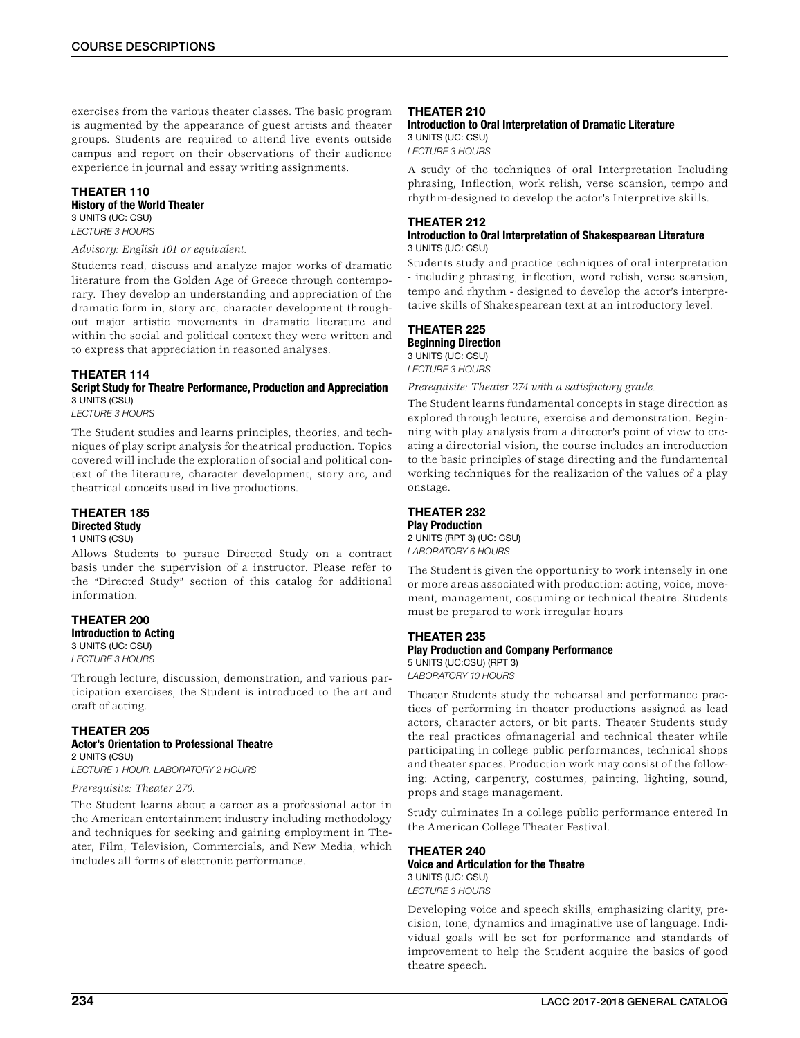exercises from the various theater classes. The basic program is augmented by the appearance of guest artists and theater groups. Students are required to attend live events outside campus and report on their observations of their audience experience in journal and essay writing assignments.

## THEATER 110 History of the World Theater 3 UNITS (UC: CSU)

*LECTURE 3 HOURS*

## *Advisory: English 101 or equivalent.*

Students read, discuss and analyze major works of dramatic literature from the Golden Age of Greece through contemporary. They develop an understanding and appreciation of the dramatic form in, story arc, character development throughout major artistic movements in dramatic literature and within the social and political context they were written and to express that appreciation in reasoned analyses.

## THEATER 114

Script Study for Theatre Performance, Production and Appreciation 3 UNITS (CSU)

*LECTURE 3 HOURS*

The Student studies and learns principles, theories, and techniques of play script analysis for theatrical production. Topics covered will include the exploration of social and political context of the literature, character development, story arc, and theatrical conceits used in live productions.

## THEATER 185 Directed Study 1 UNITS (CSU)

Allows Students to pursue Directed Study on a contract basis under the supervision of a instructor. Please refer to the "Directed Study" section of this catalog for additional information.

## THEATER 200 Introduction to Acting

3 UNITS (UC: CSU) *LECTURE 3 HOURS*

Through lecture, discussion, demonstration, and various participation exercises, the Student is introduced to the art and craft of acting.

## THEATER 205

Actor's Orientation to Professional Theatre 2 UNITS (CSU) *LECTURE 1 HOUR. LABORATORY 2 HOURS*

#### *Prerequisite: Theater 270.*

The Student learns about a career as a professional actor in the American entertainment industry including methodology and techniques for seeking and gaining employment in Theater, Film, Television, Commercials, and New Media, which includes all forms of electronic performance.

## THEATER 210

Introduction to Oral Interpretation of Dramatic Literature 3 UNITS (UC: CSU) *LECTURE 3 HOURS*

A study of the techniques of oral Interpretation Including phrasing, Inflection, work relish, verse scansion, tempo and rhythm-designed to develop the actor's Interpretive skills.

## THEATER 212

## Introduction to Oral Interpretation of Shakespearean Literature 3 UNITS (UC: CSU)

Students study and practice techniques of oral interpretation - including phrasing, inflection, word relish, verse scansion, tempo and rhythm - designed to develop the actor's interpretative skills of Shakespearean text at an introductory level.

# THEATER 225

Beginning Direction 3 UNITS (UC: CSU) *LECTURE 3 HOURS*

*Prerequisite: Theater 274 with a satisfactory grade.*

The Student learns fundamental concepts in stage direction as explored through lecture, exercise and demonstration. Beginning with play analysis from a director's point of view to creating a directorial vision, the course includes an introduction to the basic principles of stage directing and the fundamental working techniques for the realization of the values of a play onstage.

## THEATER 232 Play Production

2 UNITS (RPT 3) (UC: CSU) *LABORATORY 6 HOURS*

The Student is given the opportunity to work intensely in one or more areas associated with production: acting, voice, movement, management, costuming or technical theatre. Students must be prepared to work irregular hours

## THEATER 235

## Play Production and Company Performance

5 UNITS (UC:CSU) (RPT 3) *LABORATORY 10 HOURS*

Theater Students study the rehearsal and performance practices of performing in theater productions assigned as lead actors, character actors, or bit parts. Theater Students study the real practices ofmanagerial and technical theater while participating in college public performances, technical shops and theater spaces. Production work may consist of the following: Acting, carpentry, costumes, painting, lighting, sound, props and stage management.

Study culminates In a college public performance entered In the American College Theater Festival.

## THEATER 240 Voice and Articulation for the Theatre 3 UNITS (UC: CSU) *LECTURE 3 HOURS*

Developing voice and speech skills, emphasizing clarity, precision, tone, dynamics and imaginative use of language. Individual goals will be set for performance and standards of improvement to help the Student acquire the basics of good theatre speech.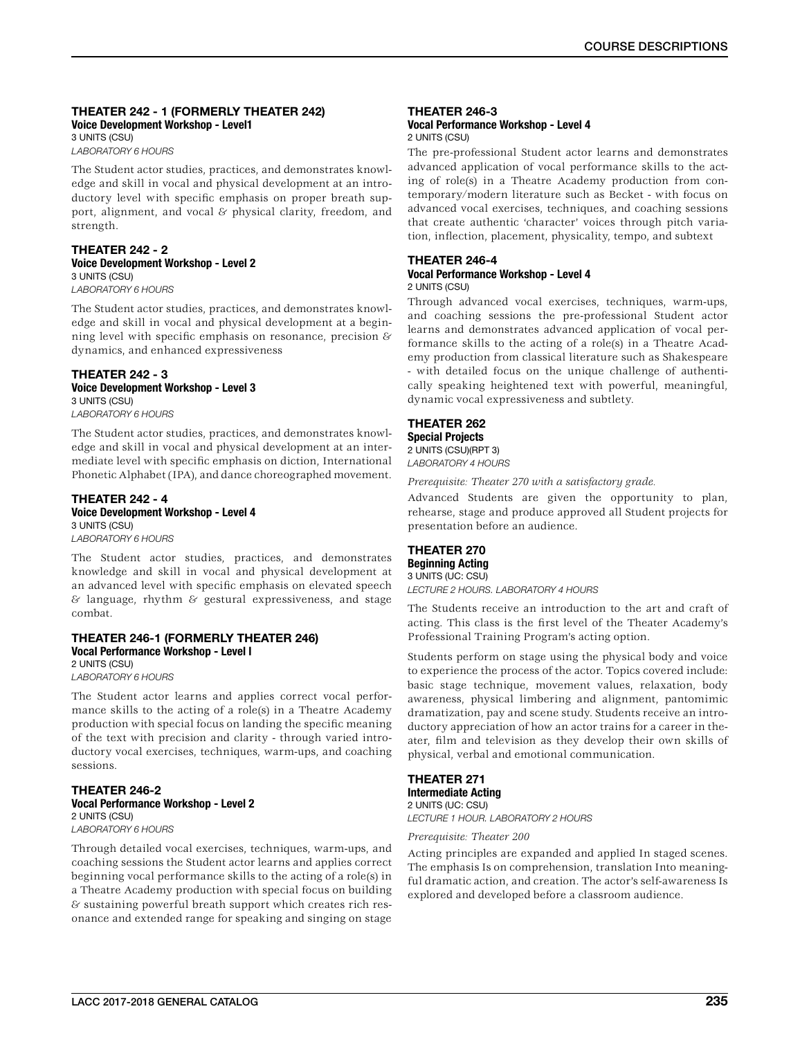## THEATER 242 - 1 (FORMERLY THEATER 242) Voice Development Workshop - Level1 3 UNITS (CSU)

*LABORATORY 6 HOURS*

The Student actor studies, practices, and demonstrates knowledge and skill in vocal and physical development at an introductory level with specific emphasis on proper breath support, alignment, and vocal & physical clarity, freedom, and strength.

## THEATER 242 - 2 Voice Development Workshop - Level 2 3 UNITS (CSU)

*LABORATORY 6 HOURS*

The Student actor studies, practices, and demonstrates knowledge and skill in vocal and physical development at a beginning level with specific emphasis on resonance, precision & dynamics, and enhanced expressiveness

# THEATER 242 - 3

Voice Development Workshop - Level 3 3 UNITS (CSU) *LABORATORY 6 HOURS*

The Student actor studies, practices, and demonstrates knowledge and skill in vocal and physical development at an intermediate level with specific emphasis on diction, International Phonetic Alphabet (IPA), and dance choreographed movement.

### THEATER 242 - 4 Voice Development Workshop - Level 4 3 UNITS (CSU) *LABORATORY 6 HOURS*

The Student actor studies, practices, and demonstrates knowledge and skill in vocal and physical development at an advanced level with specific emphasis on elevated speech  $&$  language, rhythm  $&$  gestural expressiveness, and stage combat.

#### THEATER 246-1 (FORMERLY THEATER 246) Vocal Performance Workshop - Level l 2 UNITS (CSU)

*LABORATORY 6 HOURS*

The Student actor learns and applies correct vocal performance skills to the acting of a role(s) in a Theatre Academy production with special focus on landing the specific meaning of the text with precision and clarity - through varied introductory vocal exercises, techniques, warm-ups, and coaching sessions.

## THEATER 246-2 Vocal Performance Workshop - Level 2 2 UNITS (CSU)

*LABORATORY 6 HOURS*

Through detailed vocal exercises, techniques, warm-ups, and coaching sessions the Student actor learns and applies correct beginning vocal performance skills to the acting of a role(s) in a Theatre Academy production with special focus on building & sustaining powerful breath support which creates rich resonance and extended range for speaking and singing on stage

## THEATER 246-3

## Vocal Performance Workshop - Level 4 2 UNITS (CSU)

The pre-professional Student actor learns and demonstrates advanced application of vocal performance skills to the acting of role(s) in a Theatre Academy production from contemporary/modern literature such as Becket - with focus on advanced vocal exercises, techniques, and coaching sessions that create authentic 'character' voices through pitch variation, inflection, placement, physicality, tempo, and subtext

# THEATER 246-4

### Vocal Performance Workshop - Level 4 2 UNITS (CSU)

Through advanced vocal exercises, techniques, warm-ups, and coaching sessions the pre-professional Student actor learns and demonstrates advanced application of vocal performance skills to the acting of a role(s) in a Theatre Academy production from classical literature such as Shakespeare - with detailed focus on the unique challenge of authentically speaking heightened text with powerful, meaningful, dynamic vocal expressiveness and subtlety.

## THEATER 262

## Special Projects

2 UNITS (CSU)(RPT 3) *LABORATORY 4 HOURS*

*Prerequisite: Theater 270 with a satisfactory grade.*

Advanced Students are given the opportunity to plan, rehearse, stage and produce approved all Student projects for presentation before an audience.

## THEATER 270 Beginning Acting

## 3 UNITS (UC: CSU)

*LECTURE 2 HOURS. LABORATORY 4 HOURS*

The Students receive an introduction to the art and craft of acting. This class is the first level of the Theater Academy's Professional Training Program's acting option.

Students perform on stage using the physical body and voice to experience the process of the actor. Topics covered include: basic stage technique, movement values, relaxation, body awareness, physical limbering and alignment, pantomimic dramatization, pay and scene study. Students receive an introductory appreciation of how an actor trains for a career in theater, film and television as they develop their own skills of physical, verbal and emotional communication.

## THEATER 271 Intermediate Acting 2 UNITS (UC: CSU)

*LECTURE 1 HOUR. LABORATORY 2 HOURS*

*Prerequisite: Theater 200*

Acting principles are expanded and applied In staged scenes. The emphasis Is on comprehension, translation Into meaningful dramatic action, and creation. The actor's self-awareness Is explored and developed before a classroom audience.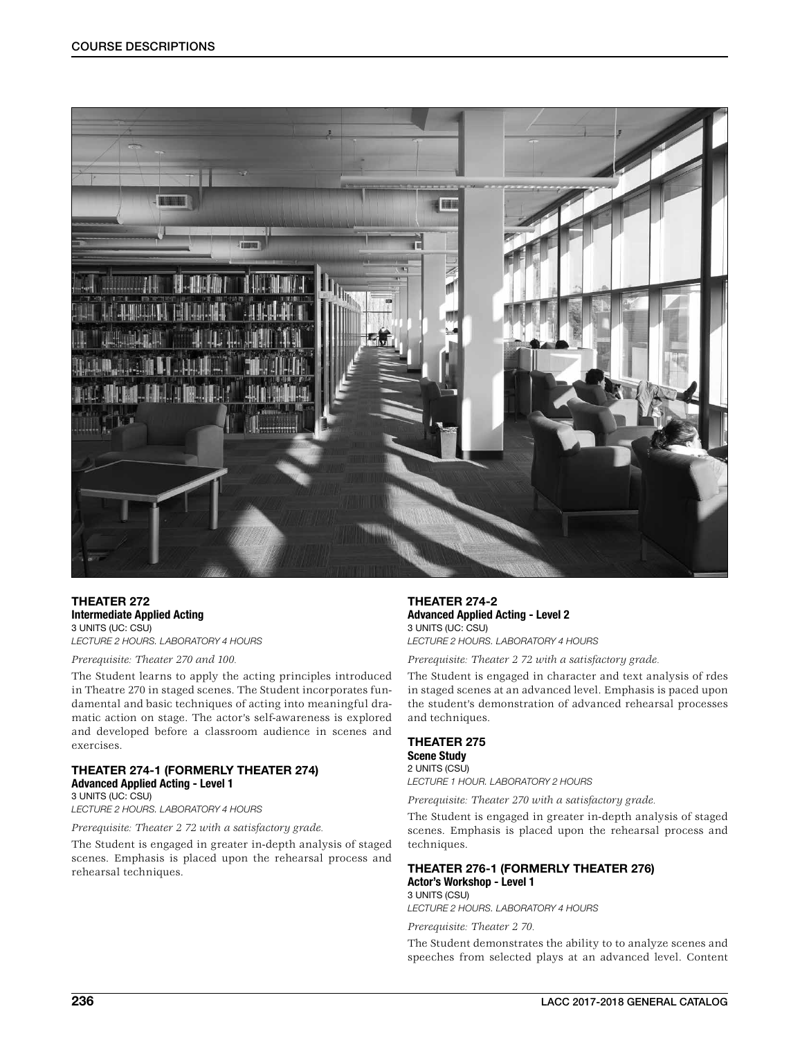

THEATER 272 Intermediate Applied Acting 3 UNITS (UC: CSU) *LECTURE 2 HOURS. LABORATORY 4 HOURS*

*Prerequisite: Theater 270 and 100.*

The Student learns to apply the acting principles introduced in Theatre 270 in staged scenes. The Student incorporates fundamental and basic techniques of acting into meaningful dramatic action on stage. The actor's self-awareness is explored and developed before a classroom audience in scenes and exercises.

## THEATER 274-1 (FORMERLY THEATER 274) Advanced Applied Acting - Level 1

3 UNITS (UC: CSU) *LECTURE 2 HOURS. LABORATORY 4 HOURS*

*Prerequisite: Theater 2 72 with a satisfactory grade.*

The Student is engaged in greater in-depth analysis of staged scenes. Emphasis is placed upon the rehearsal process and rehearsal techniques.

THEATER 274-2 Advanced Applied Acting - Level 2 3 UNITS (UC: CSU) *LECTURE 2 HOURS. LABORATORY 4 HOURS*

*Prerequisite: Theater 2 72 with a satisfactory grade.*

The Student is engaged in character and text analysis of rdes in staged scenes at an advanced level. Emphasis is paced upon the student's demonstration of advanced rehearsal processes and techniques.

## THEATER 275

Scene Study 2 UNITS (CSU) *LECTURE 1 HOUR. LABORATORY 2 HOURS*

*Prerequisite: Theater 270 with a satisfactory grade.*

The Student is engaged in greater in-depth analysis of staged scenes. Emphasis is placed upon the rehearsal process and techniques.

## THEATER 276-1 (FORMERLY THEATER 276) Actor's Workshop - Level 1

3 UNITS (CSU) *LECTURE 2 HOURS. LABORATORY 4 HOURS*

*Prerequisite: Theater 2 70.*

The Student demonstrates the ability to to analyze scenes and speeches from selected plays at an advanced level. Content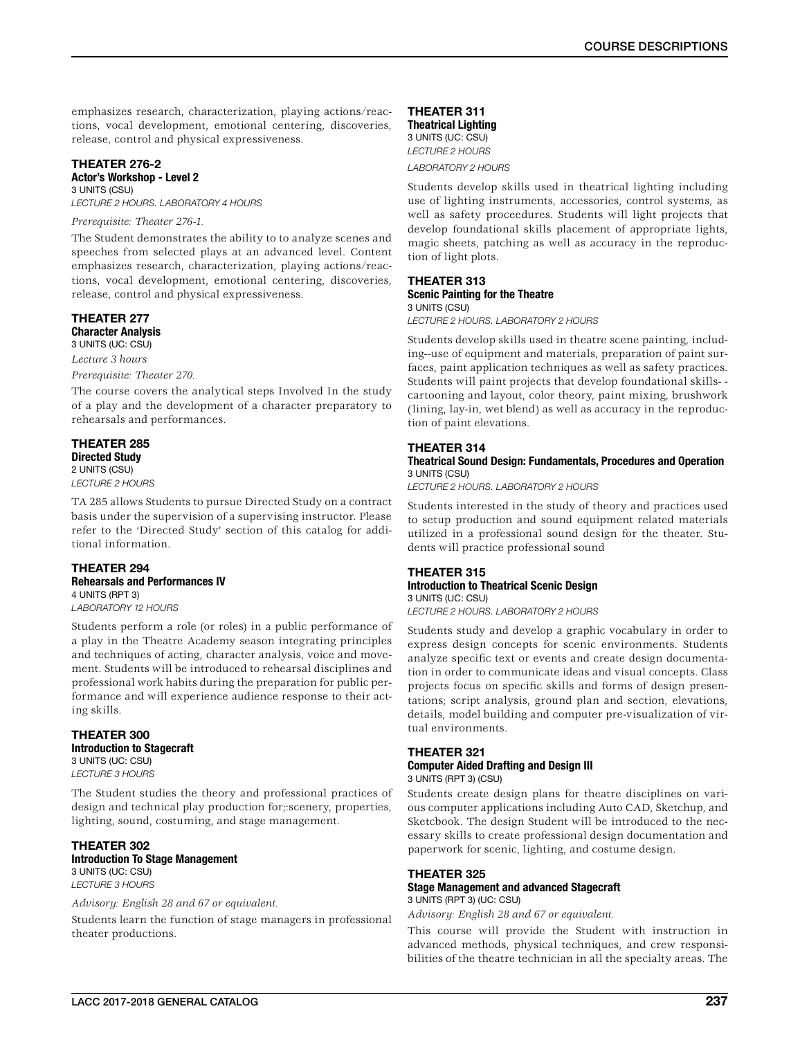emphasizes research, characterization, playing actions/reactions, vocal development, emotional centering, discoveries, release, control and physical expressiveness.

# THEATER 276-2

#### Actor's Workshop - Level 2 3 UNITS (CSU)

*LECTURE 2 HOURS. LABORATORY 4 HOURS*

## *Prerequisite: Theater 276-1.*

The Student demonstrates the ability to to analyze scenes and speeches from selected plays at an advanced level. Content emphasizes research, characterization, playing actions/reactions, vocal development, emotional centering, discoveries, release, control and physical expressiveness.

## THEATER 277 Character Analysis

3 UNITS (UC: CSU) *Lecture 3 hours*

## *Prerequisite: Theater 270.*

The course covers the analytical steps Involved In the study of a play and the development of a character preparatory to rehearsals and performances.

#### THEATER 285 Directed Study 2 UNITS (CSU) *LECTURE 2 HOURS*

TA 285 allows Students to pursue Directed Study on a contract basis under the supervision of a supervising instructor. Please refer to the 'Directed Study' section of this catalog for additional information.

## THEATER 294 Rehearsals and Performances IV 4 UNITS (RPT 3) *LABORATORY 12 HOURS*

Students perform a role (or roles) in a public performance of a play in the Theatre Academy season integrating principles and techniques of acting, character analysis, voice and movement. Students will be introduced to rehearsal disciplines and professional work habits during the preparation for public performance and will experience audience response to their acting skills.

## THEATER 300 Introduction to Stagecraft 3 UNITS (UC: CSU)

*LECTURE 3 HOURS*

The Student studies the theory and professional practices of design and technical play production for;:scenery, properties, lighting, sound, costuming, and stage management.

## THEATER 302 Introduction To Stage Management

3 UNITS (UC: CSU) *LECTURE 3 HOURS*

## *Advisory: English 28 and 67 or equivalent.*

Students learn the function of stage managers in professional theater productions.

## THEATER 311 Theatrical Lighting 3 UNITS (UC: CSU) *LECTURE 2 HOURS*

*LABORATORY 2 HOURS*

Students develop skills used in theatrical lighting including use of lighting instruments, accessories, control systems, as well as safety proceedures. Students will light projects that develop foundational skills placement of appropriate lights, magic sheets, patching as well as accuracy in the reproduction of light plots.

# THEATER 313

#### Scenic Painting for the Theatre 3 UNITS (CSU)

*LECTURE 2 HOURS. LABORATORY 2 HOURS*

Students develop skills used in theatre scene painting, including--use of equipment and materials, preparation of paint surfaces, paint application techniques as well as safety practices. Students will paint projects that develop foundational skills- cartooning and layout, color theory, paint mixing, brushwork (lining, lay-in, wet blend) as well as accuracy in the reproduction of paint elevations.

## THEATER 314

## Theatrical Sound Design: Fundamentals, Procedures and Operation 3 UNITS (CSU)

*LECTURE 2 HOURS. LABORATORY 2 HOURS*

Students interested in the study of theory and practices used to setup production and sound equipment related materials utilized in a professional sound design for the theater. Students will practice professional sound

#### THEATER 315 Introduction to Theatrical Scenic Design 3 UNITS (UC: CSU)

*LECTURE 2 HOURS. LABORATORY 2 HOURS*

Students study and develop a graphic vocabulary in order to express design concepts for scenic environments. Students analyze specific text or events and create design documentation in order to communicate ideas and visual concepts. Class projects focus on specific skills and forms of design presentations; script analysis, ground plan and section, elevations, details, model building and computer pre-visualization of virtual environments.

## THEATER 321 Computer Aided Drafting and Design III 3 UNITS (RPT 3) (CSU)

Students create design plans for theatre disciplines on various computer applications including Auto CAD, Sketchup, and Sketcbook. The design Student will be introduced to the necessary skills to create professional design documentation and

paperwork for scenic, lighting, and costume design.

## THEATER 325

### Stage Management and advanced Stagecraft 3 UNITS (RPT 3) (UC: CSU)

*Advisory: English 28 and 67 or equivalent.*

This course will provide the Student with instruction in advanced methods, physical techniques, and crew responsibilities of the theatre technician in all the specialty areas. The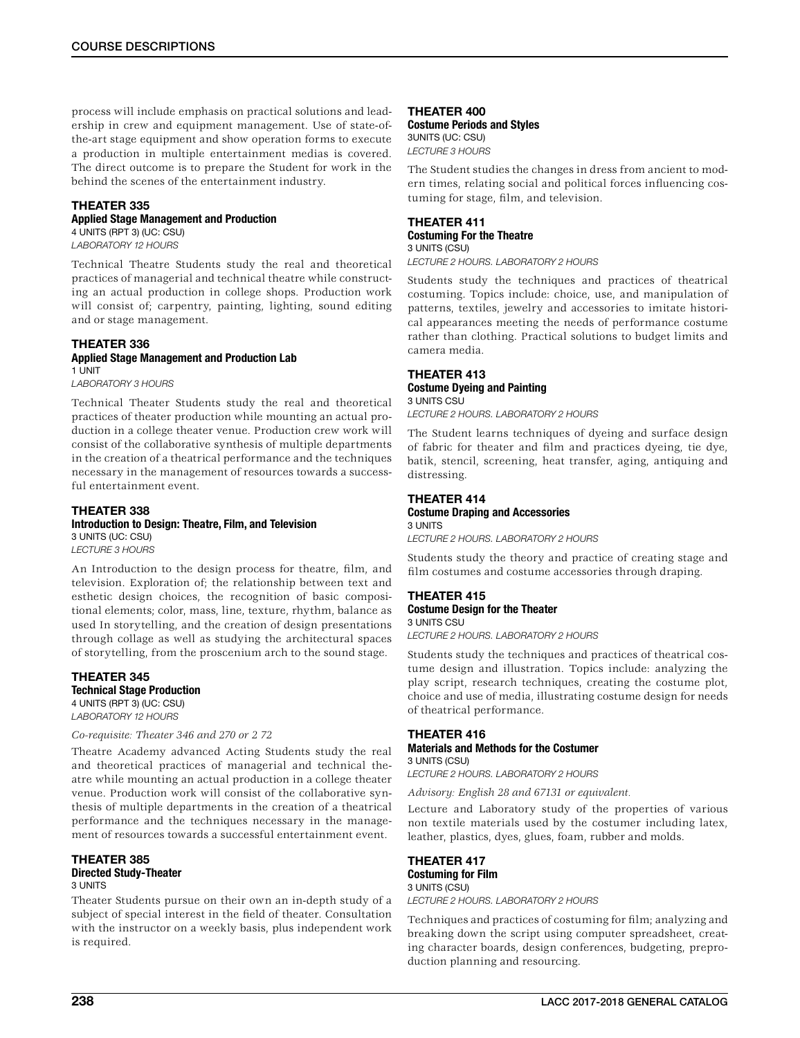process will include emphasis on practical solutions and leadership in crew and equipment management. Use of state-ofthe-art stage equipment and show operation forms to execute a production in multiple entertainment medias is covered. The direct outcome is to prepare the Student for work in the behind the scenes of the entertainment industry.

## THEATER 335

## Applied Stage Management and Production

4 UNITS (RPT 3) (UC: CSU) *LABORATORY 12 HOURS*

Technical Theatre Students study the real and theoretical practices of managerial and technical theatre while constructing an actual production in college shops. Production work will consist of; carpentry, painting, lighting, sound editing and or stage management.

#### THEATER 336 Applied Stage Management and Production Lab 1 UNIT

*LABORATORY 3 HOURS*

Technical Theater Students study the real and theoretical practices of theater production while mounting an actual production in a college theater venue. Production crew work will consist of the collaborative synthesis of multiple departments in the creation of a theatrical performance and the techniques necessary in the management of resources towards a successful entertainment event.

## THEATER 338

#### Introduction to Design: Theatre, Film, and Television 3 UNITS (UC: CSU)

*LECTURE 3 HOURS*

An Introduction to the design process for theatre, film, and television. Exploration of; the relationship between text and esthetic design choices, the recognition of basic compositional elements; color, mass, line, texture, rhythm, balance as used In storytelling, and the creation of design presentations through collage as well as studying the architectural spaces of storytelling, from the proscenium arch to the sound stage.

## THEATER 345 Technical Stage Production 4 UNITS (RPT 3) (UC: CSU) *LABORATORY 12 HOURS*

## *Co-requisite: Theater 346 and 270 or 2 72*

Theatre Academy advanced Acting Students study the real and theoretical practices of managerial and technical theatre while mounting an actual production in a college theater venue. Production work will consist of the collaborative synthesis of multiple departments in the creation of a theatrical performance and the techniques necessary in the management of resources towards a successful entertainment event.

## THEATER 385

#### Directed Study-Theater 3 UNITS

Theater Students pursue on their own an in-depth study of a subject of special interest in the field of theater. Consultation with the instructor on a weekly basis, plus independent work is required.

## THEATER 400

Costume Periods and Styles 3UNITS (UC: CSU) *LECTURE 3 HOURS*

The Student studies the changes in dress from ancient to modern times, relating social and political forces influencing costuming for stage, film, and television.

# THEATER 411

Costuming For the Theatre 3 UNITS (CSU)

*LECTURE 2 HOURS. LABORATORY 2 HOURS*

Students study the techniques and practices of theatrical costuming. Topics include: choice, use, and manipulation of patterns, textiles, jewelry and accessories to imitate historical appearances meeting the needs of performance costume rather than clothing. Practical solutions to budget limits and camera media.

## THEATER 413

#### Costume Dyeing and Painting 3 UNITS CSU

*LECTURE 2 HOURS. LABORATORY 2 HOURS*

The Student learns techniques of dyeing and surface design of fabric for theater and film and practices dyeing, tie dye, batik, stencil, screening, heat transfer, aging, antiquing and distressing.

## THEATER 414

Costume Draping and Accessories 3 UNITS *LECTURE 2 HOURS. LABORATORY 2 HOURS*

Students study the theory and practice of creating stage and film costumes and costume accessories through draping.

## THEATER 415 Costume Design for the Theater 3 UNITS CSU

*LECTURE 2 HOURS. LABORATORY 2 HOURS*

Students study the techniques and practices of theatrical costume design and illustration. Topics include: analyzing the play script, research techniques, creating the costume plot, choice and use of media, illustrating costume design for needs of theatrical performance.

### THEATER 416 Materials and Methods for the Costumer 3 UNITS (CSU)

## *LECTURE 2 HOURS. LABORATORY 2 HOURS*

*Advisory: English 28 and 67131 or equivalent.*

Lecture and Laboratory study of the properties of various non textile materials used by the costumer including latex, leather, plastics, dyes, glues, foam, rubber and molds.

## THEATER 417 Costuming for Film 3 UNITS (CSU)

*LECTURE 2 HOURS. LABORATORY 2 HOURS*

Techniques and practices of costuming for film; analyzing and breaking down the script using computer spreadsheet, creating character boards, design conferences, budgeting, preproduction planning and resourcing.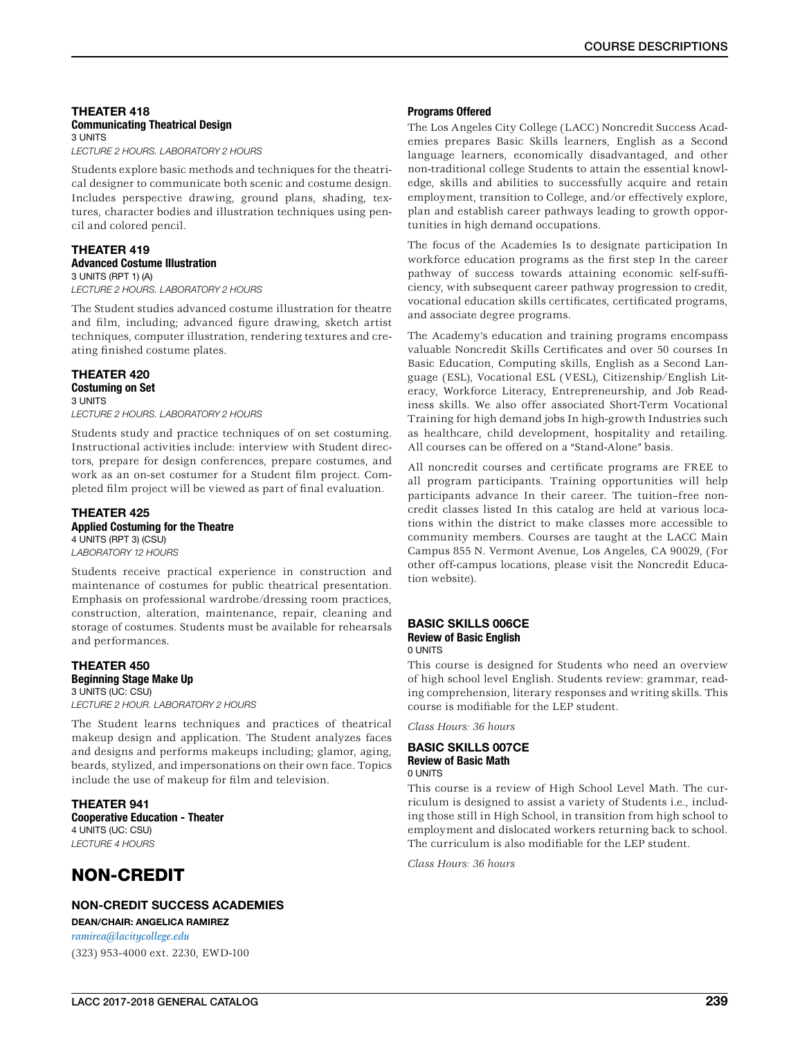## THEATER 418 Communicating Theatrical Design 3 UNITS

*LECTURE 2 HOURS. LABORATORY 2 HOURS*

Students explore basic methods and techniques for the theatrical designer to communicate both scenic and costume design. Includes perspective drawing, ground plans, shading, textures, character bodies and illustration techniques using pencil and colored pencil.

## THEATER 419 Advanced Costume Illustration

3 UNITS (RPT 1) (A) *LECTURE 2 HOURS. LABORATORY 2 HOURS*

The Student studies advanced costume illustration for theatre and film, including; advanced figure drawing, sketch artist techniques, computer illustration, rendering textures and creating finished costume plates.

## THEATER 420

#### Costuming on Set 3 UNITS

*LECTURE 2 HOURS. LABORATORY 2 HOURS*

Students study and practice techniques of on set costuming. Instructional activities include: interview with Student directors, prepare for design conferences, prepare costumes, and work as an on-set costumer for a Student film project. Completed film project will be viewed as part of final evaluation.

#### THEATER 425 Applied Costuming for the Theatre 4 UNITS (RPT 3) (CSU)

*LABORATORY 12 HOURS*

Students receive practical experience in construction and maintenance of costumes for public theatrical presentation. Emphasis on professional wardrobe/dressing room practices, construction, alteration, maintenance, repair, cleaning and storage of costumes. Students must be available for rehearsals and performances.

### THEATER 450 Beginning Stage Make Up 3 UNITS (UC: CSU) *LECTURE 2 HOUR. LABORATORY 2 HOURS*

The Student learns techniques and practices of theatrical makeup design and application. The Student analyzes faces and designs and performs makeups including; glamor, aging, beards, stylized, and impersonations on their own face. Topics include the use of makeup for film and television.

THEATER 941 Cooperative Education - Theater 4 UNITS (UC: CSU) *LECTURE 4 HOURS*

# NON-CREDIT

NON-CREDIT SUCCESS ACADEMIES

DEAN/CHAIR: ANGELICA RAMIREZ *[ramirea@lacitycollege.edu](http://ramirea@lacitycollege.edu)* (323) 953-4000 ext. 2230, EWD-100

## Programs Offered

The Los Angeles City College (LACC) Noncredit Success Academies prepares Basic Skills learners, English as a Second language learners, economically disadvantaged, and other non-traditional college Students to attain the essential knowledge, skills and abilities to successfully acquire and retain employment, transition to College, and/or effectively explore, plan and establish career pathways leading to growth opportunities in high demand occupations.

The focus of the Academies Is to designate participation In workforce education programs as the first step In the career pathway of success towards attaining economic self-sufficiency, with subsequent career pathway progression to credit, vocational education skills certificates, certificated programs, and associate degree programs.

The Academy's education and training programs encompass valuable Noncredit Skills Certificates and over 50 courses In Basic Education, Computing skills, English as a Second Language (ESL), Vocational ESL (VESL), Citizenship/English Literacy, Workforce Literacy, Entrepreneurship, and Job Readiness skills. We also offer associated Short-Term Vocational Training for high demand jobs In high-growth Industries such as healthcare, child development, hospitality and retailing. All courses can be offered on a "Stand-Alone" basis.

All noncredit courses and certificate programs are FREE to all program participants. Training opportunities will help participants advance In their career. The tuition–free noncredit classes listed In this catalog are held at various locations within the district to make classes more accessible to community members. Courses are taught at the LACC Main Campus 855 N. Vermont Avenue, Los Angeles, CA 90029, (For other off-campus locations, please visit the Noncredit Education website).

#### BASIC SKILLS 006CE Review of Basic English 0 UNITS

This course is designed for Students who need an overview of high school level English. Students review: grammar, reading comprehension, literary responses and writing skills. This course is modifiable for the LEP student.

*Class Hours: 36 hours*

#### BASIC SKILLS 007CE Review of Basic Math 0 UNITS

This course is a review of High School Level Math. The curriculum is designed to assist a variety of Students i.e., including those still in High School, in transition from high school to employment and dislocated workers returning back to school. The curriculum is also modifiable for the LEP student.

*Class Hours: 36 hours*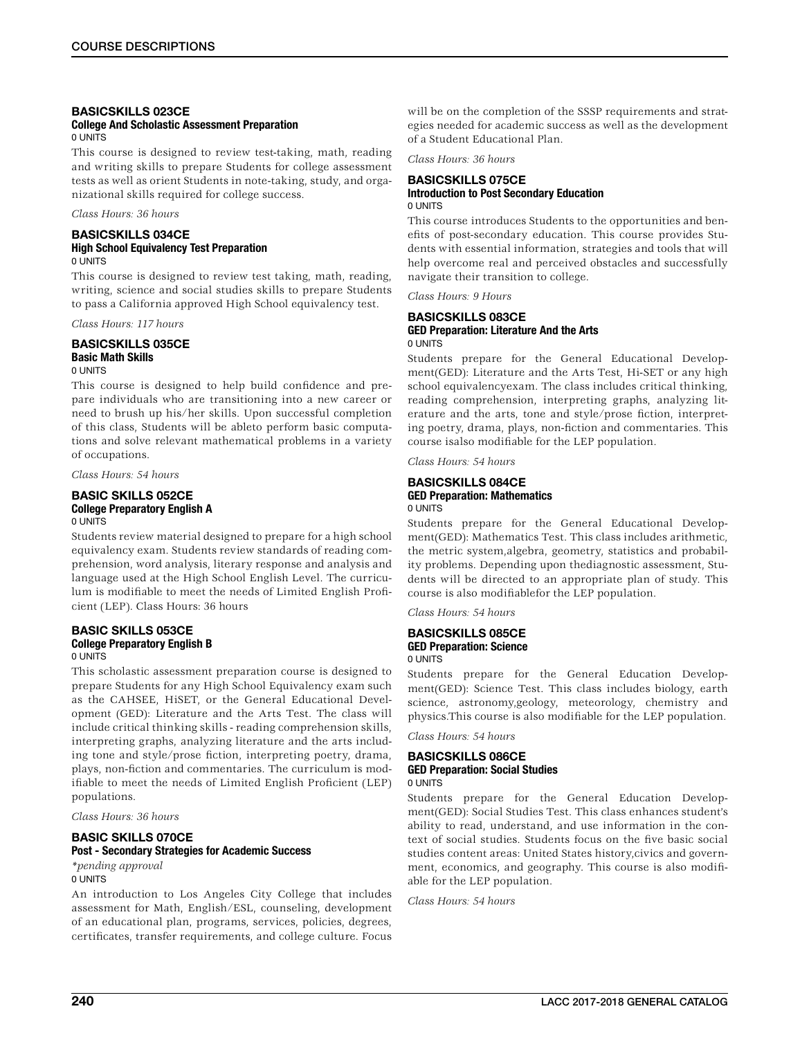#### BASICSKILLS 023CE College And Scholastic Assessment Preparation 0 UNITS

This course is designed to review test-taking, math, reading and writing skills to prepare Students for college assessment tests as well as orient Students in note-taking, study, and organizational skills required for college success.

*Class Hours: 36 hours*

### BASICSKILLS 034CE High School Equivalency Test Preparation 0 UNITS

This course is designed to review test taking, math, reading, writing, science and social studies skills to prepare Students to pass a California approved High School equivalency test.

*Class Hours: 117 hours*

### BASICSKILLS 035CE Basic Math Skills 0 UNITS

This course is designed to help build confidence and prepare individuals who are transitioning into a new career or need to brush up his/her skills. Upon successful completion of this class, Students will be ableto perform basic computations and solve relevant mathematical problems in a variety of occupations.

*Class Hours: 54 hours*

#### BASIC SKILLS 052CE College Preparatory English A 0 UNITS

Students review material designed to prepare for a high school equivalency exam. Students review standards of reading comprehension, word analysis, literary response and analysis and language used at the High School English Level. The curriculum is modifiable to meet the needs of Limited English Proficient (LEP). Class Hours: 36 hours

## BASIC SKILLS 053CE College Preparatory English B 0 UNITS

This scholastic assessment preparation course is designed to prepare Students for any High School Equivalency exam such as the CAHSEE, HiSET, or the General Educational Development (GED): Literature and the Arts Test. The class will include critical thinking skills - reading comprehension skills, interpreting graphs, analyzing literature and the arts including tone and style/prose fiction, interpreting poetry, drama, plays, non-fiction and commentaries. The curriculum is modifiable to meet the needs of Limited English Proficient (LEP) populations.

*Class Hours: 36 hours*

## BASIC SKILLS 070CE Post - Secondary Strategies for Academic Success

*\*pending approval* 0 UNITS

An introduction to Los Angeles City College that includes assessment for Math, English/ESL, counseling, development of an educational plan, programs, services, policies, degrees, certificates, transfer requirements, and college culture. Focus

will be on the completion of the SSSP requirements and strategies needed for academic success as well as the development of a Student Educational Plan.

*Class Hours: 36 hours*

## BASICSKILLS 075CE Introduction to Post Secondary Education 0 UNITS

This course introduces Students to the opportunities and benefits of post-secondary education. This course provides Students with essential information, strategies and tools that will help overcome real and perceived obstacles and successfully navigate their transition to college.

*Class Hours: 9 Hours*

## BASICSKILLS 083CE GED Preparation: Literature And the Arts 0 UNITS

Students prepare for the General Educational Development(GED): Literature and the Arts Test, Hi-SET or any high school equivalencyexam. The class includes critical thinking, reading comprehension, interpreting graphs, analyzing literature and the arts, tone and style/prose fiction, interpreting poetry, drama, plays, non-fiction and commentaries. This course isalso modifiable for the LEP population.

*Class Hours: 54 hours*

## BASICSKILLS 084CE GED Preparation: Mathematics 0 UNITS

Students prepare for the General Educational Development(GED): Mathematics Test. This class includes arithmetic, the metric system,algebra, geometry, statistics and probability problems. Depending upon thediagnostic assessment, Students will be directed to an appropriate plan of study. This course is also modifiablefor the LEP population.

*Class Hours: 54 hours*

## BASICSKILLS 085CE GED Preparation: Science 0 UNITS

Students prepare for the General Education Development(GED): Science Test. This class includes biology, earth science, astronomy,geology, meteorology, chemistry and physics.This course is also modifiable for the LEP population.

*Class Hours: 54 hours*

# BASICSKILLS 086CE GED Preparation: Social Studies

0 UNITS

Students prepare for the General Education Development(GED): Social Studies Test. This class enhances student's ability to read, understand, and use information in the context of social studies. Students focus on the five basic social studies content areas: United States history,civics and government, economics, and geography. This course is also modifiable for the LEP population.

*Class Hours: 54 hours*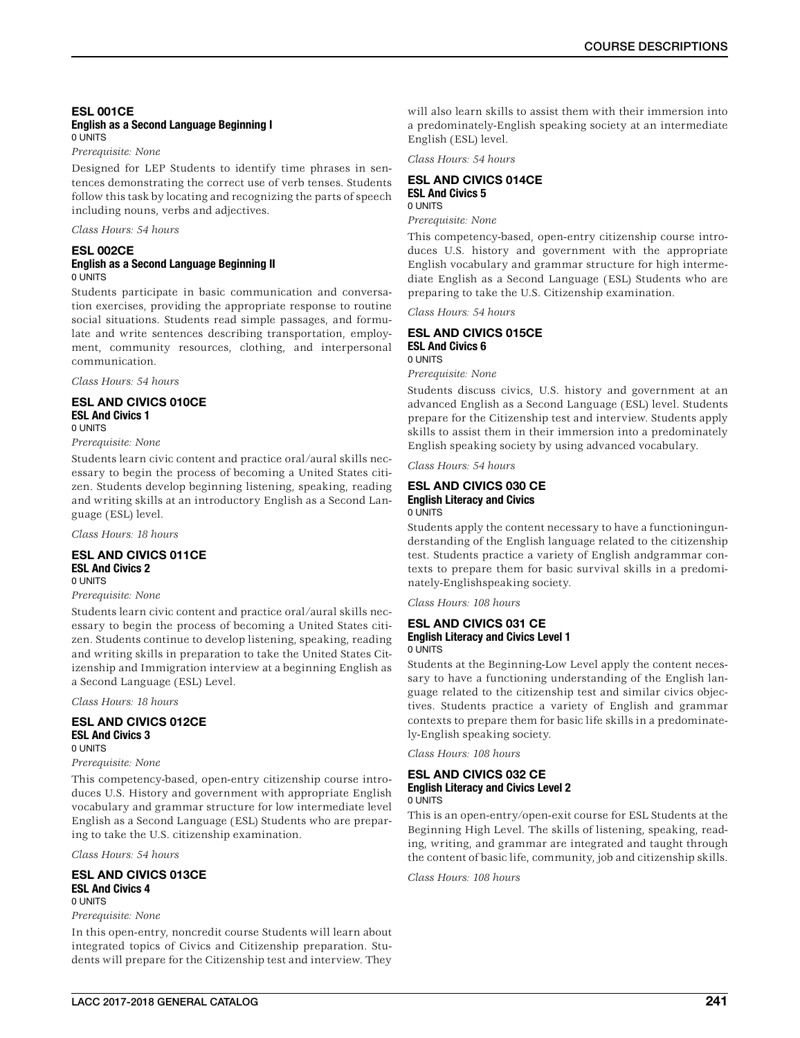## ESL 001CE English as a Second Language Beginning I 0 UNITS

*Prerequisite: None*

Designed for LEP Students to identify time phrases in sentences demonstrating the correct use of verb tenses. Students follow this task by locating and recognizing the parts of speech including nouns, verbs and adjectives.

*Class Hours: 54 hours*

#### ESL 002CE English as a Second Language Beginning II 0 UNITS

Students participate in basic communication and conversation exercises, providing the appropriate response to routine social situations. Students read simple passages, and formulate and write sentences describing transportation, employment, community resources, clothing, and interpersonal communication.

*Class Hours: 54 hours*

## ESL AND CIVICS 010CE ESL And Civics 1 0 UNITS

*Prerequisite: None*

Students learn civic content and practice oral/aural skills necessary to begin the process of becoming a United States citizen. Students develop beginning listening, speaking, reading and writing skills at an introductory English as a Second Language (ESL) level.

*Class Hours: 18 hours*

## ESL AND CIVICS 011CE ESL And Civics 2

0 UNITS

## *Prerequisite: None*

Students learn civic content and practice oral/aural skills necessary to begin the process of becoming a United States citizen. Students continue to develop listening, speaking, reading and writing skills in preparation to take the United States Citizenship and Immigration interview at a beginning English as a Second Language (ESL) Level.

*Class Hours: 18 hours*

#### ESL AND CIVICS 012CE ESL And Civics 3 0 UNITS

## *Prerequisite: None*

This competency-based, open-entry citizenship course introduces U.S. History and government with appropriate English vocabulary and grammar structure for low intermediate level English as a Second Language (ESL) Students who are preparing to take the U.S. citizenship examination.

*Class Hours: 54 hours*

#### ESL AND CIVICS 013CE ESL And Civics 4 0 UNITS

### *Prerequisite: None*

In this open-entry, noncredit course Students will learn about integrated topics of Civics and Citizenship preparation. Students will prepare for the Citizenship test and interview. They will also learn skills to assist them with their immersion into a predominately-English speaking society at an intermediate English (ESL) level.

*Class Hours: 54 hours*

## ESL AND CIVICS 014CE ESL And Civics 5 0 UNITS

*Prerequisite: None*

This competency-based, open-entry citizenship course introduces U.S. history and government with the appropriate English vocabulary and grammar structure for high intermediate English as a Second Language (ESL) Students who are preparing to take the U.S. Citizenship examination.

*Class Hours: 54 hours*

## ESL AND CIVICS 015CE ESL And Civics 6 0 UNITS

*Prerequisite: None*

Students discuss civics, U.S. history and government at an advanced English as a Second Language (ESL) level. Students prepare for the Citizenship test and interview. Students apply skills to assist them in their immersion into a predominately English speaking society by using advanced vocabulary.

*Class Hours: 54 hours*

## ESL AND CIVICS 030 CE English Literacy and Civics 0 UNITS

Students apply the content necessary to have a functioningunderstanding of the English language related to the citizenship test. Students practice a variety of English andgrammar contexts to prepare them for basic survival skills in a predominately-Englishspeaking society.

*Class Hours: 108 hours*

## ESL AND CIVICS 031 CE English Literacy and Civics Level 1 0 UNITS

Students at the Beginning-Low Level apply the content necessary to have a functioning understanding of the English language related to the citizenship test and similar civics objectives. Students practice a variety of English and grammar contexts to prepare them for basic life skills in a predominately-English speaking society.

*Class Hours: 108 hours*

#### ESL AND CIVICS 032 CE English Literacy and Civics Level 2 0 UNITS

This is an open-entry/open-exit course for ESL Students at the Beginning High Level. The skills of listening, speaking, reading, writing, and grammar are integrated and taught through the content of basic life, community, job and citizenship skills.

*Class Hours: 108 hours*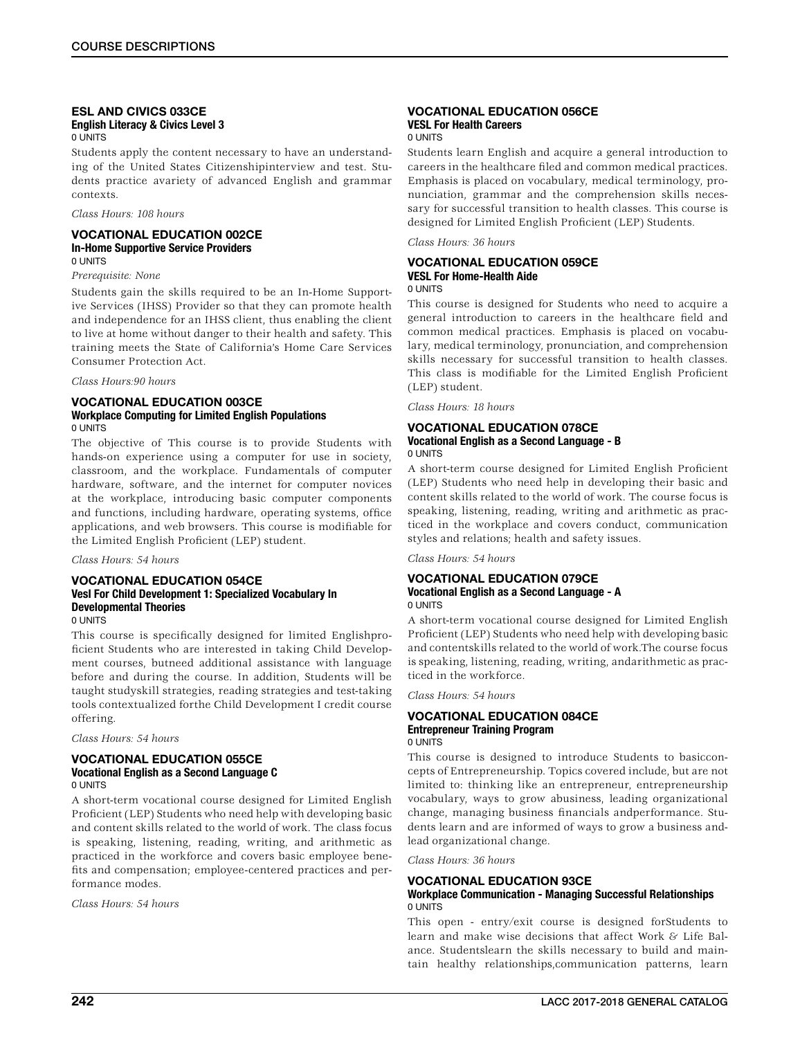### ESL AND CIVICS 033CE English Literacy & Civics Level 3 0 UNITS

Students apply the content necessary to have an understanding of the United States Citizenshipinterview and test. Students practice avariety of advanced English and grammar contexts.

### *Class Hours: 108 hours*

## VOCATIONAL EDUCATION 002CE In-Home Supportive Service Providers 0 UNITS

## *Prerequisite: None*

Students gain the skills required to be an In-Home Supportive Services (IHSS) Provider so that they can promote health and independence for an IHSS client, thus enabling the client to live at home without danger to their health and safety. This training meets the State of California's Home Care Services Consumer Protection Act.

#### *Class Hours:90 hours*

### VOCATIONAL EDUCATION 003CE Workplace Computing for Limited English Populations 0 UNITS

The objective of This course is to provide Students with hands-on experience using a computer for use in society, classroom, and the workplace. Fundamentals of computer hardware, software, and the internet for computer novices at the workplace, introducing basic computer components and functions, including hardware, operating systems, office applications, and web browsers. This course is modifiable for the Limited English Proficient (LEP) student.

#### *Class Hours: 54 hours*

## VOCATIONAL EDUCATION 054CE Vesl For Child Development 1: Specialized Vocabulary In Developmental Theories 0 UNITS

This course is specifically designed for limited Englishproficient Students who are interested in taking Child Development courses, butneed additional assistance with language before and during the course. In addition, Students will be taught studyskill strategies, reading strategies and test-taking tools contextualized forthe Child Development I credit course offering.

*Class Hours: 54 hours*

## VOCATIONAL EDUCATION 055CE Vocational English as a Second Language C 0 UNITS

A short-term vocational course designed for Limited English Proficient (LEP) Students who need help with developing basic and content skills related to the world of work. The class focus is speaking, listening, reading, writing, and arithmetic as practiced in the workforce and covers basic employee benefits and compensation; employee-centered practices and performance modes.

*Class Hours: 54 hours*

#### VOCATIONAL EDUCATION 056CE VESL For Health Careers 0 UNITS

Students learn English and acquire a general introduction to careers in the healthcare filed and common medical practices. Emphasis is placed on vocabulary, medical terminology, pronunciation, grammar and the comprehension skills necessary for successful transition to health classes. This course is

designed for Limited English Proficient (LEP) Students.

*Class Hours: 36 hours*

## VOCATIONAL EDUCATION 059CE VESL For Home-Health Aide

## 0 UNITS

This course is designed for Students who need to acquire a general introduction to careers in the healthcare field and common medical practices. Emphasis is placed on vocabulary, medical terminology, pronunciation, and comprehension skills necessary for successful transition to health classes. This class is modifiable for the Limited English Proficient (LEP) student.

*Class Hours: 18 hours*

#### VOCATIONAL EDUCATION 078CE Vocational English as a Second Language - B 0 UNITS

A short-term course designed for Limited English Proficient (LEP) Students who need help in developing their basic and content skills related to the world of work. The course focus is speaking, listening, reading, writing and arithmetic as practiced in the workplace and covers conduct, communication styles and relations; health and safety issues.

*Class Hours: 54 hours*

## VOCATIONAL EDUCATION 079CE Vocational English as a Second Language - A 0 UNITS

A short-term vocational course designed for Limited English Proficient (LEP) Students who need help with developing basic and contentskills related to the world of work.The course focus is speaking, listening, reading, writing, andarithmetic as practiced in the workforce.

*Class Hours: 54 hours*

## VOCATIONAL EDUCATION 084CE Entrepreneur Training Program

0 UNITS

This course is designed to introduce Students to basicconcepts of Entrepreneurship. Topics covered include, but are not limited to: thinking like an entrepreneur, entrepreneurship vocabulary, ways to grow abusiness, leading organizational change, managing business financials andperformance. Students learn and are informed of ways to grow a business andlead organizational change.

*Class Hours: 36 hours*

## VOCATIONAL EDUCATION 93CE

## Workplace Communication - Managing Successful Relationships 0 UNITS

This open - entry/exit course is designed forStudents to learn and make wise decisions that affect Work & Life Balance. Studentslearn the skills necessary to build and maintain healthy relationships,communication patterns, learn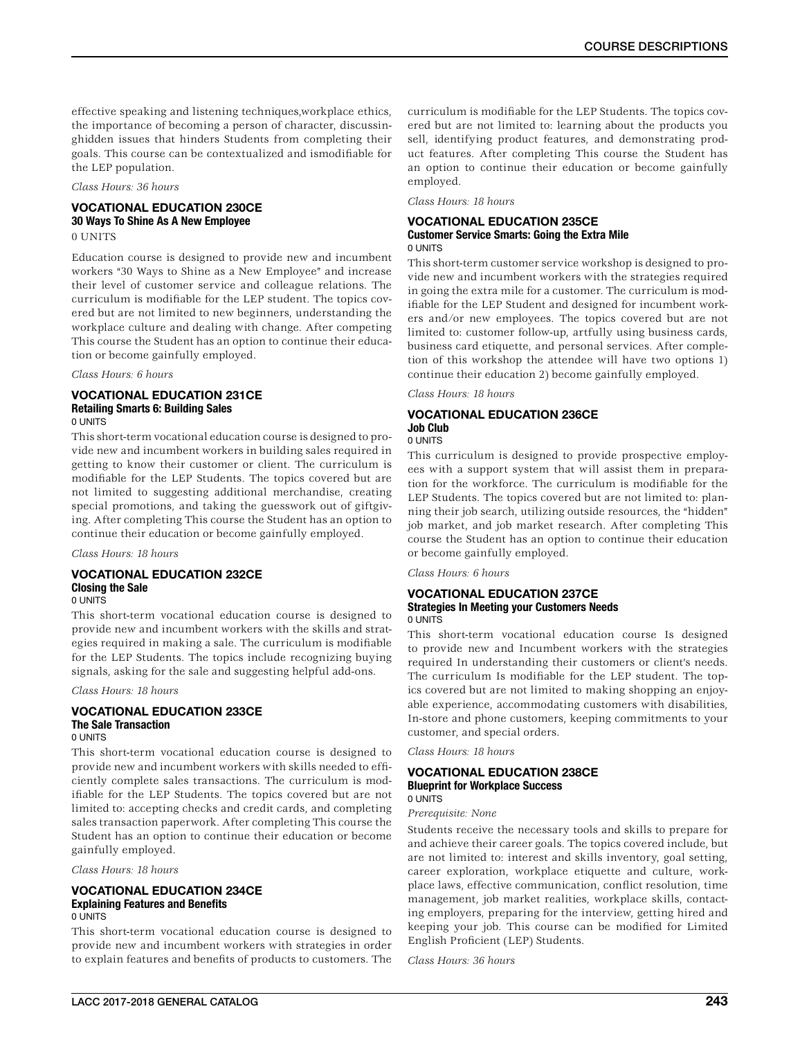effective speaking and listening techniques,workplace ethics, the importance of becoming a person of character, discussinghidden issues that hinders Students from completing their goals. This course can be contextualized and ismodifiable for the LEP population.

*Class Hours: 36 hours*

# VOCATIONAL EDUCATION 230CE 30 Ways To Shine As A New Employee

0 UNITS

Education course is designed to provide new and incumbent workers "30 Ways to Shine as a New Employee" and increase their level of customer service and colleague relations. The curriculum is modifiable for the LEP student. The topics covered but are not limited to new beginners, understanding the workplace culture and dealing with change. After competing This course the Student has an option to continue their education or become gainfully employed.

## *Class Hours: 6 hours*

## VOCATIONAL EDUCATION 231CE Retailing Smarts 6: Building Sales 0 UNITS

This short-term vocational education course is designed to provide new and incumbent workers in building sales required in getting to know their customer or client. The curriculum is modifiable for the LEP Students. The topics covered but are not limited to suggesting additional merchandise, creating special promotions, and taking the guesswork out of giftgiving. After completing This course the Student has an option to continue their education or become gainfully employed.

*Class Hours: 18 hours*

#### VOCATIONAL EDUCATION 232CE Closing the Sale 0 UNITS

This short-term vocational education course is designed to provide new and incumbent workers with the skills and strategies required in making a sale. The curriculum is modifiable for the LEP Students. The topics include recognizing buying signals, asking for the sale and suggesting helpful add-ons.

*Class Hours: 18 hours*

#### VOCATIONAL EDUCATION 233CE The Sale Transaction 0 UNITS

This short-term vocational education course is designed to provide new and incumbent workers with skills needed to efficiently complete sales transactions. The curriculum is modifiable for the LEP Students. The topics covered but are not limited to: accepting checks and credit cards, and completing sales transaction paperwork. After completing This course the Student has an option to continue their education or become gainfully employed.

*Class Hours: 18 hours*

### VOCATIONAL EDUCATION 234CE Explaining Features and Benefits 0 UNITS

This short-term vocational education course is designed to provide new and incumbent workers with strategies in order to explain features and benefits of products to customers. The curriculum is modifiable for the LEP Students. The topics covered but are not limited to: learning about the products you sell, identifying product features, and demonstrating product features. After completing This course the Student has an option to continue their education or become gainfully employed.

*Class Hours: 18 hours*

### VOCATIONAL EDUCATION 235CE Customer Service Smarts: Going the Extra Mile 0 UNITS

This short-term customer service workshop is designed to provide new and incumbent workers with the strategies required in going the extra mile for a customer. The curriculum is modifiable for the LEP Student and designed for incumbent workers and/or new employees. The topics covered but are not limited to: customer follow-up, artfully using business cards, business card etiquette, and personal services. After completion of this workshop the attendee will have two options 1) continue their education 2) become gainfully employed.

*Class Hours: 18 hours*

## VOCATIONAL EDUCATION 236CE Job Club

## 0 UNITS

This curriculum is designed to provide prospective employees with a support system that will assist them in preparation for the workforce. The curriculum is modifiable for the LEP Students. The topics covered but are not limited to: planning their job search, utilizing outside resources, the "hidden" job market, and job market research. After completing This course the Student has an option to continue their education or become gainfully employed.

*Class Hours: 6 hours*

## VOCATIONAL EDUCATION 237CE Strategies In Meeting your Customers Needs 0 UNITS

This short-term vocational education course Is designed to provide new and Incumbent workers with the strategies required In understanding their customers or client's needs. The curriculum Is modifiable for the LEP student. The topics covered but are not limited to making shopping an enjoyable experience, accommodating customers with disabilities, In-store and phone customers, keeping commitments to your customer, and special orders.

*Class Hours: 18 hours*

## VOCATIONAL EDUCATION 238CE Blueprint for Workplace Success 0 UNITS

*Prerequisite: None*

Students receive the necessary tools and skills to prepare for and achieve their career goals. The topics covered include, but are not limited to: interest and skills inventory, goal setting, career exploration, workplace etiquette and culture, workplace laws, effective communication, conflict resolution, time management, job market realities, workplace skills, contacting employers, preparing for the interview, getting hired and keeping your job. This course can be modified for Limited English Proficient (LEP) Students.

*Class Hours: 36 hours*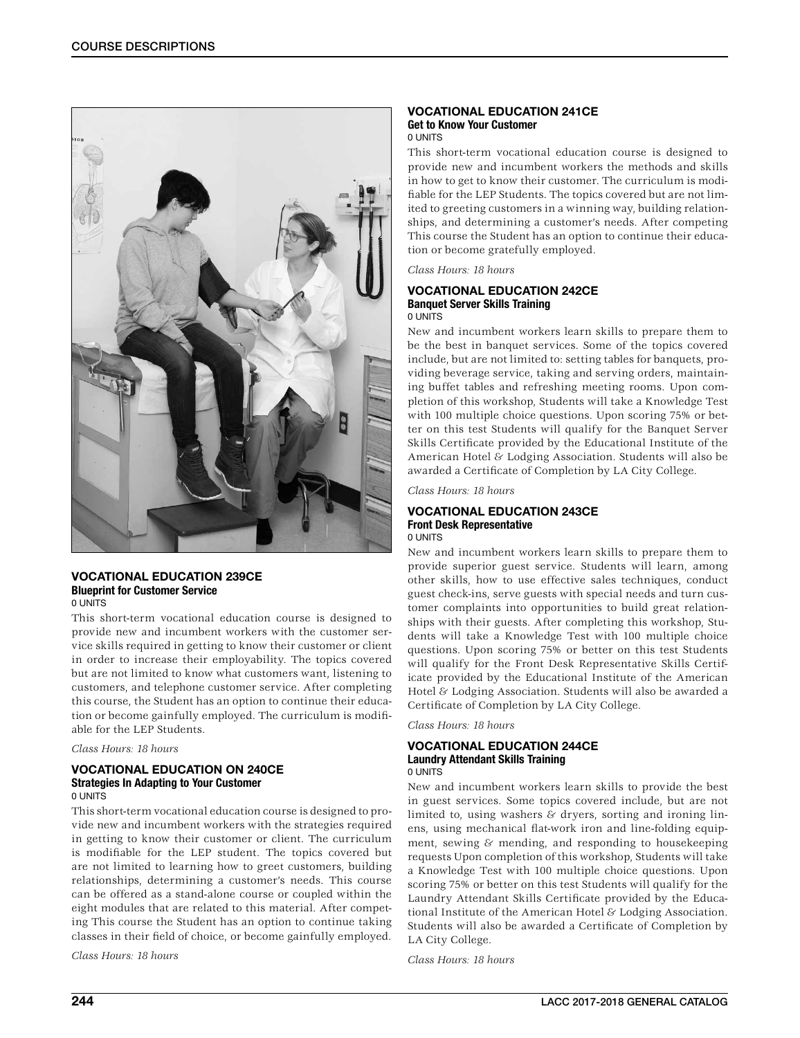

#### VOCATIONAL EDUCATION 239CE Blueprint for Customer Service 0 UNITS

This short-term vocational education course is designed to provide new and incumbent workers with the customer service skills required in getting to know their customer or client in order to increase their employability. The topics covered but are not limited to know what customers want, listening to customers, and telephone customer service. After completing this course, the Student has an option to continue their education or become gainfully employed. The curriculum is modifiable for the LEP Students.

### *Class Hours: 18 hours*

#### VOCATIONAL EDUCATION ON 240CE Strategies In Adapting to Your Customer 0 UNITS

This short-term vocational education course is designed to provide new and incumbent workers with the strategies required in getting to know their customer or client. The curriculum is modifiable for the LEP student. The topics covered but are not limited to learning how to greet customers, building relationships, determining a customer's needs. This course can be offered as a stand-alone course or coupled within the eight modules that are related to this material. After competing This course the Student has an option to continue taking classes in their field of choice, or become gainfully employed.

*Class Hours: 18 hours*

#### VOCATIONAL EDUCATION 241CE Get to Know Your Customer 0 UNITS

This short-term vocational education course is designed to provide new and incumbent workers the methods and skills in how to get to know their customer. The curriculum is modifiable for the LEP Students. The topics covered but are not limited to greeting customers in a winning way, building relationships, and determining a customer's needs. After competing This course the Student has an option to continue their education or become gratefully employed.

*Class Hours: 18 hours*

#### VOCATIONAL EDUCATION 242CE Banquet Server Skills Training 0 UNITS

New and incumbent workers learn skills to prepare them to be the best in banquet services. Some of the topics covered include, but are not limited to: setting tables for banquets, providing beverage service, taking and serving orders, maintaining buffet tables and refreshing meeting rooms. Upon completion of this workshop, Students will take a Knowledge Test with 100 multiple choice questions. Upon scoring 75% or better on this test Students will qualify for the Banquet Server Skills Certificate provided by the Educational Institute of the American Hotel & Lodging Association. Students will also be awarded a Certificate of Completion by LA City College.

*Class Hours: 18 hours*

### VOCATIONAL EDUCATION 243CE Front Desk Representative 0 UNITS

New and incumbent workers learn skills to prepare them to provide superior guest service. Students will learn, among other skills, how to use effective sales techniques, conduct guest check-ins, serve guests with special needs and turn customer complaints into opportunities to build great relationships with their guests. After completing this workshop, Students will take a Knowledge Test with 100 multiple choice questions. Upon scoring 75% or better on this test Students will qualify for the Front Desk Representative Skills Certificate provided by the Educational Institute of the American Hotel & Lodging Association. Students will also be awarded a Certificate of Completion by LA City College.

*Class Hours: 18 hours*

## VOCATIONAL EDUCATION 244CE Laundry Attendant Skills Training 0 UNITS

New and incumbent workers learn skills to provide the best in guest services. Some topics covered include, but are not limited to, using washers  $&$  dryers, sorting and ironing linens, using mechanical flat-work iron and line-folding equipment, sewing & mending, and responding to housekeeping requests Upon completion of this workshop, Students will take a Knowledge Test with 100 multiple choice questions. Upon scoring 75% or better on this test Students will qualify for the Laundry Attendant Skills Certificate provided by the Educational Institute of the American Hotel & Lodging Association. Students will also be awarded a Certificate of Completion by LA City College.

*Class Hours: 18 hours*